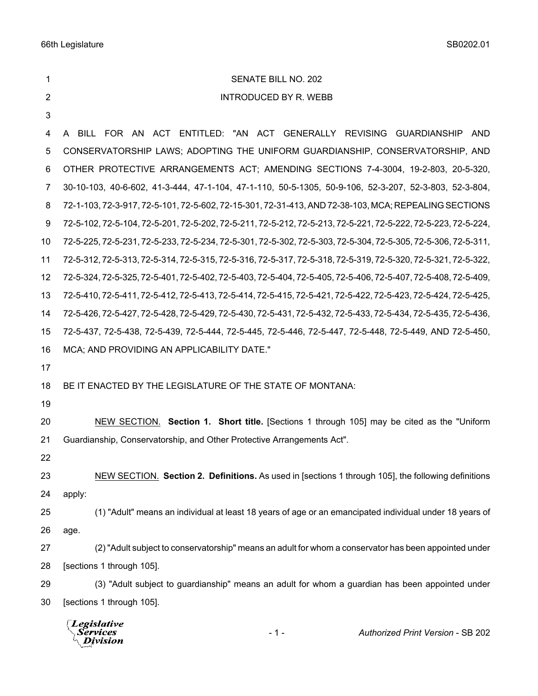| 1              | SENATE BILL NO. 202                                                                                           |
|----------------|---------------------------------------------------------------------------------------------------------------|
| $\overline{2}$ | <b>INTRODUCED BY R. WEBB</b>                                                                                  |
| 3              |                                                                                                               |
| 4              | A BILL FOR AN ACT ENTITLED: "AN ACT GENERALLY REVISING GUARDIANSHIP AND                                       |
| 5              | CONSERVATORSHIP LAWS; ADOPTING THE UNIFORM GUARDIANSHIP, CONSERVATORSHIP, AND                                 |
| 6              | OTHER PROTECTIVE ARRANGEMENTS ACT; AMENDING SECTIONS 7-4-3004, 19-2-803, 20-5-320,                            |
| 7              | 30-10-103, 40-6-602, 41-3-444, 47-1-104, 47-1-110, 50-5-1305, 50-9-106, 52-3-207, 52-3-803, 52-3-804,         |
| 8              | 72-1-103, 72-3-917, 72-5-101, 72-5-602, 72-15-301, 72-31-413, AND 72-38-103, MCA; REPEALING SECTIONS          |
| 9              | 72-5-102, 72-5-104, 72-5-201, 72-5-202, 72-5-211, 72-5-212, 72-5-213, 72-5-221, 72-5-222, 72-5-223, 72-5-224, |
| 10             | 72-5-225, 72-5-231, 72-5-233, 72-5-234, 72-5-301, 72-5-302, 72-5-303, 72-5-304, 72-5-305, 72-5-306, 72-5-311, |
| 11             | 72-5-312, 72-5-313, 72-5-314, 72-5-315, 72-5-316, 72-5-317, 72-5-318, 72-5-319, 72-5-320, 72-5-321, 72-5-322, |
| 12             | 72-5-324, 72-5-325, 72-5-401, 72-5-402, 72-5-403, 72-5-404, 72-5-405, 72-5-406, 72-5-407, 72-5-408, 72-5-409, |
| 13             | 72-5-410, 72-5-411, 72-5-412, 72-5-413, 72-5-414, 72-5-415, 72-5-421, 72-5-422, 72-5-423, 72-5-424, 72-5-425, |
| 14             | 72-5-426, 72-5-427, 72-5-428, 72-5-429, 72-5-430, 72-5-431, 72-5-432, 72-5-433, 72-5-434, 72-5-435, 72-5-436, |
| 15             | 72-5-437, 72-5-438, 72-5-439, 72-5-444, 72-5-445, 72-5-446, 72-5-447, 72-5-448, 72-5-449, AND 72-5-450,       |
| 16             | MCA; AND PROVIDING AN APPLICABILITY DATE."                                                                    |
| 17             |                                                                                                               |
| 18             | BE IT ENACTED BY THE LEGISLATURE OF THE STATE OF MONTANA:                                                     |
| 19             |                                                                                                               |
| 20             | NEW SECTION. Section 1. Short title. [Sections 1 through 105] may be cited as the "Uniform                    |
| 21             | Guardianship, Conservatorship, and Other Protective Arrangements Act".                                        |
| 22             |                                                                                                               |
| 23             | NEW SECTION. Section 2. Definitions. As used in [sections 1 through 105], the following definitions           |
| 24             | apply:                                                                                                        |
| 25             | (1) "Adult" means an individual at least 18 years of age or an emancipated individual under 18 years of       |
| 26             | age.                                                                                                          |
| 27             | (2) "Adult subject to conservatorship" means an adult for whom a conservator has been appointed under         |
| 28             | [sections 1 through 105].                                                                                     |
| 29             | (3) "Adult subject to guardianship" means an adult for whom a guardian has been appointed under               |
| 30             | [sections 1 through 105].                                                                                     |

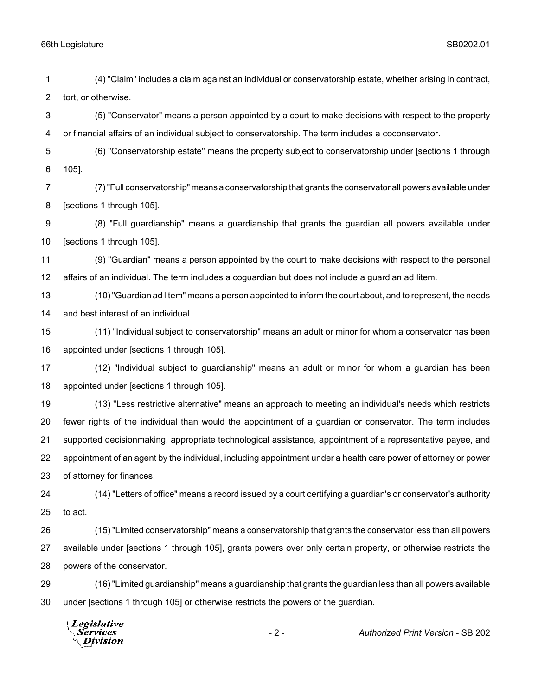tort, or otherwise.

 (5) "Conservator" means a person appointed by a court to make decisions with respect to the property or financial affairs of an individual subject to conservatorship. The term includes a coconservator. (6) "Conservatorship estate" means the property subject to conservatorship under [sections 1 through 105]. (7) "Full conservatorship" means a conservatorship that grants the conservator all powers available under [sections 1 through 105]. (8) "Full guardianship" means a guardianship that grants the guardian all powers available under [sections 1 through 105]. (9) "Guardian" means a person appointed by the court to make decisions with respect to the personal affairs of an individual. The term includes a coguardian but does not include a guardian ad litem. (10) "Guardian ad litem" means a person appointed to inform the court about, and to represent, the needs and best interest of an individual. (11) "Individual subject to conservatorship" means an adult or minor for whom a conservator has been appointed under [sections 1 through 105]. (12) "Individual subject to guardianship" means an adult or minor for whom a guardian has been appointed under [sections 1 through 105]. (13) "Less restrictive alternative" means an approach to meeting an individual's needs which restricts fewer rights of the individual than would the appointment of a guardian or conservator. The term includes supported decisionmaking, appropriate technological assistance, appointment of a representative payee, and appointment of an agent by the individual, including appointment under a health care power of attorney or power of attorney for finances. (14) "Letters of office" means a record issued by a court certifying a guardian's or conservator's authority to act. (15) "Limited conservatorship" means a conservatorship that grants the conservator less than all powers available under [sections 1 through 105], grants powers over only certain property, or otherwise restricts the powers of the conservator. (16) "Limited guardianship" means a guardianship that grants the guardian less than all powers available under [sections 1 through 105] or otherwise restricts the powers of the guardian. Legislative - 2 - *Authorized Print Version* - SB 202*Services* **Division** 

(4) "Claim" includes a claim against an individual or conservatorship estate, whether arising in contract,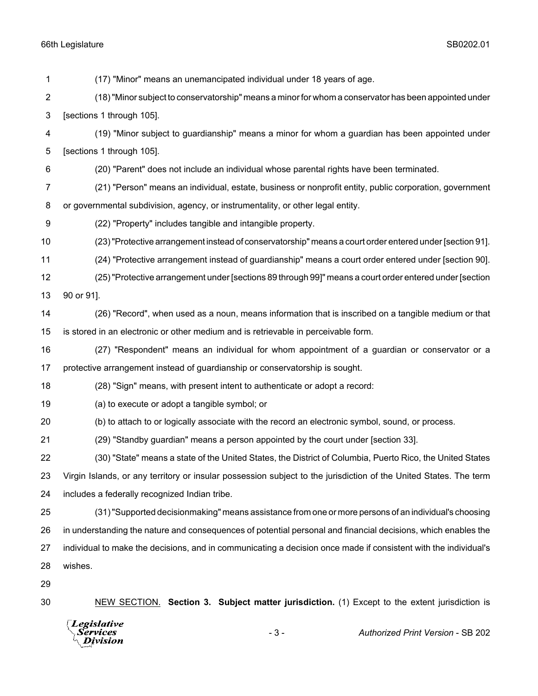(17) "Minor" means an unemancipated individual under 18 years of age. (18) "Minor subject to conservatorship" means a minor for whom a conservator has been appointed under [sections 1 through 105]. (19) "Minor subject to guardianship" means a minor for whom a guardian has been appointed under [sections 1 through 105]. (20) "Parent" does not include an individual whose parental rights have been terminated. (21) "Person" means an individual, estate, business or nonprofit entity, public corporation, government or governmental subdivision, agency, or instrumentality, or other legal entity. (22) "Property" includes tangible and intangible property. (23) "Protective arrangement instead of conservatorship" means a court order entered under [section 91]. (24) "Protective arrangement instead of guardianship" means a court order entered under [section 90]. (25) "Protective arrangement under [sections 89 through 99]" means a court order entered under [section 90 or 91]. (26) "Record", when used as a noun, means information that is inscribed on a tangible medium or that is stored in an electronic or other medium and is retrievable in perceivable form. (27) "Respondent" means an individual for whom appointment of a guardian or conservator or a protective arrangement instead of guardianship or conservatorship is sought. (28) "Sign" means, with present intent to authenticate or adopt a record: (a) to execute or adopt a tangible symbol; or (b) to attach to or logically associate with the record an electronic symbol, sound, or process. (29) "Standby guardian" means a person appointed by the court under [section 33]. (30) "State" means a state of the United States, the District of Columbia, Puerto Rico, the United States Virgin Islands, or any territory or insular possession subject to the jurisdiction of the United States. The term includes a federally recognized Indian tribe. (31) "Supported decisionmaking" means assistance from one or more persons of an individual's choosing in understanding the nature and consequences of potential personal and financial decisions, which enables the individual to make the decisions, and in communicating a decision once made if consistent with the individual's wishes. 

NEW SECTION. **Section 3. Subject matter jurisdiction.** (1) Except to the extent jurisdiction is

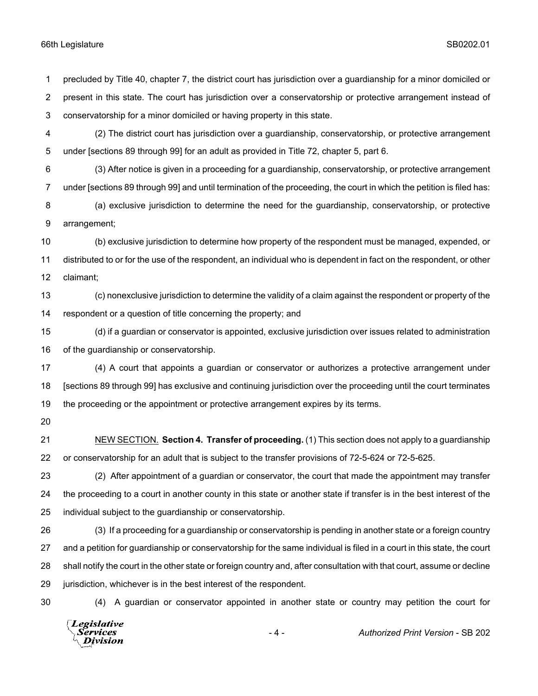precluded by Title 40, chapter 7, the district court has jurisdiction over a guardianship for a minor domiciled or present in this state. The court has jurisdiction over a conservatorship or protective arrangement instead of conservatorship for a minor domiciled or having property in this state.

- (2) The district court has jurisdiction over a guardianship, conservatorship, or protective arrangement under [sections 89 through 99] for an adult as provided in Title 72, chapter 5, part 6.
- (3) After notice is given in a proceeding for a guardianship, conservatorship, or protective arrangement under [sections 89 through 99] and until termination of the proceeding, the court in which the petition is filed has:
- (a) exclusive jurisdiction to determine the need for the guardianship, conservatorship, or protective arrangement;
- (b) exclusive jurisdiction to determine how property of the respondent must be managed, expended, or distributed to or for the use of the respondent, an individual who is dependent in fact on the respondent, or other claimant;
- (c) nonexclusive jurisdiction to determine the validity of a claim against the respondent or property of the respondent or a question of title concerning the property; and
- (d) if a guardian or conservator is appointed, exclusive jurisdiction over issues related to administration of the guardianship or conservatorship.
- (4) A court that appoints a guardian or conservator or authorizes a protective arrangement under [sections 89 through 99] has exclusive and continuing jurisdiction over the proceeding until the court terminates the proceeding or the appointment or protective arrangement expires by its terms.
- 
- NEW SECTION. **Section 4. Transfer of proceeding.** (1) This section does not apply to a guardianship or conservatorship for an adult that is subject to the transfer provisions of 72-5-624 or 72-5-625.
- (2) After appointment of a guardian or conservator, the court that made the appointment may transfer the proceeding to a court in another county in this state or another state if transfer is in the best interest of the individual subject to the guardianship or conservatorship.
- (3) If a proceeding for a guardianship or conservatorship is pending in another state or a foreign country and a petition for guardianship or conservatorship for the same individual is filed in a court in this state, the court shall notify the court in the other state or foreign country and, after consultation with that court, assume or decline jurisdiction, whichever is in the best interest of the respondent.
- (4) A guardian or conservator appointed in another state or country may petition the court for

Legislative Services **Division**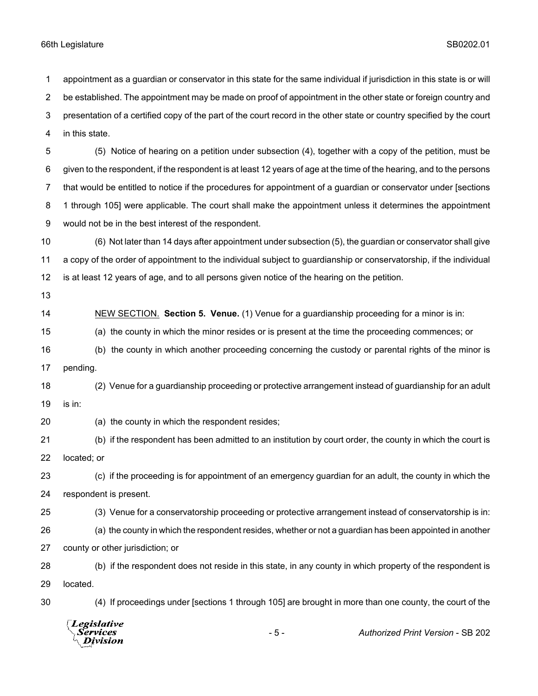be established. The appointment may be made on proof of appointment in the other state or foreign country and presentation of a certified copy of the part of the court record in the other state or country specified by the court in this state. (5) Notice of hearing on a petition under subsection (4), together with a copy of the petition, must be given to the respondent, if the respondent is at least 12 years of age at the time of the hearing, and to the persons that would be entitled to notice if the procedures for appointment of a guardian or conservator under [sections 1 through 105] were applicable. The court shall make the appointment unless it determines the appointment would not be in the best interest of the respondent. (6) Not later than 14 days after appointment under subsection (5), the guardian or conservator shall give a copy of the order of appointment to the individual subject to guardianship or conservatorship, if the individual is at least 12 years of age, and to all persons given notice of the hearing on the petition. NEW SECTION. **Section 5. Venue.** (1) Venue for a guardianship proceeding for a minor is in: (a) the county in which the minor resides or is present at the time the proceeding commences; or (b) the county in which another proceeding concerning the custody or parental rights of the minor is pending. (2) Venue for a guardianship proceeding or protective arrangement instead of guardianship for an adult is in: (a) the county in which the respondent resides; (b) if the respondent has been admitted to an institution by court order, the county in which the court is located; or (c) if the proceeding is for appointment of an emergency guardian for an adult, the county in which the respondent is present. (3) Venue for a conservatorship proceeding or protective arrangement instead of conservatorship is in: (a) the county in which the respondent resides, whether or not a guardian has been appointed in another county or other jurisdiction; or (b) if the respondent does not reside in this state, in any county in which property of the respondent is located. (4) If proceedings under [sections 1 through 105] are brought in more than one county, the court of the Legislative - 5 - *Authorized Print Version* - SB 202*Services* **Division** 

appointment as a guardian or conservator in this state for the same individual if jurisdiction in this state is or will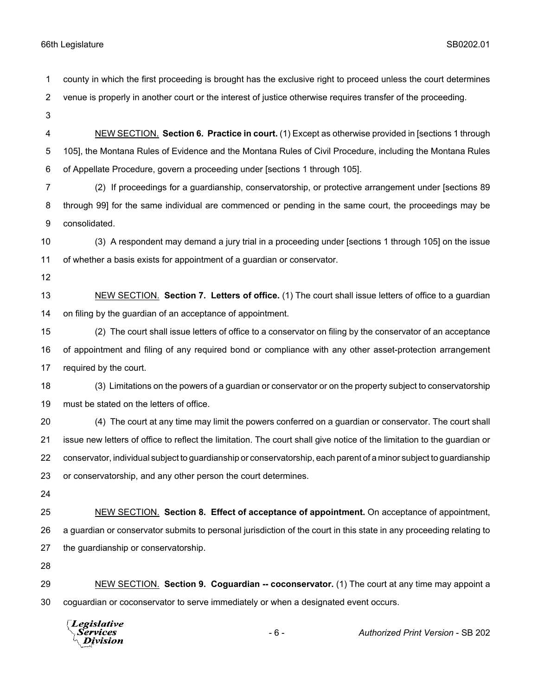**Division** 

 county in which the first proceeding is brought has the exclusive right to proceed unless the court determines venue is properly in another court or the interest of justice otherwise requires transfer of the proceeding. NEW SECTION. **Section 6. Practice in court.** (1) Except as otherwise provided in [sections 1 through 105], the Montana Rules of Evidence and the Montana Rules of Civil Procedure, including the Montana Rules of Appellate Procedure, govern a proceeding under [sections 1 through 105]. (2) If proceedings for a guardianship, conservatorship, or protective arrangement under [sections 89 through 99] for the same individual are commenced or pending in the same court, the proceedings may be consolidated. (3) A respondent may demand a jury trial in a proceeding under [sections 1 through 105] on the issue of whether a basis exists for appointment of a guardian or conservator. NEW SECTION. **Section 7. Letters of office.** (1) The court shall issue letters of office to a guardian on filing by the guardian of an acceptance of appointment. (2) The court shall issue letters of office to a conservator on filing by the conservator of an acceptance of appointment and filing of any required bond or compliance with any other asset-protection arrangement required by the court. (3) Limitations on the powers of a guardian or conservator or on the property subject to conservatorship must be stated on the letters of office. (4) The court at any time may limit the powers conferred on a guardian or conservator. The court shall issue new letters of office to reflect the limitation. The court shall give notice of the limitation to the guardian or conservator, individual subject to guardianship or conservatorship, each parent of a minor subject to guardianship or conservatorship, and any other person the court determines. NEW SECTION. **Section 8. Effect of acceptance of appointment.** On acceptance of appointment, a guardian or conservator submits to personal jurisdiction of the court in this state in any proceeding relating to the guardianship or conservatorship. NEW SECTION. **Section 9. Coguardian -- coconservator.** (1) The court at any time may appoint a coguardian or coconservator to serve immediately or when a designated event occurs. Legislative Services - 6 - *Authorized Print Version* - SB 202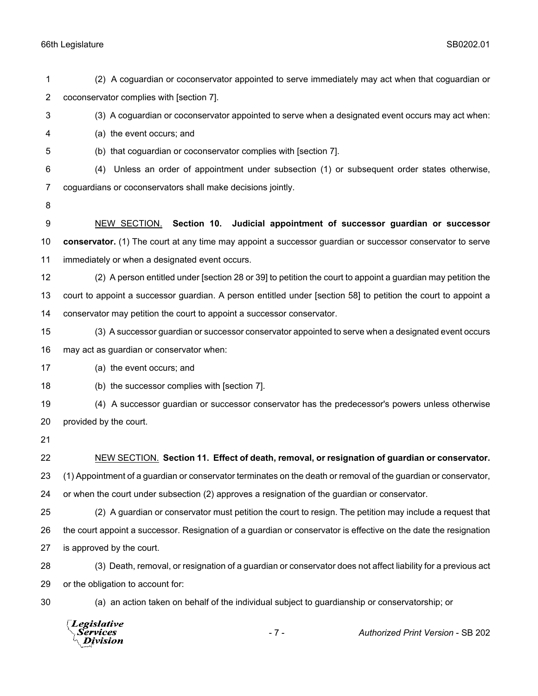**Division** 

 (2) A coguardian or coconservator appointed to serve immediately may act when that coguardian or coconservator complies with [section 7]. (3) A coguardian or coconservator appointed to serve when a designated event occurs may act when: (a) the event occurs; and (b) that coguardian or coconservator complies with [section 7]. (4) Unless an order of appointment under subsection (1) or subsequent order states otherwise, coguardians or coconservators shall make decisions jointly. NEW SECTION. **Section 10. Judicial appointment of successor guardian or successor conservator.** (1) The court at any time may appoint a successor guardian or successor conservator to serve immediately or when a designated event occurs. (2) A person entitled under [section 28 or 39] to petition the court to appoint a guardian may petition the court to appoint a successor guardian. A person entitled under [section 58] to petition the court to appoint a conservator may petition the court to appoint a successor conservator. (3) A successor guardian or successor conservator appointed to serve when a designated event occurs may act as guardian or conservator when: (a) the event occurs; and (b) the successor complies with [section 7]. (4) A successor guardian or successor conservator has the predecessor's powers unless otherwise provided by the court. NEW SECTION. **Section 11. Effect of death, removal, or resignation of guardian or conservator.** (1) Appointment of a guardian or conservator terminates on the death or removal of the guardian or conservator, or when the court under subsection (2) approves a resignation of the guardian or conservator. (2) A guardian or conservator must petition the court to resign. The petition may include a request that the court appoint a successor. Resignation of a guardian or conservator is effective on the date the resignation is approved by the court. (3) Death, removal, or resignation of a guardian or conservator does not affect liability for a previous act or the obligation to account for: (a) an action taken on behalf of the individual subject to guardianship or conservatorship; or Legislative - 7 - *Authorized Print Version* - SB 202*Services*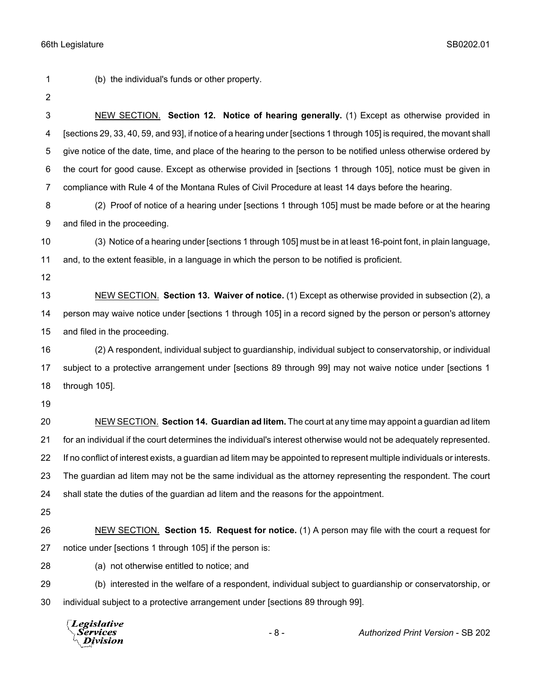- (b) the individual's funds or other property.
- 

 NEW SECTION. **Section 12. Notice of hearing generally.** (1) Except as otherwise provided in [sections 29, 33, 40, 59, and 93], if notice of a hearing under [sections 1 through 105] is required, the movant shall give notice of the date, time, and place of the hearing to the person to be notified unless otherwise ordered by the court for good cause. Except as otherwise provided in [sections 1 through 105], notice must be given in compliance with Rule 4 of the Montana Rules of Civil Procedure at least 14 days before the hearing.

 (2) Proof of notice of a hearing under [sections 1 through 105] must be made before or at the hearing and filed in the proceeding.

 (3) Notice of a hearing under [sections 1 through 105] must be in at least 16-point font, in plain language, and, to the extent feasible, in a language in which the person to be notified is proficient.

 NEW SECTION. **Section 13. Waiver of notice.** (1) Except as otherwise provided in subsection (2), a person may waive notice under [sections 1 through 105] in a record signed by the person or person's attorney and filed in the proceeding.

 (2) A respondent, individual subject to guardianship, individual subject to conservatorship, or individual subject to a protective arrangement under [sections 89 through 99] may not waive notice under [sections 1 through 105].

 NEW SECTION. **Section 14. Guardian ad litem.** The court at any time may appoint a guardian ad litem for an individual if the court determines the individual's interest otherwise would not be adequately represented. If no conflict of interest exists, a guardian ad litem may be appointed to represent multiple individuals or interests. The guardian ad litem may not be the same individual as the attorney representing the respondent. The court shall state the duties of the guardian ad litem and the reasons for the appointment.

 NEW SECTION. **Section 15. Request for notice.** (1) A person may file with the court a request for notice under [sections 1 through 105] if the person is:

(a) not otherwise entitled to notice; and

 (b) interested in the welfare of a respondent, individual subject to guardianship or conservatorship, or individual subject to a protective arrangement under [sections 89 through 99].

| $\sqrt{L}$ <i>egislative</i><br>$\sqrt{S}$ <i>ervices</i><br>-8-<br>$\Lambda$ Division | <b>Authorized Print Version - SB 202</b> |
|----------------------------------------------------------------------------------------|------------------------------------------|
|----------------------------------------------------------------------------------------|------------------------------------------|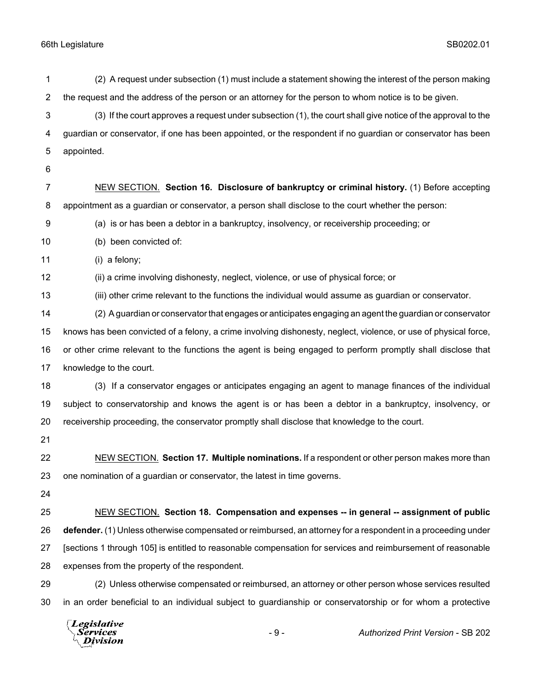| (2) A request under subsection (1) must include a statement showing the interest of the person making            |
|------------------------------------------------------------------------------------------------------------------|
| the request and the address of the person or an attorney for the person to whom notice is to be given.           |
| (3) If the court approves a request under subsection (1), the court shall give notice of the approval to the     |
| guardian or conservator, if one has been appointed, or the respondent if no guardian or conservator has been     |
| appointed.                                                                                                       |
|                                                                                                                  |
| NEW SECTION. Section 16. Disclosure of bankruptcy or criminal history. (1) Before accepting                      |
| appointment as a guardian or conservator, a person shall disclose to the court whether the person:               |
| (a) is or has been a debtor in a bankruptcy, insolvency, or receivership proceeding; or                          |
| (b) been convicted of:                                                                                           |
| (i) a felony;                                                                                                    |
| (ii) a crime involving dishonesty, neglect, violence, or use of physical force; or                               |
| (iii) other crime relevant to the functions the individual would assume as guardian or conservator.              |
| (2) A guardian or conservator that engages or anticipates engaging an agent the guardian or conservator          |
| knows has been convicted of a felony, a crime involving dishonesty, neglect, violence, or use of physical force, |
| or other crime relevant to the functions the agent is being engaged to perform promptly shall disclose that      |
| knowledge to the court.                                                                                          |
| (3) If a conservator engages or anticipates engaging an agent to manage finances of the individual               |
| subject to conservatorship and knows the agent is or has been a debtor in a bankruptcy, insolvency, or           |
| receivership proceeding, the conservator promptly shall disclose that knowledge to the court.                    |
|                                                                                                                  |
| NEW SECTION. Section 17. Multiple nominations. If a respondent or other person makes more than                   |
| one nomination of a guardian or conservator, the latest in time governs.                                         |
|                                                                                                                  |
| NEW SECTION. Section 18. Compensation and expenses -- in general -- assignment of public                         |
| defender. (1) Unless otherwise compensated or reimbursed, an attorney for a respondent in a proceeding under     |
| [sections 1 through 105] is entitled to reasonable compensation for services and reimbursement of reasonable     |
| expenses from the property of the respondent.                                                                    |
| (2) Unless otherwise compensated or reimbursed, an attorney or other person whose services resulted              |
|                                                                                                                  |
|                                                                                                                  |

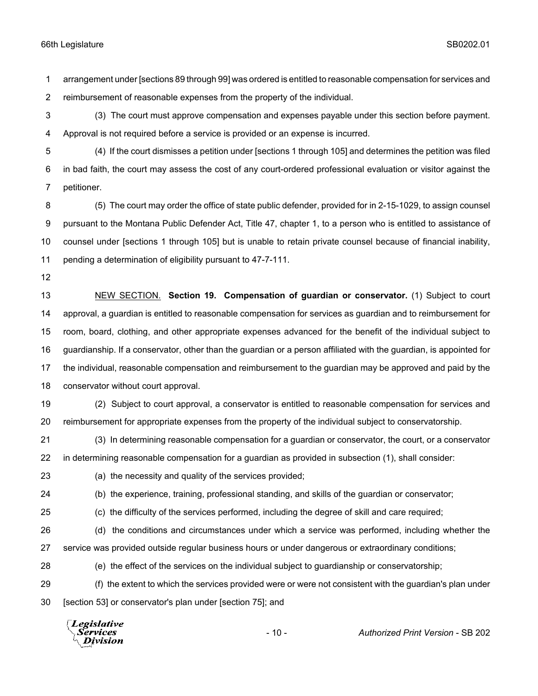arrangement under [sections 89 through 99] was ordered is entitled to reasonable compensation for services and reimbursement of reasonable expenses from the property of the individual.

 (3) The court must approve compensation and expenses payable under this section before payment. Approval is not required before a service is provided or an expense is incurred.

 (4) If the court dismisses a petition under [sections 1 through 105] and determines the petition was filed in bad faith, the court may assess the cost of any court-ordered professional evaluation or visitor against the petitioner.

 (5) The court may order the office of state public defender, provided for in 2-15-1029, to assign counsel pursuant to the Montana Public Defender Act, Title 47, chapter 1, to a person who is entitled to assistance of counsel under [sections 1 through 105] but is unable to retain private counsel because of financial inability, pending a determination of eligibility pursuant to 47-7-111.

 NEW SECTION. **Section 19. Compensation of guardian or conservator.** (1) Subject to court approval, a guardian is entitled to reasonable compensation for services as guardian and to reimbursement for room, board, clothing, and other appropriate expenses advanced for the benefit of the individual subject to guardianship. If a conservator, other than the guardian or a person affiliated with the guardian, is appointed for the individual, reasonable compensation and reimbursement to the guardian may be approved and paid by the conservator without court approval.

 (2) Subject to court approval, a conservator is entitled to reasonable compensation for services and reimbursement for appropriate expenses from the property of the individual subject to conservatorship.

 (3) In determining reasonable compensation for a guardian or conservator, the court, or a conservator in determining reasonable compensation for a guardian as provided in subsection (1), shall consider:

(a) the necessity and quality of the services provided;

(b) the experience, training, professional standing, and skills of the guardian or conservator;

(c) the difficulty of the services performed, including the degree of skill and care required;

 (d) the conditions and circumstances under which a service was performed, including whether the service was provided outside regular business hours or under dangerous or extraordinary conditions;

(e) the effect of the services on the individual subject to guardianship or conservatorship;

 (f) the extent to which the services provided were or were not consistent with the guardian's plan under [section 53] or conservator's plan under [section 75]; and

Legislative *Services* **Division**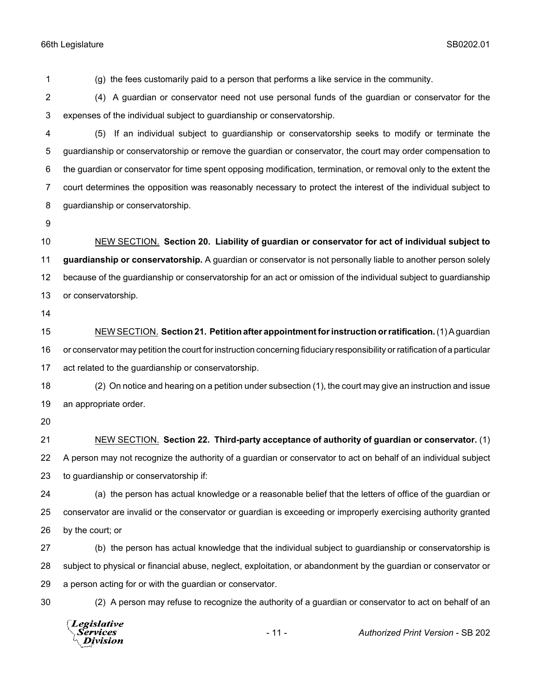(g) the fees customarily paid to a person that performs a like service in the community.

 (4) A guardian or conservator need not use personal funds of the guardian or conservator for the expenses of the individual subject to guardianship or conservatorship.

 (5) If an individual subject to guardianship or conservatorship seeks to modify or terminate the guardianship or conservatorship or remove the guardian or conservator, the court may order compensation to the guardian or conservator for time spent opposing modification, termination, or removal only to the extent the court determines the opposition was reasonably necessary to protect the interest of the individual subject to guardianship or conservatorship.

 NEW SECTION. **Section 20. Liability of guardian or conservator for act of individual subject to guardianship or conservatorship.** A guardian or conservator is not personally liable to another person solely because of the guardianship or conservatorship for an act or omission of the individual subject to guardianship or conservatorship.

 NEW SECTION. **Section 21. Petition after appointment for instruction or ratification.** (1) A guardian or conservator may petition the court for instruction concerning fiduciary responsibility or ratification of a particular act related to the guardianship or conservatorship.

 (2) On notice and hearing on a petition under subsection (1), the court may give an instruction and issue an appropriate order.

 NEW SECTION. **Section 22. Third-party acceptance of authority of guardian or conservator.** (1) A person may not recognize the authority of a guardian or conservator to act on behalf of an individual subject to guardianship or conservatorship if:

 (a) the person has actual knowledge or a reasonable belief that the letters of office of the guardian or conservator are invalid or the conservator or guardian is exceeding or improperly exercising authority granted by the court; or

 (b) the person has actual knowledge that the individual subject to guardianship or conservatorship is subject to physical or financial abuse, neglect, exploitation, or abandonment by the guardian or conservator or a person acting for or with the guardian or conservator.

(2) A person may refuse to recognize the authority of a guardian or conservator to act on behalf of an

**Legislative** Services **Division**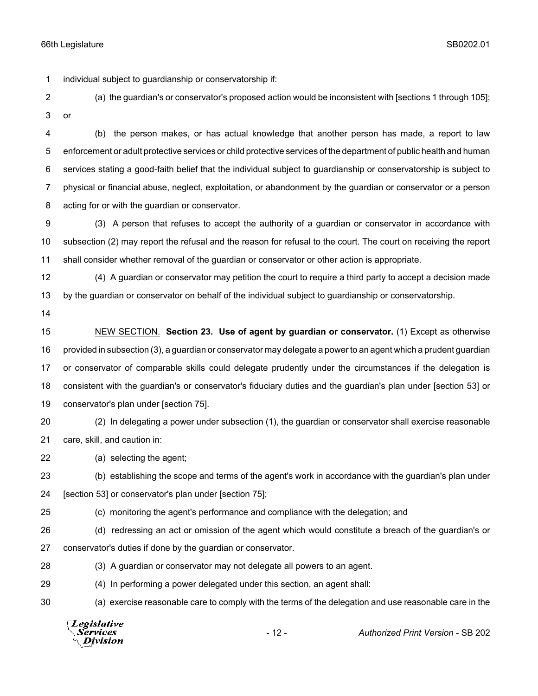individual subject to guardianship or conservatorship if:

 (a) the guardian's or conservator's proposed action would be inconsistent with [sections 1 through 105]; or

 (b) the person makes, or has actual knowledge that another person has made, a report to law enforcement or adult protective services or child protective services of the department of public health and human services stating a good-faith belief that the individual subject to guardianship or conservatorship is subject to physical or financial abuse, neglect, exploitation, or abandonment by the guardian or conservator or a person acting for or with the guardian or conservator.

 (3) A person that refuses to accept the authority of a guardian or conservator in accordance with subsection (2) may report the refusal and the reason for refusal to the court. The court on receiving the report shall consider whether removal of the guardian or conservator or other action is appropriate.

 (4) A guardian or conservator may petition the court to require a third party to accept a decision made by the guardian or conservator on behalf of the individual subject to guardianship or conservatorship.

 NEW SECTION. **Section 23. Use of agent by guardian or conservator.** (1) Except as otherwise provided in subsection (3), a guardian or conservator may delegate a power to an agent which a prudent guardian or conservator of comparable skills could delegate prudently under the circumstances if the delegation is consistent with the guardian's or conservator's fiduciary duties and the guardian's plan under [section 53] or conservator's plan under [section 75].

 (2) In delegating a power under subsection (1), the guardian or conservator shall exercise reasonable care, skill, and caution in:

(a) selecting the agent;

(b) establishing the scope and terms of the agent's work in accordance with the guardian's plan under

[section 53] or conservator's plan under [section 75];

(c) monitoring the agent's performance and compliance with the delegation; and

 (d) redressing an act or omission of the agent which would constitute a breach of the guardian's or conservator's duties if done by the guardian or conservator.

(3) A guardian or conservator may not delegate all powers to an agent.

(4) In performing a power delegated under this section, an agent shall:

(a) exercise reasonable care to comply with the terms of the delegation and use reasonable care in the

**Legislative** - 12 - *Authorized Print Version* - SB 202*Services* **Division**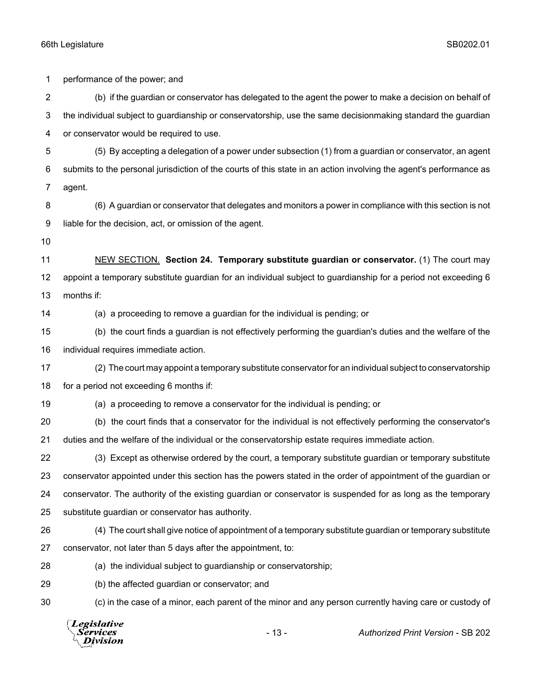| 1              | performance of the power; and                                                                                      |                                                                                                         |                                                                                                           |  |
|----------------|--------------------------------------------------------------------------------------------------------------------|---------------------------------------------------------------------------------------------------------|-----------------------------------------------------------------------------------------------------------|--|
| $\overline{c}$ |                                                                                                                    | (b) if the guardian or conservator has delegated to the agent the power to make a decision on behalf of |                                                                                                           |  |
| 3              | the individual subject to guardianship or conservatorship, use the same decisionmaking standard the guardian       |                                                                                                         |                                                                                                           |  |
| 4              | or conservator would be required to use.                                                                           |                                                                                                         |                                                                                                           |  |
| 5              |                                                                                                                    |                                                                                                         | (5) By accepting a delegation of a power under subsection (1) from a guardian or conservator, an agent    |  |
| 6              | submits to the personal jurisdiction of the courts of this state in an action involving the agent's performance as |                                                                                                         |                                                                                                           |  |
| 7              | agent.                                                                                                             |                                                                                                         |                                                                                                           |  |
| 8              |                                                                                                                    |                                                                                                         | (6) A guardian or conservator that delegates and monitors a power in compliance with this section is not  |  |
| 9              | liable for the decision, act, or omission of the agent.                                                            |                                                                                                         |                                                                                                           |  |
| 10             |                                                                                                                    |                                                                                                         |                                                                                                           |  |
| 11             |                                                                                                                    |                                                                                                         | NEW SECTION. Section 24. Temporary substitute guardian or conservator. (1) The court may                  |  |
| 12             | appoint a temporary substitute guardian for an individual subject to guardianship for a period not exceeding 6     |                                                                                                         |                                                                                                           |  |
| 13             | months if:                                                                                                         |                                                                                                         |                                                                                                           |  |
| 14             | (a) a proceeding to remove a guardian for the individual is pending; or                                            |                                                                                                         |                                                                                                           |  |
| 15             |                                                                                                                    |                                                                                                         | (b) the court finds a guardian is not effectively performing the guardian's duties and the welfare of the |  |
| 16             | individual requires immediate action.                                                                              |                                                                                                         |                                                                                                           |  |
| 17             |                                                                                                                    |                                                                                                         | (2) The court may appoint a temporary substitute conservator for an individual subject to conservatorship |  |
| 18             | for a period not exceeding 6 months if:                                                                            |                                                                                                         |                                                                                                           |  |
| 19             | (a) a proceeding to remove a conservator for the individual is pending; or                                         |                                                                                                         |                                                                                                           |  |
| 20             | (b) the court finds that a conservator for the individual is not effectively performing the conservator's          |                                                                                                         |                                                                                                           |  |
| 21             | duties and the welfare of the individual or the conservatorship estate requires immediate action.                  |                                                                                                         |                                                                                                           |  |
| 22             |                                                                                                                    |                                                                                                         | (3) Except as otherwise ordered by the court, a temporary substitute guardian or temporary substitute     |  |
| 23             | conservator appointed under this section has the powers stated in the order of appointment of the guardian or      |                                                                                                         |                                                                                                           |  |
| 24             | conservator. The authority of the existing guardian or conservator is suspended for as long as the temporary       |                                                                                                         |                                                                                                           |  |
| 25             | substitute guardian or conservator has authority.                                                                  |                                                                                                         |                                                                                                           |  |
| 26             |                                                                                                                    |                                                                                                         | (4) The court shall give notice of appointment of a temporary substitute guardian or temporary substitute |  |
| 27             | conservator, not later than 5 days after the appointment, to:                                                      |                                                                                                         |                                                                                                           |  |
| 28             | (a) the individual subject to guardianship or conservatorship;                                                     |                                                                                                         |                                                                                                           |  |
| 29             | (b) the affected guardian or conservator; and                                                                      |                                                                                                         |                                                                                                           |  |
| 30             |                                                                                                                    |                                                                                                         | (c) in the case of a minor, each parent of the minor and any person currently having care or custody of   |  |
|                | <b>Legislative</b><br>Services<br>ivision                                                                          | $-13-$                                                                                                  | Authorized Print Version - SB 202                                                                         |  |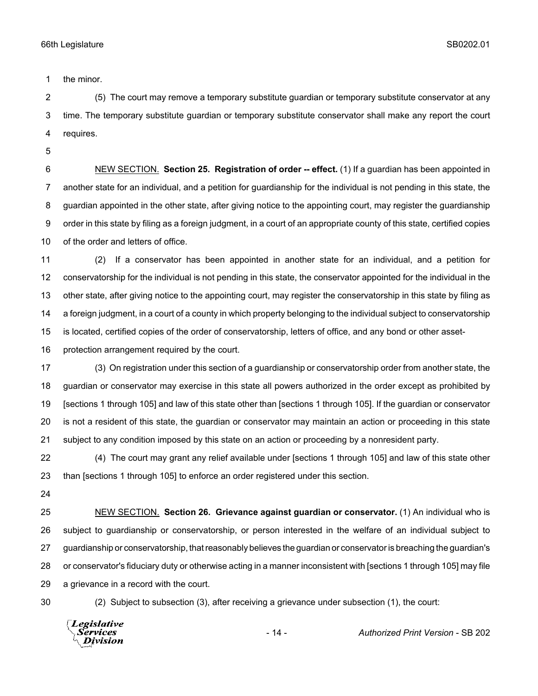the minor.

 (5) The court may remove a temporary substitute guardian or temporary substitute conservator at any time. The temporary substitute guardian or temporary substitute conservator shall make any report the court requires.

 NEW SECTION. **Section 25. Registration of order -- effect.** (1) If a guardian has been appointed in another state for an individual, and a petition for guardianship for the individual is not pending in this state, the guardian appointed in the other state, after giving notice to the appointing court, may register the guardianship order in this state by filing as a foreign judgment, in a court of an appropriate county of this state, certified copies of the order and letters of office.

 (2) If a conservator has been appointed in another state for an individual, and a petition for conservatorship for the individual is not pending in this state, the conservator appointed for the individual in the other state, after giving notice to the appointing court, may register the conservatorship in this state by filing as a foreign judgment, in a court of a county in which property belonging to the individual subject to conservatorship is located, certified copies of the order of conservatorship, letters of office, and any bond or other asset-

16 protection arrangement required by the court.

 (3) On registration under this section of a guardianship or conservatorship order from another state, the guardian or conservator may exercise in this state all powers authorized in the order except as prohibited by [sections 1 through 105] and law of this state other than [sections 1 through 105]. If the guardian or conservator is not a resident of this state, the guardian or conservator may maintain an action or proceeding in this state subject to any condition imposed by this state on an action or proceeding by a nonresident party.

 (4) The court may grant any relief available under [sections 1 through 105] and law of this state other than [sections 1 through 105] to enforce an order registered under this section.

 NEW SECTION. **Section 26. Grievance against guardian or conservator.** (1) An individual who is subject to guardianship or conservatorship, or person interested in the welfare of an individual subject to guardianship or conservatorship, that reasonably believes the guardian or conservator is breaching the guardian's or conservator's fiduciary duty or otherwise acting in a manner inconsistent with [sections 1 through 105] may file a grievance in a record with the court.

(2) Subject to subsection (3), after receiving a grievance under subsection (1), the court:

Legislative *Services* **Division** 

- 14 - *Authorized Print Version* - SB 202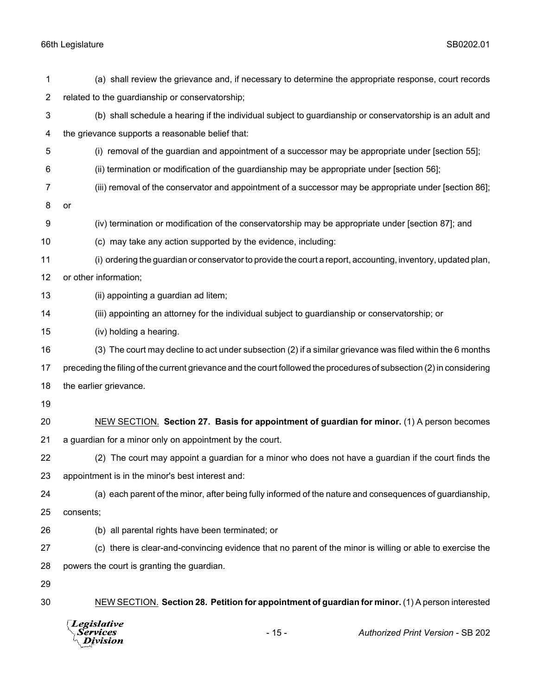| 1              | (a) shall review the grievance and, if necessary to determine the appropriate response, court records                |  |  |
|----------------|----------------------------------------------------------------------------------------------------------------------|--|--|
| $\overline{c}$ | related to the guardianship or conservatorship;                                                                      |  |  |
| 3              | (b) shall schedule a hearing if the individual subject to guardianship or conservatorship is an adult and            |  |  |
| 4              | the grievance supports a reasonable belief that:                                                                     |  |  |
| 5              | (i) removal of the guardian and appointment of a successor may be appropriate under [section 55];                    |  |  |
| 6              | (ii) termination or modification of the guardianship may be appropriate under [section 56];                          |  |  |
| 7              | (iii) removal of the conservator and appointment of a successor may be appropriate under [section 86];               |  |  |
| 8              | or                                                                                                                   |  |  |
| 9              | (iv) termination or modification of the conservatorship may be appropriate under [section 87]; and                   |  |  |
| 10             | (c) may take any action supported by the evidence, including:                                                        |  |  |
| 11             | (i) ordering the guardian or conservator to provide the court a report, accounting, inventory, updated plan,         |  |  |
| 12             | or other information;                                                                                                |  |  |
| 13             | (ii) appointing a guardian ad litem;                                                                                 |  |  |
| 14             | (iii) appointing an attorney for the individual subject to guardianship or conservatorship; or                       |  |  |
| 15             | (iv) holding a hearing.                                                                                              |  |  |
| 16             | (3) The court may decline to act under subsection (2) if a similar grievance was filed within the 6 months           |  |  |
| 17             | preceding the filing of the current grievance and the court followed the procedures of subsection (2) in considering |  |  |
| 18             | the earlier grievance.                                                                                               |  |  |
| 19             |                                                                                                                      |  |  |
| 20             | NEW SECTION. Section 27. Basis for appointment of guardian for minor. (1) A person becomes                           |  |  |
| 21             | a guardian for a minor only on appointment by the court.                                                             |  |  |
| 22             | (2) The court may appoint a guardian for a minor who does not have a guardian if the court finds the                 |  |  |
| 23             | appointment is in the minor's best interest and:                                                                     |  |  |
| 24             | (a) each parent of the minor, after being fully informed of the nature and consequences of guardianship,             |  |  |
| 25             | consents;                                                                                                            |  |  |
| 26             | (b) all parental rights have been terminated; or                                                                     |  |  |
| 27             | (c) there is clear-and-convincing evidence that no parent of the minor is willing or able to exercise the            |  |  |
| 28             | powers the court is granting the guardian.                                                                           |  |  |
| 29             |                                                                                                                      |  |  |
| 30             | NEW SECTION. Section 28. Petition for appointment of guardian for minor. (1) A person interested                     |  |  |
|                | <b>Legislative</b><br>$-15-$<br>Authorized Print Version - SB 202<br>Services<br>ivision                             |  |  |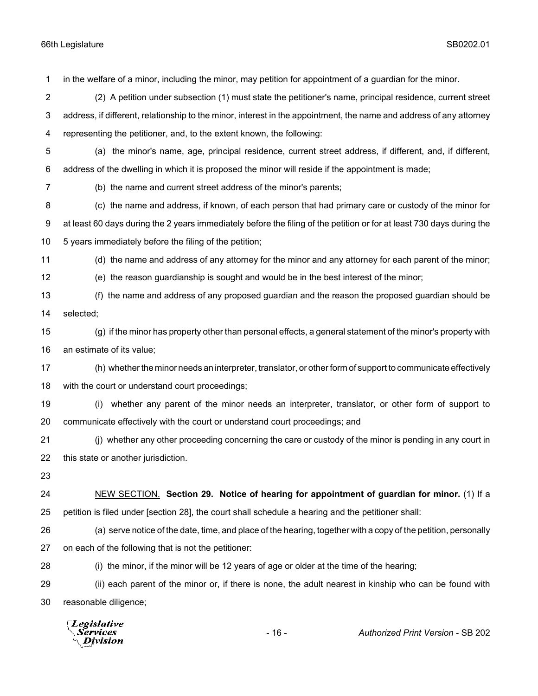in the welfare of a minor, including the minor, may petition for appointment of a guardian for the minor.

- (2) A petition under subsection (1) must state the petitioner's name, principal residence, current street address, if different, relationship to the minor, interest in the appointment, the name and address of any attorney representing the petitioner, and, to the extent known, the following:
- (a) the minor's name, age, principal residence, current street address, if different, and, if different, address of the dwelling in which it is proposed the minor will reside if the appointment is made;
- 

(b) the name and current street address of the minor's parents;

- (c) the name and address, if known, of each person that had primary care or custody of the minor for at least 60 days during the 2 years immediately before the filing of the petition or for at least 730 days during the 5 years immediately before the filing of the petition;
- 

(d) the name and address of any attorney for the minor and any attorney for each parent of the minor;

(e) the reason guardianship is sought and would be in the best interest of the minor;

- (f) the name and address of any proposed guardian and the reason the proposed guardian should be selected;
- (g) if the minor has property other than personal effects, a general statement of the minor's property with an estimate of its value;
- (h) whether the minor needs an interpreter, translator, or other form of support to communicate effectively with the court or understand court proceedings;
- (i) whether any parent of the minor needs an interpreter, translator, or other form of support to communicate effectively with the court or understand court proceedings; and
- (j) whether any other proceeding concerning the care or custody of the minor is pending in any court in this state or another jurisdiction.
- 

 NEW SECTION. **Section 29. Notice of hearing for appointment of guardian for minor.** (1) If a petition is filed under [section 28], the court shall schedule a hearing and the petitioner shall:

 (a) serve notice of the date, time, and place of the hearing, together with a copy of the petition, personally on each of the following that is not the petitioner:

(i) the minor, if the minor will be 12 years of age or older at the time of the hearing;

 (ii) each parent of the minor or, if there is none, the adult nearest in kinship who can be found with reasonable diligence;

Legislative *Services* Division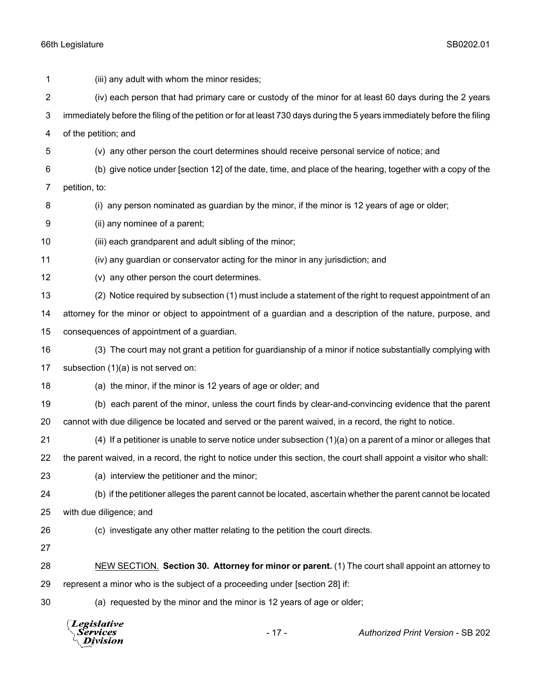|                | <b>Legislative</b><br>Services<br>vision                                                                                                                                                                                          | $-17-$                                                                                   | <b>Authorized Print Version - SB 202</b>                                                                     |  |
|----------------|-----------------------------------------------------------------------------------------------------------------------------------------------------------------------------------------------------------------------------------|------------------------------------------------------------------------------------------|--------------------------------------------------------------------------------------------------------------|--|
| 30             | (a) requested by the minor and the minor is 12 years of age or older;                                                                                                                                                             |                                                                                          |                                                                                                              |  |
| 29             | represent a minor who is the subject of a proceeding under [section 28] if:                                                                                                                                                       |                                                                                          |                                                                                                              |  |
| 28             |                                                                                                                                                                                                                                   |                                                                                          | NEW SECTION. Section 30. Attorney for minor or parent. (1) The court shall appoint an attorney to            |  |
| 27             |                                                                                                                                                                                                                                   |                                                                                          |                                                                                                              |  |
| 26             | (c) investigate any other matter relating to the petition the court directs.                                                                                                                                                      |                                                                                          |                                                                                                              |  |
| 25             | with due diligence; and                                                                                                                                                                                                           |                                                                                          |                                                                                                              |  |
| 24             |                                                                                                                                                                                                                                   |                                                                                          | (b) if the petitioner alleges the parent cannot be located, ascertain whether the parent cannot be located   |  |
| 23             | (a) interview the petitioner and the minor;                                                                                                                                                                                       |                                                                                          |                                                                                                              |  |
| 22             | the parent waived, in a record, the right to notice under this section, the court shall appoint a visitor who shall:                                                                                                              |                                                                                          |                                                                                                              |  |
| 21             |                                                                                                                                                                                                                                   |                                                                                          | (4) If a petitioner is unable to serve notice under subsection (1)(a) on a parent of a minor or alleges that |  |
| 20             | cannot with due diligence be located and served or the parent waived, in a record, the right to notice.                                                                                                                           |                                                                                          |                                                                                                              |  |
| 19             |                                                                                                                                                                                                                                   |                                                                                          | (b) each parent of the minor, unless the court finds by clear-and-convincing evidence that the parent        |  |
| 18             | (a) the minor, if the minor is 12 years of age or older; and                                                                                                                                                                      |                                                                                          |                                                                                                              |  |
| 17             | subsection (1)(a) is not served on:                                                                                                                                                                                               |                                                                                          |                                                                                                              |  |
| 16             |                                                                                                                                                                                                                                   |                                                                                          | (3) The court may not grant a petition for guardianship of a minor if notice substantially complying with    |  |
| 15             | consequences of appointment of a guardian.                                                                                                                                                                                        |                                                                                          |                                                                                                              |  |
| 14             | attorney for the minor or object to appointment of a guardian and a description of the nature, purpose, and                                                                                                                       |                                                                                          |                                                                                                              |  |
| 13             |                                                                                                                                                                                                                                   |                                                                                          | (2) Notice required by subsection (1) must include a statement of the right to request appointment of an     |  |
| 12             | (v) any other person the court determines.                                                                                                                                                                                        |                                                                                          |                                                                                                              |  |
| 11             | (iv) any guardian or conservator acting for the minor in any jurisdiction; and                                                                                                                                                    |                                                                                          |                                                                                                              |  |
| 10             | (iii) each grandparent and adult sibling of the minor;                                                                                                                                                                            |                                                                                          |                                                                                                              |  |
| 9              | (ii) any nominee of a parent;                                                                                                                                                                                                     |                                                                                          |                                                                                                              |  |
| 8              | (i) any person nominated as guardian by the minor, if the minor is 12 years of age or older;                                                                                                                                      |                                                                                          |                                                                                                              |  |
| 7              | petition, to:                                                                                                                                                                                                                     |                                                                                          |                                                                                                              |  |
| 6              |                                                                                                                                                                                                                                   |                                                                                          | (b) give notice under [section 12] of the date, time, and place of the hearing, together with a copy of the  |  |
| 5              |                                                                                                                                                                                                                                   | (v) any other person the court determines should receive personal service of notice; and |                                                                                                              |  |
| 4              | of the petition; and                                                                                                                                                                                                              |                                                                                          |                                                                                                              |  |
| 3              | (iv) each person that had primary care or custody of the minor for at least 60 days during the 2 years<br>immediately before the filing of the petition or for at least 730 days during the 5 years immediately before the filing |                                                                                          |                                                                                                              |  |
| $\overline{2}$ |                                                                                                                                                                                                                                   |                                                                                          |                                                                                                              |  |
| 1              | (iii) any adult with whom the minor resides;                                                                                                                                                                                      |                                                                                          |                                                                                                              |  |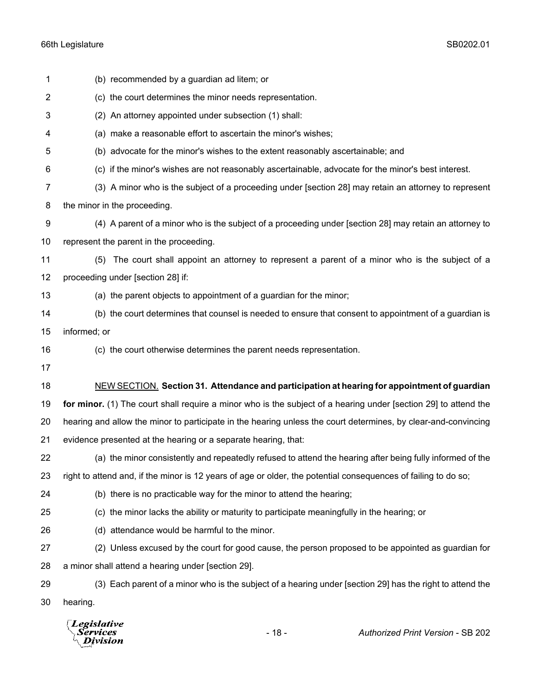| 1              | (b) recommended by a guardian ad litem; or                                                                      |
|----------------|-----------------------------------------------------------------------------------------------------------------|
| $\overline{2}$ | (c) the court determines the minor needs representation.                                                        |
| 3              | (2) An attorney appointed under subsection (1) shall:                                                           |
| 4              | (a) make a reasonable effort to ascertain the minor's wishes;                                                   |
| 5              | (b) advocate for the minor's wishes to the extent reasonably ascertainable; and                                 |
| 6              | (c) if the minor's wishes are not reasonably ascertainable, advocate for the minor's best interest.             |
| 7              | (3) A minor who is the subject of a proceeding under [section 28] may retain an attorney to represent           |
| 8              | the minor in the proceeding.                                                                                    |
| 9              | (4) A parent of a minor who is the subject of a proceeding under [section 28] may retain an attorney to         |
| 10             | represent the parent in the proceeding.                                                                         |
| 11             | (5) The court shall appoint an attorney to represent a parent of a minor who is the subject of a                |
| 12             | proceeding under [section 28] if:                                                                               |
| 13             | (a) the parent objects to appointment of a guardian for the minor;                                              |
| 14             | (b) the court determines that counsel is needed to ensure that consent to appointment of a guardian is          |
| 15             | informed; or                                                                                                    |
| 16             | (c) the court otherwise determines the parent needs representation.                                             |
| 17             |                                                                                                                 |
| 18             | NEW SECTION. Section 31. Attendance and participation at hearing for appointment of guardian                    |
| 19             | for minor. (1) The court shall require a minor who is the subject of a hearing under [section 29] to attend the |
| 20             | hearing and allow the minor to participate in the hearing unless the court determines, by clear-and-convincing  |
| 21             | evidence presented at the hearing or a separate hearing, that:                                                  |
| 22             | (a) the minor consistently and repeatedly refused to attend the hearing after being fully informed of the       |
| 23             | right to attend and, if the minor is 12 years of age or older, the potential consequences of failing to do so;  |
| 24             | (b) there is no practicable way for the minor to attend the hearing;                                            |
| 25             | (c) the minor lacks the ability or maturity to participate meaningfully in the hearing; or                      |
| 26             | (d) attendance would be harmful to the minor.                                                                   |
| 27             | (2) Unless excused by the court for good cause, the person proposed to be appointed as guardian for             |
| 28             | a minor shall attend a hearing under [section 29].                                                              |
| 29             | (3) Each parent of a minor who is the subject of a hearing under [section 29] has the right to attend the       |
| 30             | hearing.                                                                                                        |
|                |                                                                                                                 |

*Legislative*<br>*Services*<br>*Division*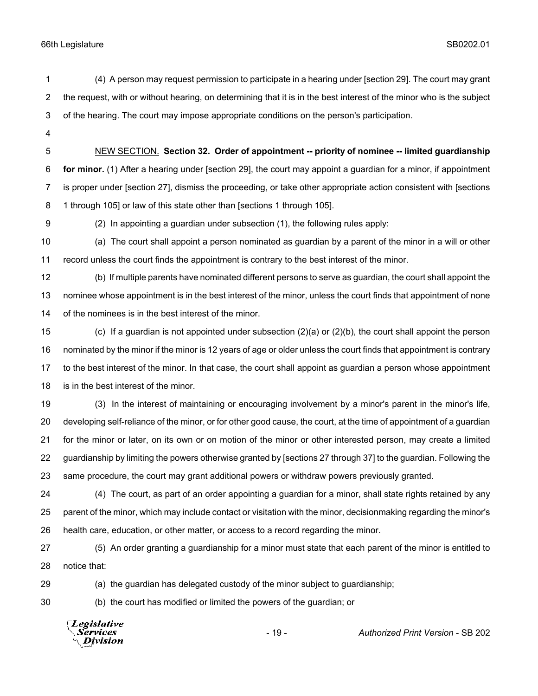| 1                         | (4) A person may request permission to participate in a hearing under [section 29]. The court may grant              |  |
|---------------------------|----------------------------------------------------------------------------------------------------------------------|--|
| $\overline{2}$            | the request, with or without hearing, on determining that it is in the best interest of the minor who is the subject |  |
| $\ensuremath{\mathsf{3}}$ | of the hearing. The court may impose appropriate conditions on the person's participation.                           |  |
| $\overline{\mathbf{4}}$   |                                                                                                                      |  |
| 5                         | NEW SECTION. Section 32. Order of appointment -- priority of nominee -- limited guardianship                         |  |
| 6                         | for minor. (1) After a hearing under [section 29], the court may appoint a guardian for a minor, if appointment      |  |
| $\overline{7}$            | is proper under [section 27], dismiss the proceeding, or take other appropriate action consistent with [sections     |  |
| $\bf 8$                   | 1 through 105] or law of this state other than [sections 1 through 105].                                             |  |
| 9                         | (2) In appointing a guardian under subsection (1), the following rules apply:                                        |  |
| 10                        | (a) The court shall appoint a person nominated as guardian by a parent of the minor in a will or other               |  |
| 11                        | record unless the court finds the appointment is contrary to the best interest of the minor.                         |  |
| 12                        | (b) If multiple parents have nominated different persons to serve as guardian, the court shall appoint the           |  |
| 13                        | nominee whose appointment is in the best interest of the minor, unless the court finds that appointment of none      |  |
| 14                        | of the nominees is in the best interest of the minor.                                                                |  |
| 15                        | (c) If a guardian is not appointed under subsection $(2)(a)$ or $(2)(b)$ , the court shall appoint the person        |  |
| 16                        | nominated by the minor if the minor is 12 years of age or older unless the court finds that appointment is contrary  |  |
| 17                        | to the best interest of the minor. In that case, the court shall appoint as guardian a person whose appointment      |  |
| 18                        | is in the best interest of the minor.                                                                                |  |
| 19                        | (3) In the interest of maintaining or encouraging involvement by a minor's parent in the minor's life,               |  |
| 20                        | developing self-reliance of the minor, or for other good cause, the court, at the time of appointment of a guardian  |  |
| 21                        | for the minor or later, on its own or on motion of the minor or other interested person, may create a limited        |  |
| 22                        | guardianship by limiting the powers otherwise granted by [sections 27 through 37] to the guardian. Following the     |  |
| 23                        | same procedure, the court may grant additional powers or withdraw powers previously granted.                         |  |
| 24                        | (4) The court, as part of an order appointing a guardian for a minor, shall state rights retained by any             |  |
| 25                        | parent of the minor, which may include contact or visitation with the minor, decisionmaking regarding the minor's    |  |
| 26                        | health care, education, or other matter, or access to a record regarding the minor.                                  |  |
| 27                        | (5) An order granting a guardianship for a minor must state that each parent of the minor is entitled to             |  |
| 28                        | notice that:                                                                                                         |  |
| 29                        | (a) the guardian has delegated custody of the minor subject to guardianship;                                         |  |
| 30                        | (b) the court has modified or limited the powers of the guardian; or                                                 |  |
|                           | Legislative<br>$-19-$<br>Services<br><b>Authorized Print Version - SB 202</b><br>Division                            |  |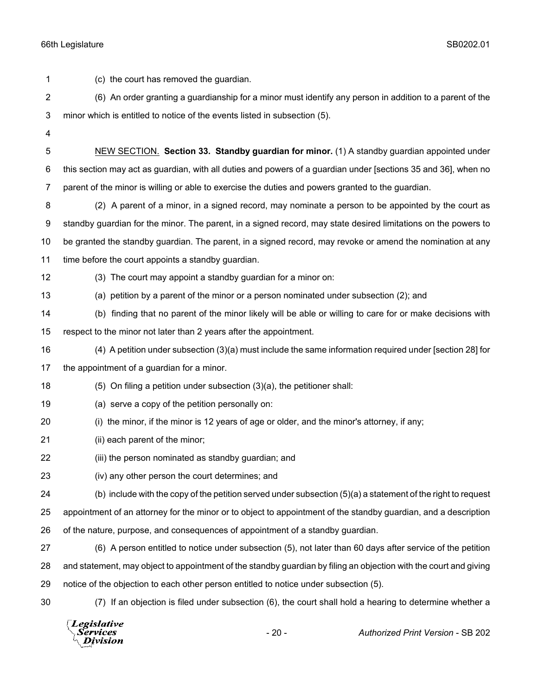| 1              | (c) the court has removed the guardian.                                                                           |  |  |
|----------------|-------------------------------------------------------------------------------------------------------------------|--|--|
| $\overline{2}$ | (6) An order granting a guardianship for a minor must identify any person in addition to a parent of the          |  |  |
| 3              | minor which is entitled to notice of the events listed in subsection (5).                                         |  |  |
| 4              |                                                                                                                   |  |  |
| 5              | NEW SECTION. Section 33. Standby guardian for minor. (1) A standby guardian appointed under                       |  |  |
| 6              | this section may act as guardian, with all duties and powers of a guardian under [sections 35 and 36], when no    |  |  |
| $\overline{7}$ | parent of the minor is willing or able to exercise the duties and powers granted to the guardian.                 |  |  |
| 8              | (2) A parent of a minor, in a signed record, may nominate a person to be appointed by the court as                |  |  |
| 9              | standby guardian for the minor. The parent, in a signed record, may state desired limitations on the powers to    |  |  |
| 10             | be granted the standby guardian. The parent, in a signed record, may revoke or amend the nomination at any        |  |  |
| 11             | time before the court appoints a standby guardian.                                                                |  |  |
| 12             | (3) The court may appoint a standby guardian for a minor on:                                                      |  |  |
| 13             | (a) petition by a parent of the minor or a person nominated under subsection (2); and                             |  |  |
| 14             | (b) finding that no parent of the minor likely will be able or willing to care for or make decisions with         |  |  |
| 15             | respect to the minor not later than 2 years after the appointment.                                                |  |  |
| 16             | (4) A petition under subsection (3)(a) must include the same information required under [section 28] for          |  |  |
| 17             | the appointment of a guardian for a minor.                                                                        |  |  |
| 18             | $(5)$ On filing a petition under subsection $(3)(a)$ , the petitioner shall:                                      |  |  |
| 19             | (a) serve a copy of the petition personally on:                                                                   |  |  |
| 20             | (i) the minor, if the minor is 12 years of age or older, and the minor's attorney, if any;                        |  |  |
| 21             | (ii) each parent of the minor;                                                                                    |  |  |
| 22             | (iii) the person nominated as standby guardian; and                                                               |  |  |
| 23             | (iv) any other person the court determines; and                                                                   |  |  |
| 24             | (b) include with the copy of the petition served under subsection (5)(a) a statement of the right to request      |  |  |
| 25             | appointment of an attorney for the minor or to object to appointment of the standby guardian, and a description   |  |  |
| 26             | of the nature, purpose, and consequences of appointment of a standby guardian.                                    |  |  |
| 27             | (6) A person entitled to notice under subsection (5), not later than 60 days after service of the petition        |  |  |
| 28             | and statement, may object to appointment of the standby guardian by filing an objection with the court and giving |  |  |
| 29             | notice of the objection to each other person entitled to notice under subsection (5).                             |  |  |
| 30             | (7) If an objection is filed under subsection (6), the court shall hold a hearing to determine whether a          |  |  |
|                | Legislative<br>$-20-$<br>Authorized Print Version - SB 202<br>Division                                            |  |  |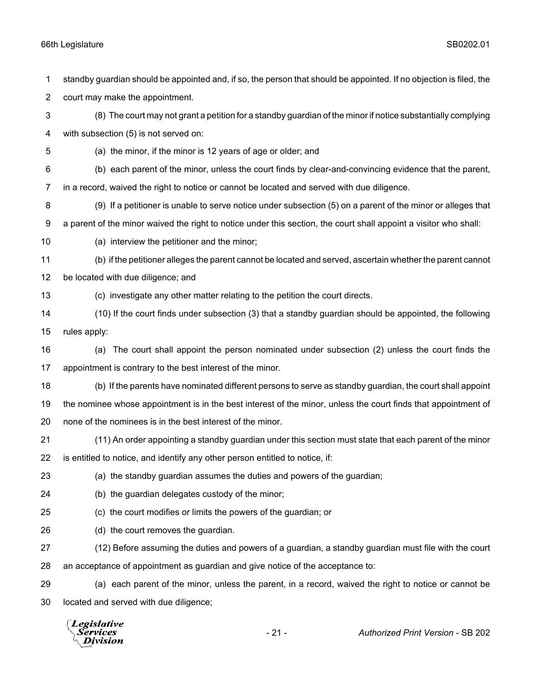standby guardian should be appointed and, if so, the person that should be appointed. If no objection is filed, the

- court may make the appointment.
- (8) The court may not grant a petition for a standby guardian of the minor if notice substantially complying with subsection (5) is not served on:
- (a) the minor, if the minor is 12 years of age or older; and
- (b) each parent of the minor, unless the court finds by clear-and-convincing evidence that the parent,
- in a record, waived the right to notice or cannot be located and served with due diligence.
- (9) If a petitioner is unable to serve notice under subsection (5) on a parent of the minor or alleges that
- a parent of the minor waived the right to notice under this section, the court shall appoint a visitor who shall:
- (a) interview the petitioner and the minor;
- (b) if the petitioner alleges the parent cannot be located and served, ascertain whether the parent cannot

be located with due diligence; and

- (c) investigate any other matter relating to the petition the court directs.
- (10) If the court finds under subsection (3) that a standby guardian should be appointed, the following rules apply:
- (a) The court shall appoint the person nominated under subsection (2) unless the court finds the appointment is contrary to the best interest of the minor.
- (b) If the parents have nominated different persons to serve as standby guardian, the court shall appoint the nominee whose appointment is in the best interest of the minor, unless the court finds that appointment of
- none of the nominees is in the best interest of the minor.
- (11) An order appointing a standby guardian under this section must state that each parent of the minor
- is entitled to notice, and identify any other person entitled to notice, if:
- (a) the standby guardian assumes the duties and powers of the guardian;
- (b) the guardian delegates custody of the minor;
- (c) the court modifies or limits the powers of the guardian; or
- (d) the court removes the guardian.
- (12) Before assuming the duties and powers of a guardian, a standby guardian must file with the court
- an acceptance of appointment as guardian and give notice of the acceptance to:
- (a) each parent of the minor, unless the parent, in a record, waived the right to notice or cannot be located and served with due diligence;

Legislative Services **Division**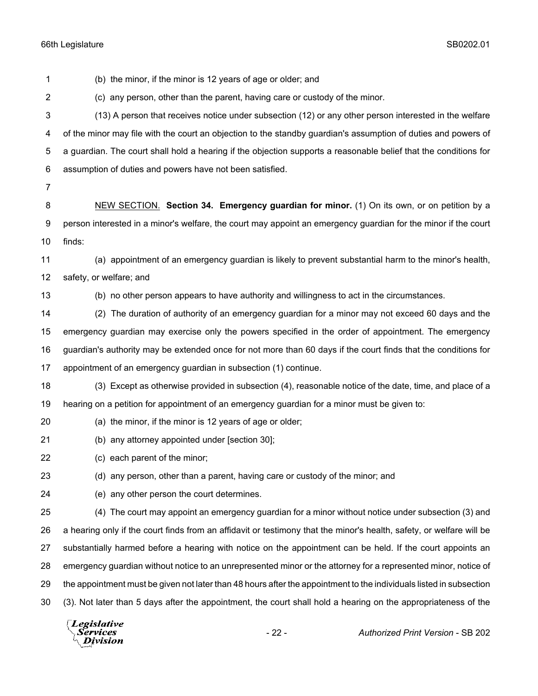(b) the minor, if the minor is 12 years of age or older; and (c) any person, other than the parent, having care or custody of the minor. (13) A person that receives notice under subsection (12) or any other person interested in the welfare of the minor may file with the court an objection to the standby guardian's assumption of duties and powers of a guardian. The court shall hold a hearing if the objection supports a reasonable belief that the conditions for assumption of duties and powers have not been satisfied. NEW SECTION. **Section 34. Emergency guardian for minor.** (1) On its own, or on petition by a person interested in a minor's welfare, the court may appoint an emergency guardian for the minor if the court finds: (a) appointment of an emergency guardian is likely to prevent substantial harm to the minor's health, safety, or welfare; and (b) no other person appears to have authority and willingness to act in the circumstances. (2) The duration of authority of an emergency guardian for a minor may not exceed 60 days and the emergency guardian may exercise only the powers specified in the order of appointment. The emergency guardian's authority may be extended once for not more than 60 days if the court finds that the conditions for appointment of an emergency guardian in subsection (1) continue. (3) Except as otherwise provided in subsection (4), reasonable notice of the date, time, and place of a hearing on a petition for appointment of an emergency guardian for a minor must be given to: (a) the minor, if the minor is 12 years of age or older; (b) any attorney appointed under [section 30]; (c) each parent of the minor; (d) any person, other than a parent, having care or custody of the minor; and (e) any other person the court determines. (4) The court may appoint an emergency guardian for a minor without notice under subsection (3) and a hearing only if the court finds from an affidavit or testimony that the minor's health, safety, or welfare will be substantially harmed before a hearing with notice on the appointment can be held. If the court appoints an emergency guardian without notice to an unrepresented minor or the attorney for a represented minor, notice of the appointment must be given not later than 48 hours after the appointment to the individuals listed in subsection (3). Not later than 5 days after the appointment, the court shall hold a hearing on the appropriateness of the

Legislative Services **Division**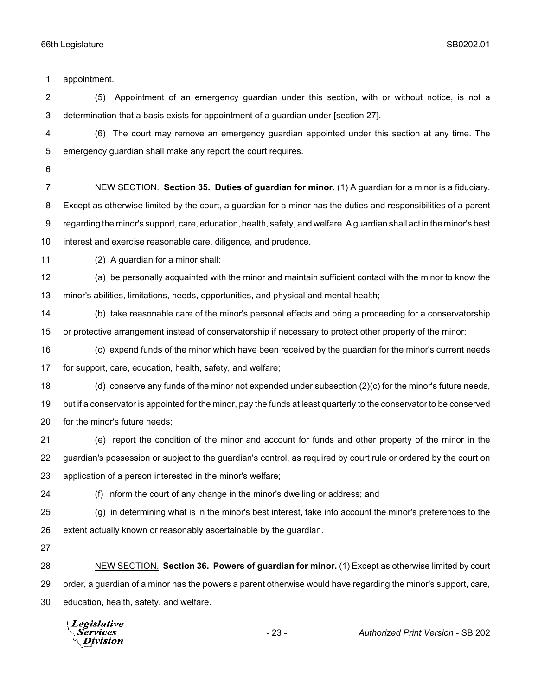appointment. (5) Appointment of an emergency guardian under this section, with or without notice, is not a determination that a basis exists for appointment of a guardian under [section 27]. (6) The court may remove an emergency guardian appointed under this section at any time. The emergency guardian shall make any report the court requires. NEW SECTION. **Section 35. Duties of guardian for minor.** (1) A guardian for a minor is a fiduciary. Except as otherwise limited by the court, a guardian for a minor has the duties and responsibilities of a parent regarding the minor's support, care, education, health, safety, and welfare. A guardian shall act in the minor's best interest and exercise reasonable care, diligence, and prudence. (2) A guardian for a minor shall: (a) be personally acquainted with the minor and maintain sufficient contact with the minor to know the minor's abilities, limitations, needs, opportunities, and physical and mental health; (b) take reasonable care of the minor's personal effects and bring a proceeding for a conservatorship or protective arrangement instead of conservatorship if necessary to protect other property of the minor; (c) expend funds of the minor which have been received by the guardian for the minor's current needs for support, care, education, health, safety, and welfare; (d) conserve any funds of the minor not expended under subsection (2)(c) for the minor's future needs, but if a conservator is appointed for the minor, pay the funds at least quarterly to the conservator to be conserved for the minor's future needs; (e) report the condition of the minor and account for funds and other property of the minor in the guardian's possession or subject to the guardian's control, as required by court rule or ordered by the court on application of a person interested in the minor's welfare; (f) inform the court of any change in the minor's dwelling or address; and (g) in determining what is in the minor's best interest, take into account the minor's preferences to the extent actually known or reasonably ascertainable by the guardian. NEW SECTION. **Section 36. Powers of guardian for minor.** (1) Except as otherwise limited by court order, a guardian of a minor has the powers a parent otherwise would have regarding the minor's support, care, education, health, safety, and welfare.

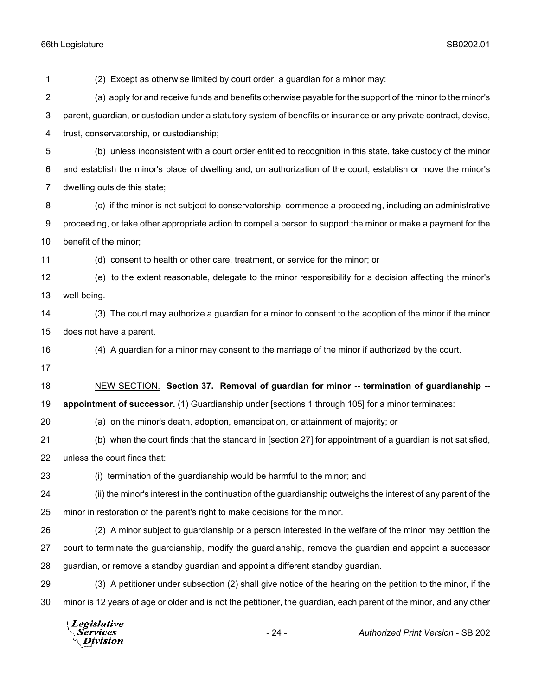(2) Except as otherwise limited by court order, a guardian for a minor may: (a) apply for and receive funds and benefits otherwise payable for the support of the minor to the minor's parent, guardian, or custodian under a statutory system of benefits or insurance or any private contract, devise, trust, conservatorship, or custodianship; (b) unless inconsistent with a court order entitled to recognition in this state, take custody of the minor and establish the minor's place of dwelling and, on authorization of the court, establish or move the minor's dwelling outside this state; (c) if the minor is not subject to conservatorship, commence a proceeding, including an administrative proceeding, or take other appropriate action to compel a person to support the minor or make a payment for the benefit of the minor; (d) consent to health or other care, treatment, or service for the minor; or (e) to the extent reasonable, delegate to the minor responsibility for a decision affecting the minor's well-being. (3) The court may authorize a guardian for a minor to consent to the adoption of the minor if the minor does not have a parent. (4) A guardian for a minor may consent to the marriage of the minor if authorized by the court. NEW SECTION. **Section 37. Removal of guardian for minor -- termination of guardianship -- appointment of successor.** (1) Guardianship under [sections 1 through 105] for a minor terminates: (a) on the minor's death, adoption, emancipation, or attainment of majority; or (b) when the court finds that the standard in [section 27] for appointment of a guardian is not satisfied, unless the court finds that: (i) termination of the guardianship would be harmful to the minor; and (ii) the minor's interest in the continuation of the guardianship outweighs the interest of any parent of the minor in restoration of the parent's right to make decisions for the minor. (2) A minor subject to guardianship or a person interested in the welfare of the minor may petition the court to terminate the guardianship, modify the guardianship, remove the guardian and appoint a successor guardian, or remove a standby guardian and appoint a different standby guardian. (3) A petitioner under subsection (2) shall give notice of the hearing on the petition to the minor, if the minor is 12 years of age or older and is not the petitioner, the guardian, each parent of the minor, and any other Legislative

Services **Division**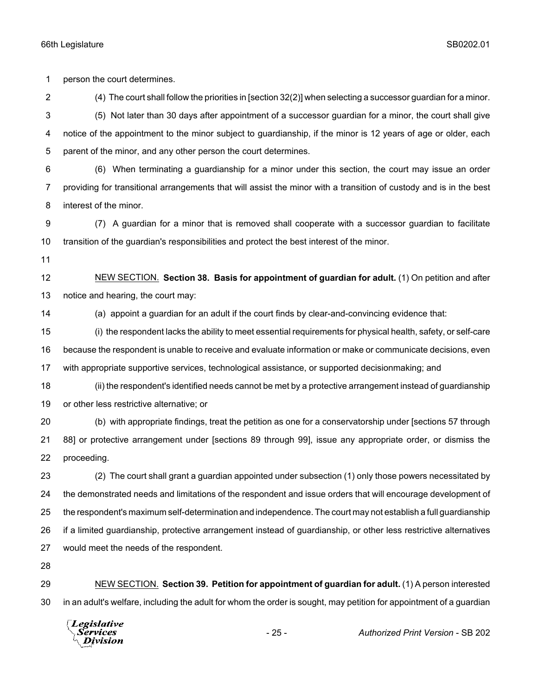person the court determines.

 (4) The court shall follow the priorities in [section 32(2)] when selecting a successor guardian for a minor. (5) Not later than 30 days after appointment of a successor guardian for a minor, the court shall give notice of the appointment to the minor subject to guardianship, if the minor is 12 years of age or older, each parent of the minor, and any other person the court determines.

- (6) When terminating a guardianship for a minor under this section, the court may issue an order providing for transitional arrangements that will assist the minor with a transition of custody and is in the best interest of the minor.
- (7) A guardian for a minor that is removed shall cooperate with a successor guardian to facilitate transition of the guardian's responsibilities and protect the best interest of the minor.
- 

 NEW SECTION. **Section 38. Basis for appointment of guardian for adult.** (1) On petition and after notice and hearing, the court may:

(a) appoint a guardian for an adult if the court finds by clear-and-convincing evidence that:

 (i) the respondent lacks the ability to meet essential requirements for physical health, safety, or self-care because the respondent is unable to receive and evaluate information or make or communicate decisions, even with appropriate supportive services, technological assistance, or supported decisionmaking; and

 (ii) the respondent's identified needs cannot be met by a protective arrangement instead of guardianship or other less restrictive alternative; or

 (b) with appropriate findings, treat the petition as one for a conservatorship under [sections 57 through 88] or protective arrangement under [sections 89 through 99], issue any appropriate order, or dismiss the proceeding.

 (2) The court shall grant a guardian appointed under subsection (1) only those powers necessitated by the demonstrated needs and limitations of the respondent and issue orders that will encourage development of the respondent's maximum self-determination and independence. The court may not establish a full guardianship if a limited guardianship, protective arrangement instead of guardianship, or other less restrictive alternatives would meet the needs of the respondent.

 NEW SECTION. **Section 39. Petition for appointment of guardian for adult.** (1) A person interested in an adult's welfare, including the adult for whom the order is sought, may petition for appointment of a guardian

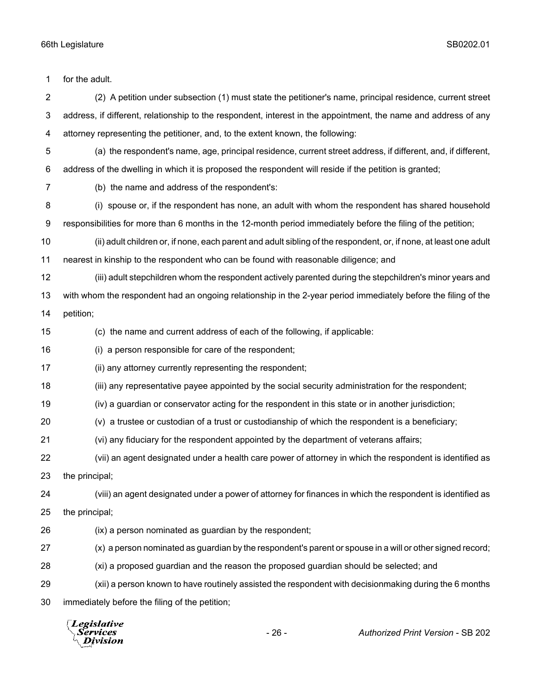for the adult. (2) A petition under subsection (1) must state the petitioner's name, principal residence, current street address, if different, relationship to the respondent, interest in the appointment, the name and address of any attorney representing the petitioner, and, to the extent known, the following: (a) the respondent's name, age, principal residence, current street address, if different, and, if different, address of the dwelling in which it is proposed the respondent will reside if the petition is granted; (b) the name and address of the respondent's: (i) spouse or, if the respondent has none, an adult with whom the respondent has shared household responsibilities for more than 6 months in the 12-month period immediately before the filing of the petition; (ii) adult children or, if none, each parent and adult sibling of the respondent, or, if none, at least one adult nearest in kinship to the respondent who can be found with reasonable diligence; and (iii) adult stepchildren whom the respondent actively parented during the stepchildren's minor years and with whom the respondent had an ongoing relationship in the 2-year period immediately before the filing of the petition; (c) the name and current address of each of the following, if applicable: (i) a person responsible for care of the respondent; (ii) any attorney currently representing the respondent; (iii) any representative payee appointed by the social security administration for the respondent; (iv) a guardian or conservator acting for the respondent in this state or in another jurisdiction; (v) a trustee or custodian of a trust or custodianship of which the respondent is a beneficiary; (vi) any fiduciary for the respondent appointed by the department of veterans affairs; (vii) an agent designated under a health care power of attorney in which the respondent is identified as the principal; (viii) an agent designated under a power of attorney for finances in which the respondent is identified as the principal; (ix) a person nominated as guardian by the respondent; (x) a person nominated as guardian by the respondent's parent or spouse in a will or other signed record; (xi) a proposed guardian and the reason the proposed guardian should be selected; and (xii) a person known to have routinely assisted the respondent with decisionmaking during the 6 months immediately before the filing of the petition;

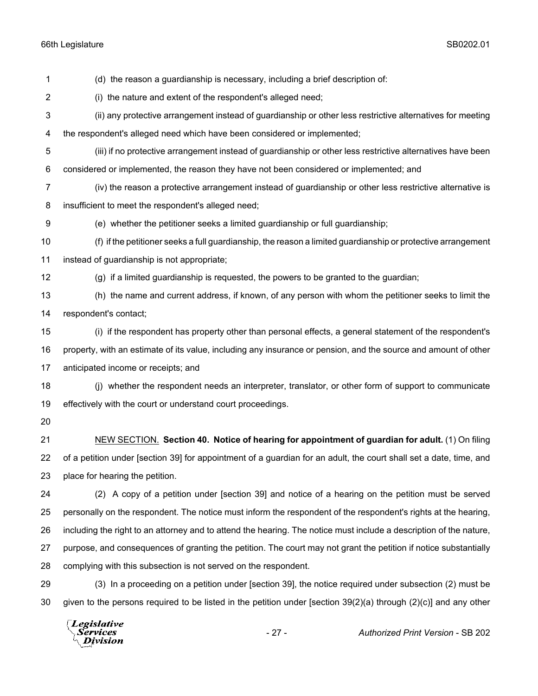(d) the reason a guardianship is necessary, including a brief description of: (i) the nature and extent of the respondent's alleged need; (ii) any protective arrangement instead of guardianship or other less restrictive alternatives for meeting the respondent's alleged need which have been considered or implemented; (iii) if no protective arrangement instead of guardianship or other less restrictive alternatives have been considered or implemented, the reason they have not been considered or implemented; and (iv) the reason a protective arrangement instead of guardianship or other less restrictive alternative is insufficient to meet the respondent's alleged need; (e) whether the petitioner seeks a limited guardianship or full guardianship; (f) if the petitioner seeks a full guardianship, the reason a limited guardianship or protective arrangement instead of guardianship is not appropriate; (g) if a limited guardianship is requested, the powers to be granted to the guardian; (h) the name and current address, if known, of any person with whom the petitioner seeks to limit the respondent's contact; (i) if the respondent has property other than personal effects, a general statement of the respondent's property, with an estimate of its value, including any insurance or pension, and the source and amount of other anticipated income or receipts; and (j) whether the respondent needs an interpreter, translator, or other form of support to communicate effectively with the court or understand court proceedings. NEW SECTION. **Section 40. Notice of hearing for appointment of guardian for adult.** (1) On filing of a petition under [section 39] for appointment of a guardian for an adult, the court shall set a date, time, and place for hearing the petition. (2) A copy of a petition under [section 39] and notice of a hearing on the petition must be served personally on the respondent. The notice must inform the respondent of the respondent's rights at the hearing, including the right to an attorney and to attend the hearing. The notice must include a description of the nature, purpose, and consequences of granting the petition. The court may not grant the petition if notice substantially complying with this subsection is not served on the respondent. (3) In a proceeding on a petition under [section 39], the notice required under subsection (2) must be given to the persons required to be listed in the petition under [section 39(2)(a) through (2)(c)] and any other Legislative - 27 - *Authorized Print Version* - SB 202Services **Division**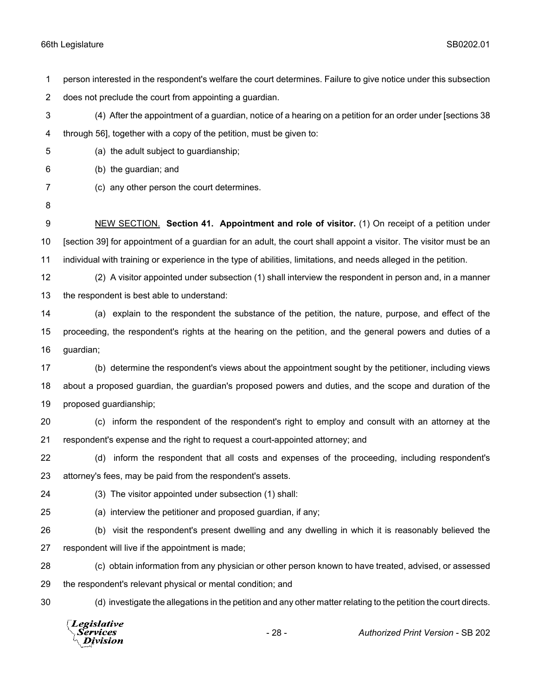person interested in the respondent's welfare the court determines. Failure to give notice under this subsection does not preclude the court from appointing a guardian. (4) After the appointment of a guardian, notice of a hearing on a petition for an order under [sections 38 through 56], together with a copy of the petition, must be given to: (a) the adult subject to guardianship; (b) the guardian; and (c) any other person the court determines. NEW SECTION. **Section 41. Appointment and role of visitor.** (1) On receipt of a petition under [section 39] for appointment of a guardian for an adult, the court shall appoint a visitor. The visitor must be an individual with training or experience in the type of abilities, limitations, and needs alleged in the petition. (2) A visitor appointed under subsection (1) shall interview the respondent in person and, in a manner the respondent is best able to understand: (a) explain to the respondent the substance of the petition, the nature, purpose, and effect of the proceeding, the respondent's rights at the hearing on the petition, and the general powers and duties of a guardian; (b) determine the respondent's views about the appointment sought by the petitioner, including views about a proposed guardian, the guardian's proposed powers and duties, and the scope and duration of the proposed guardianship; (c) inform the respondent of the respondent's right to employ and consult with an attorney at the respondent's expense and the right to request a court-appointed attorney; and (d) inform the respondent that all costs and expenses of the proceeding, including respondent's attorney's fees, may be paid from the respondent's assets. (3) The visitor appointed under subsection (1) shall: (a) interview the petitioner and proposed guardian, if any; (b) visit the respondent's present dwelling and any dwelling in which it is reasonably believed the respondent will live if the appointment is made; (c) obtain information from any physician or other person known to have treated, advised, or assessed the respondent's relevant physical or mental condition; and (d) investigate the allegations in the petition and any other matter relating to the petition the court directs.

Legislative *Services* **Division**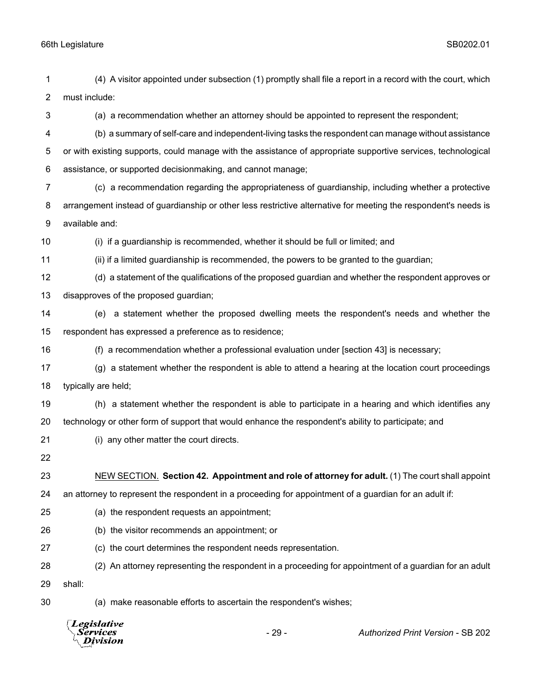|                | Legislative<br>ivision                                                                                                      | $-29-$                                                                                                                                                                                                                | Authorized Print Version - SB 202                                                                     |  |
|----------------|-----------------------------------------------------------------------------------------------------------------------------|-----------------------------------------------------------------------------------------------------------------------------------------------------------------------------------------------------------------------|-------------------------------------------------------------------------------------------------------|--|
| 30             | (a) make reasonable efforts to ascertain the respondent's wishes;                                                           |                                                                                                                                                                                                                       |                                                                                                       |  |
| 29             | shall:                                                                                                                      |                                                                                                                                                                                                                       |                                                                                                       |  |
| 28             | (2) An attorney representing the respondent in a proceeding for appointment of a guardian for an adult                      |                                                                                                                                                                                                                       |                                                                                                       |  |
| 27             | (c) the court determines the respondent needs representation.                                                               |                                                                                                                                                                                                                       |                                                                                                       |  |
| 26             | (b) the visitor recommends an appointment; or                                                                               |                                                                                                                                                                                                                       |                                                                                                       |  |
| 25             | (a) the respondent requests an appointment;                                                                                 |                                                                                                                                                                                                                       |                                                                                                       |  |
| 24             | an attorney to represent the respondent in a proceeding for appointment of a guardian for an adult if:                      |                                                                                                                                                                                                                       |                                                                                                       |  |
| 23             |                                                                                                                             |                                                                                                                                                                                                                       | NEW SECTION. Section 42. Appointment and role of attorney for adult. (1) The court shall appoint      |  |
| 22             |                                                                                                                             |                                                                                                                                                                                                                       |                                                                                                       |  |
| 21             | (i) any other matter the court directs.                                                                                     |                                                                                                                                                                                                                       |                                                                                                       |  |
| 20             | technology or other form of support that would enhance the respondent's ability to participate; and                         |                                                                                                                                                                                                                       |                                                                                                       |  |
| 19             |                                                                                                                             |                                                                                                                                                                                                                       | (h) a statement whether the respondent is able to participate in a hearing and which identifies any   |  |
| 18             | (g) a statement whether the respondent is able to attend a hearing at the location court proceedings<br>typically are held; |                                                                                                                                                                                                                       |                                                                                                       |  |
| 17             |                                                                                                                             |                                                                                                                                                                                                                       |                                                                                                       |  |
| 16             | (f) a recommendation whether a professional evaluation under [section 43] is necessary;                                     |                                                                                                                                                                                                                       |                                                                                                       |  |
| 15             | respondent has expressed a preference as to residence;                                                                      |                                                                                                                                                                                                                       |                                                                                                       |  |
| 14             | (e)                                                                                                                         |                                                                                                                                                                                                                       | a statement whether the proposed dwelling meets the respondent's needs and whether the                |  |
| 13             | disapproves of the proposed guardian;                                                                                       |                                                                                                                                                                                                                       |                                                                                                       |  |
| 12             |                                                                                                                             |                                                                                                                                                                                                                       | (d) a statement of the qualifications of the proposed guardian and whether the respondent approves or |  |
| 11             | (ii) if a limited guardianship is recommended, the powers to be granted to the guardian;                                    |                                                                                                                                                                                                                       |                                                                                                       |  |
| 10             | (i) if a guardianship is recommended, whether it should be full or limited; and                                             |                                                                                                                                                                                                                       |                                                                                                       |  |
| 8<br>9         | available and:                                                                                                              |                                                                                                                                                                                                                       |                                                                                                       |  |
| 7              |                                                                                                                             | (c) a recommendation regarding the appropriateness of guardianship, including whether a protective<br>arrangement instead of guardianship or other less restrictive alternative for meeting the respondent's needs is |                                                                                                       |  |
| 6              |                                                                                                                             | assistance, or supported decisionmaking, and cannot manage;                                                                                                                                                           |                                                                                                       |  |
| 5              |                                                                                                                             | or with existing supports, could manage with the assistance of appropriate supportive services, technological                                                                                                         |                                                                                                       |  |
| 4              |                                                                                                                             | (b) a summary of self-care and independent-living tasks the respondent can manage without assistance                                                                                                                  |                                                                                                       |  |
| 3              |                                                                                                                             | (a) a recommendation whether an attorney should be appointed to represent the respondent;                                                                                                                             |                                                                                                       |  |
| $\overline{c}$ | must include:                                                                                                               |                                                                                                                                                                                                                       |                                                                                                       |  |
| 1              | (4) A visitor appointed under subsection (1) promptly shall file a report in a record with the court, which                 |                                                                                                                                                                                                                       |                                                                                                       |  |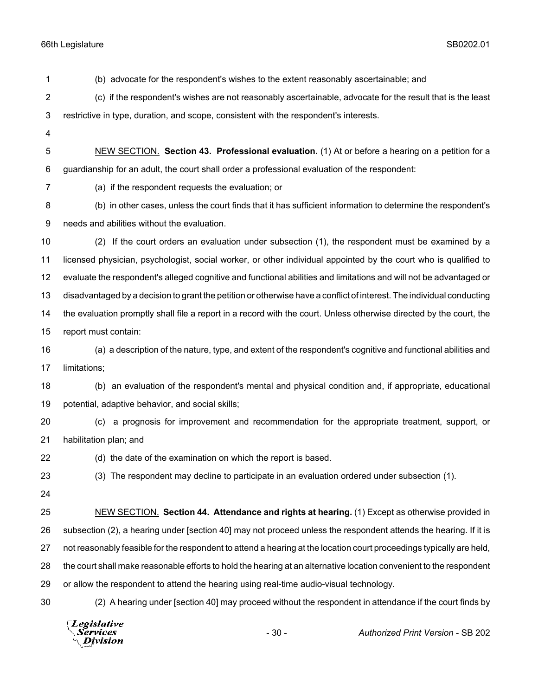**Division** 

 (b) advocate for the respondent's wishes to the extent reasonably ascertainable; and (c) if the respondent's wishes are not reasonably ascertainable, advocate for the result that is the least restrictive in type, duration, and scope, consistent with the respondent's interests. NEW SECTION. **Section 43. Professional evaluation.** (1) At or before a hearing on a petition for a guardianship for an adult, the court shall order a professional evaluation of the respondent: (a) if the respondent requests the evaluation; or (b) in other cases, unless the court finds that it has sufficient information to determine the respondent's needs and abilities without the evaluation. (2) If the court orders an evaluation under subsection (1), the respondent must be examined by a licensed physician, psychologist, social worker, or other individual appointed by the court who is qualified to evaluate the respondent's alleged cognitive and functional abilities and limitations and will not be advantaged or disadvantaged by a decision to grant the petition or otherwise have a conflict of interest. The individual conducting the evaluation promptly shall file a report in a record with the court. Unless otherwise directed by the court, the report must contain: (a) a description of the nature, type, and extent of the respondent's cognitive and functional abilities and limitations; (b) an evaluation of the respondent's mental and physical condition and, if appropriate, educational potential, adaptive behavior, and social skills; (c) a prognosis for improvement and recommendation for the appropriate treatment, support, or habilitation plan; and (d) the date of the examination on which the report is based. (3) The respondent may decline to participate in an evaluation ordered under subsection (1). NEW SECTION. **Section 44. Attendance and rights at hearing.** (1) Except as otherwise provided in subsection (2), a hearing under [section 40] may not proceed unless the respondent attends the hearing. If it is not reasonably feasible for the respondent to attend a hearing at the location court proceedings typically are held, the court shall make reasonable efforts to hold the hearing at an alternative location convenient to the respondent or allow the respondent to attend the hearing using real-time audio-visual technology. (2) A hearing under [section 40] may proceed without the respondent in attendance if the court finds by **Legislative** Services - 30 - *Authorized Print Version* - SB 202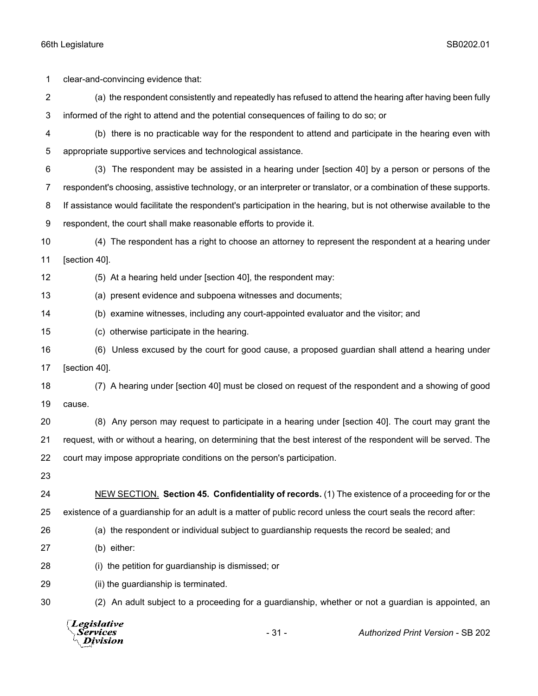| 1  | clear-and-convincing evidence that:                                                                                 |  |  |
|----|---------------------------------------------------------------------------------------------------------------------|--|--|
| 2  | (a) the respondent consistently and repeatedly has refused to attend the hearing after having been fully            |  |  |
| 3  | informed of the right to attend and the potential consequences of failing to do so; or                              |  |  |
| 4  | (b) there is no practicable way for the respondent to attend and participate in the hearing even with               |  |  |
| 5  | appropriate supportive services and technological assistance.                                                       |  |  |
| 6  | (3) The respondent may be assisted in a hearing under [section 40] by a person or persons of the                    |  |  |
| 7  | respondent's choosing, assistive technology, or an interpreter or translator, or a combination of these supports.   |  |  |
| 8  | If assistance would facilitate the respondent's participation in the hearing, but is not otherwise available to the |  |  |
| 9  | respondent, the court shall make reasonable efforts to provide it.                                                  |  |  |
| 10 | (4) The respondent has a right to choose an attorney to represent the respondent at a hearing under                 |  |  |
| 11 | [section 40].                                                                                                       |  |  |
| 12 | (5) At a hearing held under [section 40], the respondent may:                                                       |  |  |
| 13 | (a) present evidence and subpoena witnesses and documents;                                                          |  |  |
| 14 | (b) examine witnesses, including any court-appointed evaluator and the visitor; and                                 |  |  |
| 15 | (c) otherwise participate in the hearing.                                                                           |  |  |
| 16 | (6) Unless excused by the court for good cause, a proposed guardian shall attend a hearing under                    |  |  |
| 17 | [section 40].                                                                                                       |  |  |
| 18 | (7) A hearing under [section 40] must be closed on request of the respondent and a showing of good                  |  |  |
| 19 | cause.                                                                                                              |  |  |
| 20 | (8) Any person may request to participate in a hearing under [section 40]. The court may grant the                  |  |  |
| 21 | request, with or without a hearing, on determining that the best interest of the respondent will be served. The     |  |  |
| 22 | court may impose appropriate conditions on the person's participation.                                              |  |  |
| 23 |                                                                                                                     |  |  |
| 24 | NEW SECTION. Section 45. Confidentiality of records. (1) The existence of a proceeding for or the                   |  |  |
| 25 | existence of a guardianship for an adult is a matter of public record unless the court seals the record after:      |  |  |
| 26 | (a) the respondent or individual subject to guardianship requests the record be sealed; and                         |  |  |
| 27 | (b) either:                                                                                                         |  |  |
| 28 | (i) the petition for guardianship is dismissed; or                                                                  |  |  |
| 29 | (ii) the guardianship is terminated.                                                                                |  |  |
| 30 | (2) An adult subject to a proceeding for a guardianship, whether or not a guardian is appointed, an                 |  |  |
|    | Legislative<br>$-31-$<br>Authorized Print Version - SB 202<br>Services<br>ivision                                   |  |  |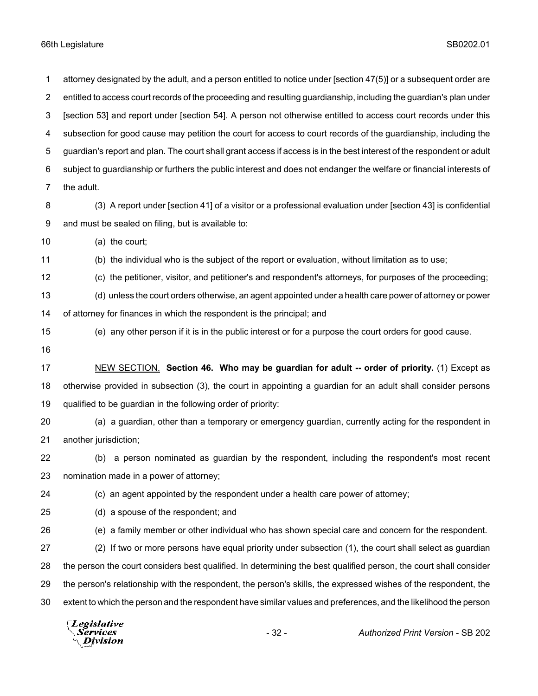attorney designated by the adult, and a person entitled to notice under [section 47(5)] or a subsequent order are entitled to access court records of the proceeding and resulting guardianship, including the guardian's plan under [section 53] and report under [section 54]. A person not otherwise entitled to access court records under this subsection for good cause may petition the court for access to court records of the guardianship, including the guardian's report and plan. The court shall grant access if access is in the best interest of the respondent or adult subject to guardianship or furthers the public interest and does not endanger the welfare or financial interests of the adult. (3) A report under [section 41] of a visitor or a professional evaluation under [section 43] is confidential and must be sealed on filing, but is available to: (a) the court; (b) the individual who is the subject of the report or evaluation, without limitation as to use; (c) the petitioner, visitor, and petitioner's and respondent's attorneys, for purposes of the proceeding; (d) unless the court orders otherwise, an agent appointed under a health care power of attorney or power of attorney for finances in which the respondent is the principal; and (e) any other person if it is in the public interest or for a purpose the court orders for good cause. NEW SECTION. **Section 46. Who may be guardian for adult -- order of priority.** (1) Except as otherwise provided in subsection (3), the court in appointing a guardian for an adult shall consider persons qualified to be guardian in the following order of priority: (a) a guardian, other than a temporary or emergency guardian, currently acting for the respondent in another jurisdiction; (b) a person nominated as guardian by the respondent, including the respondent's most recent nomination made in a power of attorney; (c) an agent appointed by the respondent under a health care power of attorney; (d) a spouse of the respondent; and (e) a family member or other individual who has shown special care and concern for the respondent. (2) If two or more persons have equal priority under subsection (1), the court shall select as guardian the person the court considers best qualified. In determining the best qualified person, the court shall consider the person's relationship with the respondent, the person's skills, the expressed wishes of the respondent, the extent to which the person and the respondent have similar values and preferences, and the likelihood the person Legislative

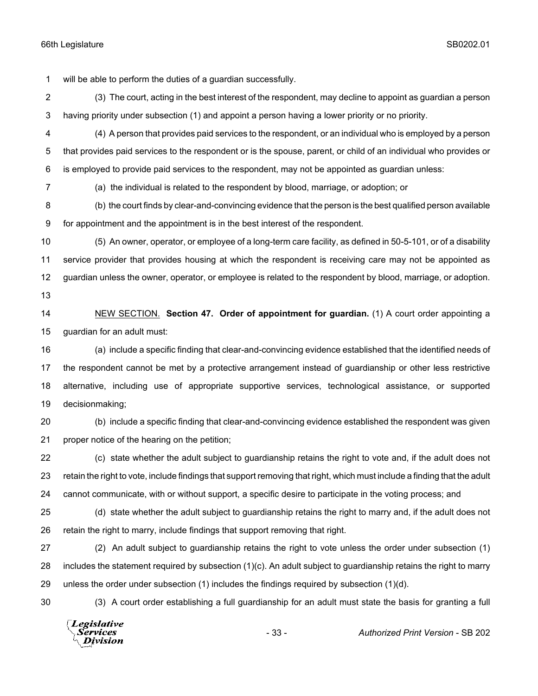will be able to perform the duties of a guardian successfully.

- (3) The court, acting in the best interest of the respondent, may decline to appoint as guardian a person having priority under subsection (1) and appoint a person having a lower priority or no priority.
- (4) A person that provides paid services to the respondent, or an individual who is employed by a person that provides paid services to the respondent or is the spouse, parent, or child of an individual who provides or is employed to provide paid services to the respondent, may not be appointed as guardian unless:
- 

(a) the individual is related to the respondent by blood, marriage, or adoption; or

 (b) the court finds by clear-and-convincing evidence that the person is the best qualified person available for appointment and the appointment is in the best interest of the respondent.

 (5) An owner, operator, or employee of a long-term care facility, as defined in 50-5-101, or of a disability service provider that provides housing at which the respondent is receiving care may not be appointed as guardian unless the owner, operator, or employee is related to the respondent by blood, marriage, or adoption. 

 NEW SECTION. **Section 47. Order of appointment for guardian.** (1) A court order appointing a guardian for an adult must:

 (a) include a specific finding that clear-and-convincing evidence established that the identified needs of the respondent cannot be met by a protective arrangement instead of guardianship or other less restrictive alternative, including use of appropriate supportive services, technological assistance, or supported decisionmaking;

 (b) include a specific finding that clear-and-convincing evidence established the respondent was given proper notice of the hearing on the petition;

 (c) state whether the adult subject to guardianship retains the right to vote and, if the adult does not retain the right to vote, include findings that support removing that right, which must include a finding that the adult cannot communicate, with or without support, a specific desire to participate in the voting process; and

 (d) state whether the adult subject to guardianship retains the right to marry and, if the adult does not retain the right to marry, include findings that support removing that right.

 (2) An adult subject to guardianship retains the right to vote unless the order under subsection (1) includes the statement required by subsection (1)(c). An adult subject to guardianship retains the right to marry unless the order under subsection (1) includes the findings required by subsection (1)(d).

(3) A court order establishing a full guardianship for an adult must state the basis for granting a full

Legislative Services **Division**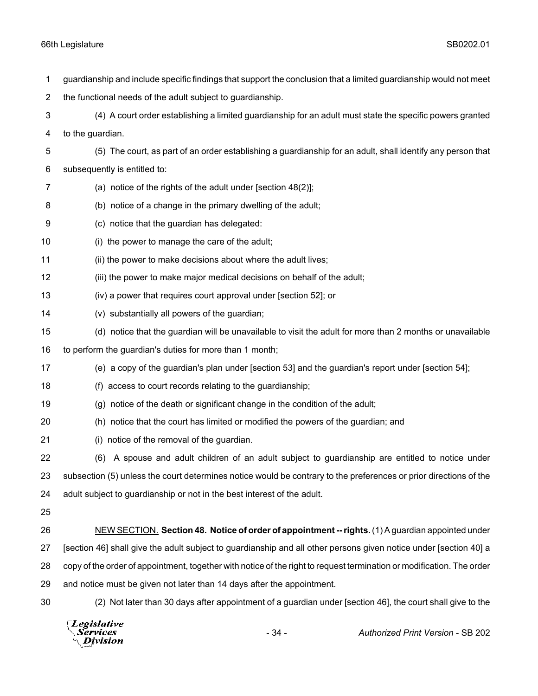*Legislative*<br>Services<br>*Division* 

| 1              | guardianship and include specific findings that support the conclusion that a limited guardianship would not meet     |
|----------------|-----------------------------------------------------------------------------------------------------------------------|
| $\overline{c}$ | the functional needs of the adult subject to guardianship.                                                            |
| 3              | (4) A court order establishing a limited guardianship for an adult must state the specific powers granted             |
| 4              | to the guardian.                                                                                                      |
| 5              | (5) The court, as part of an order establishing a guardianship for an adult, shall identify any person that           |
| 6              | subsequently is entitled to:                                                                                          |
| 7              | (a) notice of the rights of the adult under [section 48(2)];                                                          |
| 8              | (b) notice of a change in the primary dwelling of the adult;                                                          |
| 9              | (c) notice that the guardian has delegated:                                                                           |
| 10             | (i) the power to manage the care of the adult;                                                                        |
| 11             | (ii) the power to make decisions about where the adult lives;                                                         |
| 12             | (iii) the power to make major medical decisions on behalf of the adult;                                               |
| 13             | (iv) a power that requires court approval under [section 52]; or                                                      |
| 14             | (v) substantially all powers of the guardian;                                                                         |
| 15             | (d) notice that the guardian will be unavailable to visit the adult for more than 2 months or unavailable             |
| 16             | to perform the guardian's duties for more than 1 month;                                                               |
| 17             | (e) a copy of the guardian's plan under [section 53] and the guardian's report under [section 54];                    |
| 18             | (f) access to court records relating to the guardianship;                                                             |
| 19             | (g) notice of the death or significant change in the condition of the adult;                                          |
| 20             | (h) notice that the court has limited or modified the powers of the guardian; and                                     |
| 21             | (i) notice of the removal of the guardian.                                                                            |
| 22             | (6) A spouse and adult children of an adult subject to guardianship are entitled to notice under                      |
| 23             | subsection (5) unless the court determines notice would be contrary to the preferences or prior directions of the     |
| 24             | adult subject to guardianship or not in the best interest of the adult.                                               |
| 25             |                                                                                                                       |
| 26             | NEW SECTION. Section 48. Notice of order of appointment -- rights. (1) A guardian appointed under                     |
| 27             | [section 46] shall give the adult subject to guardianship and all other persons given notice under [section 40] a     |
| 28             | copy of the order of appointment, together with notice of the right to request termination or modification. The order |
| 29             | and notice must be given not later than 14 days after the appointment.                                                |
| 30             | (2) Not later than 30 days after appointment of a guardian under [section 46], the court shall give to the            |

- 34 - *Authorized Print Version* - SB 202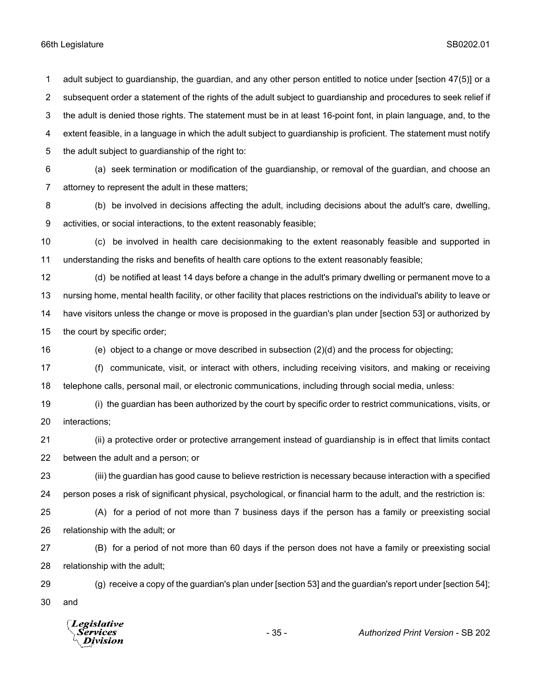adult subject to guardianship, the guardian, and any other person entitled to notice under [section 47(5)] or a subsequent order a statement of the rights of the adult subject to guardianship and procedures to seek relief if the adult is denied those rights. The statement must be in at least 16-point font, in plain language, and, to the extent feasible, in a language in which the adult subject to guardianship is proficient. The statement must notify the adult subject to guardianship of the right to:

 (a) seek termination or modification of the guardianship, or removal of the guardian, and choose an attorney to represent the adult in these matters;

 (b) be involved in decisions affecting the adult, including decisions about the adult's care, dwelling, activities, or social interactions, to the extent reasonably feasible;

 (c) be involved in health care decisionmaking to the extent reasonably feasible and supported in understanding the risks and benefits of health care options to the extent reasonably feasible;

 (d) be notified at least 14 days before a change in the adult's primary dwelling or permanent move to a nursing home, mental health facility, or other facility that places restrictions on the individual's ability to leave or have visitors unless the change or move is proposed in the guardian's plan under [section 53] or authorized by the court by specific order;

(e) object to a change or move described in subsection (2)(d) and the process for objecting;

 (f) communicate, visit, or interact with others, including receiving visitors, and making or receiving telephone calls, personal mail, or electronic communications, including through social media, unless:

 (i) the guardian has been authorized by the court by specific order to restrict communications, visits, or interactions;

 (ii) a protective order or protective arrangement instead of guardianship is in effect that limits contact between the adult and a person; or

 (iii) the guardian has good cause to believe restriction is necessary because interaction with a specified person poses a risk of significant physical, psychological, or financial harm to the adult, and the restriction is:

 (A) for a period of not more than 7 business days if the person has a family or preexisting social relationship with the adult; or

 (B) for a period of not more than 60 days if the person does not have a family or preexisting social relationship with the adult;

 (g) receive a copy of the guardian's plan under [section 53] and the guardian's report under [section 54]; and

**Legislative** Division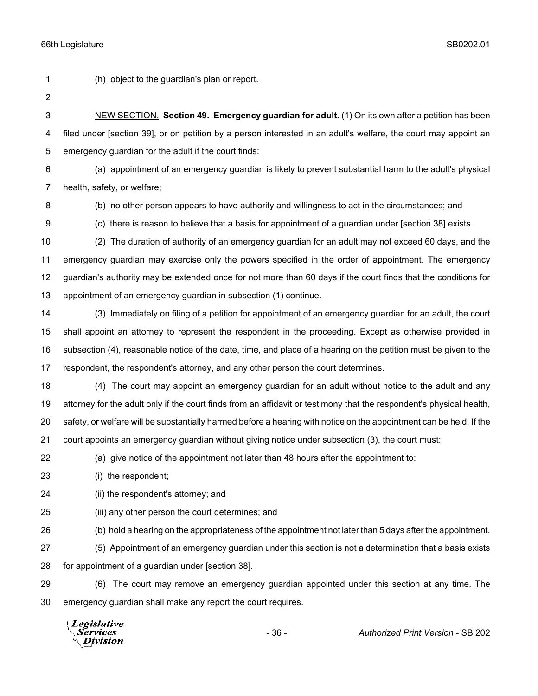- 
- (h) object to the guardian's plan or report.

 NEW SECTION. **Section 49. Emergency guardian for adult.** (1) On its own after a petition has been filed under [section 39], or on petition by a person interested in an adult's welfare, the court may appoint an emergency guardian for the adult if the court finds:

 (a) appointment of an emergency guardian is likely to prevent substantial harm to the adult's physical health, safety, or welfare;

(b) no other person appears to have authority and willingness to act in the circumstances; and

(c) there is reason to believe that a basis for appointment of a guardian under [section 38] exists.

 (2) The duration of authority of an emergency guardian for an adult may not exceed 60 days, and the emergency guardian may exercise only the powers specified in the order of appointment. The emergency guardian's authority may be extended once for not more than 60 days if the court finds that the conditions for appointment of an emergency guardian in subsection (1) continue.

 (3) Immediately on filing of a petition for appointment of an emergency guardian for an adult, the court shall appoint an attorney to represent the respondent in the proceeding. Except as otherwise provided in subsection (4), reasonable notice of the date, time, and place of a hearing on the petition must be given to the respondent, the respondent's attorney, and any other person the court determines.

 (4) The court may appoint an emergency guardian for an adult without notice to the adult and any attorney for the adult only if the court finds from an affidavit or testimony that the respondent's physical health,

 safety, or welfare will be substantially harmed before a hearing with notice on the appointment can be held. If the court appoints an emergency guardian without giving notice under subsection (3), the court must:

(a) give notice of the appointment not later than 48 hours after the appointment to:

(i) the respondent;

- (ii) the respondent's attorney; and
- (iii) any other person the court determines; and

(b) hold a hearing on the appropriateness of the appointment not later than 5 days after the appointment.

(5) Appointment of an emergency guardian under this section is not a determination that a basis exists

for appointment of a guardian under [section 38].

 (6) The court may remove an emergency guardian appointed under this section at any time. The emergency guardian shall make any report the court requires.

Legislative Services **Division**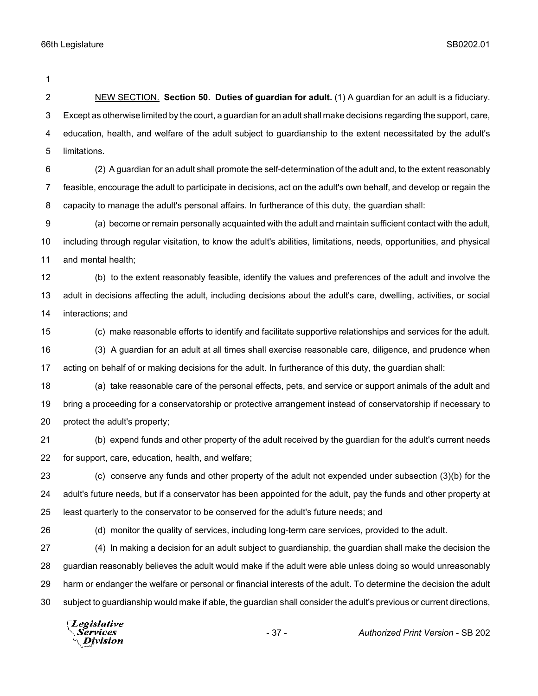NEW SECTION. **Section 50. Duties of guardian for adult.** (1) A guardian for an adult is a fiduciary. Except as otherwise limited by the court, a guardian for an adult shall make decisions regarding the support, care, education, health, and welfare of the adult subject to guardianship to the extent necessitated by the adult's limitations. (2) A guardian for an adult shall promote the self-determination of the adult and, to the extent reasonably

 feasible, encourage the adult to participate in decisions, act on the adult's own behalf, and develop or regain the capacity to manage the adult's personal affairs. In furtherance of this duty, the guardian shall:

 (a) become or remain personally acquainted with the adult and maintain sufficient contact with the adult, including through regular visitation, to know the adult's abilities, limitations, needs, opportunities, and physical and mental health;

 (b) to the extent reasonably feasible, identify the values and preferences of the adult and involve the adult in decisions affecting the adult, including decisions about the adult's care, dwelling, activities, or social interactions; and

(c) make reasonable efforts to identify and facilitate supportive relationships and services for the adult.

 (3) A guardian for an adult at all times shall exercise reasonable care, diligence, and prudence when acting on behalf of or making decisions for the adult. In furtherance of this duty, the guardian shall:

 (a) take reasonable care of the personal effects, pets, and service or support animals of the adult and bring a proceeding for a conservatorship or protective arrangement instead of conservatorship if necessary to protect the adult's property;

 (b) expend funds and other property of the adult received by the guardian for the adult's current needs for support, care, education, health, and welfare;

 (c) conserve any funds and other property of the adult not expended under subsection (3)(b) for the adult's future needs, but if a conservator has been appointed for the adult, pay the funds and other property at least quarterly to the conservator to be conserved for the adult's future needs; and

(d) monitor the quality of services, including long-term care services, provided to the adult.

 (4) In making a decision for an adult subject to guardianship, the guardian shall make the decision the guardian reasonably believes the adult would make if the adult were able unless doing so would unreasonably harm or endanger the welfare or personal or financial interests of the adult. To determine the decision the adult subject to guardianship would make if able, the guardian shall consider the adult's previous or current directions,

Legislative *Services* Division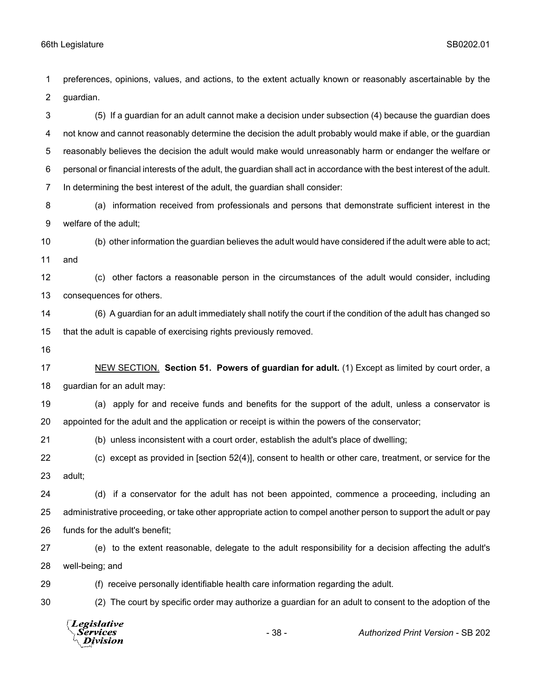preferences, opinions, values, and actions, to the extent actually known or reasonably ascertainable by the guardian.

 (5) If a guardian for an adult cannot make a decision under subsection (4) because the guardian does not know and cannot reasonably determine the decision the adult probably would make if able, or the guardian reasonably believes the decision the adult would make would unreasonably harm or endanger the welfare or personal or financial interests of the adult, the guardian shall act in accordance with the best interest of the adult. In determining the best interest of the adult, the guardian shall consider:

 (a) information received from professionals and persons that demonstrate sufficient interest in the welfare of the adult;

 (b) other information the guardian believes the adult would have considered if the adult were able to act; and

 (c) other factors a reasonable person in the circumstances of the adult would consider, including consequences for others.

 (6) A guardian for an adult immediately shall notify the court if the condition of the adult has changed so that the adult is capable of exercising rights previously removed.

 NEW SECTION. **Section 51. Powers of guardian for adult.** (1) Except as limited by court order, a guardian for an adult may:

 (a) apply for and receive funds and benefits for the support of the adult, unless a conservator is appointed for the adult and the application or receipt is within the powers of the conservator;

(b) unless inconsistent with a court order, establish the adult's place of dwelling;

 (c) except as provided in [section 52(4)], consent to health or other care, treatment, or service for the adult;

 (d) if a conservator for the adult has not been appointed, commence a proceeding, including an administrative proceeding, or take other appropriate action to compel another person to support the adult or pay funds for the adult's benefit;

 (e) to the extent reasonable, delegate to the adult responsibility for a decision affecting the adult's well-being; and

(f) receive personally identifiable health care information regarding the adult.

(2) The court by specific order may authorize a guardian for an adult to consent to the adoption of the

Legislative *Services* **Division** 

- 38 - *Authorized Print Version* - SB 202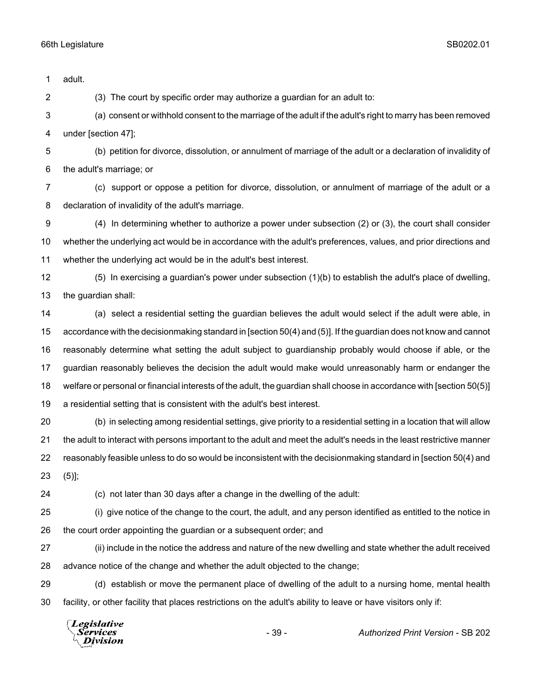Division

 adult. (3) The court by specific order may authorize a guardian for an adult to: (a) consent or withhold consent to the marriage of the adult if the adult's right to marry has been removed under [section 47]; (b) petition for divorce, dissolution, or annulment of marriage of the adult or a declaration of invalidity of the adult's marriage; or (c) support or oppose a petition for divorce, dissolution, or annulment of marriage of the adult or a declaration of invalidity of the adult's marriage. (4) In determining whether to authorize a power under subsection (2) or (3), the court shall consider whether the underlying act would be in accordance with the adult's preferences, values, and prior directions and whether the underlying act would be in the adult's best interest. (5) In exercising a guardian's power under subsection (1)(b) to establish the adult's place of dwelling, the guardian shall: (a) select a residential setting the guardian believes the adult would select if the adult were able, in accordance with the decisionmaking standard in [section 50(4) and (5)]. If the guardian does not know and cannot reasonably determine what setting the adult subject to guardianship probably would choose if able, or the guardian reasonably believes the decision the adult would make would unreasonably harm or endanger the welfare or personal or financial interests of the adult, the guardian shall choose in accordance with [section 50(5)] a residential setting that is consistent with the adult's best interest. (b) in selecting among residential settings, give priority to a residential setting in a location that will allow the adult to interact with persons important to the adult and meet the adult's needs in the least restrictive manner reasonably feasible unless to do so would be inconsistent with the decisionmaking standard in [section 50(4) and (5)]; (c) not later than 30 days after a change in the dwelling of the adult: (i) give notice of the change to the court, the adult, and any person identified as entitled to the notice in the court order appointing the guardian or a subsequent order; and (ii) include in the notice the address and nature of the new dwelling and state whether the adult received advance notice of the change and whether the adult objected to the change; (d) establish or move the permanent place of dwelling of the adult to a nursing home, mental health facility, or other facility that places restrictions on the adult's ability to leave or have visitors only if: Legislative Services - 39 - *Authorized Print Version* - SB 202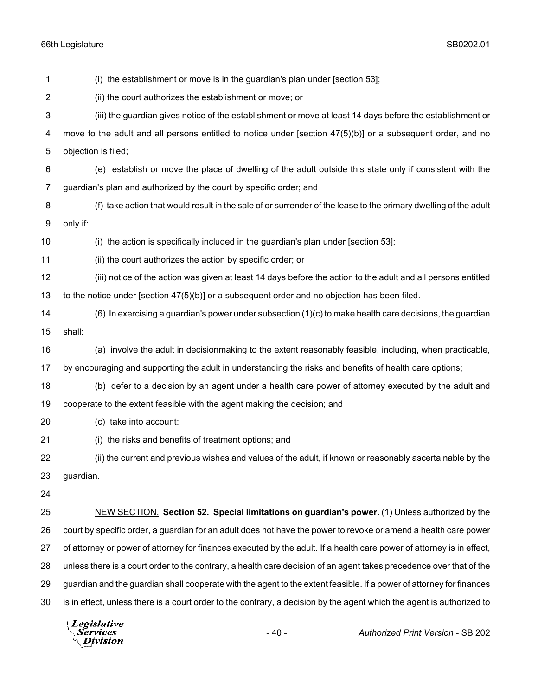(i) the establishment or move is in the guardian's plan under [section 53]; (ii) the court authorizes the establishment or move; or (iii) the guardian gives notice of the establishment or move at least 14 days before the establishment or move to the adult and all persons entitled to notice under [section 47(5)(b)] or a subsequent order, and no objection is filed; (e) establish or move the place of dwelling of the adult outside this state only if consistent with the guardian's plan and authorized by the court by specific order; and (f) take action that would result in the sale of or surrender of the lease to the primary dwelling of the adult only if: (i) the action is specifically included in the guardian's plan under [section 53]; (ii) the court authorizes the action by specific order; or (iii) notice of the action was given at least 14 days before the action to the adult and all persons entitled to the notice under [section 47(5)(b)] or a subsequent order and no objection has been filed. (6) In exercising a guardian's power under subsection (1)(c) to make health care decisions, the guardian shall: (a) involve the adult in decisionmaking to the extent reasonably feasible, including, when practicable, by encouraging and supporting the adult in understanding the risks and benefits of health care options; (b) defer to a decision by an agent under a health care power of attorney executed by the adult and cooperate to the extent feasible with the agent making the decision; and (c) take into account: (i) the risks and benefits of treatment options; and (ii) the current and previous wishes and values of the adult, if known or reasonably ascertainable by the guardian. NEW SECTION. **Section 52. Special limitations on guardian's power.** (1) Unless authorized by the court by specific order, a guardian for an adult does not have the power to revoke or amend a health care power of attorney or power of attorney for finances executed by the adult. If a health care power of attorney is in effect, unless there is a court order to the contrary, a health care decision of an agent takes precedence over that of the guardian and the guardian shall cooperate with the agent to the extent feasible. If a power of attorney for finances is in effect, unless there is a court order to the contrary, a decision by the agent which the agent is authorized to

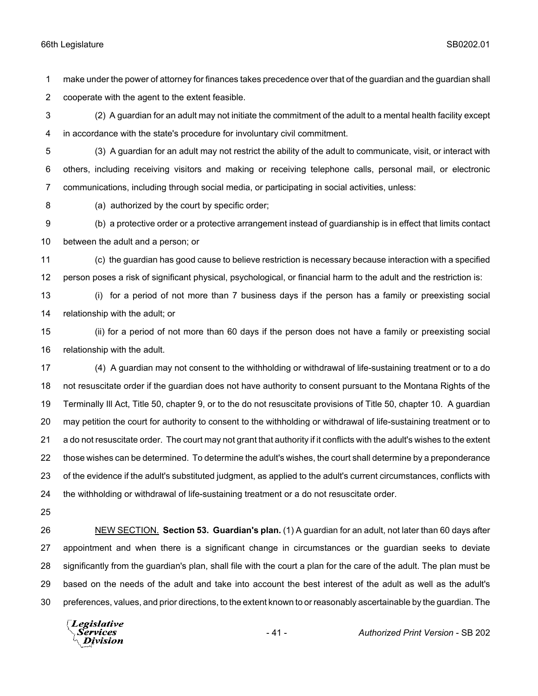make under the power of attorney for finances takes precedence over that of the guardian and the guardian shall cooperate with the agent to the extent feasible.

 (2) A guardian for an adult may not initiate the commitment of the adult to a mental health facility except in accordance with the state's procedure for involuntary civil commitment.

 (3) A guardian for an adult may not restrict the ability of the adult to communicate, visit, or interact with others, including receiving visitors and making or receiving telephone calls, personal mail, or electronic communications, including through social media, or participating in social activities, unless:

8 (a) authorized by the court by specific order;

 (b) a protective order or a protective arrangement instead of guardianship is in effect that limits contact between the adult and a person; or

 (c) the guardian has good cause to believe restriction is necessary because interaction with a specified person poses a risk of significant physical, psychological, or financial harm to the adult and the restriction is:

 (i) for a period of not more than 7 business days if the person has a family or preexisting social relationship with the adult; or

 (ii) for a period of not more than 60 days if the person does not have a family or preexisting social relationship with the adult.

 (4) A guardian may not consent to the withholding or withdrawal of life-sustaining treatment or to a do not resuscitate order if the guardian does not have authority to consent pursuant to the Montana Rights of the Terminally Ill Act, Title 50, chapter 9, or to the do not resuscitate provisions of Title 50, chapter 10. A guardian may petition the court for authority to consent to the withholding or withdrawal of life-sustaining treatment or to a do not resuscitate order. The court may not grant that authority if it conflicts with the adult's wishes to the extent those wishes can be determined. To determine the adult's wishes, the court shall determine by a preponderance of the evidence if the adult's substituted judgment, as applied to the adult's current circumstances, conflicts with the withholding or withdrawal of life-sustaining treatment or a do not resuscitate order.

 NEW SECTION. **Section 53. Guardian's plan.** (1) A guardian for an adult, not later than 60 days after appointment and when there is a significant change in circumstances or the guardian seeks to deviate significantly from the guardian's plan, shall file with the court a plan for the care of the adult. The plan must be based on the needs of the adult and take into account the best interest of the adult as well as the adult's preferences, values, and prior directions, to the extent known to or reasonably ascertainable by the guardian. The

Legislative *Services* **Division**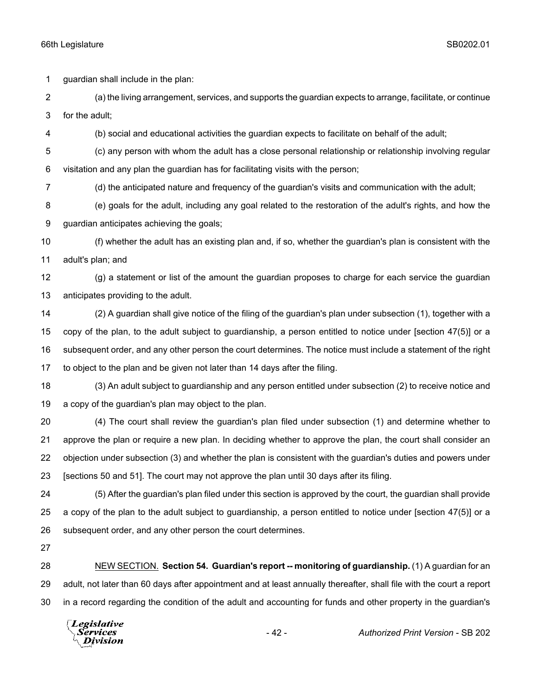guardian shall include in the plan:

 (a) the living arrangement, services, and supports the guardian expects to arrange, facilitate, or continue for the adult;

(b) social and educational activities the guardian expects to facilitate on behalf of the adult;

 (c) any person with whom the adult has a close personal relationship or relationship involving regular visitation and any plan the guardian has for facilitating visits with the person;

(d) the anticipated nature and frequency of the guardian's visits and communication with the adult;

 (e) goals for the adult, including any goal related to the restoration of the adult's rights, and how the guardian anticipates achieving the goals;

 (f) whether the adult has an existing plan and, if so, whether the guardian's plan is consistent with the adult's plan; and

 (g) a statement or list of the amount the guardian proposes to charge for each service the guardian anticipates providing to the adult.

 (2) A guardian shall give notice of the filing of the guardian's plan under subsection (1), together with a copy of the plan, to the adult subject to guardianship, a person entitled to notice under [section 47(5)] or a subsequent order, and any other person the court determines. The notice must include a statement of the right to object to the plan and be given not later than 14 days after the filing.

 (3) An adult subject to guardianship and any person entitled under subsection (2) to receive notice and a copy of the guardian's plan may object to the plan.

 (4) The court shall review the guardian's plan filed under subsection (1) and determine whether to approve the plan or require a new plan. In deciding whether to approve the plan, the court shall consider an objection under subsection (3) and whether the plan is consistent with the guardian's duties and powers under [sections 50 and 51]. The court may not approve the plan until 30 days after its filing.

 (5) After the guardian's plan filed under this section is approved by the court, the guardian shall provide a copy of the plan to the adult subject to guardianship, a person entitled to notice under [section 47(5)] or a subsequent order, and any other person the court determines.

 NEW SECTION. **Section 54. Guardian's report -- monitoring of guardianship.** (1) A guardian for an adult, not later than 60 days after appointment and at least annually thereafter, shall file with the court a report in a record regarding the condition of the adult and accounting for funds and other property in the guardian's

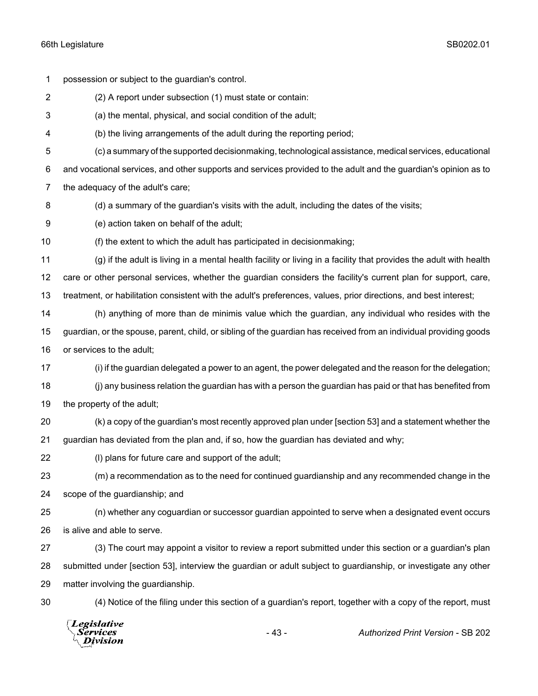|                | Legislative<br>$-43-$<br>Authorized Print Version - SB 202<br>Services<br>Division                                 |  |  |
|----------------|--------------------------------------------------------------------------------------------------------------------|--|--|
| 30             | (4) Notice of the filing under this section of a guardian's report, together with a copy of the report, must       |  |  |
| 29             | matter involving the guardianship.                                                                                 |  |  |
| 28             | submitted under [section 53], interview the guardian or adult subject to guardianship, or investigate any other    |  |  |
| 27             | (3) The court may appoint a visitor to review a report submitted under this section or a guardian's plan           |  |  |
| 26             | is alive and able to serve.                                                                                        |  |  |
| 25             | (n) whether any coguardian or successor guardian appointed to serve when a designated event occurs                 |  |  |
| 24             | scope of the guardianship; and                                                                                     |  |  |
| 23             | (m) a recommendation as to the need for continued guardianship and any recommended change in the                   |  |  |
| 22             | (I) plans for future care and support of the adult;                                                                |  |  |
| 21             | guardian has deviated from the plan and, if so, how the guardian has deviated and why;                             |  |  |
| 20             | (k) a copy of the guardian's most recently approved plan under [section 53] and a statement whether the            |  |  |
| 19             | the property of the adult;                                                                                         |  |  |
| 18             | (j) any business relation the guardian has with a person the guardian has paid or that has benefited from          |  |  |
| 17             | (i) if the guardian delegated a power to an agent, the power delegated and the reason for the delegation;          |  |  |
| 16             | or services to the adult;                                                                                          |  |  |
| 15             | guardian, or the spouse, parent, child, or sibling of the guardian has received from an individual providing goods |  |  |
| 14             | (h) anything of more than de minimis value which the guardian, any individual who resides with the                 |  |  |
| 13             | treatment, or habilitation consistent with the adult's preferences, values, prior directions, and best interest;   |  |  |
| 12             | care or other personal services, whether the guardian considers the facility's current plan for support, care,     |  |  |
| 11             | (g) if the adult is living in a mental health facility or living in a facility that provides the adult with health |  |  |
| 10             | (f) the extent to which the adult has participated in decisionmaking;                                              |  |  |
| 9              | (e) action taken on behalf of the adult;                                                                           |  |  |
| 8              | (d) a summary of the guardian's visits with the adult, including the dates of the visits;                          |  |  |
| $\overline{7}$ | the adequacy of the adult's care;                                                                                  |  |  |
| 6              | and vocational services, and other supports and services provided to the adult and the guardian's opinion as to    |  |  |
| 5              | (c) a summary of the supported decisionmaking, technological assistance, medical services, educational             |  |  |
| 4              | (b) the living arrangements of the adult during the reporting period;                                              |  |  |
| 3              | (a) the mental, physical, and social condition of the adult;                                                       |  |  |
| $\overline{c}$ | (2) A report under subsection (1) must state or contain:                                                           |  |  |
| 1              | possession or subject to the guardian's control.                                                                   |  |  |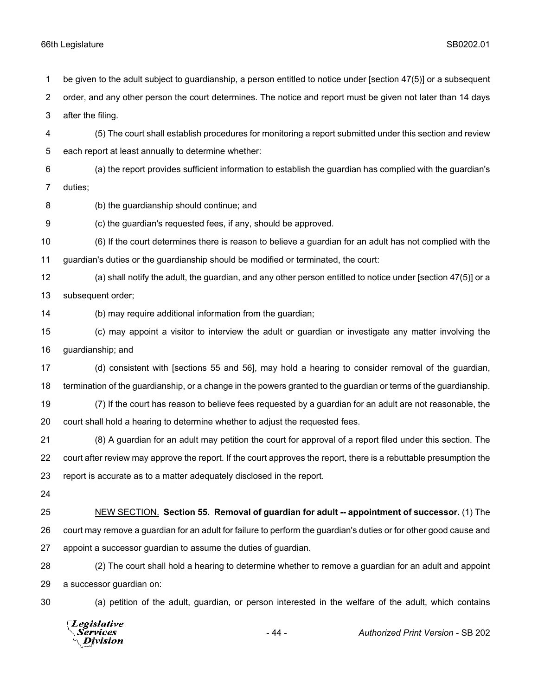## 66th Legislature SB0202.01

 be given to the adult subject to guardianship, a person entitled to notice under [section 47(5)] or a subsequent order, and any other person the court determines. The notice and report must be given not later than 14 days after the filing. (5) The court shall establish procedures for monitoring a report submitted under this section and review

(a) the report provides sufficient information to establish the guardian has complied with the guardian's

duties;

(b) the guardianship should continue; and

each report at least annually to determine whether:

(c) the guardian's requested fees, if any, should be approved.

 (6) If the court determines there is reason to believe a guardian for an adult has not complied with the guardian's duties or the guardianship should be modified or terminated, the court:

 (a) shall notify the adult, the guardian, and any other person entitled to notice under [section 47(5)] or a subsequent order;

(b) may require additional information from the guardian;

 (c) may appoint a visitor to interview the adult or guardian or investigate any matter involving the guardianship; and

 (d) consistent with [sections 55 and 56], may hold a hearing to consider removal of the guardian, termination of the guardianship, or a change in the powers granted to the guardian or terms of the guardianship.

(7) If the court has reason to believe fees requested by a guardian for an adult are not reasonable, the

court shall hold a hearing to determine whether to adjust the requested fees.

 (8) A guardian for an adult may petition the court for approval of a report filed under this section. The court after review may approve the report. If the court approves the report, there is a rebuttable presumption the report is accurate as to a matter adequately disclosed in the report.

 NEW SECTION. **Section 55. Removal of guardian for adult -- appointment of successor.** (1) The court may remove a guardian for an adult for failure to perform the guardian's duties or for other good cause and appoint a successor guardian to assume the duties of guardian.

 (2) The court shall hold a hearing to determine whether to remove a guardian for an adult and appoint a successor guardian on:

(a) petition of the adult, guardian, or person interested in the welfare of the adult, which contains

Legislative *Services* **Division**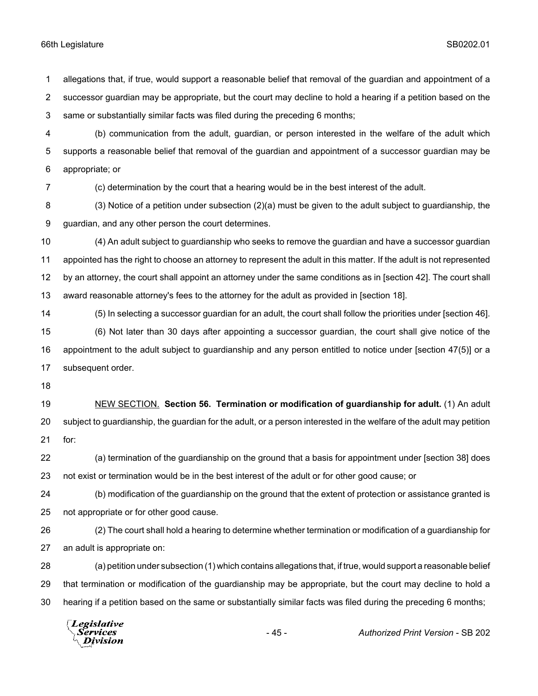## 66th Legislature SB0202.01

 allegations that, if true, would support a reasonable belief that removal of the guardian and appointment of a successor guardian may be appropriate, but the court may decline to hold a hearing if a petition based on the same or substantially similar facts was filed during the preceding 6 months;

 (b) communication from the adult, guardian, or person interested in the welfare of the adult which supports a reasonable belief that removal of the guardian and appointment of a successor guardian may be appropriate; or

(c) determination by the court that a hearing would be in the best interest of the adult.

 (3) Notice of a petition under subsection (2)(a) must be given to the adult subject to guardianship, the guardian, and any other person the court determines.

 (4) An adult subject to guardianship who seeks to remove the guardian and have a successor guardian appointed has the right to choose an attorney to represent the adult in this matter. If the adult is not represented by an attorney, the court shall appoint an attorney under the same conditions as in [section 42]. The court shall award reasonable attorney's fees to the attorney for the adult as provided in [section 18].

 (5) In selecting a successor guardian for an adult, the court shall follow the priorities under [section 46]. (6) Not later than 30 days after appointing a successor guardian, the court shall give notice of the appointment to the adult subject to guardianship and any person entitled to notice under [section 47(5)] or a

subsequent order.

 NEW SECTION. **Section 56. Termination or modification of guardianship for adult.** (1) An adult subject to guardianship, the guardian for the adult, or a person interested in the welfare of the adult may petition for:

 (a) termination of the guardianship on the ground that a basis for appointment under [section 38] does not exist or termination would be in the best interest of the adult or for other good cause; or

 (b) modification of the guardianship on the ground that the extent of protection or assistance granted is not appropriate or for other good cause.

 (2) The court shall hold a hearing to determine whether termination or modification of a guardianship for an adult is appropriate on:

 (a) petition under subsection (1) which contains allegations that, if true, would support a reasonable belief that termination or modification of the guardianship may be appropriate, but the court may decline to hold a hearing if a petition based on the same or substantially similar facts was filed during the preceding 6 months;

Legislative Services Division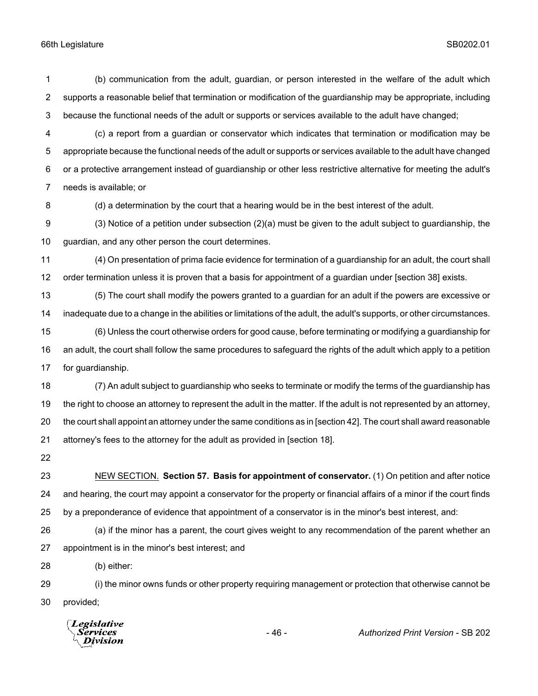(b) communication from the adult, guardian, or person interested in the welfare of the adult which supports a reasonable belief that termination or modification of the guardianship may be appropriate, including because the functional needs of the adult or supports or services available to the adult have changed;

 (c) a report from a guardian or conservator which indicates that termination or modification may be appropriate because the functional needs of the adult or supports or services available to the adult have changed or a protective arrangement instead of guardianship or other less restrictive alternative for meeting the adult's needs is available; or

(d) a determination by the court that a hearing would be in the best interest of the adult.

 (3) Notice of a petition under subsection (2)(a) must be given to the adult subject to guardianship, the guardian, and any other person the court determines.

 (4) On presentation of prima facie evidence for termination of a guardianship for an adult, the court shall order termination unless it is proven that a basis for appointment of a guardian under [section 38] exists.

 (5) The court shall modify the powers granted to a guardian for an adult if the powers are excessive or inadequate due to a change in the abilities or limitations of the adult, the adult's supports, or other circumstances. (6) Unless the court otherwise orders for good cause, before terminating or modifying a guardianship for

 an adult, the court shall follow the same procedures to safeguard the rights of the adult which apply to a petition for guardianship.

 (7) An adult subject to guardianship who seeks to terminate or modify the terms of the guardianship has the right to choose an attorney to represent the adult in the matter. If the adult is not represented by an attorney, the court shall appoint an attorney under the same conditions as in [section 42]. The court shall award reasonable attorney's fees to the attorney for the adult as provided in [section 18].

 NEW SECTION. **Section 57. Basis for appointment of conservator.** (1) On petition and after notice and hearing, the court may appoint a conservator for the property or financial affairs of a minor if the court finds by a preponderance of evidence that appointment of a conservator is in the minor's best interest, and:

 (a) if the minor has a parent, the court gives weight to any recommendation of the parent whether an appointment is in the minor's best interest; and

(b) either:

 (i) the minor owns funds or other property requiring management or protection that otherwise cannot be provided;

**Legislative** Services Division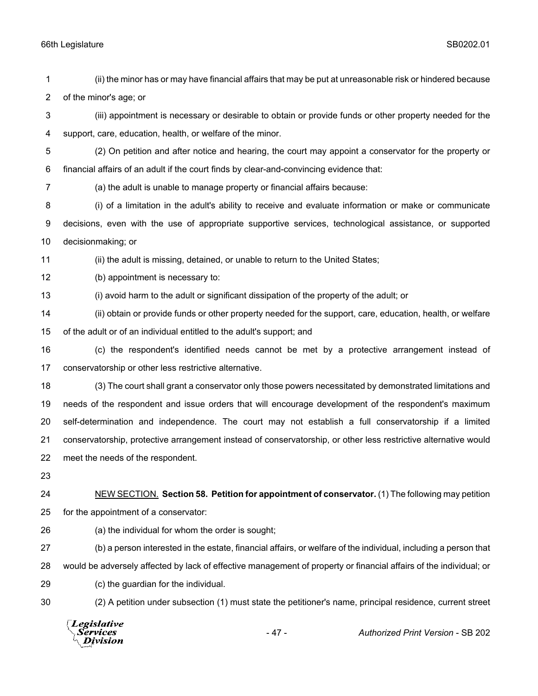## 66th Legislature SB0202.01

 (ii) the minor has or may have financial affairs that may be put at unreasonable risk or hindered because of the minor's age; or

 (iii) appointment is necessary or desirable to obtain or provide funds or other property needed for the support, care, education, health, or welfare of the minor.

 (2) On petition and after notice and hearing, the court may appoint a conservator for the property or financial affairs of an adult if the court finds by clear-and-convincing evidence that:

(a) the adult is unable to manage property or financial affairs because:

 (i) of a limitation in the adult's ability to receive and evaluate information or make or communicate decisions, even with the use of appropriate supportive services, technological assistance, or supported decisionmaking; or

(ii) the adult is missing, detained, or unable to return to the United States;

(b) appointment is necessary to:

(i) avoid harm to the adult or significant dissipation of the property of the adult; or

 (ii) obtain or provide funds or other property needed for the support, care, education, health, or welfare of the adult or of an individual entitled to the adult's support; and

 (c) the respondent's identified needs cannot be met by a protective arrangement instead of conservatorship or other less restrictive alternative.

 (3) The court shall grant a conservator only those powers necessitated by demonstrated limitations and needs of the respondent and issue orders that will encourage development of the respondent's maximum self-determination and independence. The court may not establish a full conservatorship if a limited conservatorship, protective arrangement instead of conservatorship, or other less restrictive alternative would meet the needs of the respondent.

 NEW SECTION. **Section 58. Petition for appointment of conservator.** (1) The following may petition for the appointment of a conservator:

(a) the individual for whom the order is sought;

 (b) a person interested in the estate, financial affairs, or welfare of the individual, including a person that would be adversely affected by lack of effective management of property or financial affairs of the individual; or

(c) the guardian for the individual.

(2) A petition under subsection (1) must state the petitioner's name, principal residence, current street

**Legislative** *Services* **Division**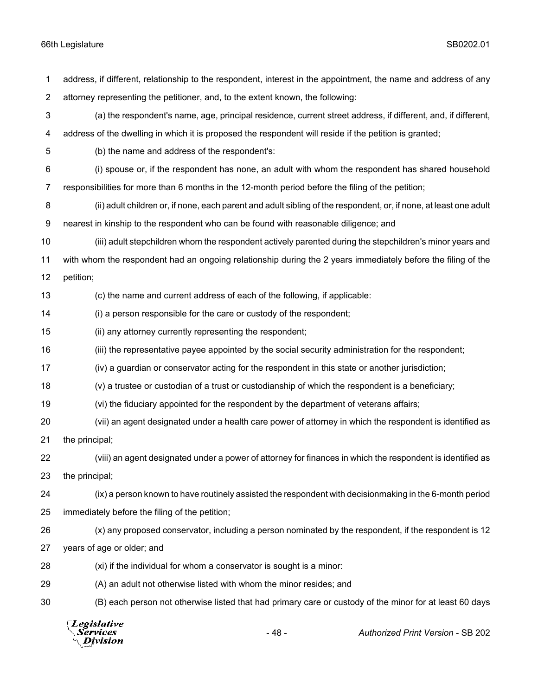## 66th Legislature SB0202.01

|                | Legislative<br><i>Services</i><br>Division                                                             | $-48-$ | Authorized Print Version - SB 202                                                                                 |
|----------------|--------------------------------------------------------------------------------------------------------|--------|-------------------------------------------------------------------------------------------------------------------|
| 30             |                                                                                                        |        | (B) each person not otherwise listed that had primary care or custody of the minor for at least 60 days           |
| 29             | (A) an adult not otherwise listed with whom the minor resides; and                                     |        |                                                                                                                   |
| 28             | (xi) if the individual for whom a conservator is sought is a minor:                                    |        |                                                                                                                   |
| 27             | years of age or older; and                                                                             |        |                                                                                                                   |
| 26             |                                                                                                        |        | (x) any proposed conservator, including a person nominated by the respondent, if the respondent is 12             |
| 25             | immediately before the filing of the petition;                                                         |        |                                                                                                                   |
| 24             |                                                                                                        |        | (ix) a person known to have routinely assisted the respondent with decisionmaking in the 6-month period           |
| 23             | the principal;                                                                                         |        |                                                                                                                   |
| 22             |                                                                                                        |        | (viii) an agent designated under a power of attorney for finances in which the respondent is identified as        |
| 21             | the principal;                                                                                         |        |                                                                                                                   |
| 20             |                                                                                                        |        | (vii) an agent designated under a health care power of attorney in which the respondent is identified as          |
| 19             | (vi) the fiduciary appointed for the respondent by the department of veterans affairs;                 |        |                                                                                                                   |
| 18             | (v) a trustee or custodian of a trust or custodianship of which the respondent is a beneficiary;       |        |                                                                                                                   |
| 17             | (iv) a guardian or conservator acting for the respondent in this state or another jurisdiction;        |        |                                                                                                                   |
| 16             |                                                                                                        |        | (iii) the representative payee appointed by the social security administration for the respondent;                |
| 15             | (ii) any attorney currently representing the respondent;                                               |        |                                                                                                                   |
| 14             | (i) a person responsible for the care or custody of the respondent;                                    |        |                                                                                                                   |
| 13             | (c) the name and current address of each of the following, if applicable:                              |        |                                                                                                                   |
| 12             | petition;                                                                                              |        |                                                                                                                   |
| 11             |                                                                                                        |        | with whom the respondent had an ongoing relationship during the 2 years immediately before the filing of the      |
| 10             |                                                                                                        |        | (iii) adult stepchildren whom the respondent actively parented during the stepchildren's minor years and          |
| 9              | nearest in kinship to the respondent who can be found with reasonable diligence; and                   |        |                                                                                                                   |
| 8              |                                                                                                        |        | (ii) adult children or, if none, each parent and adult sibling of the respondent, or, if none, at least one adult |
| 7              | responsibilities for more than 6 months in the 12-month period before the filing of the petition;      |        |                                                                                                                   |
| 6              |                                                                                                        |        | (i) spouse or, if the respondent has none, an adult with whom the respondent has shared household                 |
| 5              | (b) the name and address of the respondent's:                                                          |        |                                                                                                                   |
| 4              | address of the dwelling in which it is proposed the respondent will reside if the petition is granted; |        |                                                                                                                   |
| 3              |                                                                                                        |        | (a) the respondent's name, age, principal residence, current street address, if different, and, if different,     |
| $\overline{c}$ | attorney representing the petitioner, and, to the extent known, the following:                         |        |                                                                                                                   |
| 1              |                                                                                                        |        | address, if different, relationship to the respondent, interest in the appointment, the name and address of any   |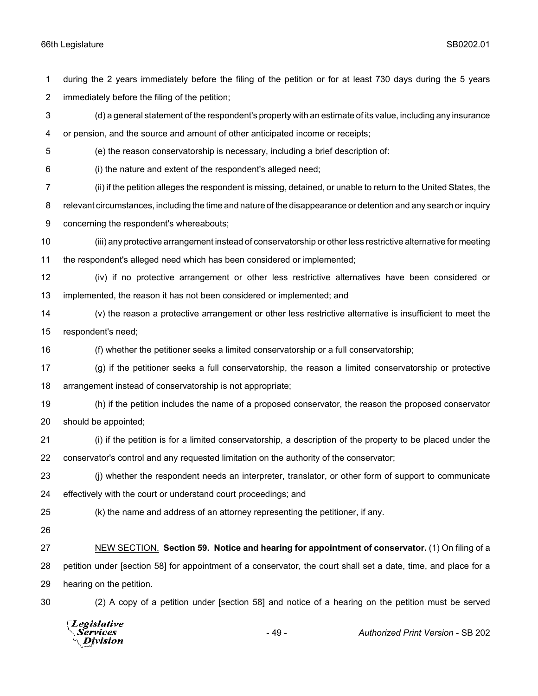during the 2 years immediately before the filing of the petition or for at least 730 days during the 5 years immediately before the filing of the petition;

 (d) a general statement of the respondent's property with an estimate of its value, including any insurance or pension, and the source and amount of other anticipated income or receipts;

(e) the reason conservatorship is necessary, including a brief description of:

(i) the nature and extent of the respondent's alleged need;

(ii) if the petition alleges the respondent is missing, detained, or unable to return to the United States, the

 relevant circumstances, including the time and nature of the disappearance or detention and any search or inquiry concerning the respondent's whereabouts;

 (iii) any protective arrangement instead of conservatorship or other less restrictive alternative for meeting the respondent's alleged need which has been considered or implemented;

 (iv) if no protective arrangement or other less restrictive alternatives have been considered or implemented, the reason it has not been considered or implemented; and

 (v) the reason a protective arrangement or other less restrictive alternative is insufficient to meet the respondent's need;

(f) whether the petitioner seeks a limited conservatorship or a full conservatorship;

 (g) if the petitioner seeks a full conservatorship, the reason a limited conservatorship or protective arrangement instead of conservatorship is not appropriate;

 (h) if the petition includes the name of a proposed conservator, the reason the proposed conservator should be appointed;

 (i) if the petition is for a limited conservatorship, a description of the property to be placed under the conservator's control and any requested limitation on the authority of the conservator;

 (j) whether the respondent needs an interpreter, translator, or other form of support to communicate effectively with the court or understand court proceedings; and

(k) the name and address of an attorney representing the petitioner, if any.

 NEW SECTION. **Section 59. Notice and hearing for appointment of conservator.** (1) On filing of a petition under [section 58] for appointment of a conservator, the court shall set a date, time, and place for a hearing on the petition.

(2) A copy of a petition under [section 58] and notice of a hearing on the petition must be served

Legislative Services **Division**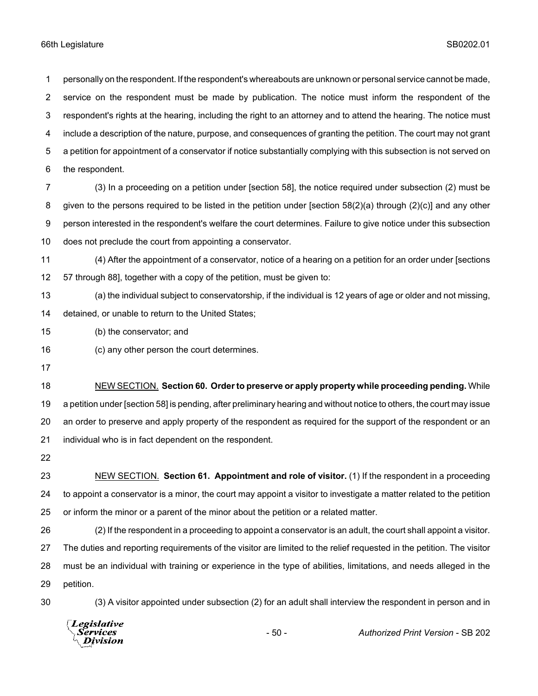personally on the respondent. If the respondent's whereabouts are unknown or personal service cannot be made, service on the respondent must be made by publication. The notice must inform the respondent of the respondent's rights at the hearing, including the right to an attorney and to attend the hearing. The notice must include a description of the nature, purpose, and consequences of granting the petition. The court may not grant a petition for appointment of a conservator if notice substantially complying with this subsection is not served on the respondent.

 (3) In a proceeding on a petition under [section 58], the notice required under subsection (2) must be given to the persons required to be listed in the petition under [section 58(2)(a) through (2)(c)] and any other person interested in the respondent's welfare the court determines. Failure to give notice under this subsection does not preclude the court from appointing a conservator.

- (4) After the appointment of a conservator, notice of a hearing on a petition for an order under [sections 57 through 88], together with a copy of the petition, must be given to:
- (a) the individual subject to conservatorship, if the individual is 12 years of age or older and not missing, detained, or unable to return to the United States;
- (b) the conservator; and
- (c) any other person the court determines.
- 

 NEW SECTION. **Section 60. Order to preserve or apply property while proceeding pending.** While a petition under [section 58] is pending, after preliminary hearing and without notice to others, the court may issue an order to preserve and apply property of the respondent as required for the support of the respondent or an individual who is in fact dependent on the respondent.

 NEW SECTION. **Section 61. Appointment and role of visitor.** (1) If the respondent in a proceeding to appoint a conservator is a minor, the court may appoint a visitor to investigate a matter related to the petition or inform the minor or a parent of the minor about the petition or a related matter.

 (2) If the respondent in a proceeding to appoint a conservator is an adult, the court shall appoint a visitor. The duties and reporting requirements of the visitor are limited to the relief requested in the petition. The visitor must be an individual with training or experience in the type of abilities, limitations, and needs alleged in the petition.

(3) A visitor appointed under subsection (2) for an adult shall interview the respondent in person and in

Legislative *Services* **Division**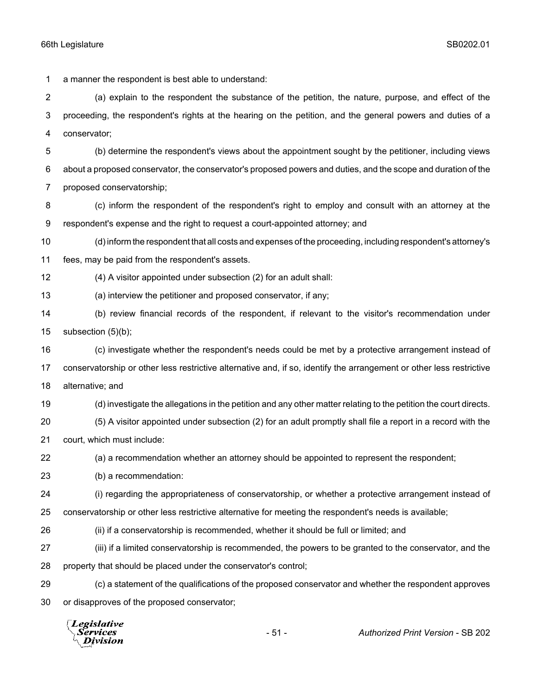a manner the respondent is best able to understand: (a) explain to the respondent the substance of the petition, the nature, purpose, and effect of the proceeding, the respondent's rights at the hearing on the petition, and the general powers and duties of a conservator; (b) determine the respondent's views about the appointment sought by the petitioner, including views about a proposed conservator, the conservator's proposed powers and duties, and the scope and duration of the proposed conservatorship; (c) inform the respondent of the respondent's right to employ and consult with an attorney at the respondent's expense and the right to request a court-appointed attorney; and (d) inform the respondent that all costs and expenses of the proceeding, including respondent's attorney's fees, may be paid from the respondent's assets. (4) A visitor appointed under subsection (2) for an adult shall: (a) interview the petitioner and proposed conservator, if any; (b) review financial records of the respondent, if relevant to the visitor's recommendation under subsection (5)(b); (c) investigate whether the respondent's needs could be met by a protective arrangement instead of conservatorship or other less restrictive alternative and, if so, identify the arrangement or other less restrictive alternative; and (d) investigate the allegations in the petition and any other matter relating to the petition the court directs. (5) A visitor appointed under subsection (2) for an adult promptly shall file a report in a record with the court, which must include: (a) a recommendation whether an attorney should be appointed to represent the respondent; (b) a recommendation: (i) regarding the appropriateness of conservatorship, or whether a protective arrangement instead of conservatorship or other less restrictive alternative for meeting the respondent's needs is available; (ii) if a conservatorship is recommended, whether it should be full or limited; and (iii) if a limited conservatorship is recommended, the powers to be granted to the conservator, and the property that should be placed under the conservator's control; (c) a statement of the qualifications of the proposed conservator and whether the respondent approves or disapproves of the proposed conservator;

Legislative Services **Division**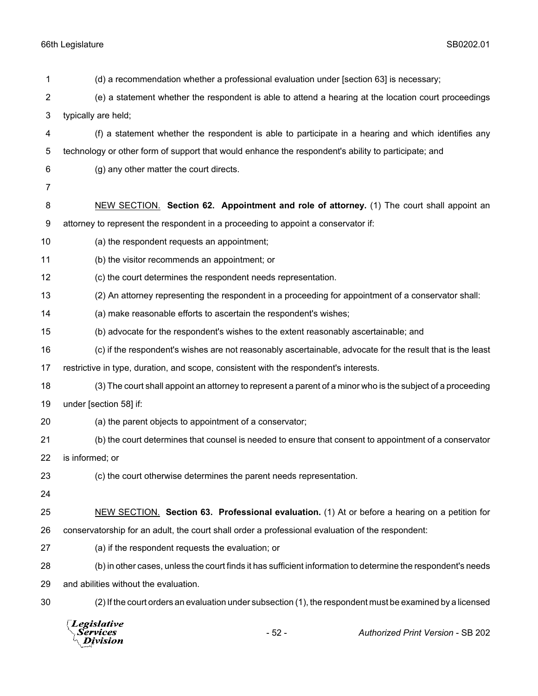| 1              | (d) a recommendation whether a professional evaluation under [section 63] is necessary;                      |  |  |
|----------------|--------------------------------------------------------------------------------------------------------------|--|--|
| $\overline{2}$ | (e) a statement whether the respondent is able to attend a hearing at the location court proceedings         |  |  |
| 3              | typically are held;                                                                                          |  |  |
| 4              | (f) a statement whether the respondent is able to participate in a hearing and which identifies any          |  |  |
| 5              | technology or other form of support that would enhance the respondent's ability to participate; and          |  |  |
| 6              | (g) any other matter the court directs.                                                                      |  |  |
| 7              |                                                                                                              |  |  |
| 8              | NEW SECTION. Section 62. Appointment and role of attorney. (1) The court shall appoint an                    |  |  |
| 9              | attorney to represent the respondent in a proceeding to appoint a conservator if:                            |  |  |
| 10             | (a) the respondent requests an appointment;                                                                  |  |  |
| 11             | (b) the visitor recommends an appointment; or                                                                |  |  |
| 12             | (c) the court determines the respondent needs representation.                                                |  |  |
| 13             | (2) An attorney representing the respondent in a proceeding for appointment of a conservator shall:          |  |  |
| 14             | (a) make reasonable efforts to ascertain the respondent's wishes;                                            |  |  |
| 15             | (b) advocate for the respondent's wishes to the extent reasonably ascertainable; and                         |  |  |
| 16             | (c) if the respondent's wishes are not reasonably ascertainable, advocate for the result that is the least   |  |  |
| 17             | restrictive in type, duration, and scope, consistent with the respondent's interests.                        |  |  |
| 18             | (3) The court shall appoint an attorney to represent a parent of a minor who is the subject of a proceeding  |  |  |
| 19             | under [section 58] if:                                                                                       |  |  |
| 20             | (a) the parent objects to appointment of a conservator;                                                      |  |  |
| 21             | (b) the court determines that counsel is needed to ensure that consent to appointment of a conservator       |  |  |
| 22             | is informed; or                                                                                              |  |  |
| 23             | (c) the court otherwise determines the parent needs representation.                                          |  |  |
| 24             |                                                                                                              |  |  |
| 25             | NEW SECTION. Section 63. Professional evaluation. (1) At or before a hearing on a petition for               |  |  |
| 26             | conservatorship for an adult, the court shall order a professional evaluation of the respondent:             |  |  |
| 27             | (a) if the respondent requests the evaluation; or                                                            |  |  |
| 28             | (b) in other cases, unless the court finds it has sufficient information to determine the respondent's needs |  |  |
| 29             | and abilities without the evaluation.                                                                        |  |  |
| 30             | (2) If the court orders an evaluation under subsection (1), the respondent must be examined by a licensed    |  |  |
|                | Legislative<br>$-52-$<br>Authorized Print Version - SB 202<br>Services<br>Division                           |  |  |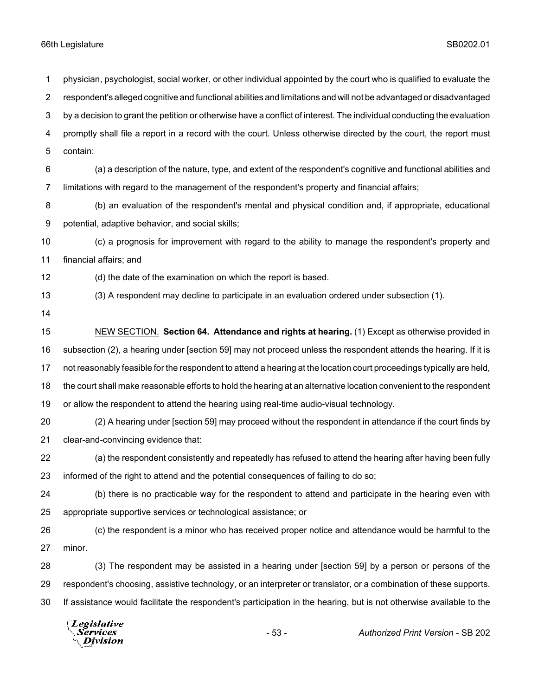by a decision to grant the petition or otherwise have a conflict of interest. The individual conducting the evaluation promptly shall file a report in a record with the court. Unless otherwise directed by the court, the report must contain: (a) a description of the nature, type, and extent of the respondent's cognitive and functional abilities and limitations with regard to the management of the respondent's property and financial affairs; (b) an evaluation of the respondent's mental and physical condition and, if appropriate, educational potential, adaptive behavior, and social skills; (c) a prognosis for improvement with regard to the ability to manage the respondent's property and financial affairs; and (d) the date of the examination on which the report is based. (3) A respondent may decline to participate in an evaluation ordered under subsection (1). NEW SECTION. **Section 64. Attendance and rights at hearing.** (1) Except as otherwise provided in subsection (2), a hearing under [section 59] may not proceed unless the respondent attends the hearing. If it is not reasonably feasible for the respondent to attend a hearing at the location court proceedings typically are held, the court shall make reasonable efforts to hold the hearing at an alternative location convenient to the respondent or allow the respondent to attend the hearing using real-time audio-visual technology. (2) A hearing under [section 59] may proceed without the respondent in attendance if the court finds by clear-and-convincing evidence that: (a) the respondent consistently and repeatedly has refused to attend the hearing after having been fully informed of the right to attend and the potential consequences of failing to do so; (b) there is no practicable way for the respondent to attend and participate in the hearing even with appropriate supportive services or technological assistance; or (c) the respondent is a minor who has received proper notice and attendance would be harmful to the minor. (3) The respondent may be assisted in a hearing under [section 59] by a person or persons of the respondent's choosing, assistive technology, or an interpreter or translator, or a combination of these supports. If assistance would facilitate the respondent's participation in the hearing, but is not otherwise available to the Legislative *Services* - 53 - *Authorized Print Version* - SB 202**Division** 

physician, psychologist, social worker, or other individual appointed by the court who is qualified to evaluate the

respondent's alleged cognitive and functional abilities and limitations and will not be advantaged or disadvantaged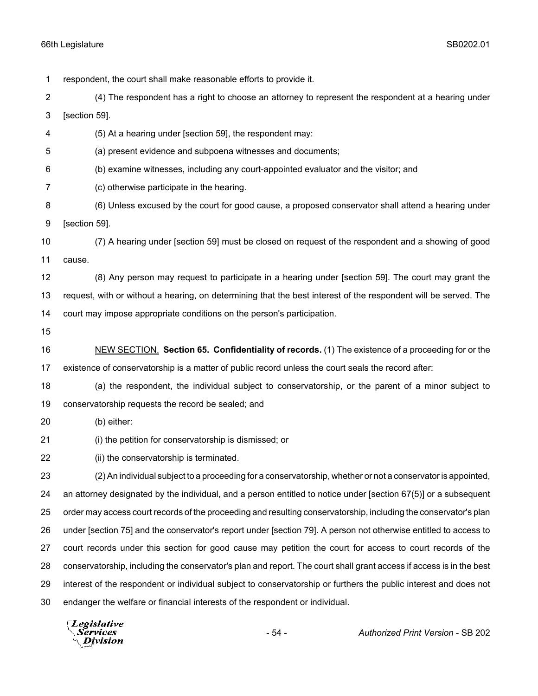respondent, the court shall make reasonable efforts to provide it.

 (4) The respondent has a right to choose an attorney to represent the respondent at a hearing under [section 59].

- (5) At a hearing under [section 59], the respondent may:
- (a) present evidence and subpoena witnesses and documents;
- (b) examine witnesses, including any court-appointed evaluator and the visitor; and
- (c) otherwise participate in the hearing.

 (6) Unless excused by the court for good cause, a proposed conservator shall attend a hearing under [section 59].

 (7) A hearing under [section 59] must be closed on request of the respondent and a showing of good cause.

 (8) Any person may request to participate in a hearing under [section 59]. The court may grant the request, with or without a hearing, on determining that the best interest of the respondent will be served. The court may impose appropriate conditions on the person's participation.

 NEW SECTION. **Section 65. Confidentiality of records.** (1) The existence of a proceeding for or the existence of conservatorship is a matter of public record unless the court seals the record after:

 (a) the respondent, the individual subject to conservatorship, or the parent of a minor subject to conservatorship requests the record be sealed; and

- (b) either:
- (i) the petition for conservatorship is dismissed; or
- (ii) the conservatorship is terminated.

 (2) An individual subject to a proceeding for a conservatorship, whether or not a conservator is appointed, an attorney designated by the individual, and a person entitled to notice under [section 67(5)] or a subsequent order may access court records of the proceeding and resulting conservatorship, including the conservator's plan under [section 75] and the conservator's report under [section 79]. A person not otherwise entitled to access to court records under this section for good cause may petition the court for access to court records of the conservatorship, including the conservator's plan and report. The court shall grant access if access is in the best interest of the respondent or individual subject to conservatorship or furthers the public interest and does not endanger the welfare or financial interests of the respondent or individual.

**Legislative** Services **Division**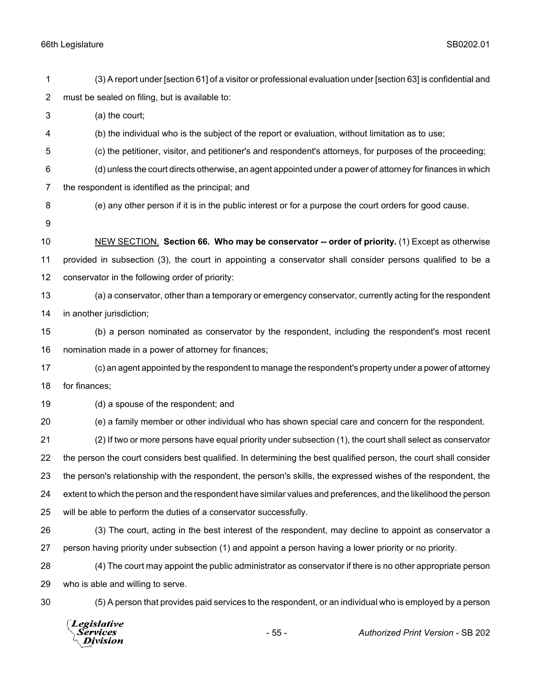| 1              |                                                                                                                   |        | (3) A report under [section 61] of a visitor or professional evaluation under [section 63] is confidential and |
|----------------|-------------------------------------------------------------------------------------------------------------------|--------|----------------------------------------------------------------------------------------------------------------|
| $\overline{c}$ | must be sealed on filing, but is available to:                                                                    |        |                                                                                                                |
| 3              | (a) the court;                                                                                                    |        |                                                                                                                |
| 4              | (b) the individual who is the subject of the report or evaluation, without limitation as to use;                  |        |                                                                                                                |
| 5              |                                                                                                                   |        | (c) the petitioner, visitor, and petitioner's and respondent's attorneys, for purposes of the proceeding;      |
| 6              |                                                                                                                   |        | (d) unless the court directs otherwise, an agent appointed under a power of attorney for finances in which     |
| 7              | the respondent is identified as the principal; and                                                                |        |                                                                                                                |
| 8              |                                                                                                                   |        | (e) any other person if it is in the public interest or for a purpose the court orders for good cause.         |
| 9              |                                                                                                                   |        |                                                                                                                |
| 10             |                                                                                                                   |        | NEW SECTION. Section 66. Who may be conservator -- order of priority. (1) Except as otherwise                  |
| 11             | provided in subsection (3), the court in appointing a conservator shall consider persons qualified to be a        |        |                                                                                                                |
| 12             | conservator in the following order of priority:                                                                   |        |                                                                                                                |
| 13             |                                                                                                                   |        | (a) a conservator, other than a temporary or emergency conservator, currently acting for the respondent        |
| 14             | in another jurisdiction;                                                                                          |        |                                                                                                                |
| 15             |                                                                                                                   |        | (b) a person nominated as conservator by the respondent, including the respondent's most recent                |
| 16             | nomination made in a power of attorney for finances;                                                              |        |                                                                                                                |
| 17             |                                                                                                                   |        | (c) an agent appointed by the respondent to manage the respondent's property under a power of attorney         |
| 18             | for finances;                                                                                                     |        |                                                                                                                |
| 19             | (d) a spouse of the respondent; and                                                                               |        |                                                                                                                |
| 20             |                                                                                                                   |        | (e) a family member or other individual who has shown special care and concern for the respondent.             |
| 21             |                                                                                                                   |        | (2) If two or more persons have equal priority under subsection (1), the court shall select as conservator     |
| 22             | the person the court considers best qualified. In determining the best qualified person, the court shall consider |        |                                                                                                                |
| 23             | the person's relationship with the respondent, the person's skills, the expressed wishes of the respondent, the   |        |                                                                                                                |
| 24             | extent to which the person and the respondent have similar values and preferences, and the likelihood the person  |        |                                                                                                                |
| 25             | will be able to perform the duties of a conservator successfully.                                                 |        |                                                                                                                |
| 26             |                                                                                                                   |        | (3) The court, acting in the best interest of the respondent, may decline to appoint as conservator a          |
| 27             | person having priority under subsection (1) and appoint a person having a lower priority or no priority.          |        |                                                                                                                |
| 28             | (4) The court may appoint the public administrator as conservator if there is no other appropriate person         |        |                                                                                                                |
| 29             | who is able and willing to serve.                                                                                 |        |                                                                                                                |
| 30             |                                                                                                                   |        | (5) A person that provides paid services to the respondent, or an individual who is employed by a person       |
|                | Legislative<br>Services<br>Division                                                                               | $-55-$ | Authorized Print Version - SB 202                                                                              |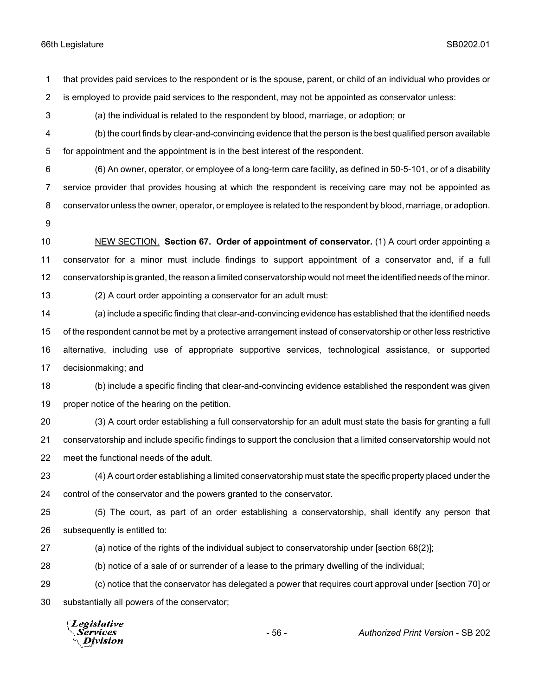- that provides paid services to the respondent or is the spouse, parent, or child of an individual who provides or is employed to provide paid services to the respondent, may not be appointed as conservator unless:
- 

(a) the individual is related to the respondent by blood, marriage, or adoption; or

- (b) the court finds by clear-and-convincing evidence that the person is the best qualified person available for appointment and the appointment is in the best interest of the respondent.
- 

 (6) An owner, operator, or employee of a long-term care facility, as defined in 50-5-101, or of a disability service provider that provides housing at which the respondent is receiving care may not be appointed as conservator unless the owner, operator, or employee is related to the respondent by blood, marriage, or adoption.

- 
- 

 NEW SECTION. **Section 67. Order of appointment of conservator.** (1) A court order appointing a conservator for a minor must include findings to support appointment of a conservator and, if a full conservatorship is granted, the reason a limited conservatorship would not meet the identified needs of the minor.

(2) A court order appointing a conservator for an adult must:

 (a) include a specific finding that clear-and-convincing evidence has established that the identified needs of the respondent cannot be met by a protective arrangement instead of conservatorship or other less restrictive alternative, including use of appropriate supportive services, technological assistance, or supported decisionmaking; and

 (b) include a specific finding that clear-and-convincing evidence established the respondent was given proper notice of the hearing on the petition.

 (3) A court order establishing a full conservatorship for an adult must state the basis for granting a full conservatorship and include specific findings to support the conclusion that a limited conservatorship would not meet the functional needs of the adult.

 (4) A court order establishing a limited conservatorship must state the specific property placed under the control of the conservator and the powers granted to the conservator.

 (5) The court, as part of an order establishing a conservatorship, shall identify any person that subsequently is entitled to:

(a) notice of the rights of the individual subject to conservatorship under [section 68(2)];

(b) notice of a sale of or surrender of a lease to the primary dwelling of the individual;

 (c) notice that the conservator has delegated a power that requires court approval under [section 70] or substantially all powers of the conservator;

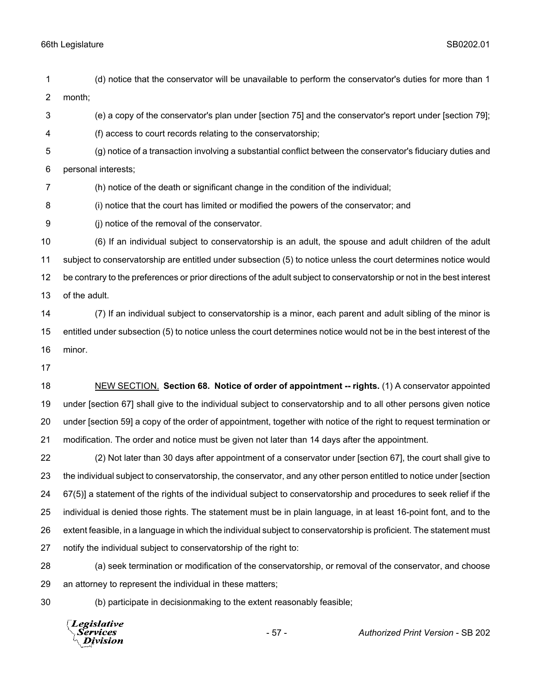- (d) notice that the conservator will be unavailable to perform the conservator's duties for more than 1 month;
- (e) a copy of the conservator's plan under [section 75] and the conservator's report under [section 79];
- (f) access to court records relating to the conservatorship;
- (g) notice of a transaction involving a substantial conflict between the conservator's fiduciary duties and personal interests;
- (h) notice of the death or significant change in the condition of the individual;
- (i) notice that the court has limited or modified the powers of the conservator; and
- (j) notice of the removal of the conservator.
- (6) If an individual subject to conservatorship is an adult, the spouse and adult children of the adult subject to conservatorship are entitled under subsection (5) to notice unless the court determines notice would be contrary to the preferences or prior directions of the adult subject to conservatorship or not in the best interest of the adult.
- (7) If an individual subject to conservatorship is a minor, each parent and adult sibling of the minor is entitled under subsection (5) to notice unless the court determines notice would not be in the best interest of the minor.
- 

 NEW SECTION. **Section 68. Notice of order of appointment -- rights.** (1) A conservator appointed under [section 67] shall give to the individual subject to conservatorship and to all other persons given notice under [section 59] a copy of the order of appointment, together with notice of the right to request termination or modification. The order and notice must be given not later than 14 days after the appointment.

 (2) Not later than 30 days after appointment of a conservator under [section 67], the court shall give to the individual subject to conservatorship, the conservator, and any other person entitled to notice under [section 67(5)] a statement of the rights of the individual subject to conservatorship and procedures to seek relief if the individual is denied those rights. The statement must be in plain language, in at least 16-point font, and to the extent feasible, in a language in which the individual subject to conservatorship is proficient. The statement must notify the individual subject to conservatorship of the right to:

 (a) seek termination or modification of the conservatorship, or removal of the conservator, and choose an attorney to represent the individual in these matters;

(b) participate in decisionmaking to the extent reasonably feasible;

**Legislative** Services **Division**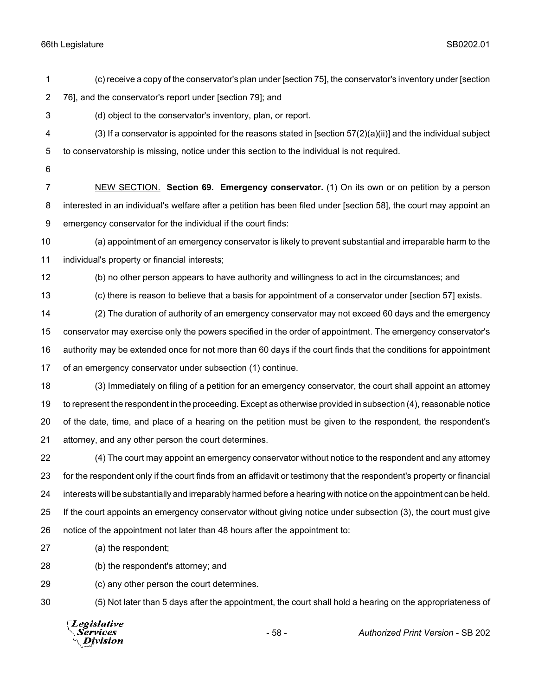66th Legislature SB0202.01

| 1              | (c) receive a copy of the conservator's plan under [section 75], the conservator's inventory under [section           |
|----------------|-----------------------------------------------------------------------------------------------------------------------|
| $\overline{2}$ | 76], and the conservator's report under [section 79]; and                                                             |
| 3              | (d) object to the conservator's inventory, plan, or report.                                                           |
| 4              | (3) If a conservator is appointed for the reasons stated in [section $57(2)(a)(ii)$ ] and the individual subject      |
| 5              | to conservatorship is missing, notice under this section to the individual is not required.                           |
| 6              |                                                                                                                       |
| 7              | NEW SECTION. Section 69. Emergency conservator. (1) On its own or on petition by a person                             |
| 8              | interested in an individual's welfare after a petition has been filed under [section 58], the court may appoint an    |
| 9              | emergency conservator for the individual if the court finds:                                                          |
| 10             | (a) appointment of an emergency conservator is likely to prevent substantial and irreparable harm to the              |
| 11             | individual's property or financial interests;                                                                         |
| 12             | (b) no other person appears to have authority and willingness to act in the circumstances; and                        |
| 13             | (c) there is reason to believe that a basis for appointment of a conservator under [section 57] exists.               |
| 14             | (2) The duration of authority of an emergency conservator may not exceed 60 days and the emergency                    |
| 15             | conservator may exercise only the powers specified in the order of appointment. The emergency conservator's           |
| 16             | authority may be extended once for not more than 60 days if the court finds that the conditions for appointment       |
| 17             | of an emergency conservator under subsection (1) continue.                                                            |
| 18             | (3) Immediately on filing of a petition for an emergency conservator, the court shall appoint an attorney             |
| 19             | to represent the respondent in the proceeding. Except as otherwise provided in subsection (4), reasonable notice      |
| 20             | of the date, time, and place of a hearing on the petition must be given to the respondent, the respondent's           |
| 21             | attorney, and any other person the court determines.                                                                  |
| 22             | (4) The court may appoint an emergency conservator without notice to the respondent and any attorney                  |
| 23             | for the respondent only if the court finds from an affidavit or testimony that the respondent's property or financial |
| 24             | interests will be substantially and irreparably harmed before a hearing with notice on the appointment can be held.   |
| 25             | If the court appoints an emergency conservator without giving notice under subsection (3), the court must give        |
| 26             | notice of the appointment not later than 48 hours after the appointment to:                                           |
| 27             | (a) the respondent;                                                                                                   |
| 28             | (b) the respondent's attorney; and                                                                                    |
| 29             | (c) any other person the court determines.                                                                            |
| 30             | (5) Not later than 5 days after the appointment, the court shall hold a hearing on the appropriateness of             |

*Legislative*<br>Services<br>*Division* 

- 58 - *Authorized Print Version* - SB 202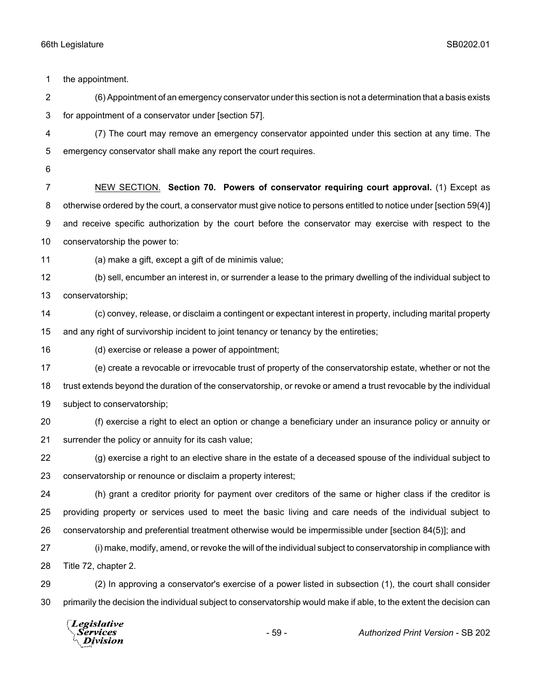the appointment. (6) Appointment of an emergency conservator under this section is not a determination that a basis exists for appointment of a conservator under [section 57]. (7) The court may remove an emergency conservator appointed under this section at any time. The emergency conservator shall make any report the court requires. NEW SECTION. **Section 70. Powers of conservator requiring court approval.** (1) Except as otherwise ordered by the court, a conservator must give notice to persons entitled to notice under [section 59(4)] and receive specific authorization by the court before the conservator may exercise with respect to the conservatorship the power to: (a) make a gift, except a gift of de minimis value; (b) sell, encumber an interest in, or surrender a lease to the primary dwelling of the individual subject to conservatorship; (c) convey, release, or disclaim a contingent or expectant interest in property, including marital property and any right of survivorship incident to joint tenancy or tenancy by the entireties; (d) exercise or release a power of appointment; (e) create a revocable or irrevocable trust of property of the conservatorship estate, whether or not the trust extends beyond the duration of the conservatorship, or revoke or amend a trust revocable by the individual subject to conservatorship; (f) exercise a right to elect an option or change a beneficiary under an insurance policy or annuity or surrender the policy or annuity for its cash value; (g) exercise a right to an elective share in the estate of a deceased spouse of the individual subject to conservatorship or renounce or disclaim a property interest; (h) grant a creditor priority for payment over creditors of the same or higher class if the creditor is providing property or services used to meet the basic living and care needs of the individual subject to conservatorship and preferential treatment otherwise would be impermissible under [section 84(5)]; and (i) make, modify, amend, or revoke the will of the individual subject to conservatorship in compliance with Title 72, chapter 2. (2) In approving a conservator's exercise of a power listed in subsection (1), the court shall consider primarily the decision the individual subject to conservatorship would make if able, to the extent the decision can

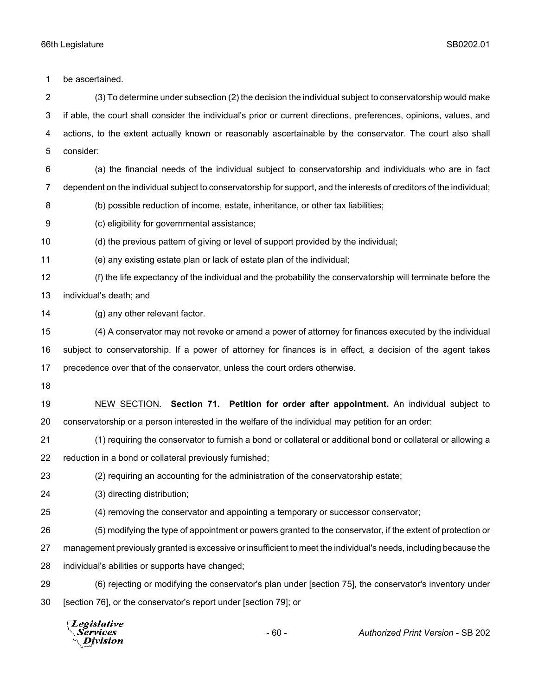be ascertained. (3) To determine under subsection (2) the decision the individual subject to conservatorship would make if able, the court shall consider the individual's prior or current directions, preferences, opinions, values, and actions, to the extent actually known or reasonably ascertainable by the conservator. The court also shall consider: (a) the financial needs of the individual subject to conservatorship and individuals who are in fact dependent on the individual subject to conservatorship for support, and the interests of creditors of the individual; (b) possible reduction of income, estate, inheritance, or other tax liabilities; (c) eligibility for governmental assistance; (d) the previous pattern of giving or level of support provided by the individual; (e) any existing estate plan or lack of estate plan of the individual; (f) the life expectancy of the individual and the probability the conservatorship will terminate before the individual's death; and (g) any other relevant factor. (4) A conservator may not revoke or amend a power of attorney for finances executed by the individual subject to conservatorship. If a power of attorney for finances is in effect, a decision of the agent takes precedence over that of the conservator, unless the court orders otherwise. NEW SECTION. **Section 71. Petition for order after appointment.** An individual subject to conservatorship or a person interested in the welfare of the individual may petition for an order: (1) requiring the conservator to furnish a bond or collateral or additional bond or collateral or allowing a reduction in a bond or collateral previously furnished; (2) requiring an accounting for the administration of the conservatorship estate; (3) directing distribution; (4) removing the conservator and appointing a temporary or successor conservator; (5) modifying the type of appointment or powers granted to the conservator, if the extent of protection or management previously granted is excessive or insufficient to meet the individual's needs, including because the individual's abilities or supports have changed; (6) rejecting or modifying the conservator's plan under [section 75], the conservator's inventory under [section 76], or the conservator's report under [section 79]; or

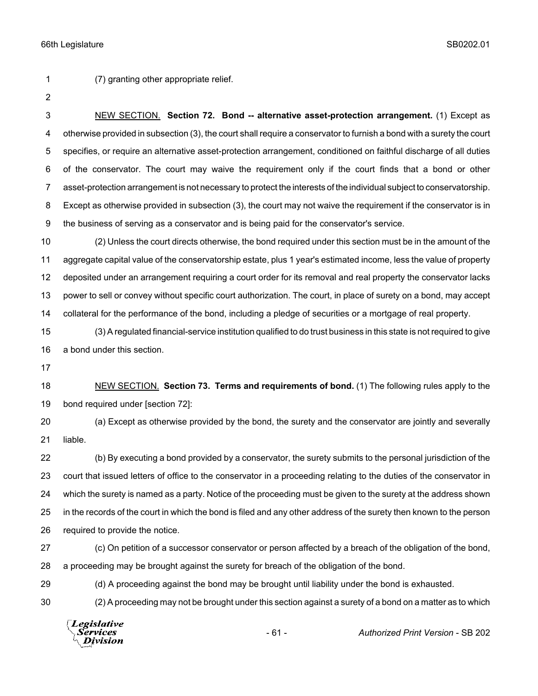(7) granting other appropriate relief.

 NEW SECTION. **Section 72. Bond -- alternative asset-protection arrangement.** (1) Except as otherwise provided in subsection (3), the court shall require a conservator to furnish a bond with a surety the court specifies, or require an alternative asset-protection arrangement, conditioned on faithful discharge of all duties of the conservator. The court may waive the requirement only if the court finds that a bond or other asset-protection arrangement is not necessary to protect the interests of the individual subject to conservatorship. Except as otherwise provided in subsection (3), the court may not waive the requirement if the conservator is in the business of serving as a conservator and is being paid for the conservator's service.

 (2) Unless the court directs otherwise, the bond required under this section must be in the amount of the aggregate capital value of the conservatorship estate, plus 1 year's estimated income, less the value of property deposited under an arrangement requiring a court order for its removal and real property the conservator lacks power to sell or convey without specific court authorization. The court, in place of surety on a bond, may accept collateral for the performance of the bond, including a pledge of securities or a mortgage of real property.

 (3) A regulated financial-service institution qualified to do trust business in this state is not required to give a bond under this section.

 NEW SECTION. **Section 73. Terms and requirements of bond.** (1) The following rules apply to the bond required under [section 72]:

 (a) Except as otherwise provided by the bond, the surety and the conservator are jointly and severally 21 liable.

 (b) By executing a bond provided by a conservator, the surety submits to the personal jurisdiction of the court that issued letters of office to the conservator in a proceeding relating to the duties of the conservator in which the surety is named as a party. Notice of the proceeding must be given to the surety at the address shown in the records of the court in which the bond is filed and any other address of the surety then known to the person required to provide the notice.

(c) On petition of a successor conservator or person affected by a breach of the obligation of the bond,

a proceeding may be brought against the surety for breach of the obligation of the bond.

(d) A proceeding against the bond may be brought until liability under the bond is exhausted.

(2) A proceeding may not be brought under this section against a surety of a bond on a matter as to which

Legislative *Services* **Division**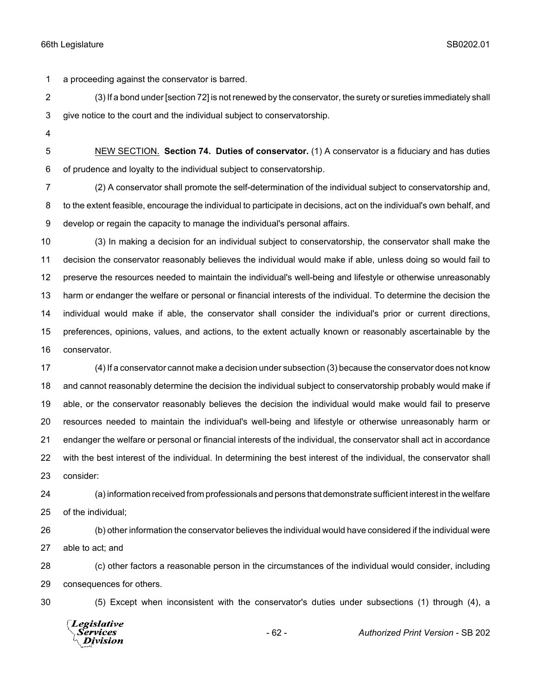a proceeding against the conservator is barred.

- (3) If a bond under [section 72] is not renewed by the conservator, the surety or sureties immediately shall give notice to the court and the individual subject to conservatorship.
- 

 NEW SECTION. **Section 74. Duties of conservator.** (1) A conservator is a fiduciary and has duties of prudence and loyalty to the individual subject to conservatorship.

 (2) A conservator shall promote the self-determination of the individual subject to conservatorship and, to the extent feasible, encourage the individual to participate in decisions, act on the individual's own behalf, and develop or regain the capacity to manage the individual's personal affairs.

 (3) In making a decision for an individual subject to conservatorship, the conservator shall make the decision the conservator reasonably believes the individual would make if able, unless doing so would fail to preserve the resources needed to maintain the individual's well-being and lifestyle or otherwise unreasonably harm or endanger the welfare or personal or financial interests of the individual. To determine the decision the individual would make if able, the conservator shall consider the individual's prior or current directions, preferences, opinions, values, and actions, to the extent actually known or reasonably ascertainable by the conservator.

 (4) If a conservator cannot make a decision under subsection (3) because the conservator does not know and cannot reasonably determine the decision the individual subject to conservatorship probably would make if able, or the conservator reasonably believes the decision the individual would make would fail to preserve resources needed to maintain the individual's well-being and lifestyle or otherwise unreasonably harm or endanger the welfare or personal or financial interests of the individual, the conservator shall act in accordance with the best interest of the individual. In determining the best interest of the individual, the conservator shall consider:

 (a) information received from professionals and persons that demonstrate sufficient interest in the welfare of the individual;

 (b) other information the conservator believes the individual would have considered if the individual were able to act; and

 (c) other factors a reasonable person in the circumstances of the individual would consider, including consequences for others.

(5) Except when inconsistent with the conservator's duties under subsections (1) through (4), a

Legislative *Services* **Division**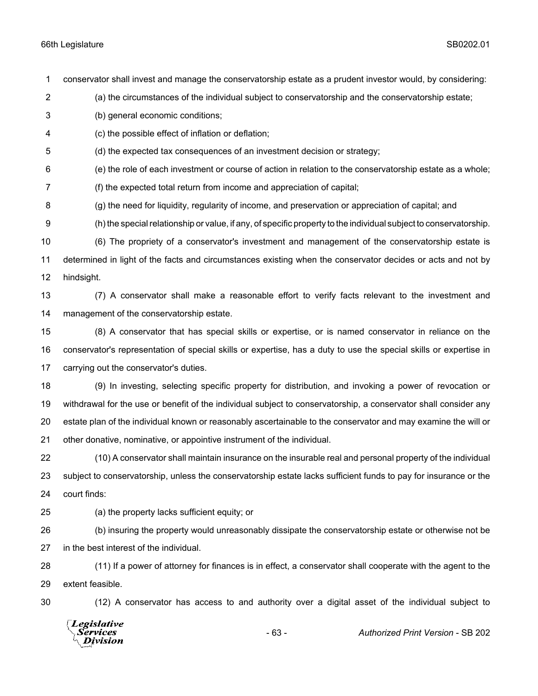conservator shall invest and manage the conservatorship estate as a prudent investor would, by considering:

(a) the circumstances of the individual subject to conservatorship and the conservatorship estate;

(b) general economic conditions;

(c) the possible effect of inflation or deflation;

(d) the expected tax consequences of an investment decision or strategy;

(e) the role of each investment or course of action in relation to the conservatorship estate as a whole;

(f) the expected total return from income and appreciation of capital;

(g) the need for liquidity, regularity of income, and preservation or appreciation of capital; and

(h) the special relationship or value, if any, of specific property to the individual subject to conservatorship.

 (6) The propriety of a conservator's investment and management of the conservatorship estate is determined in light of the facts and circumstances existing when the conservator decides or acts and not by hindsight.

 (7) A conservator shall make a reasonable effort to verify facts relevant to the investment and management of the conservatorship estate.

 (8) A conservator that has special skills or expertise, or is named conservator in reliance on the conservator's representation of special skills or expertise, has a duty to use the special skills or expertise in carrying out the conservator's duties.

 (9) In investing, selecting specific property for distribution, and invoking a power of revocation or withdrawal for the use or benefit of the individual subject to conservatorship, a conservator shall consider any estate plan of the individual known or reasonably ascertainable to the conservator and may examine the will or other donative, nominative, or appointive instrument of the individual.

 (10) A conservator shall maintain insurance on the insurable real and personal property of the individual subject to conservatorship, unless the conservatorship estate lacks sufficient funds to pay for insurance or the court finds:

(a) the property lacks sufficient equity; or

 (b) insuring the property would unreasonably dissipate the conservatorship estate or otherwise not be in the best interest of the individual.

 (11) If a power of attorney for finances is in effect, a conservator shall cooperate with the agent to the extent feasible.

(12) A conservator has access to and authority over a digital asset of the individual subject to

Legislative Services **Division**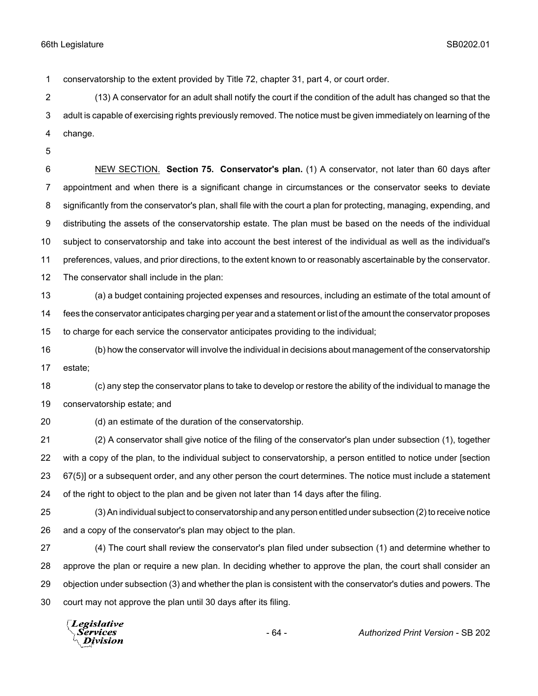conservatorship to the extent provided by Title 72, chapter 31, part 4, or court order.

 (13) A conservator for an adult shall notify the court if the condition of the adult has changed so that the adult is capable of exercising rights previously removed. The notice must be given immediately on learning of the change.

 NEW SECTION. **Section 75. Conservator's plan.** (1) A conservator, not later than 60 days after appointment and when there is a significant change in circumstances or the conservator seeks to deviate significantly from the conservator's plan, shall file with the court a plan for protecting, managing, expending, and distributing the assets of the conservatorship estate. The plan must be based on the needs of the individual subject to conservatorship and take into account the best interest of the individual as well as the individual's preferences, values, and prior directions, to the extent known to or reasonably ascertainable by the conservator. The conservator shall include in the plan:

 (a) a budget containing projected expenses and resources, including an estimate of the total amount of fees the conservator anticipates charging per year and a statement or list of the amount the conservator proposes to charge for each service the conservator anticipates providing to the individual;

 (b) how the conservator will involve the individual in decisions about management of the conservatorship estate;

 (c) any step the conservator plans to take to develop or restore the ability of the individual to manage the conservatorship estate; and

(d) an estimate of the duration of the conservatorship.

 (2) A conservator shall give notice of the filing of the conservator's plan under subsection (1), together with a copy of the plan, to the individual subject to conservatorship, a person entitled to notice under [section 67(5)] or a subsequent order, and any other person the court determines. The notice must include a statement of the right to object to the plan and be given not later than 14 days after the filing.

 (3) An individual subject to conservatorship and any person entitled under subsection (2) to receive notice and a copy of the conservator's plan may object to the plan.

 (4) The court shall review the conservator's plan filed under subsection (1) and determine whether to approve the plan or require a new plan. In deciding whether to approve the plan, the court shall consider an objection under subsection (3) and whether the plan is consistent with the conservator's duties and powers. The court may not approve the plan until 30 days after its filing.

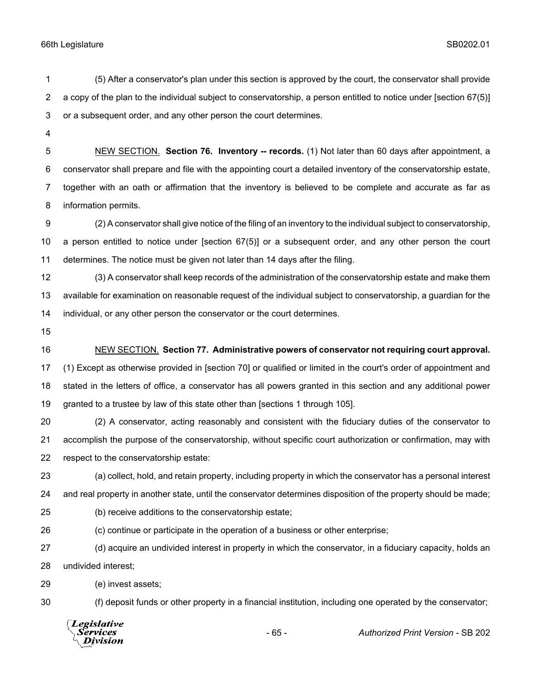66th Legislature SB0202.01

 a copy of the plan to the individual subject to conservatorship, a person entitled to notice under [section 67(5)] or a subsequent order, and any other person the court determines. NEW SECTION. **Section 76. Inventory -- records.** (1) Not later than 60 days after appointment, a conservator shall prepare and file with the appointing court a detailed inventory of the conservatorship estate, together with an oath or affirmation that the inventory is believed to be complete and accurate as far as information permits. (2) A conservator shall give notice of the filing of an inventory to the individual subject to conservatorship, a person entitled to notice under [section 67(5)] or a subsequent order, and any other person the court determines. The notice must be given not later than 14 days after the filing. (3) A conservator shall keep records of the administration of the conservatorship estate and make them available for examination on reasonable request of the individual subject to conservatorship, a guardian for the individual, or any other person the conservator or the court determines. NEW SECTION. **Section 77. Administrative powers of conservator not requiring court approval.** (1) Except as otherwise provided in [section 70] or qualified or limited in the court's order of appointment and stated in the letters of office, a conservator has all powers granted in this section and any additional power granted to a trustee by law of this state other than [sections 1 through 105]. (2) A conservator, acting reasonably and consistent with the fiduciary duties of the conservator to accomplish the purpose of the conservatorship, without specific court authorization or confirmation, may with respect to the conservatorship estate: (a) collect, hold, and retain property, including property in which the conservator has a personal interest and real property in another state, until the conservator determines disposition of the property should be made; (b) receive additions to the conservatorship estate; (c) continue or participate in the operation of a business or other enterprise; 27 (d) acquire an undivided interest in property in which the conservator, in a fiduciary capacity, holds an undivided interest; (e) invest assets; (f) deposit funds or other property in a financial institution, including one operated by the conservator; Legislative Services - 65 - *Authorized Print Version* - SB 202**Division** 

(5) After a conservator's plan under this section is approved by the court, the conservator shall provide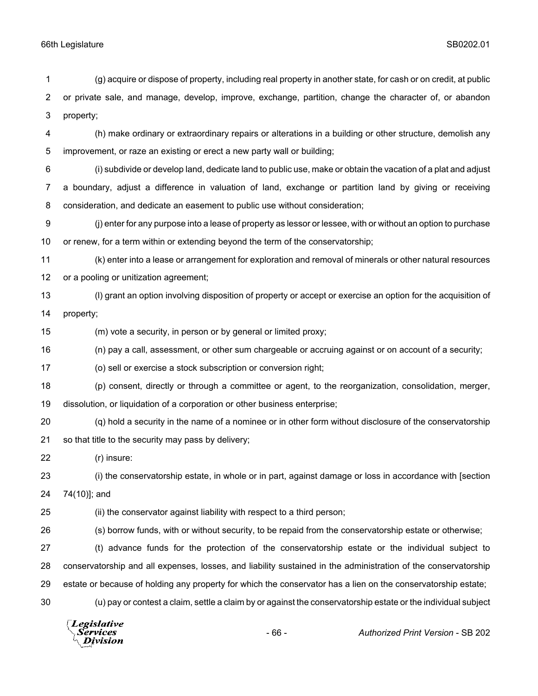(g) acquire or dispose of property, including real property in another state, for cash or on credit, at public or private sale, and manage, develop, improve, exchange, partition, change the character of, or abandon property;

 (h) make ordinary or extraordinary repairs or alterations in a building or other structure, demolish any improvement, or raze an existing or erect a new party wall or building;

 (i) subdivide or develop land, dedicate land to public use, make or obtain the vacation of a plat and adjust a boundary, adjust a difference in valuation of land, exchange or partition land by giving or receiving consideration, and dedicate an easement to public use without consideration;

 (j) enter for any purpose into a lease of property as lessor or lessee, with or without an option to purchase or renew, for a term within or extending beyond the term of the conservatorship;

 (k) enter into a lease or arrangement for exploration and removal of minerals or other natural resources or a pooling or unitization agreement;

 (l) grant an option involving disposition of property or accept or exercise an option for the acquisition of property;

(m) vote a security, in person or by general or limited proxy;

(n) pay a call, assessment, or other sum chargeable or accruing against or on account of a security;

(o) sell or exercise a stock subscription or conversion right;

 (p) consent, directly or through a committee or agent, to the reorganization, consolidation, merger, dissolution, or liquidation of a corporation or other business enterprise;

 (q) hold a security in the name of a nominee or in other form without disclosure of the conservatorship so that title to the security may pass by delivery;

(r) insure:

(i) the conservatorship estate, in whole or in part, against damage or loss in accordance with [section

74(10)]; and

(ii) the conservator against liability with respect to a third person;

(s) borrow funds, with or without security, to be repaid from the conservatorship estate or otherwise;

 (t) advance funds for the protection of the conservatorship estate or the individual subject to conservatorship and all expenses, losses, and liability sustained in the administration of the conservatorship estate or because of holding any property for which the conservator has a lien on the conservatorship estate;

(u) pay or contest a claim, settle a claim by or against the conservatorship estate or the individual subject

Legislative *Services* **Division**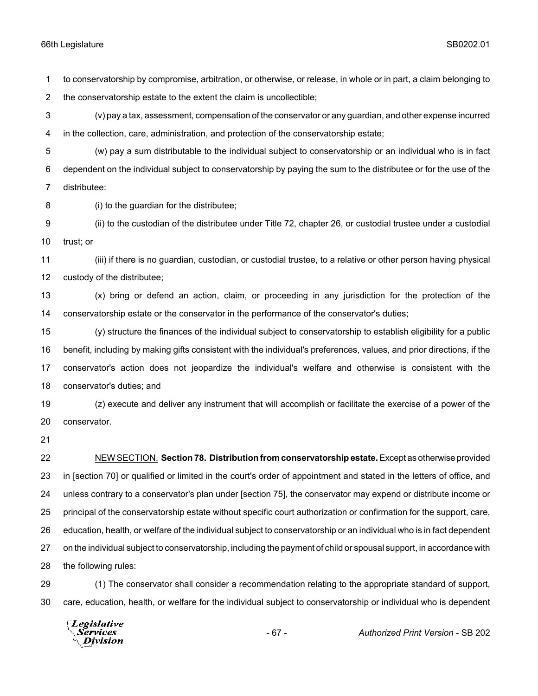to conservatorship by compromise, arbitration, or otherwise, or release, in whole or in part, a claim belonging to the conservatorship estate to the extent the claim is uncollectible;

 (v) pay a tax, assessment, compensation of the conservator or any guardian, and other expense incurred in the collection, care, administration, and protection of the conservatorship estate;

 (w) pay a sum distributable to the individual subject to conservatorship or an individual who is in fact dependent on the individual subject to conservatorship by paying the sum to the distributee or for the use of the distributee:

(i) to the guardian for the distributee;

 (ii) to the custodian of the distributee under Title 72, chapter 26, or custodial trustee under a custodial trust; or

 (iii) if there is no guardian, custodian, or custodial trustee, to a relative or other person having physical custody of the distributee;

 (x) bring or defend an action, claim, or proceeding in any jurisdiction for the protection of the conservatorship estate or the conservator in the performance of the conservator's duties;

 (y) structure the finances of the individual subject to conservatorship to establish eligibility for a public benefit, including by making gifts consistent with the individual's preferences, values, and prior directions, if the conservator's action does not jeopardize the individual's welfare and otherwise is consistent with the conservator's duties; and

 (z) execute and deliver any instrument that will accomplish or facilitate the exercise of a power of the conservator.

 NEW SECTION. **Section 78. Distribution from conservatorship estate.** Except as otherwise provided in [section 70] or qualified or limited in the court's order of appointment and stated in the letters of office, and unless contrary to a conservator's plan under [section 75], the conservator may expend or distribute income or principal of the conservatorship estate without specific court authorization or confirmation for the support, care, education, health, or welfare of the individual subject to conservatorship or an individual who is in fact dependent on the individual subject to conservatorship, including the payment of child or spousal support, in accordance with the following rules:

 (1) The conservator shall consider a recommendation relating to the appropriate standard of support, care, education, health, or welfare for the individual subject to conservatorship or individual who is dependent

**Legislative** *Services* **Division**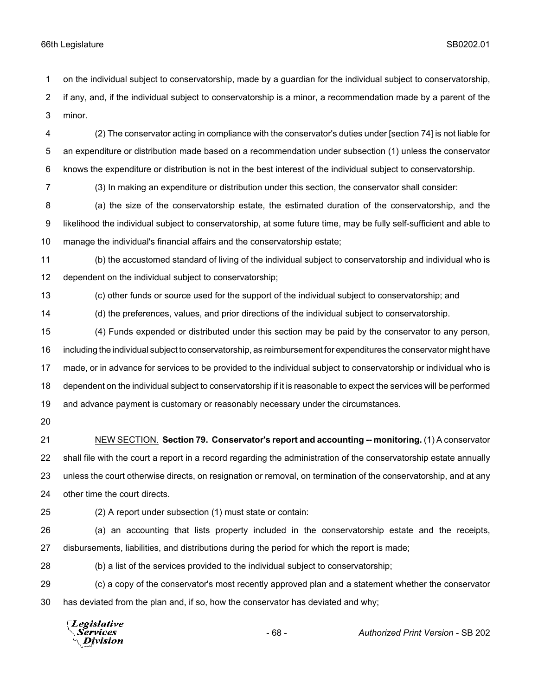on the individual subject to conservatorship, made by a guardian for the individual subject to conservatorship,

 if any, and, if the individual subject to conservatorship is a minor, a recommendation made by a parent of the minor.

 (2) The conservator acting in compliance with the conservator's duties under [section 74] is not liable for an expenditure or distribution made based on a recommendation under subsection (1) unless the conservator knows the expenditure or distribution is not in the best interest of the individual subject to conservatorship.

(3) In making an expenditure or distribution under this section, the conservator shall consider:

 (a) the size of the conservatorship estate, the estimated duration of the conservatorship, and the likelihood the individual subject to conservatorship, at some future time, may be fully self-sufficient and able to manage the individual's financial affairs and the conservatorship estate;

 (b) the accustomed standard of living of the individual subject to conservatorship and individual who is dependent on the individual subject to conservatorship;

(c) other funds or source used for the support of the individual subject to conservatorship; and

(d) the preferences, values, and prior directions of the individual subject to conservatorship.

 (4) Funds expended or distributed under this section may be paid by the conservator to any person, including the individual subject to conservatorship, as reimbursement for expenditures the conservator might have made, or in advance for services to be provided to the individual subject to conservatorship or individual who is dependent on the individual subject to conservatorship if it is reasonable to expect the services will be performed and advance payment is customary or reasonably necessary under the circumstances.

 NEW SECTION. **Section 79. Conservator's report and accounting -- monitoring.** (1) A conservator shall file with the court a report in a record regarding the administration of the conservatorship estate annually unless the court otherwise directs, on resignation or removal, on termination of the conservatorship, and at any other time the court directs.

(2) A report under subsection (1) must state or contain:

 (a) an accounting that lists property included in the conservatorship estate and the receipts, disbursements, liabilities, and distributions during the period for which the report is made;

(b) a list of the services provided to the individual subject to conservatorship;

 (c) a copy of the conservator's most recently approved plan and a statement whether the conservator has deviated from the plan and, if so, how the conservator has deviated and why;

Legislative *Services* - 68 - *Authorized Print Version* - SB 202**Division**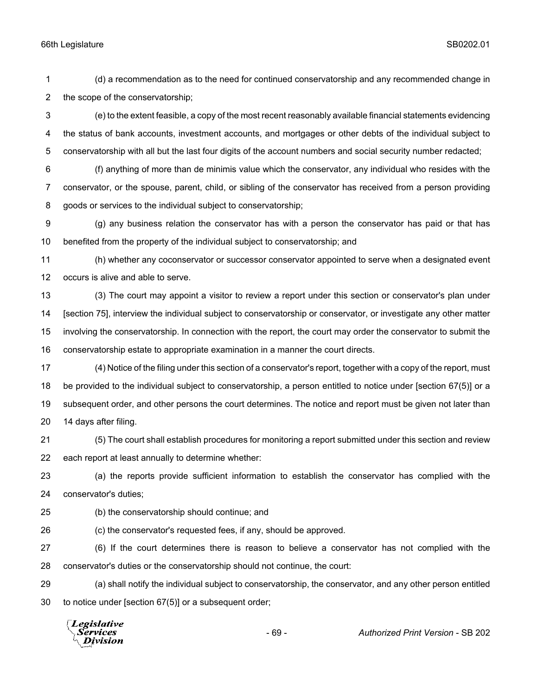(d) a recommendation as to the need for continued conservatorship and any recommended change in the scope of the conservatorship;

 (e) to the extent feasible, a copy of the most recent reasonably available financial statements evidencing the status of bank accounts, investment accounts, and mortgages or other debts of the individual subject to conservatorship with all but the last four digits of the account numbers and social security number redacted;

 (f) anything of more than de minimis value which the conservator, any individual who resides with the conservator, or the spouse, parent, child, or sibling of the conservator has received from a person providing goods or services to the individual subject to conservatorship;

 (g) any business relation the conservator has with a person the conservator has paid or that has benefited from the property of the individual subject to conservatorship; and

 (h) whether any coconservator or successor conservator appointed to serve when a designated event occurs is alive and able to serve.

 (3) The court may appoint a visitor to review a report under this section or conservator's plan under [section 75], interview the individual subject to conservatorship or conservator, or investigate any other matter involving the conservatorship. In connection with the report, the court may order the conservator to submit the conservatorship estate to appropriate examination in a manner the court directs.

 (4) Notice of the filing under this section of a conservator's report, together with a copy of the report, must be provided to the individual subject to conservatorship, a person entitled to notice under [section 67(5)] or a subsequent order, and other persons the court determines. The notice and report must be given not later than 14 days after filing.

 (5) The court shall establish procedures for monitoring a report submitted under this section and review each report at least annually to determine whether:

 (a) the reports provide sufficient information to establish the conservator has complied with the conservator's duties;

(b) the conservatorship should continue; and

(c) the conservator's requested fees, if any, should be approved.

 (6) If the court determines there is reason to believe a conservator has not complied with the conservator's duties or the conservatorship should not continue, the court:

 (a) shall notify the individual subject to conservatorship, the conservator, and any other person entitled to notice under [section 67(5)] or a subsequent order;

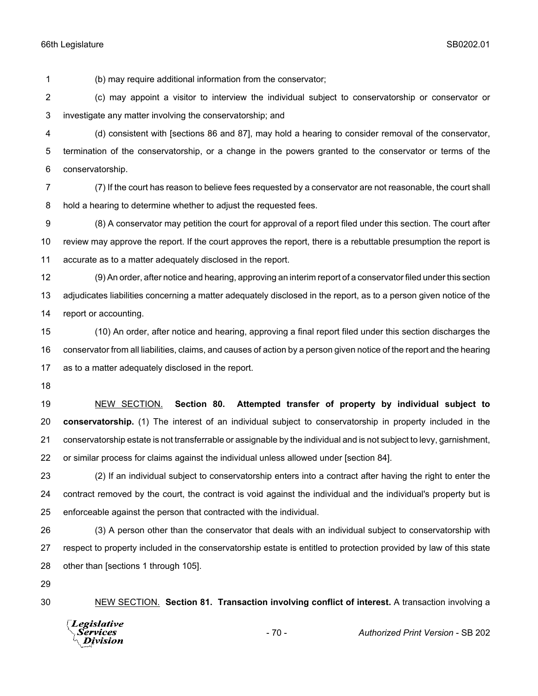(b) may require additional information from the conservator; (c) may appoint a visitor to interview the individual subject to conservatorship or conservator or investigate any matter involving the conservatorship; and (d) consistent with [sections 86 and 87], may hold a hearing to consider removal of the conservator, termination of the conservatorship, or a change in the powers granted to the conservator or terms of the conservatorship. (7) If the court has reason to believe fees requested by a conservator are not reasonable, the court shall hold a hearing to determine whether to adjust the requested fees. (8) A conservator may petition the court for approval of a report filed under this section. The court after review may approve the report. If the court approves the report, there is a rebuttable presumption the report is accurate as to a matter adequately disclosed in the report. (9) An order, after notice and hearing, approving an interim report of a conservator filed under this section adjudicates liabilities concerning a matter adequately disclosed in the report, as to a person given notice of the report or accounting.

 (10) An order, after notice and hearing, approving a final report filed under this section discharges the conservator from all liabilities, claims, and causes of action by a person given notice of the report and the hearing as to a matter adequately disclosed in the report.

 NEW SECTION. **Section 80. Attempted transfer of property by individual subject to conservatorship.** (1) The interest of an individual subject to conservatorship in property included in the conservatorship estate is not transferrable or assignable by the individual and is not subject to levy, garnishment, or similar process for claims against the individual unless allowed under [section 84].

 (2) If an individual subject to conservatorship enters into a contract after having the right to enter the contract removed by the court, the contract is void against the individual and the individual's property but is enforceable against the person that contracted with the individual.

 (3) A person other than the conservator that deals with an individual subject to conservatorship with respect to property included in the conservatorship estate is entitled to protection provided by law of this state other than [sections 1 through 105].

NEW SECTION. **Section 81. Transaction involving conflict of interest.** A transaction involving a

Legislative *Services* Division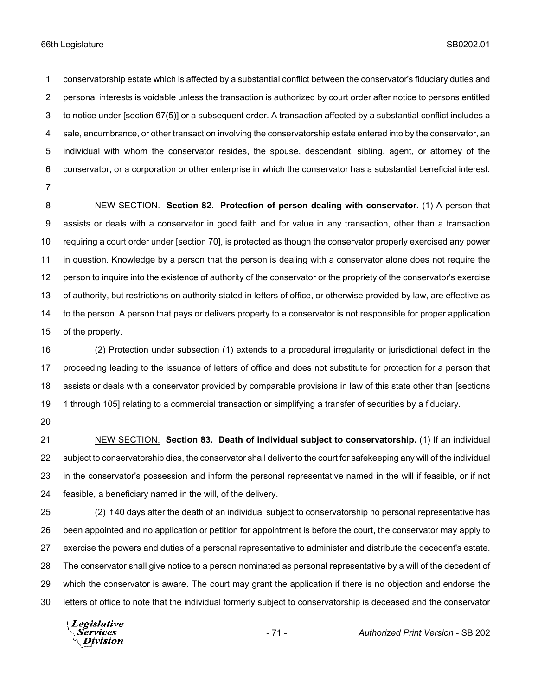conservatorship estate which is affected by a substantial conflict between the conservator's fiduciary duties and personal interests is voidable unless the transaction is authorized by court order after notice to persons entitled to notice under [section 67(5)] or a subsequent order. A transaction affected by a substantial conflict includes a sale, encumbrance, or other transaction involving the conservatorship estate entered into by the conservator, an individual with whom the conservator resides, the spouse, descendant, sibling, agent, or attorney of the conservator, or a corporation or other enterprise in which the conservator has a substantial beneficial interest. 

- NEW SECTION. **Section 82. Protection of person dealing with conservator.** (1) A person that assists or deals with a conservator in good faith and for value in any transaction, other than a transaction requiring a court order under [section 70], is protected as though the conservator properly exercised any power in question. Knowledge by a person that the person is dealing with a conservator alone does not require the person to inquire into the existence of authority of the conservator or the propriety of the conservator's exercise of authority, but restrictions on authority stated in letters of office, or otherwise provided by law, are effective as to the person. A person that pays or delivers property to a conservator is not responsible for proper application of the property.
- (2) Protection under subsection (1) extends to a procedural irregularity or jurisdictional defect in the proceeding leading to the issuance of letters of office and does not substitute for protection for a person that assists or deals with a conservator provided by comparable provisions in law of this state other than [sections 1 through 105] relating to a commercial transaction or simplifying a transfer of securities by a fiduciary.
- 

 NEW SECTION. **Section 83. Death of individual subject to conservatorship.** (1) If an individual subject to conservatorship dies, the conservator shall deliver to the court for safekeeping any will of the individual in the conservator's possession and inform the personal representative named in the will if feasible, or if not feasible, a beneficiary named in the will, of the delivery.

 (2) If 40 days after the death of an individual subject to conservatorship no personal representative has been appointed and no application or petition for appointment is before the court, the conservator may apply to exercise the powers and duties of a personal representative to administer and distribute the decedent's estate. The conservator shall give notice to a person nominated as personal representative by a will of the decedent of which the conservator is aware. The court may grant the application if there is no objection and endorse the letters of office to note that the individual formerly subject to conservatorship is deceased and the conservator

Legislative Services **Division**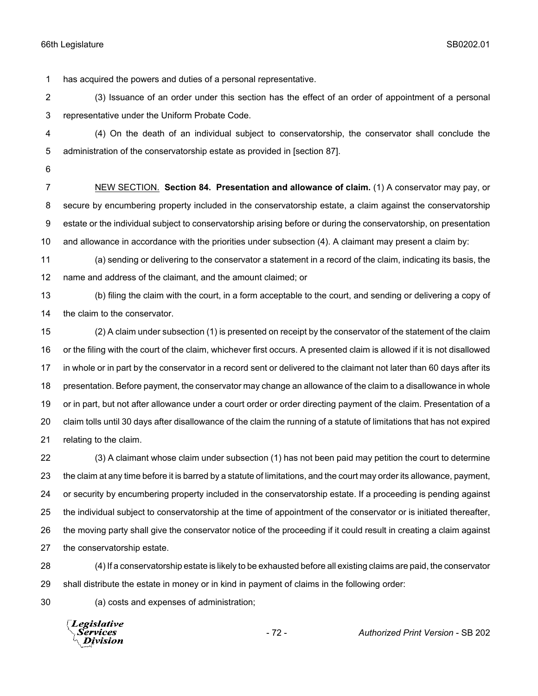has acquired the powers and duties of a personal representative.

 (3) Issuance of an order under this section has the effect of an order of appointment of a personal representative under the Uniform Probate Code.

 (4) On the death of an individual subject to conservatorship, the conservator shall conclude the administration of the conservatorship estate as provided in [section 87].

 NEW SECTION. **Section 84. Presentation and allowance of claim.** (1) A conservator may pay, or secure by encumbering property included in the conservatorship estate, a claim against the conservatorship estate or the individual subject to conservatorship arising before or during the conservatorship, on presentation and allowance in accordance with the priorities under subsection (4). A claimant may present a claim by:

 (a) sending or delivering to the conservator a statement in a record of the claim, indicating its basis, the name and address of the claimant, and the amount claimed; or

 (b) filing the claim with the court, in a form acceptable to the court, and sending or delivering a copy of the claim to the conservator.

 (2) A claim under subsection (1) is presented on receipt by the conservator of the statement of the claim or the filing with the court of the claim, whichever first occurs. A presented claim is allowed if it is not disallowed in whole or in part by the conservator in a record sent or delivered to the claimant not later than 60 days after its presentation. Before payment, the conservator may change an allowance of the claim to a disallowance in whole or in part, but not after allowance under a court order or order directing payment of the claim. Presentation of a claim tolls until 30 days after disallowance of the claim the running of a statute of limitations that has not expired relating to the claim.

 (3) A claimant whose claim under subsection (1) has not been paid may petition the court to determine the claim at any time before it is barred by a statute of limitations, and the court may order its allowance, payment, or security by encumbering property included in the conservatorship estate. If a proceeding is pending against the individual subject to conservatorship at the time of appointment of the conservator or is initiated thereafter, the moving party shall give the conservator notice of the proceeding if it could result in creating a claim against the conservatorship estate.

 (4) If a conservatorship estate is likely to be exhausted before all existing claims are paid, the conservator shall distribute the estate in money or in kind in payment of claims in the following order:

(a) costs and expenses of administration;

Legislative Services **Division**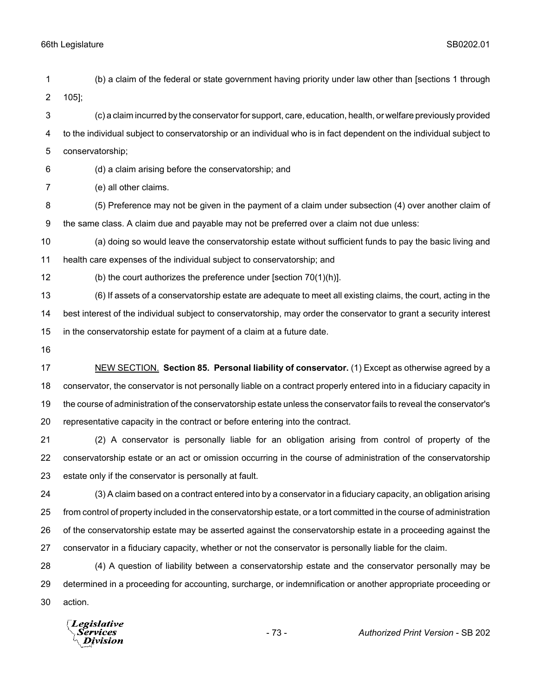(b) a claim of the federal or state government having priority under law other than [sections 1 through 105];

 (c) a claim incurred by the conservator for support, care, education, health, or welfare previously provided to the individual subject to conservatorship or an individual who is in fact dependent on the individual subject to conservatorship;

(d) a claim arising before the conservatorship; and

(e) all other claims.

 (5) Preference may not be given in the payment of a claim under subsection (4) over another claim of the same class. A claim due and payable may not be preferred over a claim not due unless:

 (a) doing so would leave the conservatorship estate without sufficient funds to pay the basic living and health care expenses of the individual subject to conservatorship; and

(b) the court authorizes the preference under [section 70(1)(h)].

 (6) If assets of a conservatorship estate are adequate to meet all existing claims, the court, acting in the best interest of the individual subject to conservatorship, may order the conservator to grant a security interest in the conservatorship estate for payment of a claim at a future date.

 NEW SECTION. **Section 85. Personal liability of conservator.** (1) Except as otherwise agreed by a conservator, the conservator is not personally liable on a contract properly entered into in a fiduciary capacity in the course of administration of the conservatorship estate unless the conservator fails to reveal the conservator's representative capacity in the contract or before entering into the contract.

 (2) A conservator is personally liable for an obligation arising from control of property of the conservatorship estate or an act or omission occurring in the course of administration of the conservatorship estate only if the conservator is personally at fault.

 (3) A claim based on a contract entered into by a conservator in a fiduciary capacity, an obligation arising from control of property included in the conservatorship estate, or a tort committed in the course of administration of the conservatorship estate may be asserted against the conservatorship estate in a proceeding against the conservator in a fiduciary capacity, whether or not the conservator is personally liable for the claim.

 (4) A question of liability between a conservatorship estate and the conservator personally may be determined in a proceeding for accounting, surcharge, or indemnification or another appropriate proceeding or action.

**Legislative** ervices Division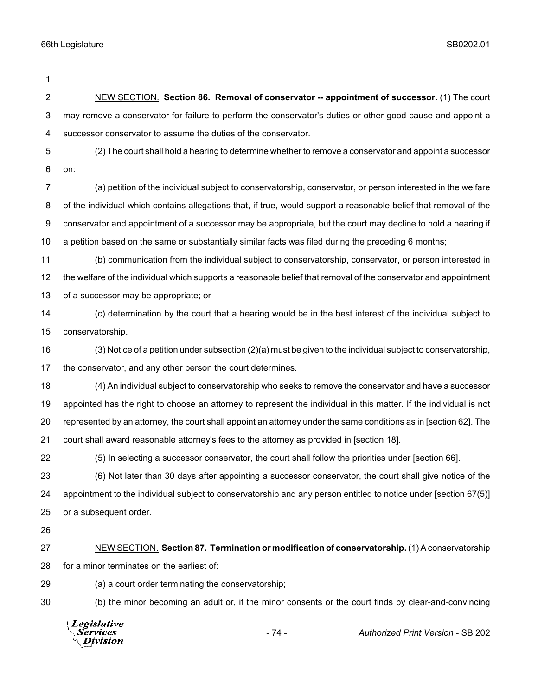| $\overline{c}$ | NEW SECTION. Section 86. Removal of conservator -- appointment of successor. (1) The court                         |  |  |
|----------------|--------------------------------------------------------------------------------------------------------------------|--|--|
| 3              | may remove a conservator for failure to perform the conservator's duties or other good cause and appoint a         |  |  |
| 4              | successor conservator to assume the duties of the conservator.                                                     |  |  |
| 5              | (2) The court shall hold a hearing to determine whether to remove a conservator and appoint a successor            |  |  |
| 6              | on:                                                                                                                |  |  |
| 7              | (a) petition of the individual subject to conservatorship, conservator, or person interested in the welfare        |  |  |
| 8              | of the individual which contains allegations that, if true, would support a reasonable belief that removal of the  |  |  |
| 9              | conservator and appointment of a successor may be appropriate, but the court may decline to hold a hearing if      |  |  |
| 10             | a petition based on the same or substantially similar facts was filed during the preceding 6 months;               |  |  |
| 11             | (b) communication from the individual subject to conservatorship, conservator, or person interested in             |  |  |
| 12             | the welfare of the individual which supports a reasonable belief that removal of the conservator and appointment   |  |  |
| 13             | of a successor may be appropriate; or                                                                              |  |  |
| 14             | (c) determination by the court that a hearing would be in the best interest of the individual subject to           |  |  |
| 15             | conservatorship.                                                                                                   |  |  |
| 16             | (3) Notice of a petition under subsection (2)(a) must be given to the individual subject to conservatorship,       |  |  |
| 17             | the conservator, and any other person the court determines.                                                        |  |  |
| 18             | (4) An individual subject to conservatorship who seeks to remove the conservator and have a successor              |  |  |
| 19             | appointed has the right to choose an attorney to represent the individual in this matter. If the individual is not |  |  |
| 20             | represented by an attorney, the court shall appoint an attorney under the same conditions as in [section 62]. The  |  |  |
| 21             | court shall award reasonable attorney's fees to the attorney as provided in [section 18].                          |  |  |
| 22             | (5) In selecting a successor conservator, the court shall follow the priorities under [section 66].                |  |  |
| 23             | (6) Not later than 30 days after appointing a successor conservator, the court shall give notice of the            |  |  |
| 24             | appointment to the individual subject to conservatorship and any person entitled to notice under [section 67(5)]   |  |  |
| 25             | or a subsequent order.                                                                                             |  |  |
| 26             |                                                                                                                    |  |  |
| 27             | NEW SECTION. Section 87. Termination or modification of conservatorship. (1) A conservatorship                     |  |  |
| 28             | for a minor terminates on the earliest of:                                                                         |  |  |
| 29             | (a) a court order terminating the conservatorship;                                                                 |  |  |
| 30             | (b) the minor becoming an adult or, if the minor consents or the court finds by clear-and-convincing               |  |  |
|                | <b>Legislative</b><br>- 74 -<br><b>Authorized Print Version - SB 202</b><br>Services<br>ivision                    |  |  |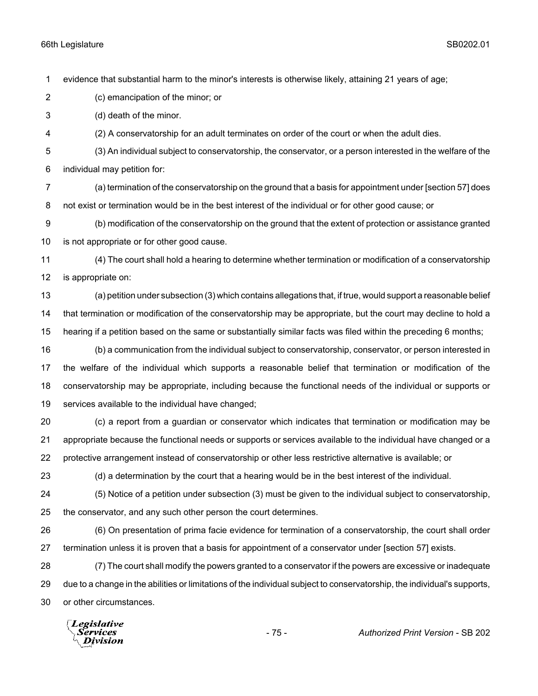evidence that substantial harm to the minor's interests is otherwise likely, attaining 21 years of age;

(c) emancipation of the minor; or

(d) death of the minor.

(2) A conservatorship for an adult terminates on order of the court or when the adult dies.

 (3) An individual subject to conservatorship, the conservator, or a person interested in the welfare of the individual may petition for:

 (a) termination of the conservatorship on the ground that a basis for appointment under [section 57] does not exist or termination would be in the best interest of the individual or for other good cause; or

 (b) modification of the conservatorship on the ground that the extent of protection or assistance granted is not appropriate or for other good cause.

 (4) The court shall hold a hearing to determine whether termination or modification of a conservatorship is appropriate on:

 (a) petition under subsection (3) which contains allegations that, if true, would support a reasonable belief that termination or modification of the conservatorship may be appropriate, but the court may decline to hold a hearing if a petition based on the same or substantially similar facts was filed within the preceding 6 months;

 (b) a communication from the individual subject to conservatorship, conservator, or person interested in the welfare of the individual which supports a reasonable belief that termination or modification of the conservatorship may be appropriate, including because the functional needs of the individual or supports or services available to the individual have changed;

 (c) a report from a guardian or conservator which indicates that termination or modification may be appropriate because the functional needs or supports or services available to the individual have changed or a protective arrangement instead of conservatorship or other less restrictive alternative is available; or

(d) a determination by the court that a hearing would be in the best interest of the individual.

 (5) Notice of a petition under subsection (3) must be given to the individual subject to conservatorship, the conservator, and any such other person the court determines.

 (6) On presentation of prima facie evidence for termination of a conservatorship, the court shall order termination unless it is proven that a basis for appointment of a conservator under [section 57] exists.

 (7) The court shall modify the powers granted to a conservator if the powers are excessive or inadequate due to a change in the abilities or limitations of the individual subject to conservatorship, the individual's supports, or other circumstances.

Legislative *Services* Division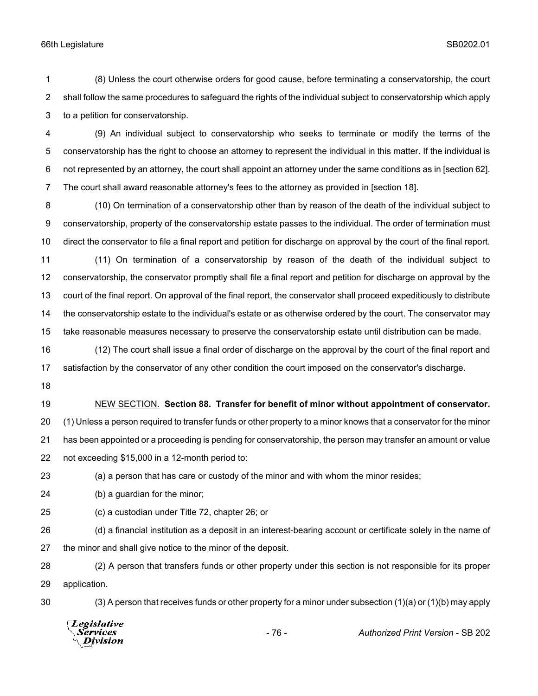(8) Unless the court otherwise orders for good cause, before terminating a conservatorship, the court shall follow the same procedures to safeguard the rights of the individual subject to conservatorship which apply to a petition for conservatorship.

 (9) An individual subject to conservatorship who seeks to terminate or modify the terms of the conservatorship has the right to choose an attorney to represent the individual in this matter. If the individual is not represented by an attorney, the court shall appoint an attorney under the same conditions as in [section 62]. The court shall award reasonable attorney's fees to the attorney as provided in [section 18].

 (10) On termination of a conservatorship other than by reason of the death of the individual subject to conservatorship, property of the conservatorship estate passes to the individual. The order of termination must direct the conservator to file a final report and petition for discharge on approval by the court of the final report.

 (11) On termination of a conservatorship by reason of the death of the individual subject to conservatorship, the conservator promptly shall file a final report and petition for discharge on approval by the court of the final report. On approval of the final report, the conservator shall proceed expeditiously to distribute the conservatorship estate to the individual's estate or as otherwise ordered by the court. The conservator may take reasonable measures necessary to preserve the conservatorship estate until distribution can be made.

 (12) The court shall issue a final order of discharge on the approval by the court of the final report and satisfaction by the conservator of any other condition the court imposed on the conservator's discharge.

NEW SECTION. **Section 88. Transfer for benefit of minor without appointment of conservator.**

 (1) Unless a person required to transfer funds or other property to a minor knows that a conservator for the minor has been appointed or a proceeding is pending for conservatorship, the person may transfer an amount or value not exceeding \$15,000 in a 12-month period to:

(a) a person that has care or custody of the minor and with whom the minor resides;

(b) a guardian for the minor;

(c) a custodian under Title 72, chapter 26; or

 (d) a financial institution as a deposit in an interest-bearing account or certificate solely in the name of the minor and shall give notice to the minor of the deposit.

 (2) A person that transfers funds or other property under this section is not responsible for its proper application.

(3) A person that receives funds or other property for a minor under subsection (1)(a) or (1)(b) may apply

Legislative *Services* **Division**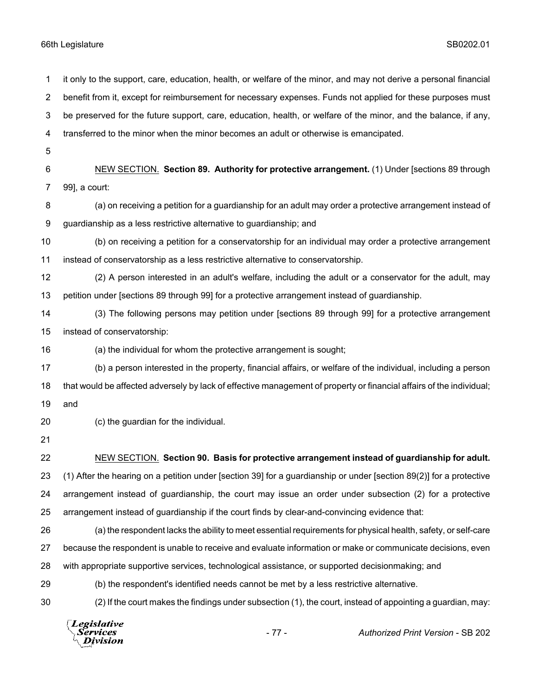it only to the support, care, education, health, or welfare of the minor, and may not derive a personal financial benefit from it, except for reimbursement for necessary expenses. Funds not applied for these purposes must be preserved for the future support, care, education, health, or welfare of the minor, and the balance, if any, transferred to the minor when the minor becomes an adult or otherwise is emancipated. NEW SECTION. **Section 89. Authority for protective arrangement.** (1) Under [sections 89 through 99], a court: (a) on receiving a petition for a guardianship for an adult may order a protective arrangement instead of guardianship as a less restrictive alternative to guardianship; and (b) on receiving a petition for a conservatorship for an individual may order a protective arrangement instead of conservatorship as a less restrictive alternative to conservatorship. (2) A person interested in an adult's welfare, including the adult or a conservator for the adult, may petition under [sections 89 through 99] for a protective arrangement instead of guardianship. (3) The following persons may petition under [sections 89 through 99] for a protective arrangement instead of conservatorship: (a) the individual for whom the protective arrangement is sought; (b) a person interested in the property, financial affairs, or welfare of the individual, including a person that would be affected adversely by lack of effective management of property or financial affairs of the individual; and (c) the guardian for the individual. NEW SECTION. **Section 90. Basis for protective arrangement instead of guardianship for adult.** (1) After the hearing on a petition under [section 39] for a guardianship or under [section 89(2)] for a protective arrangement instead of guardianship, the court may issue an order under subsection (2) for a protective arrangement instead of guardianship if the court finds by clear-and-convincing evidence that: (a) the respondent lacks the ability to meet essential requirements for physical health, safety, or self-care because the respondent is unable to receive and evaluate information or make or communicate decisions, even with appropriate supportive services, technological assistance, or supported decisionmaking; and (b) the respondent's identified needs cannot be met by a less restrictive alternative. (2) If the court makes the findings under subsection (1), the court, instead of appointing a guardian, may:

**Legislative** Services **Division**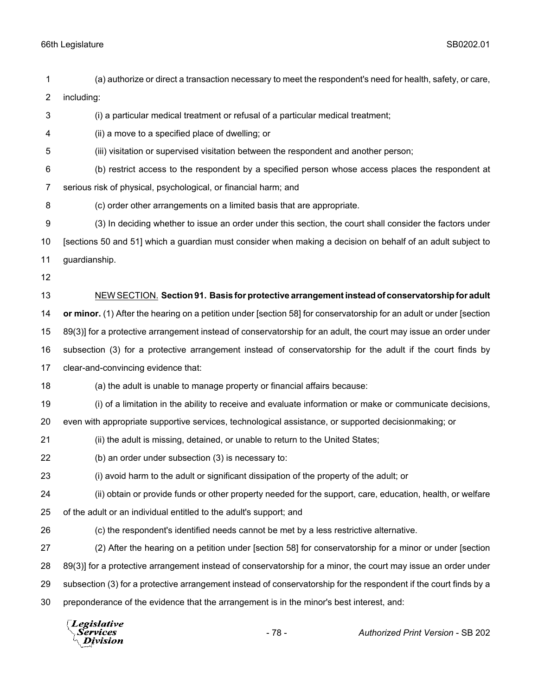|                     | Legislative<br>)ivision                                                                                             | $-78-$ | Authorized Print Version - SB 202                                                                          |
|---------------------|---------------------------------------------------------------------------------------------------------------------|--------|------------------------------------------------------------------------------------------------------------|
| 30                  | preponderance of the evidence that the arrangement is in the minor's best interest, and:                            |        |                                                                                                            |
| 29                  | subsection (3) for a protective arrangement instead of conservatorship for the respondent if the court finds by a   |        |                                                                                                            |
| 28                  | 89(3)] for a protective arrangement instead of conservatorship for a minor, the court may issue an order under      |        |                                                                                                            |
| 27                  |                                                                                                                     |        | (2) After the hearing on a petition under [section 58] for conservatorship for a minor or under [section   |
| 26                  | (c) the respondent's identified needs cannot be met by a less restrictive alternative.                              |        |                                                                                                            |
| 25                  | of the adult or an individual entitled to the adult's support; and                                                  |        |                                                                                                            |
| 24                  |                                                                                                                     |        | (ii) obtain or provide funds or other property needed for the support, care, education, health, or welfare |
| 23                  | (i) avoid harm to the adult or significant dissipation of the property of the adult; or                             |        |                                                                                                            |
| 22                  | (b) an order under subsection (3) is necessary to:                                                                  |        |                                                                                                            |
| 21                  | (ii) the adult is missing, detained, or unable to return to the United States;                                      |        |                                                                                                            |
| 20                  | even with appropriate supportive services, technological assistance, or supported decisionmaking; or                |        |                                                                                                            |
| 19                  |                                                                                                                     |        | (i) of a limitation in the ability to receive and evaluate information or make or communicate decisions,   |
| 18                  | (a) the adult is unable to manage property or financial affairs because:                                            |        |                                                                                                            |
| 17                  | clear-and-convincing evidence that:                                                                                 |        |                                                                                                            |
| 16                  | subsection (3) for a protective arrangement instead of conservatorship for the adult if the court finds by          |        |                                                                                                            |
| 15                  | 89(3)] for a protective arrangement instead of conservatorship for an adult, the court may issue an order under     |        |                                                                                                            |
| 14                  | or minor. (1) After the hearing on a petition under [section 58] for conservatorship for an adult or under [section |        |                                                                                                            |
| 13                  |                                                                                                                     |        | NEW SECTION. Section 91. Basis for protective arrangement instead of conservatorship for adult             |
| 12                  |                                                                                                                     |        |                                                                                                            |
| 11                  | guardianship.                                                                                                       |        |                                                                                                            |
| 10                  | [sections 50 and 51] which a guardian must consider when making a decision on behalf of an adult subject to         |        |                                                                                                            |
| 9                   |                                                                                                                     |        | (3) In deciding whether to issue an order under this section, the court shall consider the factors under   |
| 8                   | (c) order other arrangements on a limited basis that are appropriate.                                               |        |                                                                                                            |
| 7                   | serious risk of physical, psychological, or financial harm; and                                                     |        |                                                                                                            |
| 6                   |                                                                                                                     |        | (b) restrict access to the respondent by a specified person whose access places the respondent at          |
| 5                   | (iii) visitation or supervised visitation between the respondent and another person;                                |        |                                                                                                            |
| 4                   | (ii) a move to a specified place of dwelling; or                                                                    |        |                                                                                                            |
| 3                   | (i) a particular medical treatment or refusal of a particular medical treatment;                                    |        |                                                                                                            |
| 1<br>$\overline{2}$ | including:                                                                                                          |        |                                                                                                            |
|                     |                                                                                                                     |        | (a) authorize or direct a transaction necessary to meet the respondent's need for health, safety, or care, |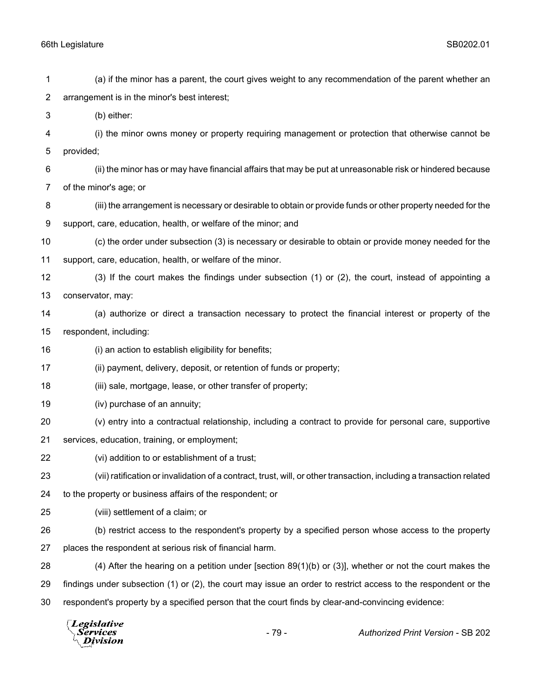(a) if the minor has a parent, the court gives weight to any recommendation of the parent whether an arrangement is in the minor's best interest; (b) either: (i) the minor owns money or property requiring management or protection that otherwise cannot be provided; (ii) the minor has or may have financial affairs that may be put at unreasonable risk or hindered because of the minor's age; or (iii) the arrangement is necessary or desirable to obtain or provide funds or other property needed for the support, care, education, health, or welfare of the minor; and (c) the order under subsection (3) is necessary or desirable to obtain or provide money needed for the support, care, education, health, or welfare of the minor. (3) If the court makes the findings under subsection (1) or (2), the court, instead of appointing a conservator, may: (a) authorize or direct a transaction necessary to protect the financial interest or property of the respondent, including: (i) an action to establish eligibility for benefits; (ii) payment, delivery, deposit, or retention of funds or property; (iii) sale, mortgage, lease, or other transfer of property; (iv) purchase of an annuity; (v) entry into a contractual relationship, including a contract to provide for personal care, supportive services, education, training, or employment; (vi) addition to or establishment of a trust; (vii) ratification or invalidation of a contract, trust, will, or other transaction, including a transaction related to the property or business affairs of the respondent; or (viii) settlement of a claim; or (b) restrict access to the respondent's property by a specified person whose access to the property places the respondent at serious risk of financial harm. (4) After the hearing on a petition under [section 89(1)(b) or (3)], whether or not the court makes the findings under subsection (1) or (2), the court may issue an order to restrict access to the respondent or the respondent's property by a specified person that the court finds by clear-and-convincing evidence: **Legislative** *Services* - 79 - *Authorized Print Version* - SB 202**Division**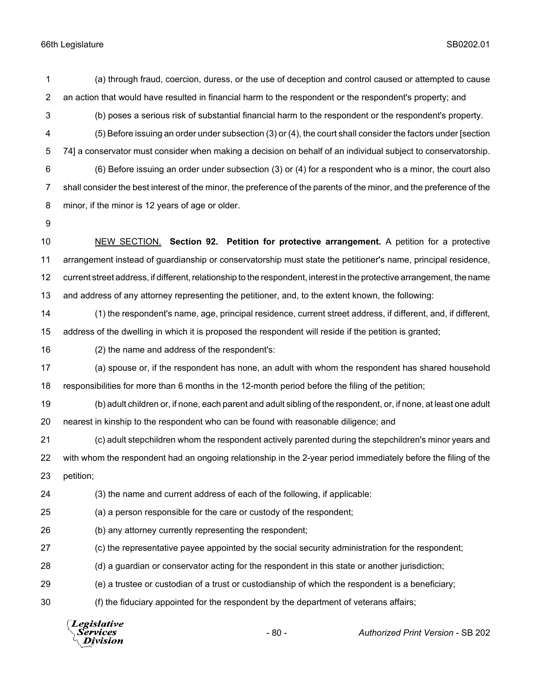(a) through fraud, coercion, duress, or the use of deception and control caused or attempted to cause an action that would have resulted in financial harm to the respondent or the respondent's property; and (b) poses a serious risk of substantial financial harm to the respondent or the respondent's property. (5) Before issuing an order under subsection (3) or (4), the court shall consider the factors under [section 74] a conservator must consider when making a decision on behalf of an individual subject to conservatorship. (6) Before issuing an order under subsection (3) or (4) for a respondent who is a minor, the court also shall consider the best interest of the minor, the preference of the parents of the minor, and the preference of the minor, if the minor is 12 years of age or older. NEW SECTION. **Section 92. Petition for protective arrangement.** A petition for a protective arrangement instead of guardianship or conservatorship must state the petitioner's name, principal residence, current street address, if different, relationship to the respondent, interest in the protective arrangement, the name and address of any attorney representing the petitioner, and, to the extent known, the following: (1) the respondent's name, age, principal residence, current street address, if different, and, if different, address of the dwelling in which it is proposed the respondent will reside if the petition is granted; (2) the name and address of the respondent's: (a) spouse or, if the respondent has none, an adult with whom the respondent has shared household responsibilities for more than 6 months in the 12-month period before the filing of the petition; (b) adult children or, if none, each parent and adult sibling of the respondent, or, if none, at least one adult nearest in kinship to the respondent who can be found with reasonable diligence; and (c) adult stepchildren whom the respondent actively parented during the stepchildren's minor years and with whom the respondent had an ongoing relationship in the 2-year period immediately before the filing of the petition; (3) the name and current address of each of the following, if applicable: (a) a person responsible for the care or custody of the respondent; (b) any attorney currently representing the respondent; (c) the representative payee appointed by the social security administration for the respondent; (d) a guardian or conservator acting for the respondent in this state or another jurisdiction; (e) a trustee or custodian of a trust or custodianship of which the respondent is a beneficiary; (f) the fiduciary appointed for the respondent by the department of veterans affairs; **Legislative** Services - 80 - *Authorized Print Version* - SB 202Division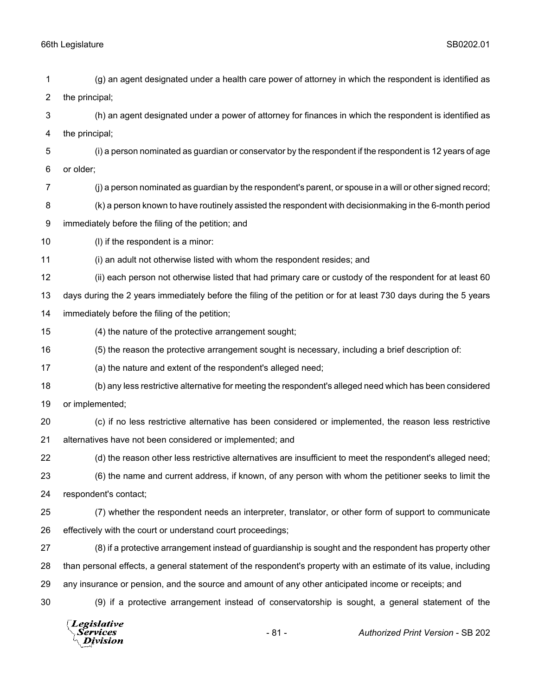| 1              | (g) an agent designated under a health care power of attorney in which the respondent is identified as            |
|----------------|-------------------------------------------------------------------------------------------------------------------|
| $\overline{2}$ | the principal;                                                                                                    |
| 3              | (h) an agent designated under a power of attorney for finances in which the respondent is identified as           |
| 4              | the principal;                                                                                                    |
| 5              | (i) a person nominated as guardian or conservator by the respondent if the respondent is 12 years of age          |
| 6              | or older;                                                                                                         |
| 7              | (j) a person nominated as guardian by the respondent's parent, or spouse in a will or other signed record;        |
| 8              | (k) a person known to have routinely assisted the respondent with decisionmaking in the 6-month period            |
| 9              | immediately before the filing of the petition; and                                                                |
| 10             | (I) if the respondent is a minor:                                                                                 |
| 11             | (i) an adult not otherwise listed with whom the respondent resides; and                                           |
| 12             | (ii) each person not otherwise listed that had primary care or custody of the respondent for at least 60          |
| 13             | days during the 2 years immediately before the filing of the petition or for at least 730 days during the 5 years |
| 14             | immediately before the filing of the petition;                                                                    |
| 15             | (4) the nature of the protective arrangement sought;                                                              |
| 16             | (5) the reason the protective arrangement sought is necessary, including a brief description of:                  |
| 17             | (a) the nature and extent of the respondent's alleged need;                                                       |
| 18             | (b) any less restrictive alternative for meeting the respondent's alleged need which has been considered          |
| 19             | or implemented;                                                                                                   |
| 20             | (c) if no less restrictive alternative has been considered or implemented, the reason less restrictive            |
| 21             | alternatives have not been considered or implemented; and                                                         |
| 22             | (d) the reason other less restrictive alternatives are insufficient to meet the respondent's alleged need;        |
| 23             | (6) the name and current address, if known, of any person with whom the petitioner seeks to limit the             |
| 24             | respondent's contact;                                                                                             |
| 25             | (7) whether the respondent needs an interpreter, translator, or other form of support to communicate              |
| 26             | effectively with the court or understand court proceedings;                                                       |
| 27             | (8) if a protective arrangement instead of guardianship is sought and the respondent has property other           |
| 28             | than personal effects, a general statement of the respondent's property with an estimate of its value, including  |
| 29             | any insurance or pension, and the source and amount of any other anticipated income or receipts; and              |
| 30             | (9) if a protective arrangement instead of conservatorship is sought, a general statement of the                  |
|                |                                                                                                                   |

*Legislative*<br>*Services*<br>*Division*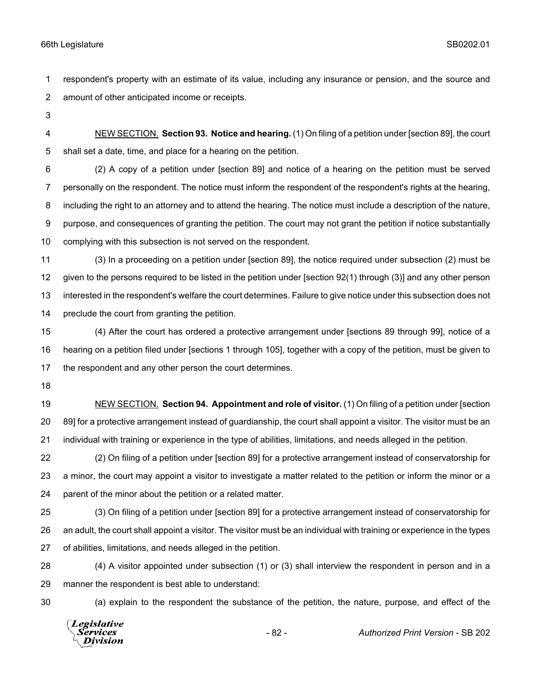respondent's property with an estimate of its value, including any insurance or pension, and the source and amount of other anticipated income or receipts.

 NEW SECTION. **Section 93. Notice and hearing.** (1) On filing of a petition under [section 89], the court shall set a date, time, and place for a hearing on the petition.

 (2) A copy of a petition under [section 89] and notice of a hearing on the petition must be served personally on the respondent. The notice must inform the respondent of the respondent's rights at the hearing, including the right to an attorney and to attend the hearing. The notice must include a description of the nature, purpose, and consequences of granting the petition. The court may not grant the petition if notice substantially complying with this subsection is not served on the respondent.

 (3) In a proceeding on a petition under [section 89], the notice required under subsection (2) must be given to the persons required to be listed in the petition under [section 92(1) through (3)] and any other person interested in the respondent's welfare the court determines. Failure to give notice under this subsection does not preclude the court from granting the petition.

 (4) After the court has ordered a protective arrangement under [sections 89 through 99], notice of a hearing on a petition filed under [sections 1 through 105], together with a copy of the petition, must be given to the respondent and any other person the court determines.

 NEW SECTION. **Section 94. Appointment and role of visitor.** (1) On filing of a petition under [section 89] for a protective arrangement instead of guardianship, the court shall appoint a visitor. The visitor must be an individual with training or experience in the type of abilities, limitations, and needs alleged in the petition.

 (2) On filing of a petition under [section 89] for a protective arrangement instead of conservatorship for a minor, the court may appoint a visitor to investigate a matter related to the petition or inform the minor or a parent of the minor about the petition or a related matter.

 (3) On filing of a petition under [section 89] for a protective arrangement instead of conservatorship for an adult, the court shall appoint a visitor. The visitor must be an individual with training or experience in the types of abilities, limitations, and needs alleged in the petition.

 (4) A visitor appointed under subsection (1) or (3) shall interview the respondent in person and in a manner the respondent is best able to understand:

(a) explain to the respondent the substance of the petition, the nature, purpose, and effect of the

Legislative *Services* **Division** 

- 82 - *Authorized Print Version* - SB 202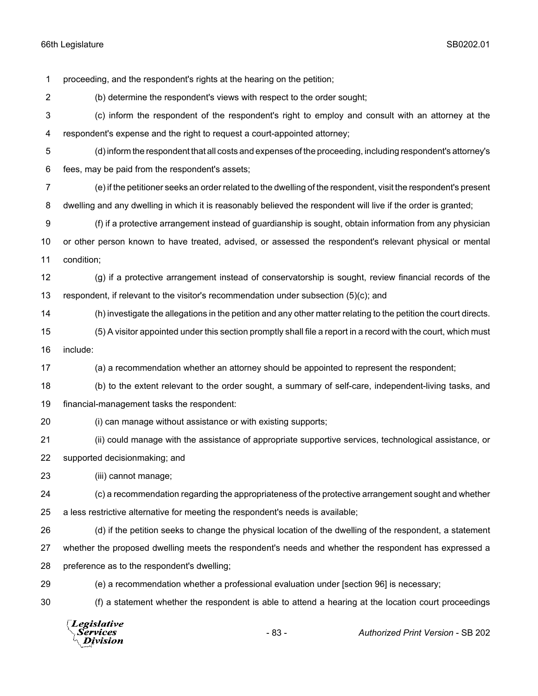proceeding, and the respondent's rights at the hearing on the petition;

(b) determine the respondent's views with respect to the order sought;

 (c) inform the respondent of the respondent's right to employ and consult with an attorney at the respondent's expense and the right to request a court-appointed attorney;

 (d) inform the respondent that all costs and expenses of the proceeding, including respondent's attorney's fees, may be paid from the respondent's assets;

 (e) if the petitioner seeks an order related to the dwelling of the respondent, visit the respondent's present dwelling and any dwelling in which it is reasonably believed the respondent will live if the order is granted;

 (f) if a protective arrangement instead of guardianship is sought, obtain information from any physician or other person known to have treated, advised, or assessed the respondent's relevant physical or mental condition;

 (g) if a protective arrangement instead of conservatorship is sought, review financial records of the respondent, if relevant to the visitor's recommendation under subsection (5)(c); and

(h) investigate the allegations in the petition and any other matter relating to the petition the court directs.

 (5) A visitor appointed under this section promptly shall file a report in a record with the court, which must include:

(a) a recommendation whether an attorney should be appointed to represent the respondent;

 (b) to the extent relevant to the order sought, a summary of self-care, independent-living tasks, and financial-management tasks the respondent:

(i) can manage without assistance or with existing supports;

 (ii) could manage with the assistance of appropriate supportive services, technological assistance, or supported decisionmaking; and

(iii) cannot manage;

 (c) a recommendation regarding the appropriateness of the protective arrangement sought and whether a less restrictive alternative for meeting the respondent's needs is available;

 (d) if the petition seeks to change the physical location of the dwelling of the respondent, a statement whether the proposed dwelling meets the respondent's needs and whether the respondent has expressed a preference as to the respondent's dwelling;

(e) a recommendation whether a professional evaluation under [section 96] is necessary;

(f) a statement whether the respondent is able to attend a hearing at the location court proceedings

**Legislative** *Services* **Division**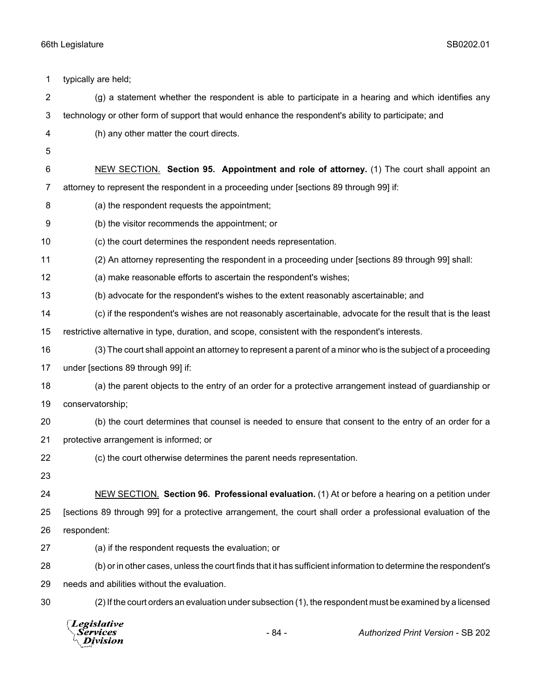| 1              | typically are held;                                                                                            |  |  |
|----------------|----------------------------------------------------------------------------------------------------------------|--|--|
| $\overline{c}$ | (g) a statement whether the respondent is able to participate in a hearing and which identifies any            |  |  |
| 3              | technology or other form of support that would enhance the respondent's ability to participate; and            |  |  |
| 4              | (h) any other matter the court directs.                                                                        |  |  |
| 5              |                                                                                                                |  |  |
| 6              | NEW SECTION. Section 95. Appointment and role of attorney. (1) The court shall appoint an                      |  |  |
| 7              | attorney to represent the respondent in a proceeding under [sections 89 through 99] if:                        |  |  |
| 8              | (a) the respondent requests the appointment;                                                                   |  |  |
| 9              | (b) the visitor recommends the appointment; or                                                                 |  |  |
| 10             | (c) the court determines the respondent needs representation.                                                  |  |  |
| 11             | (2) An attorney representing the respondent in a proceeding under [sections 89 through 99] shall:              |  |  |
| 12             | (a) make reasonable efforts to ascertain the respondent's wishes;                                              |  |  |
| 13             | (b) advocate for the respondent's wishes to the extent reasonably ascertainable; and                           |  |  |
| 14             | (c) if the respondent's wishes are not reasonably ascertainable, advocate for the result that is the least     |  |  |
| 15             | restrictive alternative in type, duration, and scope, consistent with the respondent's interests.              |  |  |
| 16             | (3) The court shall appoint an attorney to represent a parent of a minor who is the subject of a proceeding    |  |  |
| 17             | under [sections 89 through 99] if:                                                                             |  |  |
| 18             | (a) the parent objects to the entry of an order for a protective arrangement instead of guardianship or        |  |  |
| 19             | conservatorship;                                                                                               |  |  |
| 20             | (b) the court determines that counsel is needed to ensure that consent to the entry of an order for a          |  |  |
| 21             | protective arrangement is informed; or                                                                         |  |  |
| 22             | (c) the court otherwise determines the parent needs representation.                                            |  |  |
| 23             |                                                                                                                |  |  |
| 24             | NEW SECTION. Section 96. Professional evaluation. (1) At or before a hearing on a petition under               |  |  |
| 25             | [sections 89 through 99] for a protective arrangement, the court shall order a professional evaluation of the  |  |  |
| 26             | respondent:                                                                                                    |  |  |
| 27             | (a) if the respondent requests the evaluation; or                                                              |  |  |
| 28             | (b) or in other cases, unless the court finds that it has sufficient information to determine the respondent's |  |  |
| 29             | needs and abilities without the evaluation.                                                                    |  |  |
| 30             | (2) If the court orders an evaluation under subsection (1), the respondent must be examined by a licensed      |  |  |
|                | <b>Legislative</b><br>Authorized Print Version - SB 202<br>- 84 -<br>Services<br>ivision                       |  |  |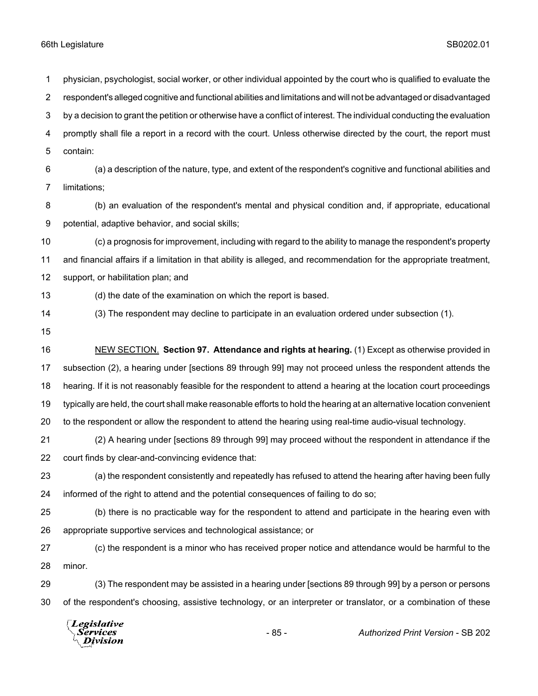physician, psychologist, social worker, or other individual appointed by the court who is qualified to evaluate the respondent's alleged cognitive and functional abilities and limitations and will not be advantaged or disadvantaged by a decision to grant the petition or otherwise have a conflict of interest. The individual conducting the evaluation promptly shall file a report in a record with the court. Unless otherwise directed by the court, the report must contain:

 (a) a description of the nature, type, and extent of the respondent's cognitive and functional abilities and limitations;

 (b) an evaluation of the respondent's mental and physical condition and, if appropriate, educational potential, adaptive behavior, and social skills;

 (c) a prognosis for improvement, including with regard to the ability to manage the respondent's property and financial affairs if a limitation in that ability is alleged, and recommendation for the appropriate treatment, support, or habilitation plan; and

(d) the date of the examination on which the report is based.

- (3) The respondent may decline to participate in an evaluation ordered under subsection (1).
- 

 NEW SECTION. **Section 97. Attendance and rights at hearing.** (1) Except as otherwise provided in subsection (2), a hearing under [sections 89 through 99] may not proceed unless the respondent attends the hearing. If it is not reasonably feasible for the respondent to attend a hearing at the location court proceedings typically are held, the court shall make reasonable efforts to hold the hearing at an alternative location convenient to the respondent or allow the respondent to attend the hearing using real-time audio-visual technology.

 (2) A hearing under [sections 89 through 99] may proceed without the respondent in attendance if the court finds by clear-and-convincing evidence that:

 (a) the respondent consistently and repeatedly has refused to attend the hearing after having been fully informed of the right to attend and the potential consequences of failing to do so;

 (b) there is no practicable way for the respondent to attend and participate in the hearing even with appropriate supportive services and technological assistance; or

 (c) the respondent is a minor who has received proper notice and attendance would be harmful to the minor.

 (3) The respondent may be assisted in a hearing under [sections 89 through 99] by a person or persons of the respondent's choosing, assistive technology, or an interpreter or translator, or a combination of these

**Legislative** *Services* **Division**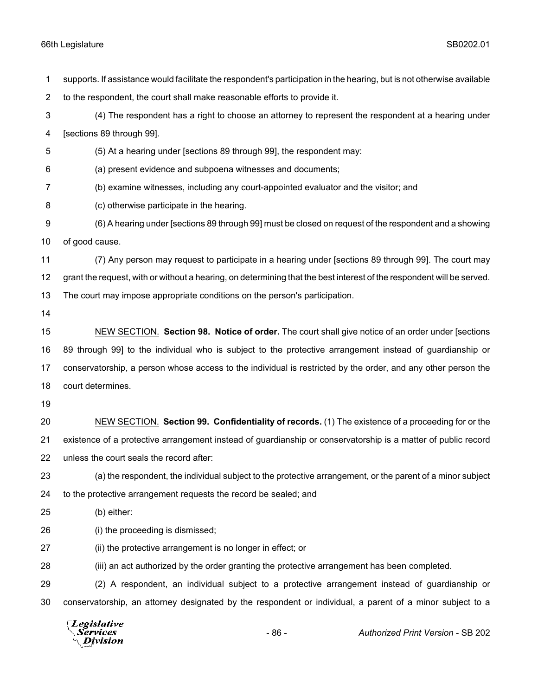supports. If assistance would facilitate the respondent's participation in the hearing, but is not otherwise available to the respondent, the court shall make reasonable efforts to provide it. (4) The respondent has a right to choose an attorney to represent the respondent at a hearing under [sections 89 through 99]. (5) At a hearing under [sections 89 through 99], the respondent may: (a) present evidence and subpoena witnesses and documents; (b) examine witnesses, including any court-appointed evaluator and the visitor; and (c) otherwise participate in the hearing. (6) A hearing under [sections 89 through 99] must be closed on request of the respondent and a showing of good cause. (7) Any person may request to participate in a hearing under [sections 89 through 99]. The court may grant the request, with or without a hearing, on determining that the best interest of the respondent will be served. The court may impose appropriate conditions on the person's participation. NEW SECTION. **Section 98. Notice of order.** The court shall give notice of an order under [sections 89 through 99] to the individual who is subject to the protective arrangement instead of guardianship or conservatorship, a person whose access to the individual is restricted by the order, and any other person the court determines. NEW SECTION. **Section 99. Confidentiality of records.** (1) The existence of a proceeding for or the existence of a protective arrangement instead of guardianship or conservatorship is a matter of public record unless the court seals the record after: (a) the respondent, the individual subject to the protective arrangement, or the parent of a minor subject 24 to the protective arrangement requests the record be sealed; and (b) either: (i) the proceeding is dismissed; (ii) the protective arrangement is no longer in effect; or (iii) an act authorized by the order granting the protective arrangement has been completed. (2) A respondent, an individual subject to a protective arrangement instead of guardianship or conservatorship, an attorney designated by the respondent or individual, a parent of a minor subject to a

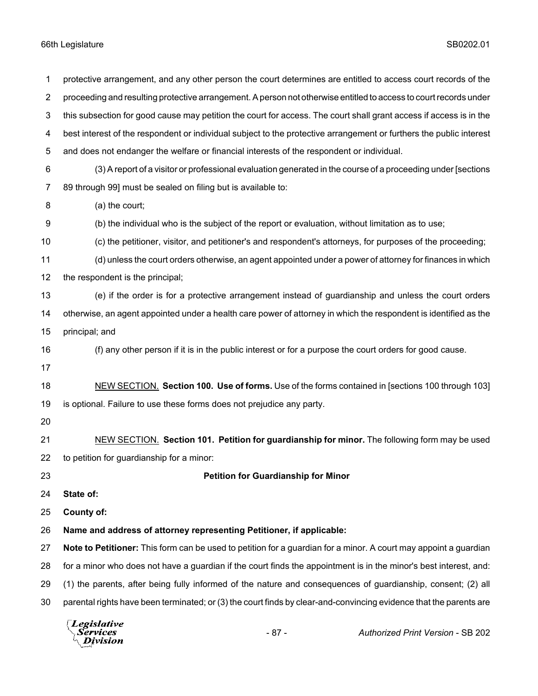protective arrangement, and any other person the court determines are entitled to access court records of the proceeding and resulting protective arrangement. A person not otherwise entitled to access to court records under this subsection for good cause may petition the court for access. The court shall grant access if access is in the best interest of the respondent or individual subject to the protective arrangement or furthers the public interest and does not endanger the welfare or financial interests of the respondent or individual. (3) A report of a visitor or professional evaluation generated in the course of a proceeding under [sections 89 through 99] must be sealed on filing but is available to: (a) the court; (b) the individual who is the subject of the report or evaluation, without limitation as to use; (c) the petitioner, visitor, and petitioner's and respondent's attorneys, for purposes of the proceeding; (d) unless the court orders otherwise, an agent appointed under a power of attorney for finances in which the respondent is the principal; (e) if the order is for a protective arrangement instead of guardianship and unless the court orders otherwise, an agent appointed under a health care power of attorney in which the respondent is identified as the principal; and (f) any other person if it is in the public interest or for a purpose the court orders for good cause. NEW SECTION. **Section 100. Use of forms.** Use of the forms contained in [sections 100 through 103] is optional. Failure to use these forms does not prejudice any party. NEW SECTION. **Section 101. Petition for guardianship for minor.** The following form may be used to petition for guardianship for a minor: **Petition for Guardianship for Minor State of: County of: Name and address of attorney representing Petitioner, if applicable: Note to Petitioner:** This form can be used to petition for a guardian for a minor. A court may appoint a guardian for a minor who does not have a guardian if the court finds the appointment is in the minor's best interest, and: (1) the parents, after being fully informed of the nature and consequences of guardianship, consent; (2) all parental rights have been terminated; or (3) the court finds by clear-and-convincing evidence that the parents are

Legislative Services **Division**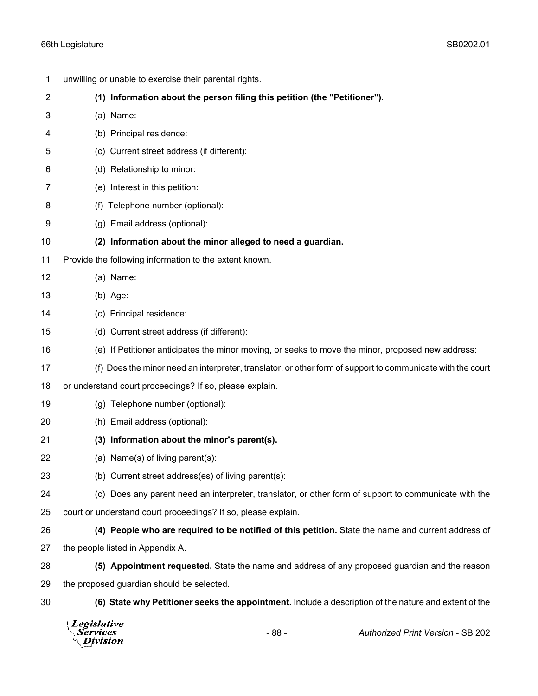|        | Legislative<br>Services<br>Division                                                                                                 | $-88-$ | Authorized Print Version - SB 202                                                                          |
|--------|-------------------------------------------------------------------------------------------------------------------------------------|--------|------------------------------------------------------------------------------------------------------------|
| 30     |                                                                                                                                     |        | (6) State why Petitioner seeks the appointment. Include a description of the nature and extent of the      |
| 29     | the proposed guardian should be selected.                                                                                           |        |                                                                                                            |
| 28     |                                                                                                                                     |        | (5) Appointment requested. State the name and address of any proposed guardian and the reason              |
| 27     | the people listed in Appendix A.                                                                                                    |        |                                                                                                            |
| 26     | (4) People who are required to be notified of this petition. State the name and current address of                                  |        |                                                                                                            |
| 25     | court or understand court proceedings? If so, please explain.                                                                       |        |                                                                                                            |
| 24     | (c) Does any parent need an interpreter, translator, or other form of support to communicate with the                               |        |                                                                                                            |
| 23     | (b) Current street address(es) of living parent(s):                                                                                 |        |                                                                                                            |
| 22     | (a) Name(s) of living parent(s):                                                                                                    |        |                                                                                                            |
| 21     | (3) Information about the minor's parent(s).                                                                                        |        |                                                                                                            |
| 20     | (h) Email address (optional):                                                                                                       |        |                                                                                                            |
| 19     | (g) Telephone number (optional):                                                                                                    |        |                                                                                                            |
| 18     | or understand court proceedings? If so, please explain.                                                                             |        |                                                                                                            |
| 17     |                                                                                                                                     |        | (f) Does the minor need an interpreter, translator, or other form of support to communicate with the court |
| 16     |                                                                                                                                     |        | (e) If Petitioner anticipates the minor moving, or seeks to move the minor, proposed new address:          |
| 15     | (d) Current street address (if different):                                                                                          |        |                                                                                                            |
| 14     | (c) Principal residence:                                                                                                            |        |                                                                                                            |
| 13     | $(b)$ Age:                                                                                                                          |        |                                                                                                            |
| 12     | (a) Name:                                                                                                                           |        |                                                                                                            |
| 11     | Provide the following information to the extent known.                                                                              |        |                                                                                                            |
| 10     | (2) Information about the minor alleged to need a guardian.                                                                         |        |                                                                                                            |
| 9      | (g) Email address (optional):                                                                                                       |        |                                                                                                            |
| 8      | (f) Telephone number (optional):                                                                                                    |        |                                                                                                            |
| 7      | (e) Interest in this petition:                                                                                                      |        |                                                                                                            |
| 6      | (d) Relationship to minor:                                                                                                          |        |                                                                                                            |
| 5      | (c) Current street address (if different):                                                                                          |        |                                                                                                            |
| 4      | (b) Principal residence:                                                                                                            |        |                                                                                                            |
| 3      | (a) Name:                                                                                                                           |        |                                                                                                            |
| 1<br>2 | unwilling or unable to exercise their parental rights.<br>(1) Information about the person filing this petition (the "Petitioner"). |        |                                                                                                            |
|        |                                                                                                                                     |        |                                                                                                            |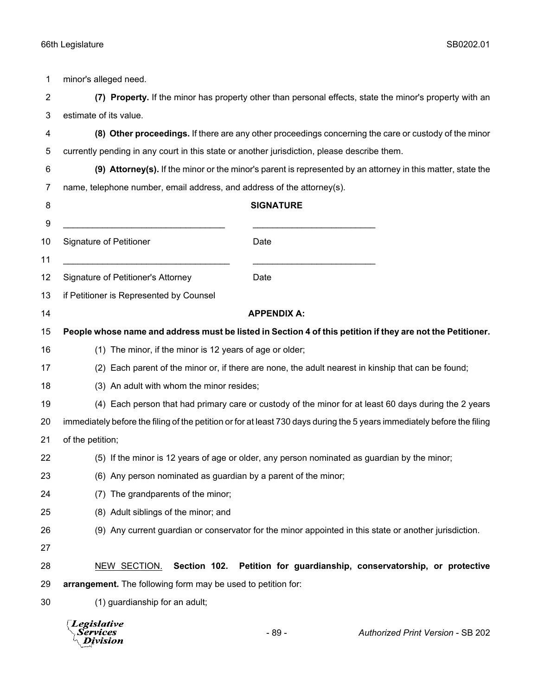| 1              | minor's alleged need.                                                                        |                                                                                                                         |  |  |
|----------------|----------------------------------------------------------------------------------------------|-------------------------------------------------------------------------------------------------------------------------|--|--|
| $\overline{2}$ |                                                                                              | (7) Property. If the minor has property other than personal effects, state the minor's property with an                 |  |  |
| $\mathbf{3}$   | estimate of its value.                                                                       |                                                                                                                         |  |  |
| 4              |                                                                                              | (8) Other proceedings. If there are any other proceedings concerning the care or custody of the minor                   |  |  |
| 5              | currently pending in any court in this state or another jurisdiction, please describe them.  |                                                                                                                         |  |  |
| 6              |                                                                                              | (9) Attorney(s). If the minor or the minor's parent is represented by an attorney in this matter, state the             |  |  |
| $\overline{7}$ | name, telephone number, email address, and address of the attorney(s).                       |                                                                                                                         |  |  |
| 8              |                                                                                              | <b>SIGNATURE</b>                                                                                                        |  |  |
| 9              |                                                                                              |                                                                                                                         |  |  |
| 10             | <b>Signature of Petitioner</b><br>Date                                                       |                                                                                                                         |  |  |
| 11             |                                                                                              |                                                                                                                         |  |  |
| 12             | Signature of Petitioner's Attorney<br>Date                                                   |                                                                                                                         |  |  |
| 13             | if Petitioner is Represented by Counsel                                                      |                                                                                                                         |  |  |
| 14             |                                                                                              | <b>APPENDIX A:</b>                                                                                                      |  |  |
| 15             |                                                                                              | People whose name and address must be listed in Section 4 of this petition if they are not the Petitioner.              |  |  |
| 16             | (1) The minor, if the minor is 12 years of age or older;                                     |                                                                                                                         |  |  |
| 17             |                                                                                              | (2) Each parent of the minor or, if there are none, the adult nearest in kinship that can be found;                     |  |  |
| 18             | (3) An adult with whom the minor resides;                                                    |                                                                                                                         |  |  |
| 19             |                                                                                              | (4) Each person that had primary care or custody of the minor for at least 60 days during the 2 years                   |  |  |
| 20             |                                                                                              | immediately before the filing of the petition or for at least 730 days during the 5 years immediately before the filing |  |  |
| 21             | of the petition;                                                                             |                                                                                                                         |  |  |
| 22             | (5) If the minor is 12 years of age or older, any person nominated as guardian by the minor; |                                                                                                                         |  |  |
| 23             | (6) Any person nominated as guardian by a parent of the minor;                               |                                                                                                                         |  |  |
| 24             | (7) The grandparents of the minor;                                                           |                                                                                                                         |  |  |
| 25             | (8) Adult siblings of the minor; and                                                         |                                                                                                                         |  |  |
| 26             |                                                                                              | (9) Any current guardian or conservator for the minor appointed in this state or another jurisdiction.                  |  |  |
| 27             |                                                                                              |                                                                                                                         |  |  |
| 28             | Section 102.<br>NEW SECTION.                                                                 | Petition for guardianship, conservatorship, or protective                                                               |  |  |
| 29             | arrangement. The following form may be used to petition for:                                 |                                                                                                                         |  |  |
| 30             | (1) guardianship for an adult;                                                               |                                                                                                                         |  |  |
|                | Legislative<br>Services<br>Division                                                          | $-89-$<br><b>Authorized Print Version - SB 202</b>                                                                      |  |  |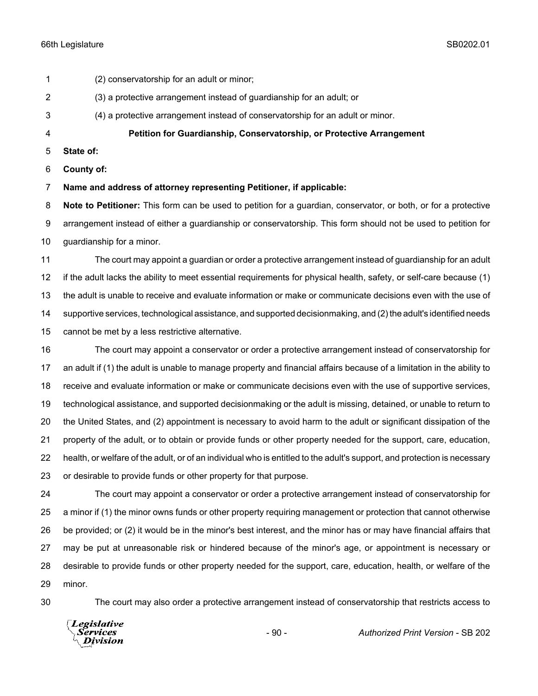- (2) conservatorship for an adult or minor;
- (3) a protective arrangement instead of guardianship for an adult; or
- (4) a protective arrangement instead of conservatorship for an adult or minor.
- **Petition for Guardianship, Conservatorship, or Protective Arrangement**
- **State of:**
- **County of:**
- **Name and address of attorney representing Petitioner, if applicable:**

 **Note to Petitioner:** This form can be used to petition for a guardian, conservator, or both, or for a protective arrangement instead of either a guardianship or conservatorship. This form should not be used to petition for guardianship for a minor.

 The court may appoint a guardian or order a protective arrangement instead of guardianship for an adult if the adult lacks the ability to meet essential requirements for physical health, safety, or self-care because (1) the adult is unable to receive and evaluate information or make or communicate decisions even with the use of supportive services, technological assistance, and supported decisionmaking, and (2) the adult's identified needs cannot be met by a less restrictive alternative.

 The court may appoint a conservator or order a protective arrangement instead of conservatorship for an adult if (1) the adult is unable to manage property and financial affairs because of a limitation in the ability to receive and evaluate information or make or communicate decisions even with the use of supportive services, technological assistance, and supported decisionmaking or the adult is missing, detained, or unable to return to the United States, and (2) appointment is necessary to avoid harm to the adult or significant dissipation of the property of the adult, or to obtain or provide funds or other property needed for the support, care, education, health, or welfare of the adult, or of an individual who is entitled to the adult's support, and protection is necessary or desirable to provide funds or other property for that purpose.

 The court may appoint a conservator or order a protective arrangement instead of conservatorship for a minor if (1) the minor owns funds or other property requiring management or protection that cannot otherwise be provided; or (2) it would be in the minor's best interest, and the minor has or may have financial affairs that may be put at unreasonable risk or hindered because of the minor's age, or appointment is necessary or desirable to provide funds or other property needed for the support, care, education, health, or welfare of the minor.

The court may also order a protective arrangement instead of conservatorship that restricts access to

Legislative Services **Division**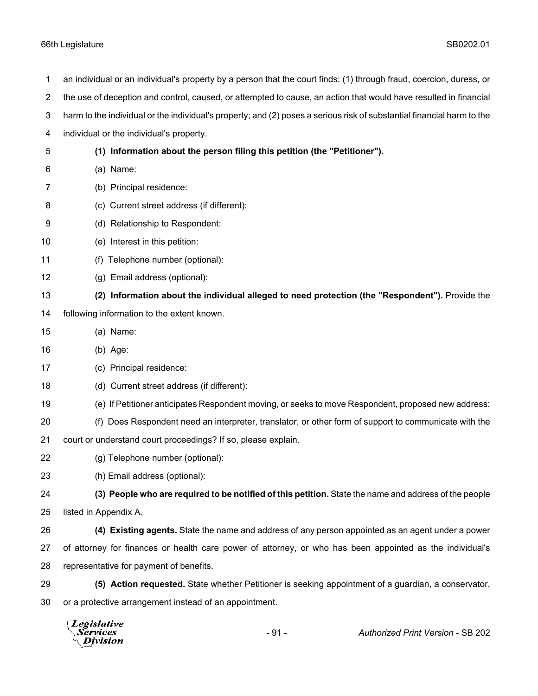| 1              | an individual or an individual's property by a person that the court finds: (1) through fraud, coercion, duress, or    |
|----------------|------------------------------------------------------------------------------------------------------------------------|
| $\overline{c}$ | the use of deception and control, caused, or attempted to cause, an action that would have resulted in financial       |
| 3              | harm to the individual or the individual's property; and (2) poses a serious risk of substantial financial harm to the |
| 4              | individual or the individual's property.                                                                               |
| 5              | (1) Information about the person filing this petition (the "Petitioner").                                              |
| 6              | (a) Name:                                                                                                              |
| 7              | (b) Principal residence:                                                                                               |
| 8              | (c) Current street address (if different):                                                                             |
| 9              | (d) Relationship to Respondent:                                                                                        |
| 10             | (e) Interest in this petition:                                                                                         |
| 11             | (f) Telephone number (optional):                                                                                       |
| 12             | (g) Email address (optional):                                                                                          |
| 13             | (2) Information about the individual alleged to need protection (the "Respondent"). Provide the                        |
| 14             | following information to the extent known.                                                                             |
| 15             | (a) Name:                                                                                                              |
| 16             | $(b)$ Age:                                                                                                             |
| 17             | (c) Principal residence:                                                                                               |
| 18             | (d) Current street address (if different):                                                                             |
| 19             | (e) If Petitioner anticipates Respondent moving, or seeks to move Respondent, proposed new address:                    |
| 20             | (f) Does Respondent need an interpreter, translator, or other form of support to communicate with the                  |
| 21             | court or understand court proceedings? If so, please explain.                                                          |
| 22             | (g) Telephone number (optional):                                                                                       |
| 23             | (h) Email address (optional):                                                                                          |
| 24             | (3) People who are required to be notified of this petition. State the name and address of the people                  |
| 25             | listed in Appendix A.                                                                                                  |
| 26             | (4) Existing agents. State the name and address of any person appointed as an agent under a power                      |
| 27             | of attorney for finances or health care power of attorney, or who has been appointed as the individual's               |
| 28             | representative for payment of benefits.                                                                                |
| 29             | (5) Action requested. State whether Petitioner is seeking appointment of a guardian, a conservator,                    |
| 30             | or a protective arrangement instead of an appointment.                                                                 |
|                |                                                                                                                        |

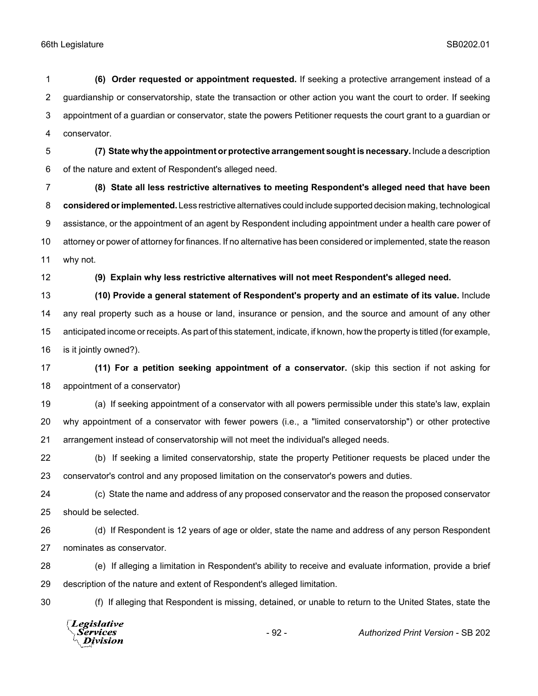**(6) Order requested or appointment requested.** If seeking a protective arrangement instead of a guardianship or conservatorship, state the transaction or other action you want the court to order. If seeking appointment of a guardian or conservator, state the powers Petitioner requests the court grant to a guardian or conservator. **(7) State why the appointment or protective arrangement sought is necessary.** Include a description of the nature and extent of Respondent's alleged need. **(8) State all less restrictive alternatives to meeting Respondent's alleged need that have been considered or implemented.** Less restrictive alternatives could include supported decision making, technological assistance, or the appointment of an agent by Respondent including appointment under a health care power of attorney or power of attorney for finances. If no alternative has been considered or implemented, state the reason why not. **(9) Explain why less restrictive alternatives will not meet Respondent's alleged need. (10) Provide a general statement of Respondent's property and an estimate of its value.** Include any real property such as a house or land, insurance or pension, and the source and amount of any other

 anticipated income or receipts. As part of this statement, indicate, if known, how the property is titled (for example, is it jointly owned?).

 **(11) For a petition seeking appointment of a conservator.** (skip this section if not asking for appointment of a conservator)

 (a) If seeking appointment of a conservator with all powers permissible under this state's law, explain why appointment of a conservator with fewer powers (i.e., a "limited conservatorship") or other protective arrangement instead of conservatorship will not meet the individual's alleged needs.

 (b) If seeking a limited conservatorship, state the property Petitioner requests be placed under the conservator's control and any proposed limitation on the conservator's powers and duties.

 (c) State the name and address of any proposed conservator and the reason the proposed conservator should be selected.

 (d) If Respondent is 12 years of age or older, state the name and address of any person Respondent nominates as conservator.

 (e) If alleging a limitation in Respondent's ability to receive and evaluate information, provide a brief description of the nature and extent of Respondent's alleged limitation.

(f) If alleging that Respondent is missing, detained, or unable to return to the United States, state the

Legislative *Services* **Division**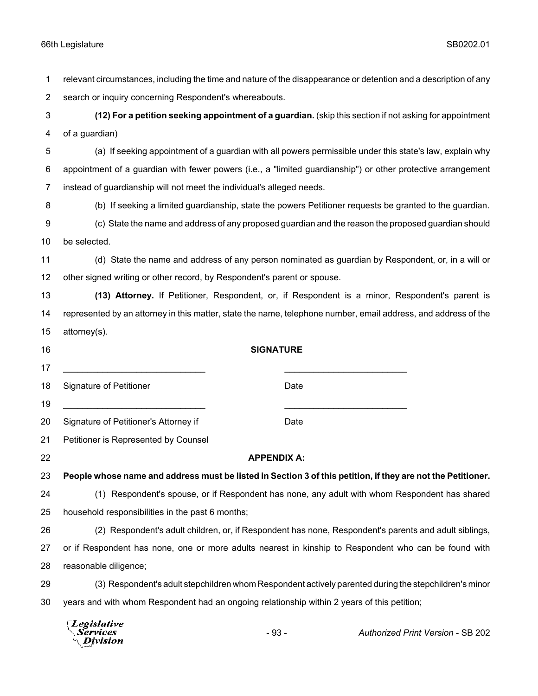| $\mathbf 1$    | relevant circumstances, including the time and nature of the disappearance or detention and a description of any |  |  |
|----------------|------------------------------------------------------------------------------------------------------------------|--|--|
| $\overline{2}$ | search or inquiry concerning Respondent's whereabouts.                                                           |  |  |
| $\mathsf 3$    | (12) For a petition seeking appointment of a guardian. (skip this section if not asking for appointment          |  |  |
| 4              | of a guardian)                                                                                                   |  |  |
| 5              | (a) If seeking appointment of a guardian with all powers permissible under this state's law, explain why         |  |  |
| 6              | appointment of a guardian with fewer powers (i.e., a "limited guardianship") or other protective arrangement     |  |  |
| $\overline{7}$ | instead of guardianship will not meet the individual's alleged needs.                                            |  |  |
| 8              | (b) If seeking a limited guardianship, state the powers Petitioner requests be granted to the guardian.          |  |  |
| 9              | (c) State the name and address of any proposed guardian and the reason the proposed guardian should              |  |  |
| 10             | be selected.                                                                                                     |  |  |
| 11             | (d) State the name and address of any person nominated as guardian by Respondent, or, in a will or               |  |  |
| 12             | other signed writing or other record, by Respondent's parent or spouse.                                          |  |  |
| 13             | (13) Attorney. If Petitioner, Respondent, or, if Respondent is a minor, Respondent's parent is                   |  |  |
| 14             | represented by an attorney in this matter, state the name, telephone number, email address, and address of the   |  |  |
| 15             | attorney(s).                                                                                                     |  |  |
| 16             | <b>SIGNATURE</b>                                                                                                 |  |  |
| 17             |                                                                                                                  |  |  |
| 18             | <b>Signature of Petitioner</b><br>Date                                                                           |  |  |
| 19             |                                                                                                                  |  |  |
| 20             | Signature of Petitioner's Attorney if<br>Date                                                                    |  |  |
| 21             | Petitioner is Represented by Counsel                                                                             |  |  |
| 22             | <b>APPENDIX A:</b>                                                                                               |  |  |
| 23             | People whose name and address must be listed in Section 3 of this petition, if they are not the Petitioner.      |  |  |
| 24             | (1) Respondent's spouse, or if Respondent has none, any adult with whom Respondent has shared                    |  |  |
| 25             | household responsibilities in the past 6 months;                                                                 |  |  |
| 26             | (2) Respondent's adult children, or, if Respondent has none, Respondent's parents and adult siblings,            |  |  |
| 27             | or if Respondent has none, one or more adults nearest in kinship to Respondent who can be found with             |  |  |
| 28             | reasonable diligence;                                                                                            |  |  |
| 29             | (3) Respondent's adult stepchildren whom Respondent actively parented during the stepchildren's minor            |  |  |
| 30             | years and with whom Respondent had an ongoing relationship within 2 years of this petition;                      |  |  |
|                | Legislative<br>$-93-$<br>Authorized Print Version - SB 202<br>Services<br>rision                                 |  |  |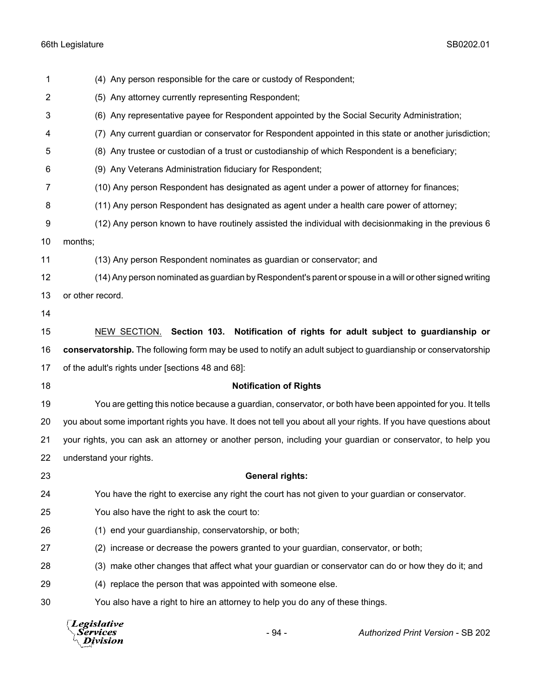|                | Legislative<br>$-94-$<br><b>Authorized Print Version - SB 202</b><br>Services<br>Division                                                               |  |  |  |
|----------------|---------------------------------------------------------------------------------------------------------------------------------------------------------|--|--|--|
| 30             | You also have a right to hire an attorney to help you do any of these things.                                                                           |  |  |  |
| 29             | (4) replace the person that was appointed with someone else.                                                                                            |  |  |  |
| 28             | (3) make other changes that affect what your guardian or conservator can do or how they do it; and                                                      |  |  |  |
| 27             | (2) increase or decrease the powers granted to your guardian, conservator, or both;                                                                     |  |  |  |
| 26             | (1) end your guardianship, conservatorship, or both;                                                                                                    |  |  |  |
| 25             | You also have the right to ask the court to:                                                                                                            |  |  |  |
| 24             | You have the right to exercise any right the court has not given to your guardian or conservator.                                                       |  |  |  |
| 23             | <b>General rights:</b>                                                                                                                                  |  |  |  |
| 22             | understand your rights.                                                                                                                                 |  |  |  |
| 21             | your rights, you can ask an attorney or another person, including your guardian or conservator, to help you                                             |  |  |  |
| 20             | you about some important rights you have. It does not tell you about all your rights. If you have questions about                                       |  |  |  |
| 19             | You are getting this notice because a guardian, conservator, or both have been appointed for you. It tells                                              |  |  |  |
| 18             | <b>Notification of Rights</b>                                                                                                                           |  |  |  |
| 17             | of the adult's rights under [sections 48 and 68]:                                                                                                       |  |  |  |
| 16             | conservatorship. The following form may be used to notify an adult subject to guardianship or conservatorship                                           |  |  |  |
| 15             | NEW SECTION. Section 103. Notification of rights for adult subject to guardianship or                                                                   |  |  |  |
| 14             |                                                                                                                                                         |  |  |  |
| 13             | or other record.                                                                                                                                        |  |  |  |
| 12             | (14) Any person nominated as guardian by Respondent's parent or spouse in a will or other signed writing                                                |  |  |  |
| 11             | (13) Any person Respondent nominates as guardian or conservator; and                                                                                    |  |  |  |
| 10             | months;                                                                                                                                                 |  |  |  |
| 9              | (12) Any person known to have routinely assisted the individual with decisionmaking in the previous 6                                                   |  |  |  |
| 8              | (11) Any person Respondent has designated as agent under a health care power of attorney;                                                               |  |  |  |
| 6<br>7         | (9) Any Veterans Administration fiduciary for Respondent;<br>(10) Any person Respondent has designated as agent under a power of attorney for finances; |  |  |  |
| 5              | (8) Any trustee or custodian of a trust or custodianship of which Respondent is a beneficiary;                                                          |  |  |  |
| 4              | (7) Any current guardian or conservator for Respondent appointed in this state or another jurisdiction;                                                 |  |  |  |
| 3              | (6) Any representative payee for Respondent appointed by the Social Security Administration;                                                            |  |  |  |
| $\overline{2}$ | (5) Any attorney currently representing Respondent;                                                                                                     |  |  |  |
| 1              | (4) Any person responsible for the care or custody of Respondent;                                                                                       |  |  |  |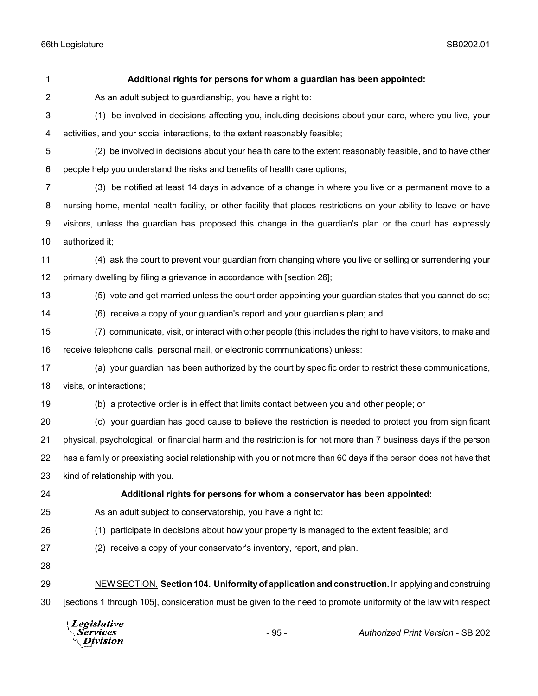### **Additional rights for persons for whom a guardian has been appointed:**

As an adult subject to guardianship, you have a right to:

 (1) be involved in decisions affecting you, including decisions about your care, where you live, your activities, and your social interactions, to the extent reasonably feasible;

 (2) be involved in decisions about your health care to the extent reasonably feasible, and to have other people help you understand the risks and benefits of health care options;

 (3) be notified at least 14 days in advance of a change in where you live or a permanent move to a nursing home, mental health facility, or other facility that places restrictions on your ability to leave or have visitors, unless the guardian has proposed this change in the guardian's plan or the court has expressly authorized it;

 (4) ask the court to prevent your guardian from changing where you live or selling or surrendering your primary dwelling by filing a grievance in accordance with [section 26];

(5) vote and get married unless the court order appointing your guardian states that you cannot do so;

(6) receive a copy of your guardian's report and your guardian's plan; and

- (7) communicate, visit, or interact with other people (this includes the right to have visitors, to make and receive telephone calls, personal mail, or electronic communications) unless:
- (a) your guardian has been authorized by the court by specific order to restrict these communications, visits, or interactions;

(b) a protective order is in effect that limits contact between you and other people; or

 (c) your guardian has good cause to believe the restriction is needed to protect you from significant physical, psychological, or financial harm and the restriction is for not more than 7 business days if the person has a family or preexisting social relationship with you or not more than 60 days if the person does not have that

kind of relationship with you.

# **Additional rights for persons for whom a conservator has been appointed:**

- As an adult subject to conservatorship, you have a right to:
- (1) participate in decisions about how your property is managed to the extent feasible; and
- (2) receive a copy of your conservator's inventory, report, and plan.
- 

 NEW SECTION. **Section 104. Uniformity of application and construction.** In applying and construing [sections 1 through 105], consideration must be given to the need to promote uniformity of the law with respect

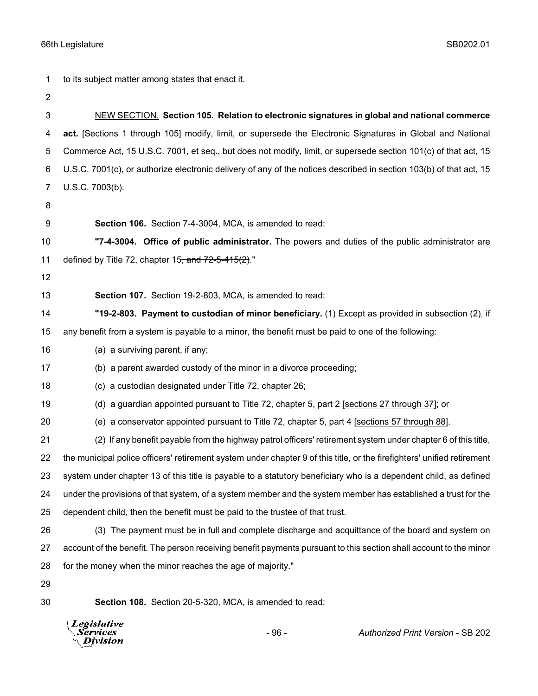| 1              | to its subject matter among states that enact it.                                                                       |
|----------------|-------------------------------------------------------------------------------------------------------------------------|
| $\overline{c}$ |                                                                                                                         |
| 3              | NEW SECTION. Section 105. Relation to electronic signatures in global and national commerce                             |
| 4              | act. [Sections 1 through 105] modify, limit, or supersede the Electronic Signatures in Global and National              |
| 5              | Commerce Act, 15 U.S.C. 7001, et seq., but does not modify, limit, or supersede section 101(c) of that act, 15          |
| 6              | U.S.C. 7001(c), or authorize electronic delivery of any of the notices described in section 103(b) of that act, 15      |
| 7              | U.S.C. 7003(b).                                                                                                         |
| 8              |                                                                                                                         |
| 9              | Section 106. Section 7-4-3004, MCA, is amended to read:                                                                 |
| 10             | "7-4-3004. Office of public administrator. The powers and duties of the public administrator are                        |
| 11             | defined by Title 72, chapter $15$ , and $72-5-415(2)$ ."                                                                |
| 12             |                                                                                                                         |
| 13             | Section 107. Section 19-2-803, MCA, is amended to read:                                                                 |
| 14             | "19-2-803. Payment to custodian of minor beneficiary. (1) Except as provided in subsection (2), if                      |
| 15             | any benefit from a system is payable to a minor, the benefit must be paid to one of the following:                      |
| 16             | (a) a surviving parent, if any;                                                                                         |
| 17             | (b) a parent awarded custody of the minor in a divorce proceeding;                                                      |
| 18             | (c) a custodian designated under Title 72, chapter 26;                                                                  |
| 19             | (d) a guardian appointed pursuant to Title 72, chapter 5, $part 2$ [sections 27 through 37]; or                         |
| 20             | (e) a conservator appointed pursuant to Title 72, chapter 5, $part 4$ [sections 57 through 88].                         |
| 21             | (2) If any benefit payable from the highway patrol officers' retirement system under chapter 6 of this title,           |
| 22             | the municipal police officers' retirement system under chapter 9 of this title, or the firefighters' unified retirement |
| 23             | system under chapter 13 of this title is payable to a statutory beneficiary who is a dependent child, as defined        |
| 24             | under the provisions of that system, of a system member and the system member has established a trust for the           |
| 25             | dependent child, then the benefit must be paid to the trustee of that trust.                                            |
| 26             | (3) The payment must be in full and complete discharge and acquittance of the board and system on                       |
| 27             | account of the benefit. The person receiving benefit payments pursuant to this section shall account to the minor       |
| 28             | for the money when the minor reaches the age of majority."                                                              |
| 29             |                                                                                                                         |
| 30             | Section 108. Section 20-5-320, MCA, is amended to read:                                                                 |

*Legislative*<br>Services<br>*Division*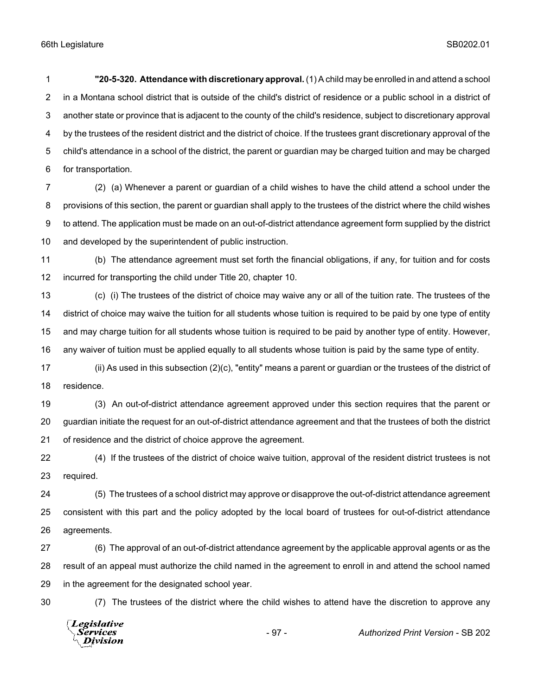**"20-5-320. Attendance with discretionary approval.** (1) A child may be enrolled in and attend a school in a Montana school district that is outside of the child's district of residence or a public school in a district of another state or province that is adjacent to the county of the child's residence, subject to discretionary approval by the trustees of the resident district and the district of choice. If the trustees grant discretionary approval of the child's attendance in a school of the district, the parent or guardian may be charged tuition and may be charged for transportation.

 (2) (a) Whenever a parent or guardian of a child wishes to have the child attend a school under the provisions of this section, the parent or guardian shall apply to the trustees of the district where the child wishes to attend. The application must be made on an out-of-district attendance agreement form supplied by the district and developed by the superintendent of public instruction.

 (b) The attendance agreement must set forth the financial obligations, if any, for tuition and for costs incurred for transporting the child under Title 20, chapter 10.

 (c) (i) The trustees of the district of choice may waive any or all of the tuition rate. The trustees of the district of choice may waive the tuition for all students whose tuition is required to be paid by one type of entity and may charge tuition for all students whose tuition is required to be paid by another type of entity. However, any waiver of tuition must be applied equally to all students whose tuition is paid by the same type of entity.

 (ii) As used in this subsection (2)(c), "entity" means a parent or guardian or the trustees of the district of residence.

 (3) An out-of-district attendance agreement approved under this section requires that the parent or guardian initiate the request for an out-of-district attendance agreement and that the trustees of both the district of residence and the district of choice approve the agreement.

 (4) If the trustees of the district of choice waive tuition, approval of the resident district trustees is not required.

 (5) The trustees of a school district may approve or disapprove the out-of-district attendance agreement consistent with this part and the policy adopted by the local board of trustees for out-of-district attendance agreements.

 (6) The approval of an out-of-district attendance agreement by the applicable approval agents or as the result of an appeal must authorize the child named in the agreement to enroll in and attend the school named in the agreement for the designated school year.

(7) The trustees of the district where the child wishes to attend have the discretion to approve any

Legislative Services **Division**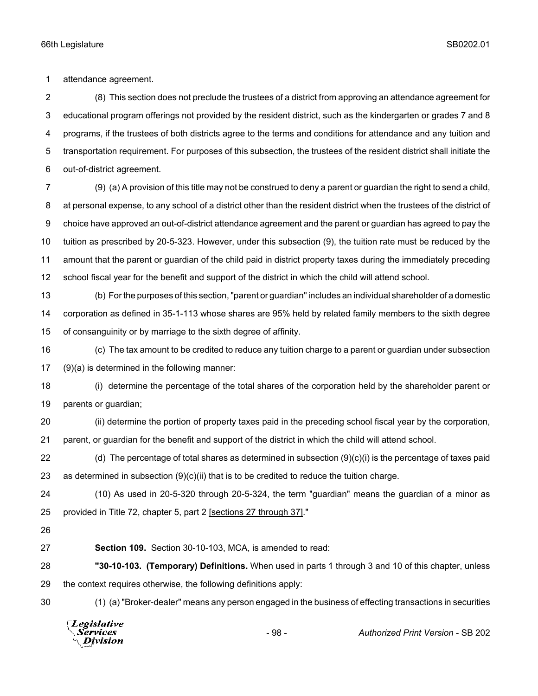attendance agreement.

 (8) This section does not preclude the trustees of a district from approving an attendance agreement for educational program offerings not provided by the resident district, such as the kindergarten or grades 7 and 8 programs, if the trustees of both districts agree to the terms and conditions for attendance and any tuition and transportation requirement. For purposes of this subsection, the trustees of the resident district shall initiate the out-of-district agreement.

 (9) (a) A provision of this title may not be construed to deny a parent or guardian the right to send a child, at personal expense, to any school of a district other than the resident district when the trustees of the district of choice have approved an out-of-district attendance agreement and the parent or guardian has agreed to pay the tuition as prescribed by 20-5-323. However, under this subsection (9), the tuition rate must be reduced by the amount that the parent or guardian of the child paid in district property taxes during the immediately preceding school fiscal year for the benefit and support of the district in which the child will attend school.

 (b) For the purposes of this section, "parent or guardian" includes an individual shareholder of a domestic corporation as defined in 35-1-113 whose shares are 95% held by related family members to the sixth degree of consanguinity or by marriage to the sixth degree of affinity.

 (c) The tax amount to be credited to reduce any tuition charge to a parent or guardian under subsection (9)(a) is determined in the following manner:

 (i) determine the percentage of the total shares of the corporation held by the shareholder parent or parents or guardian;

 (ii) determine the portion of property taxes paid in the preceding school fiscal year by the corporation, parent, or guardian for the benefit and support of the district in which the child will attend school.

22 (d) The percentage of total shares as determined in subsection  $(9)(c)(i)$  is the percentage of taxes paid 23 as determined in subsection  $(9)(c)(ii)$  that is to be credited to reduce the tuition charge.

 (10) As used in 20-5-320 through 20-5-324, the term "guardian" means the guardian of a minor as 25 provided in Title 72, chapter 5, part 2 [sections 27 through 37]."

**Section 109.** Section 30-10-103, MCA, is amended to read:

 **"30-10-103. (Temporary) Definitions.** When used in parts 1 through 3 and 10 of this chapter, unless the context requires otherwise, the following definitions apply:

(1) (a) "Broker-dealer" means any person engaged in the business of effecting transactions in securities

Legislative *Services* - 98 - *Authorized Print Version* - SB 202**Division**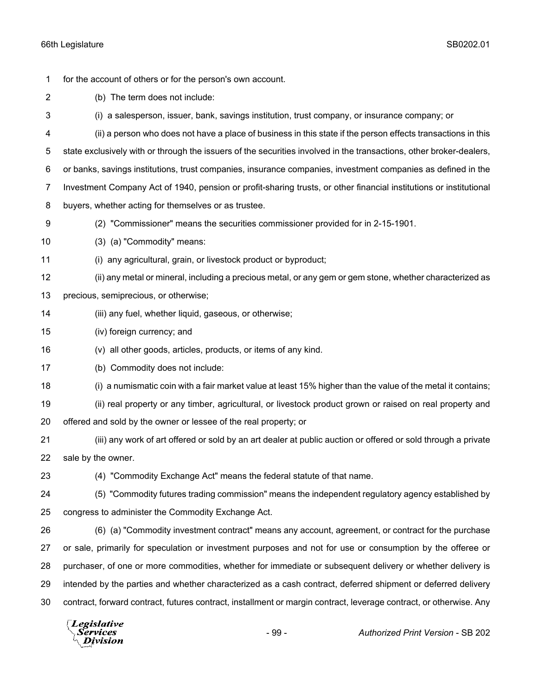for the account of others or for the person's own account.

(b) The term does not include:

(i) a salesperson, issuer, bank, savings institution, trust company, or insurance company; or

(ii) a person who does not have a place of business in this state if the person effects transactions in this

state exclusively with or through the issuers of the securities involved in the transactions, other broker-dealers,

or banks, savings institutions, trust companies, insurance companies, investment companies as defined in the

Investment Company Act of 1940, pension or profit-sharing trusts, or other financial institutions or institutional

- buyers, whether acting for themselves or as trustee.
- (2) "Commissioner" means the securities commissioner provided for in 2-15-1901.

(3) (a) "Commodity" means:

- (i) any agricultural, grain, or livestock product or byproduct;
- (ii) any metal or mineral, including a precious metal, or any gem or gem stone, whether characterized as
- precious, semiprecious, or otherwise;
- (iii) any fuel, whether liquid, gaseous, or otherwise;
- (iv) foreign currency; and
- (v) all other goods, articles, products, or items of any kind.
- (b) Commodity does not include:
- (i) a numismatic coin with a fair market value at least 15% higher than the value of the metal it contains;
- (ii) real property or any timber, agricultural, or livestock product grown or raised on real property and
- offered and sold by the owner or lessee of the real property; or
- (iii) any work of art offered or sold by an art dealer at public auction or offered or sold through a private sale by the owner.
- (4) "Commodity Exchange Act" means the federal statute of that name.
- (5) "Commodity futures trading commission" means the independent regulatory agency established by congress to administer the Commodity Exchange Act.
- (6) (a) "Commodity investment contract" means any account, agreement, or contract for the purchase or sale, primarily for speculation or investment purposes and not for use or consumption by the offeree or purchaser, of one or more commodities, whether for immediate or subsequent delivery or whether delivery is intended by the parties and whether characterized as a cash contract, deferred shipment or deferred delivery contract, forward contract, futures contract, installment or margin contract, leverage contract, or otherwise. Any

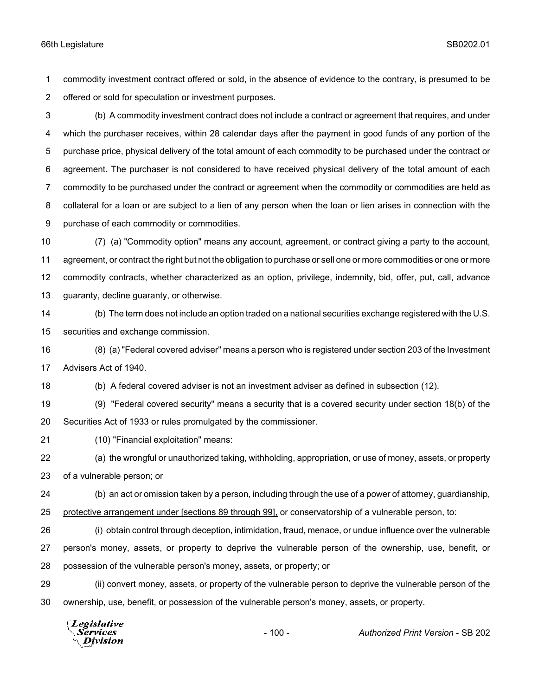commodity investment contract offered or sold, in the absence of evidence to the contrary, is presumed to be offered or sold for speculation or investment purposes.

 (b) A commodity investment contract does not include a contract or agreement that requires, and under which the purchaser receives, within 28 calendar days after the payment in good funds of any portion of the purchase price, physical delivery of the total amount of each commodity to be purchased under the contract or agreement. The purchaser is not considered to have received physical delivery of the total amount of each commodity to be purchased under the contract or agreement when the commodity or commodities are held as collateral for a loan or are subject to a lien of any person when the loan or lien arises in connection with the purchase of each commodity or commodities.

 (7) (a) "Commodity option" means any account, agreement, or contract giving a party to the account, agreement, or contract the right but not the obligation to purchase or sell one or more commodities or one or more commodity contracts, whether characterized as an option, privilege, indemnity, bid, offer, put, call, advance 13 guaranty, decline quaranty, or otherwise.

 (b) The term does not include an option traded on a national securities exchange registered with the U.S. securities and exchange commission.

 (8) (a) "Federal covered adviser" means a person who is registered under section 203 of the Investment Advisers Act of 1940.

(b) A federal covered adviser is not an investment adviser as defined in subsection (12).

 (9) "Federal covered security" means a security that is a covered security under section 18(b) of the Securities Act of 1933 or rules promulgated by the commissioner.

(10) "Financial exploitation" means:

 (a) the wrongful or unauthorized taking, withholding, appropriation, or use of money, assets, or property of a vulnerable person; or

(b) an act or omission taken by a person, including through the use of a power of attorney, guardianship,

protective arrangement under [sections 89 through 99], or conservatorship of a vulnerable person, to:

 (i) obtain control through deception, intimidation, fraud, menace, or undue influence over the vulnerable person's money, assets, or property to deprive the vulnerable person of the ownership, use, benefit, or possession of the vulnerable person's money, assets, or property; or

 (ii) convert money, assets, or property of the vulnerable person to deprive the vulnerable person of the ownership, use, benefit, or possession of the vulnerable person's money, assets, or property.

Legislative *Services* **Division**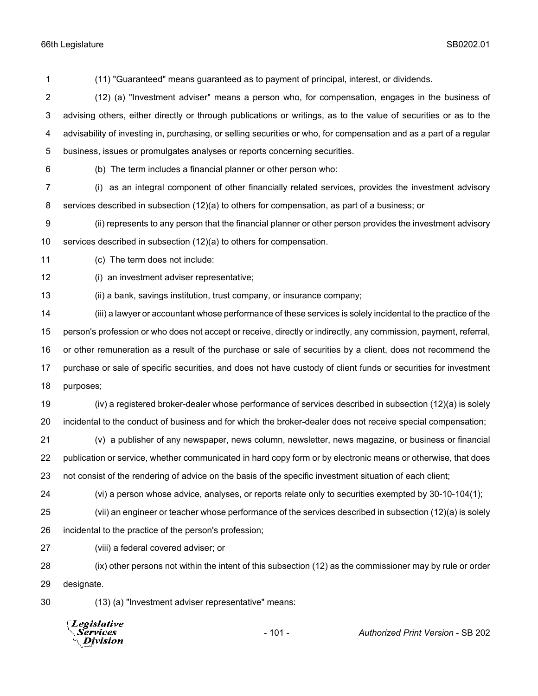(11) "Guaranteed" means guaranteed as to payment of principal, interest, or dividends. (12) (a) "Investment adviser" means a person who, for compensation, engages in the business of advising others, either directly or through publications or writings, as to the value of securities or as to the advisability of investing in, purchasing, or selling securities or who, for compensation and as a part of a regular business, issues or promulgates analyses or reports concerning securities. (b) The term includes a financial planner or other person who: (i) as an integral component of other financially related services, provides the investment advisory services described in subsection (12)(a) to others for compensation, as part of a business; or (ii) represents to any person that the financial planner or other person provides the investment advisory services described in subsection (12)(a) to others for compensation. (c) The term does not include: (i) an investment adviser representative; (ii) a bank, savings institution, trust company, or insurance company; (iii) a lawyer or accountant whose performance of these services is solely incidental to the practice of the person's profession or who does not accept or receive, directly or indirectly, any commission, payment, referral, or other remuneration as a result of the purchase or sale of securities by a client, does not recommend the purchase or sale of specific securities, and does not have custody of client funds or securities for investment purposes; (iv) a registered broker-dealer whose performance of services described in subsection (12)(a) is solely incidental to the conduct of business and for which the broker-dealer does not receive special compensation; (v) a publisher of any newspaper, news column, newsletter, news magazine, or business or financial publication or service, whether communicated in hard copy form or by electronic means or otherwise, that does not consist of the rendering of advice on the basis of the specific investment situation of each client; (vi) a person whose advice, analyses, or reports relate only to securities exempted by 30-10-104(1); (vii) an engineer or teacher whose performance of the services described in subsection (12)(a) is solely incidental to the practice of the person's profession; (viii) a federal covered adviser; or (ix) other persons not within the intent of this subsection (12) as the commissioner may by rule or order designate.

(13) (a) "Investment adviser representative" means:

Legislative *Services* **Division** 

- 101 - *Authorized Print Version* - SB 202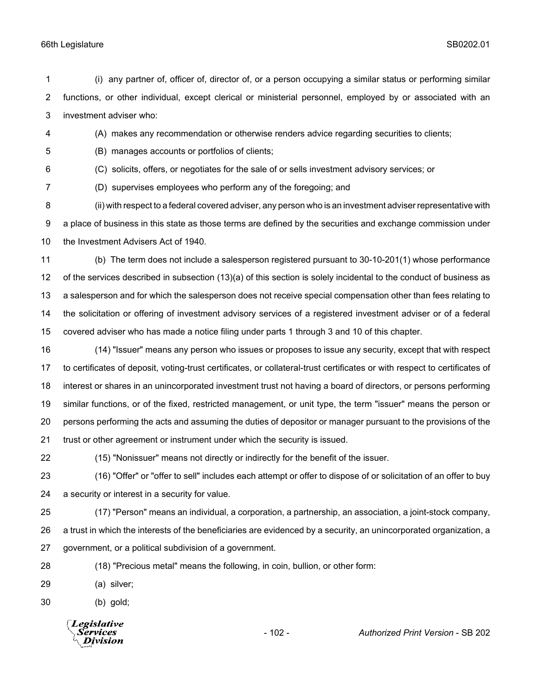(i) any partner of, officer of, director of, or a person occupying a similar status or performing similar functions, or other individual, except clerical or ministerial personnel, employed by or associated with an investment adviser who:

(A) makes any recommendation or otherwise renders advice regarding securities to clients;

(B) manages accounts or portfolios of clients;

(C) solicits, offers, or negotiates for the sale of or sells investment advisory services; or

(D) supervises employees who perform any of the foregoing; and

 (ii) with respect to a federal covered adviser, any person who is an investment adviser representative with a place of business in this state as those terms are defined by the securities and exchange commission under the Investment Advisers Act of 1940.

 (b) The term does not include a salesperson registered pursuant to 30-10-201(1) whose performance of the services described in subsection (13)(a) of this section is solely incidental to the conduct of business as a salesperson and for which the salesperson does not receive special compensation other than fees relating to the solicitation or offering of investment advisory services of a registered investment adviser or of a federal covered adviser who has made a notice filing under parts 1 through 3 and 10 of this chapter.

 (14) "Issuer" means any person who issues or proposes to issue any security, except that with respect to certificates of deposit, voting-trust certificates, or collateral-trust certificates or with respect to certificates of interest or shares in an unincorporated investment trust not having a board of directors, or persons performing similar functions, or of the fixed, restricted management, or unit type, the term "issuer" means the person or persons performing the acts and assuming the duties of depositor or manager pursuant to the provisions of the trust or other agreement or instrument under which the security is issued.

(15) "Nonissuer" means not directly or indirectly for the benefit of the issuer.

 (16) "Offer" or "offer to sell" includes each attempt or offer to dispose of or solicitation of an offer to buy a security or interest in a security for value.

 (17) "Person" means an individual, a corporation, a partnership, an association, a joint-stock company, a trust in which the interests of the beneficiaries are evidenced by a security, an unincorporated organization, a government, or a political subdivision of a government.

(18) "Precious metal" means the following, in coin, bullion, or other form:

(a) silver;

(b) gold;

**Legislative** Division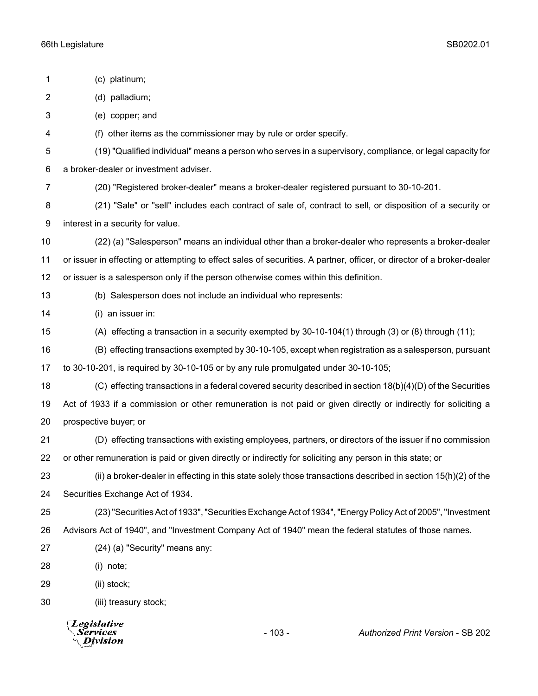| 1              | (c) platinum;                                                                                                          |                                                                   |                                          |  |  |
|----------------|------------------------------------------------------------------------------------------------------------------------|-------------------------------------------------------------------|------------------------------------------|--|--|
| $\overline{2}$ | (d) palladium;                                                                                                         |                                                                   |                                          |  |  |
| 3              | (e) copper; and                                                                                                        |                                                                   |                                          |  |  |
| 4              |                                                                                                                        | (f) other items as the commissioner may by rule or order specify. |                                          |  |  |
| 5              | (19) "Qualified individual" means a person who serves in a supervisory, compliance, or legal capacity for              |                                                                   |                                          |  |  |
| 6              | a broker-dealer or investment adviser.                                                                                 |                                                                   |                                          |  |  |
| 7              | (20) "Registered broker-dealer" means a broker-dealer registered pursuant to 30-10-201.                                |                                                                   |                                          |  |  |
| 8              | (21) "Sale" or "sell" includes each contract of sale of, contract to sell, or disposition of a security or             |                                                                   |                                          |  |  |
| 9              | interest in a security for value.                                                                                      |                                                                   |                                          |  |  |
| 10             | (22) (a) "Salesperson" means an individual other than a broker-dealer who represents a broker-dealer                   |                                                                   |                                          |  |  |
| 11             | or issuer in effecting or attempting to effect sales of securities. A partner, officer, or director of a broker-dealer |                                                                   |                                          |  |  |
| 12             | or issuer is a salesperson only if the person otherwise comes within this definition.                                  |                                                                   |                                          |  |  |
| 13             | (b) Salesperson does not include an individual who represents:                                                         |                                                                   |                                          |  |  |
| 14             | (i) an issuer in:                                                                                                      |                                                                   |                                          |  |  |
| 15             | (A) effecting a transaction in a security exempted by $30-10-104(1)$ through (3) or (8) through (11);                  |                                                                   |                                          |  |  |
| 16             | (B) effecting transactions exempted by 30-10-105, except when registration as a salesperson, pursuant                  |                                                                   |                                          |  |  |
| 17             | to 30-10-201, is required by 30-10-105 or by any rule promulgated under 30-10-105;                                     |                                                                   |                                          |  |  |
| 18             | (C) effecting transactions in a federal covered security described in section $18(b)(4)(D)$ of the Securities          |                                                                   |                                          |  |  |
| 19             | Act of 1933 if a commission or other remuneration is not paid or given directly or indirectly for soliciting a         |                                                                   |                                          |  |  |
| 20             | prospective buyer; or                                                                                                  |                                                                   |                                          |  |  |
| 21             | (D) effecting transactions with existing employees, partners, or directors of the issuer if no commission              |                                                                   |                                          |  |  |
| 22             | or other remuneration is paid or given directly or indirectly for soliciting any person in this state; or              |                                                                   |                                          |  |  |
| 23             | (ii) a broker-dealer in effecting in this state solely those transactions described in section $15(h)(2)$ of the       |                                                                   |                                          |  |  |
| 24             | Securities Exchange Act of 1934.                                                                                       |                                                                   |                                          |  |  |
| 25             | (23) "Securities Act of 1933", "Securities Exchange Act of 1934", "Energy Policy Act of 2005", "Investment             |                                                                   |                                          |  |  |
| 26             | Advisors Act of 1940", and "Investment Company Act of 1940" mean the federal statutes of those names.                  |                                                                   |                                          |  |  |
| 27             | (24) (a) "Security" means any:                                                                                         |                                                                   |                                          |  |  |
| 28             | $(i)$ note;                                                                                                            |                                                                   |                                          |  |  |
| 29             | (ii) stock;                                                                                                            |                                                                   |                                          |  |  |
| 30             | (iii) treasury stock;                                                                                                  |                                                                   |                                          |  |  |
|                | Legislative<br>Services<br>Division                                                                                    | $-103 -$                                                          | <b>Authorized Print Version - SB 202</b> |  |  |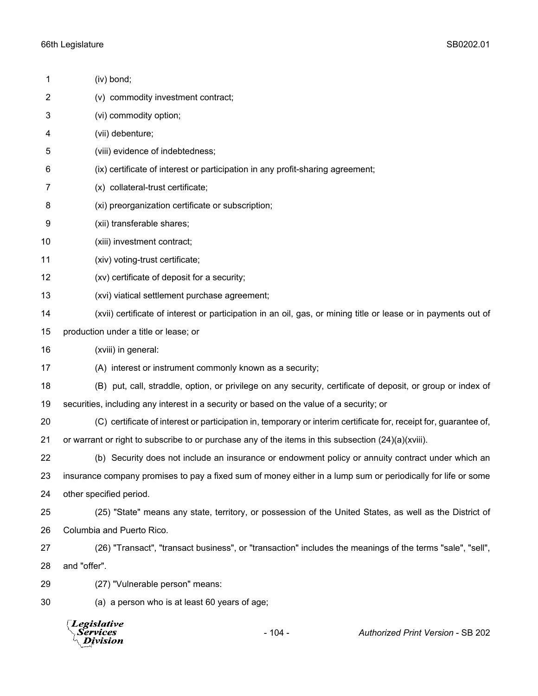| 1              | (iv) bond;                                                                                                        |
|----------------|-------------------------------------------------------------------------------------------------------------------|
| $\overline{2}$ | (v) commodity investment contract;                                                                                |
| 3              | (vi) commodity option;                                                                                            |
| 4              | (vii) debenture;                                                                                                  |
| 5              | (viii) evidence of indebtedness;                                                                                  |
| 6              | (ix) certificate of interest or participation in any profit-sharing agreement;                                    |
| 7              | (x) collateral-trust certificate;                                                                                 |
| 8              | (xi) preorganization certificate or subscription;                                                                 |
| 9              | (xii) transferable shares;                                                                                        |
| 10             | (xiii) investment contract;                                                                                       |
| 11             | (xiv) voting-trust certificate;                                                                                   |
| 12             | (xv) certificate of deposit for a security;                                                                       |
| 13             | (xvi) viatical settlement purchase agreement;                                                                     |
| 14             | (xvii) certificate of interest or participation in an oil, gas, or mining title or lease or in payments out of    |
| 15             | production under a title or lease; or                                                                             |
| 16             | (xviii) in general:                                                                                               |
| 17             | (A) interest or instrument commonly known as a security;                                                          |
| 18             | (B) put, call, straddle, option, or privilege on any security, certificate of deposit, or group or index of       |
| 19             | securities, including any interest in a security or based on the value of a security; or                          |
| 20             | (C) certificate of interest or participation in, temporary or interim certificate for, receipt for, guarantee of, |
| 21             | or warrant or right to subscribe to or purchase any of the items in this subsection $(24)(a)(xviii)$ .            |
| 22             | (b) Security does not include an insurance or endowment policy or annuity contract under which an                 |
| 23             | insurance company promises to pay a fixed sum of money either in a lump sum or periodically for life or some      |
| 24             | other specified period.                                                                                           |
| 25             | (25) "State" means any state, territory, or possession of the United States, as well as the District of           |
| 26             | Columbia and Puerto Rico.                                                                                         |
| 27             | (26) "Transact", "transact business", or "transaction" includes the meanings of the terms "sale", "sell",         |
| 28             | and "offer".                                                                                                      |
| 29             | (27) "Vulnerable person" means:                                                                                   |
| 30             | (a) a person who is at least 60 years of age;                                                                     |

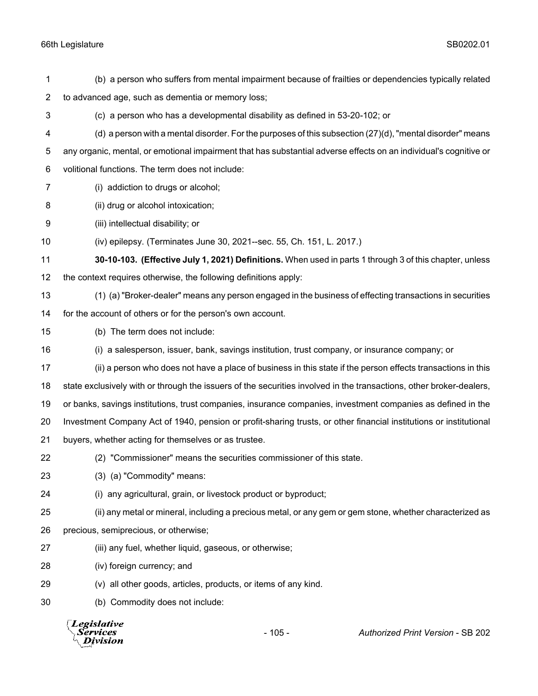| 1              | (b) a person who suffers from mental impairment because of frailties or dependencies typically related              |
|----------------|---------------------------------------------------------------------------------------------------------------------|
| $\overline{c}$ | to advanced age, such as dementia or memory loss;                                                                   |
| 3              | (c) a person who has a developmental disability as defined in 53-20-102; or                                         |
| 4              | (d) a person with a mental disorder. For the purposes of this subsection $(27)(d)$ , "mental disorder" means        |
| 5              | any organic, mental, or emotional impairment that has substantial adverse effects on an individual's cognitive or   |
| 6              | volitional functions. The term does not include:                                                                    |
| 7              | (i) addiction to drugs or alcohol;                                                                                  |
| 8              | (ii) drug or alcohol intoxication;                                                                                  |
| 9              | (iii) intellectual disability; or                                                                                   |
| 10             | (iv) epilepsy. (Terminates June 30, 2021--sec. 55, Ch. 151, L. 2017.)                                               |
| 11             | 30-10-103. (Effective July 1, 2021) Definitions. When used in parts 1 through 3 of this chapter, unless             |
| 12             | the context requires otherwise, the following definitions apply:                                                    |
| 13             | (1) (a) "Broker-dealer" means any person engaged in the business of effecting transactions in securities            |
| 14             | for the account of others or for the person's own account.                                                          |
| 15             | (b) The term does not include:                                                                                      |
| 16             | (i) a salesperson, issuer, bank, savings institution, trust company, or insurance company; or                       |
| 17             | (ii) a person who does not have a place of business in this state if the person effects transactions in this        |
| 18             | state exclusively with or through the issuers of the securities involved in the transactions, other broker-dealers, |
| 19             | or banks, savings institutions, trust companies, insurance companies, investment companies as defined in the        |
| 20             | Investment Company Act of 1940, pension or profit-sharing trusts, or other financial institutions or institutional  |
| 21             | buyers, whether acting for themselves or as trustee.                                                                |
| 22             | (2) "Commissioner" means the securities commissioner of this state.                                                 |
| 23             | (3) (a) "Commodity" means:                                                                                          |
| 24             | (i) any agricultural, grain, or livestock product or byproduct;                                                     |
| 25             | (ii) any metal or mineral, including a precious metal, or any gem or gem stone, whether characterized as            |
| 26             | precious, semiprecious, or otherwise;                                                                               |
| 27             | (iii) any fuel, whether liquid, gaseous, or otherwise;                                                              |
| 28             | (iv) foreign currency; and                                                                                          |
| 29             | (v) all other goods, articles, products, or items of any kind.                                                      |
| 30             | (b) Commodity does not include:                                                                                     |
|                |                                                                                                                     |

*Legislative*<br>Services<br>*Division* 

- 105 - *Authorized Print Version* - SB 202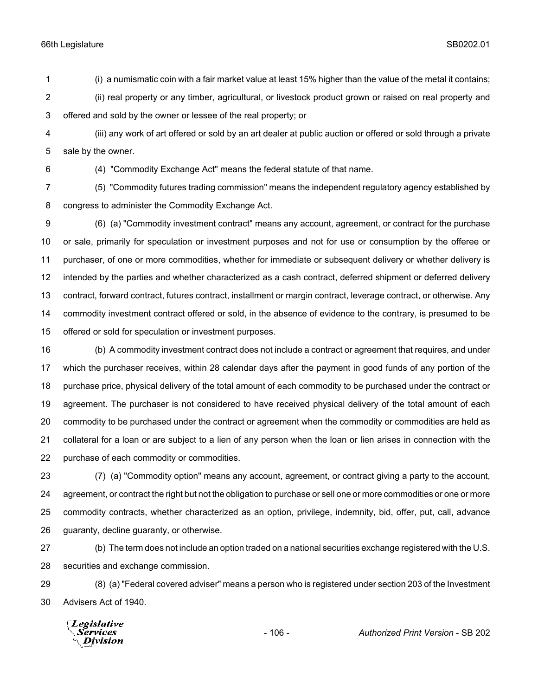(i) a numismatic coin with a fair market value at least 15% higher than the value of the metal it contains; (ii) real property or any timber, agricultural, or livestock product grown or raised on real property and offered and sold by the owner or lessee of the real property; or

 (iii) any work of art offered or sold by an art dealer at public auction or offered or sold through a private sale by the owner.

(4) "Commodity Exchange Act" means the federal statute of that name.

 (5) "Commodity futures trading commission" means the independent regulatory agency established by congress to administer the Commodity Exchange Act.

 (6) (a) "Commodity investment contract" means any account, agreement, or contract for the purchase or sale, primarily for speculation or investment purposes and not for use or consumption by the offeree or purchaser, of one or more commodities, whether for immediate or subsequent delivery or whether delivery is intended by the parties and whether characterized as a cash contract, deferred shipment or deferred delivery contract, forward contract, futures contract, installment or margin contract, leverage contract, or otherwise. Any commodity investment contract offered or sold, in the absence of evidence to the contrary, is presumed to be offered or sold for speculation or investment purposes.

 (b) A commodity investment contract does not include a contract or agreement that requires, and under which the purchaser receives, within 28 calendar days after the payment in good funds of any portion of the purchase price, physical delivery of the total amount of each commodity to be purchased under the contract or agreement. The purchaser is not considered to have received physical delivery of the total amount of each commodity to be purchased under the contract or agreement when the commodity or commodities are held as collateral for a loan or are subject to a lien of any person when the loan or lien arises in connection with the purchase of each commodity or commodities.

 (7) (a) "Commodity option" means any account, agreement, or contract giving a party to the account, agreement, or contract the right but not the obligation to purchase or sell one or more commodities or one or more commodity contracts, whether characterized as an option, privilege, indemnity, bid, offer, put, call, advance guaranty, decline guaranty, or otherwise.

 (b) The term does not include an option traded on a national securities exchange registered with the U.S. securities and exchange commission.

 (8) (a) "Federal covered adviser" means a person who is registered under section 203 of the Investment Advisers Act of 1940.

Legislative Services Division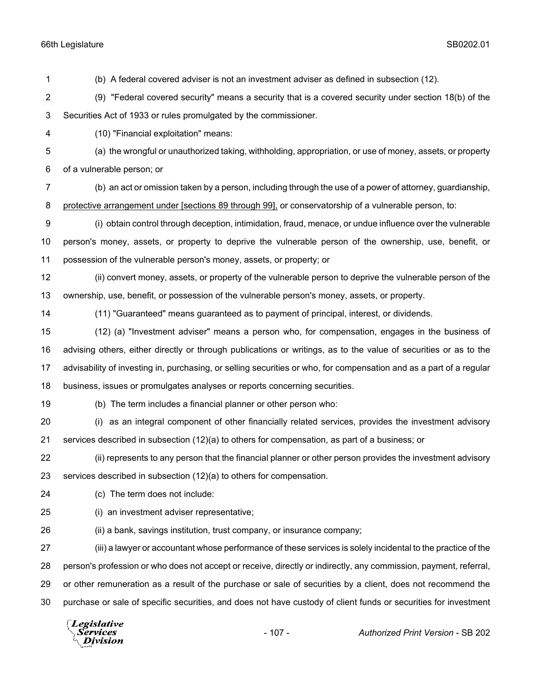(b) A federal covered adviser is not an investment adviser as defined in subsection (12). (9) "Federal covered security" means a security that is a covered security under section 18(b) of the Securities Act of 1933 or rules promulgated by the commissioner. (10) "Financial exploitation" means: (a) the wrongful or unauthorized taking, withholding, appropriation, or use of money, assets, or property of a vulnerable person; or (b) an act or omission taken by a person, including through the use of a power of attorney, guardianship, protective arrangement under [sections 89 through 99], or conservatorship of a vulnerable person, to: (i) obtain control through deception, intimidation, fraud, menace, or undue influence over the vulnerable person's money, assets, or property to deprive the vulnerable person of the ownership, use, benefit, or possession of the vulnerable person's money, assets, or property; or (ii) convert money, assets, or property of the vulnerable person to deprive the vulnerable person of the ownership, use, benefit, or possession of the vulnerable person's money, assets, or property. (11) "Guaranteed" means guaranteed as to payment of principal, interest, or dividends. (12) (a) "Investment adviser" means a person who, for compensation, engages in the business of advising others, either directly or through publications or writings, as to the value of securities or as to the advisability of investing in, purchasing, or selling securities or who, for compensation and as a part of a regular business, issues or promulgates analyses or reports concerning securities. (b) The term includes a financial planner or other person who: (i) as an integral component of other financially related services, provides the investment advisory services described in subsection (12)(a) to others for compensation, as part of a business; or (ii) represents to any person that the financial planner or other person provides the investment advisory services described in subsection (12)(a) to others for compensation. (c) The term does not include: (i) an investment adviser representative; (ii) a bank, savings institution, trust company, or insurance company; (iii) a lawyer or accountant whose performance of these services is solely incidental to the practice of the person's profession or who does not accept or receive, directly or indirectly, any commission, payment, referral, or other remuneration as a result of the purchase or sale of securities by a client, does not recommend the purchase or sale of specific securities, and does not have custody of client funds or securities for investment Legislative

*Services* **Division**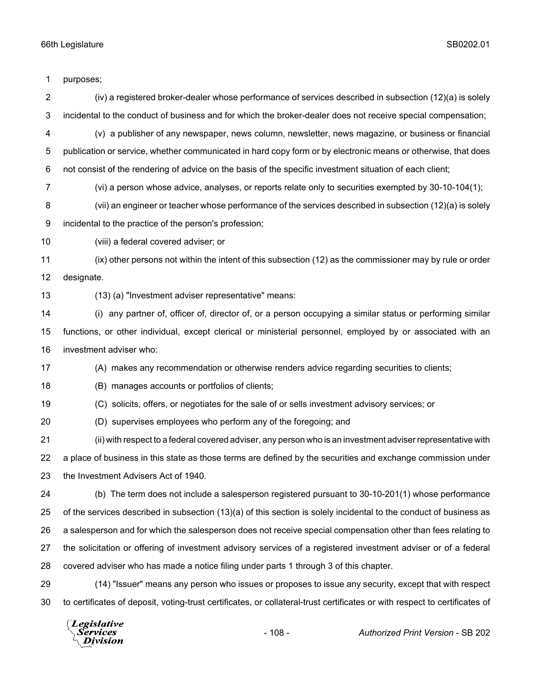**Division** 

 purposes; (iv) a registered broker-dealer whose performance of services described in subsection (12)(a) is solely incidental to the conduct of business and for which the broker-dealer does not receive special compensation; (v) a publisher of any newspaper, news column, newsletter, news magazine, or business or financial publication or service, whether communicated in hard copy form or by electronic means or otherwise, that does not consist of the rendering of advice on the basis of the specific investment situation of each client; (vi) a person whose advice, analyses, or reports relate only to securities exempted by 30-10-104(1); (vii) an engineer or teacher whose performance of the services described in subsection (12)(a) is solely incidental to the practice of the person's profession; (viii) a federal covered adviser; or (ix) other persons not within the intent of this subsection (12) as the commissioner may by rule or order designate. (13) (a) "Investment adviser representative" means: (i) any partner of, officer of, director of, or a person occupying a similar status or performing similar functions, or other individual, except clerical or ministerial personnel, employed by or associated with an investment adviser who: (A) makes any recommendation or otherwise renders advice regarding securities to clients; (B) manages accounts or portfolios of clients; (C) solicits, offers, or negotiates for the sale of or sells investment advisory services; or (D) supervises employees who perform any of the foregoing; and (ii) with respect to a federal covered adviser, any person who is an investment adviser representative with a place of business in this state as those terms are defined by the securities and exchange commission under the Investment Advisers Act of 1940. (b) The term does not include a salesperson registered pursuant to 30-10-201(1) whose performance of the services described in subsection (13)(a) of this section is solely incidental to the conduct of business as a salesperson and for which the salesperson does not receive special compensation other than fees relating to the solicitation or offering of investment advisory services of a registered investment adviser or of a federal covered adviser who has made a notice filing under parts 1 through 3 of this chapter. (14) "Issuer" means any person who issues or proposes to issue any security, except that with respect to certificates of deposit, voting-trust certificates, or collateral-trust certificates or with respect to certificates of Legislative Services - 108 - *Authorized Print Version* - SB 202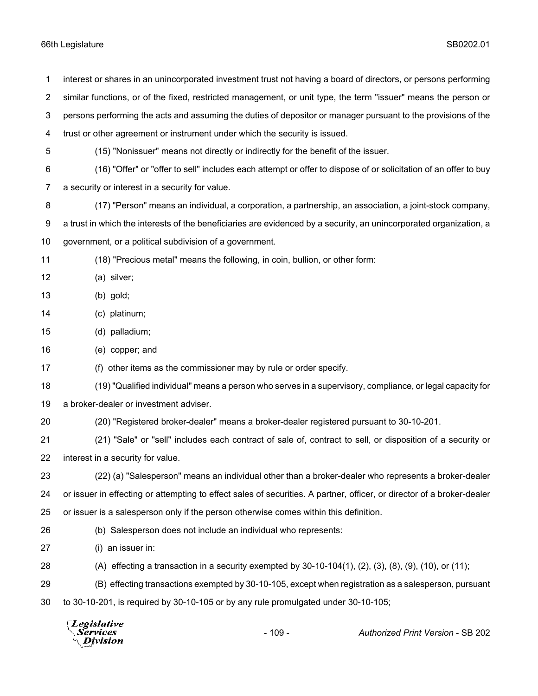| $\mathbf{1}$   | interest or shares in an unincorporated investment trust not having a board of directors, or persons performing        |  |  |  |
|----------------|------------------------------------------------------------------------------------------------------------------------|--|--|--|
| $\overline{2}$ | similar functions, or of the fixed, restricted management, or unit type, the term "issuer" means the person or         |  |  |  |
| 3              | persons performing the acts and assuming the duties of depositor or manager pursuant to the provisions of the          |  |  |  |
| 4              | trust or other agreement or instrument under which the security is issued.                                             |  |  |  |
| 5              | (15) "Nonissuer" means not directly or indirectly for the benefit of the issuer.                                       |  |  |  |
| 6              | (16) "Offer" or "offer to sell" includes each attempt or offer to dispose of or solicitation of an offer to buy        |  |  |  |
| 7              | a security or interest in a security for value.                                                                        |  |  |  |
| 8              | (17) "Person" means an individual, a corporation, a partnership, an association, a joint-stock company,                |  |  |  |
| 9              | a trust in which the interests of the beneficiaries are evidenced by a security, an unincorporated organization, a     |  |  |  |
| 10             | government, or a political subdivision of a government.                                                                |  |  |  |
| 11             | (18) "Precious metal" means the following, in coin, bullion, or other form:                                            |  |  |  |
| 12             | (a) silver;                                                                                                            |  |  |  |
| 13             | $(b)$ gold;                                                                                                            |  |  |  |
| 14             | (c) platinum;                                                                                                          |  |  |  |
| 15             | (d) palladium;                                                                                                         |  |  |  |
| 16             | (e) copper; and                                                                                                        |  |  |  |
| 17             | (f) other items as the commissioner may by rule or order specify.                                                      |  |  |  |
| 18             | (19) "Qualified individual" means a person who serves in a supervisory, compliance, or legal capacity for              |  |  |  |
| 19             | a broker-dealer or investment adviser.                                                                                 |  |  |  |
| 20             | (20) "Registered broker-dealer" means a broker-dealer registered pursuant to 30-10-201.                                |  |  |  |
| 21             | (21) "Sale" or "sell" includes each contract of sale of, contract to sell, or disposition of a security or             |  |  |  |
| 22             | interest in a security for value.                                                                                      |  |  |  |
| 23             | (22) (a) "Salesperson" means an individual other than a broker-dealer who represents a broker-dealer                   |  |  |  |
| 24             | or issuer in effecting or attempting to effect sales of securities. A partner, officer, or director of a broker-dealer |  |  |  |
| 25             | or issuer is a salesperson only if the person otherwise comes within this definition.                                  |  |  |  |
| 26             | (b) Salesperson does not include an individual who represents:                                                         |  |  |  |
| 27             | (i) an issuer in:                                                                                                      |  |  |  |
| 28             | (A) effecting a transaction in a security exempted by 30-10-104(1), (2), (3), (8), (9), (10), or (11);                 |  |  |  |
| 29             | (B) effecting transactions exempted by 30-10-105, except when registration as a salesperson, pursuant                  |  |  |  |
| 30             | to 30-10-201, is required by 30-10-105 or by any rule promulgated under 30-10-105;                                     |  |  |  |
|                |                                                                                                                        |  |  |  |

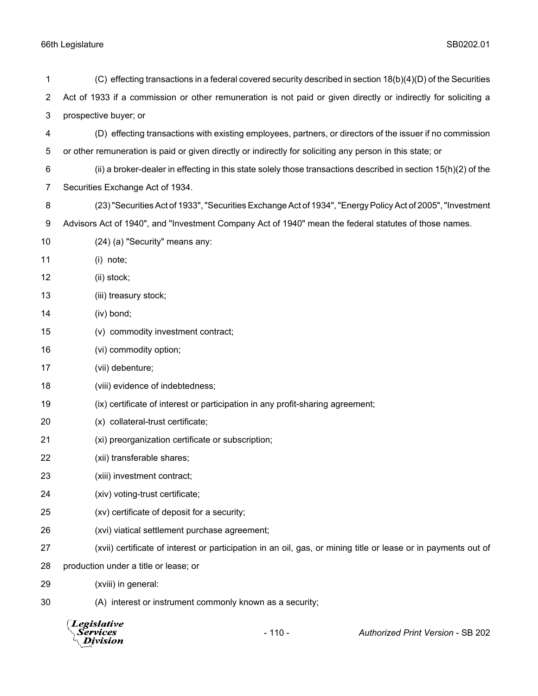| 1              | (C) effecting transactions in a federal covered security described in section $18(b)(4)(D)$ of the Securities    |  |  |
|----------------|------------------------------------------------------------------------------------------------------------------|--|--|
| $\overline{c}$ | Act of 1933 if a commission or other remuneration is not paid or given directly or indirectly for soliciting a   |  |  |
| 3              | prospective buyer; or                                                                                            |  |  |
| 4              | (D) effecting transactions with existing employees, partners, or directors of the issuer if no commission        |  |  |
| 5              | or other remuneration is paid or given directly or indirectly for soliciting any person in this state; or        |  |  |
| 6              | (ii) a broker-dealer in effecting in this state solely those transactions described in section $15(h)(2)$ of the |  |  |
| 7              | Securities Exchange Act of 1934.                                                                                 |  |  |
| 8              | (23) "Securities Act of 1933", "Securities Exchange Act of 1934", "Energy Policy Act of 2005", "Investment       |  |  |
| 9              | Advisors Act of 1940", and "Investment Company Act of 1940" mean the federal statutes of those names.            |  |  |
| 10             | (24) (a) "Security" means any:                                                                                   |  |  |
| 11             | (i) note;                                                                                                        |  |  |
| 12             | (ii) stock;                                                                                                      |  |  |
| 13             | (iii) treasury stock;                                                                                            |  |  |
| 14             | (iv) bond;                                                                                                       |  |  |
| 15             | (v) commodity investment contract;                                                                               |  |  |
| 16             | (vi) commodity option;                                                                                           |  |  |
| 17             | (vii) debenture;                                                                                                 |  |  |
| 18             | (viii) evidence of indebtedness;                                                                                 |  |  |
| 19             | (ix) certificate of interest or participation in any profit-sharing agreement;                                   |  |  |
| 20             | (x) collateral-trust certificate;                                                                                |  |  |
| 21             | (xi) preorganization certificate or subscription;                                                                |  |  |
| 22             | (xii) transferable shares;                                                                                       |  |  |
| 23             | (xiii) investment contract;                                                                                      |  |  |
| 24             | (xiv) voting-trust certificate;                                                                                  |  |  |
| 25             | (xv) certificate of deposit for a security;                                                                      |  |  |
| 26             | (xvi) viatical settlement purchase agreement;                                                                    |  |  |
| 27             | (xvii) certificate of interest or participation in an oil, gas, or mining title or lease or in payments out of   |  |  |
| 28             | production under a title or lease; or                                                                            |  |  |
| 29             | (xviii) in general:                                                                                              |  |  |
| 30             | (A) interest or instrument commonly known as a security;                                                         |  |  |
|                |                                                                                                                  |  |  |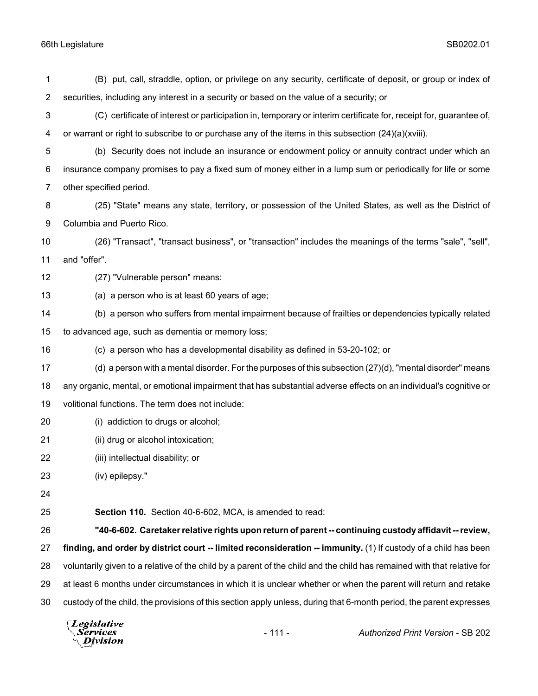| 1              | (B) put, call, straddle, option, or privilege on any security, certificate of deposit, or group or index of             |  |
|----------------|-------------------------------------------------------------------------------------------------------------------------|--|
| $\overline{c}$ | securities, including any interest in a security or based on the value of a security; or                                |  |
| 3              | (C) certificate of interest or participation in, temporary or interim certificate for, receipt for, guarantee of,       |  |
| 4              | or warrant or right to subscribe to or purchase any of the items in this subsection $(24)(a)(xviii)$ .                  |  |
| 5              | (b) Security does not include an insurance or endowment policy or annuity contract under which an                       |  |
| 6              | insurance company promises to pay a fixed sum of money either in a lump sum or periodically for life or some            |  |
| 7              | other specified period.                                                                                                 |  |
| 8              | (25) "State" means any state, territory, or possession of the United States, as well as the District of                 |  |
| 9              | Columbia and Puerto Rico.                                                                                               |  |
| 10             | (26) "Transact", "transact business", or "transaction" includes the meanings of the terms "sale", "sell",               |  |
| 11             | and "offer".                                                                                                            |  |
| 12             | (27) "Vulnerable person" means:                                                                                         |  |
| 13             | (a) a person who is at least 60 years of age;                                                                           |  |
| 14             | (b) a person who suffers from mental impairment because of frailties or dependencies typically related                  |  |
| 15             | to advanced age, such as dementia or memory loss;                                                                       |  |
| 16             | (c) a person who has a developmental disability as defined in 53-20-102; or                                             |  |
| 17             | (d) a person with a mental disorder. For the purposes of this subsection $(27)(d)$ , "mental disorder" means            |  |
| 18             | any organic, mental, or emotional impairment that has substantial adverse effects on an individual's cognitive or       |  |
| 19             | volitional functions. The term does not include:                                                                        |  |
| 20             | (i) addiction to drugs or alcohol;                                                                                      |  |
| 21             | (ii) drug or alcohol intoxication;                                                                                      |  |
| 22             | (iii) intellectual disability; or                                                                                       |  |
| 23             | (iv) epilepsy."                                                                                                         |  |
| 24             |                                                                                                                         |  |
| 25             | Section 110. Section 40-6-602, MCA, is amended to read:                                                                 |  |
| 26             | "40-6-602. Caretaker relative rights upon return of parent -- continuing custody affidavit -- review,                   |  |
| 27             | finding, and order by district court -- limited reconsideration -- immunity. (1) If custody of a child has been         |  |
| 28             | voluntarily given to a relative of the child by a parent of the child and the child has remained with that relative for |  |
| 29             | at least 6 months under circumstances in which it is unclear whether or when the parent will return and retake          |  |
| 30             | custody of the child, the provisions of this section apply unless, during that 6-month period, the parent expresses     |  |
|                |                                                                                                                         |  |

*Legislative*<br>*Services*<br>*Division*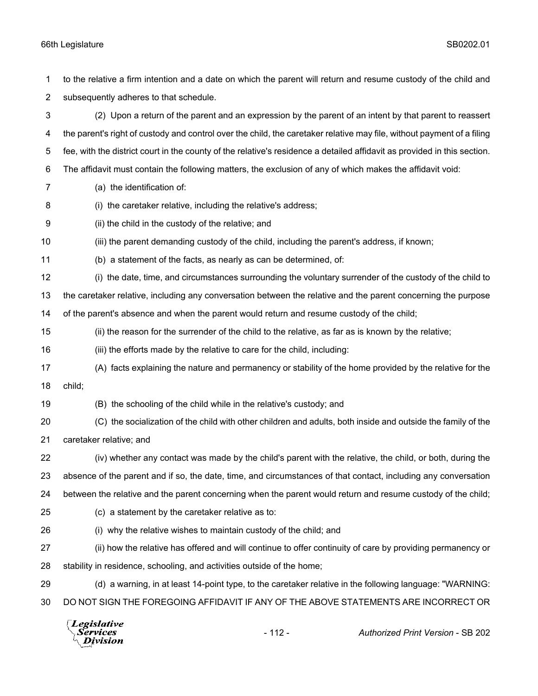to the relative a firm intention and a date on which the parent will return and resume custody of the child and subsequently adheres to that schedule.

 (2) Upon a return of the parent and an expression by the parent of an intent by that parent to reassert the parent's right of custody and control over the child, the caretaker relative may file, without payment of a filing fee, with the district court in the county of the relative's residence a detailed affidavit as provided in this section. The affidavit must contain the following matters, the exclusion of any of which makes the affidavit void:

- (a) the identification of:
- 8 (i) the caretaker relative, including the relative's address;
- (ii) the child in the custody of the relative; and
- (iii) the parent demanding custody of the child, including the parent's address, if known;
- (b) a statement of the facts, as nearly as can be determined, of:
- (i) the date, time, and circumstances surrounding the voluntary surrender of the custody of the child to
- the caretaker relative, including any conversation between the relative and the parent concerning the purpose
- of the parent's absence and when the parent would return and resume custody of the child;
- (ii) the reason for the surrender of the child to the relative, as far as is known by the relative;
- (iii) the efforts made by the relative to care for the child, including:
- (A) facts explaining the nature and permanency or stability of the home provided by the relative for the child;
- (B) the schooling of the child while in the relative's custody; and
- (C) the socialization of the child with other children and adults, both inside and outside the family of the caretaker relative; and
- (iv) whether any contact was made by the child's parent with the relative, the child, or both, during the absence of the parent and if so, the date, time, and circumstances of that contact, including any conversation between the relative and the parent concerning when the parent would return and resume custody of the child;
- 
- (c) a statement by the caretaker relative as to:
- (i) why the relative wishes to maintain custody of the child; and
- (ii) how the relative has offered and will continue to offer continuity of care by providing permanency or
- stability in residence, schooling, and activities outside of the home;
- (d) a warning, in at least 14-point type, to the caretaker relative in the following language: "WARNING: DO NOT SIGN THE FOREGOING AFFIDAVIT IF ANY OF THE ABOVE STATEMENTS ARE INCORRECT OR

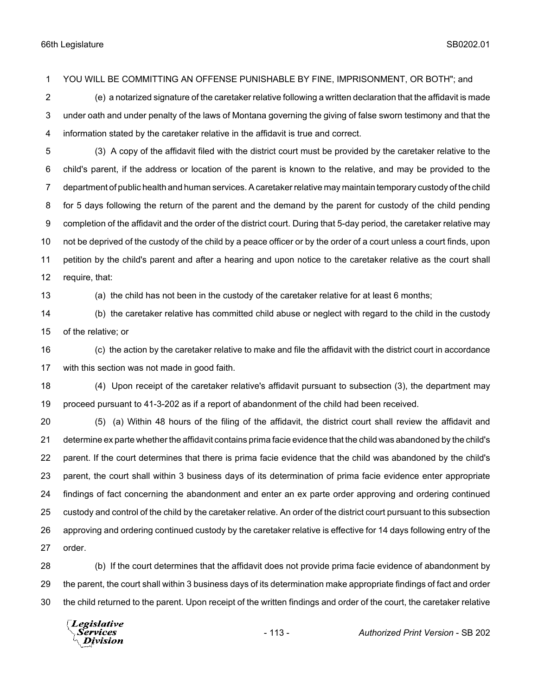YOU WILL BE COMMITTING AN OFFENSE PUNISHABLE BY FINE, IMPRISONMENT, OR BOTH"; and (e) a notarized signature of the caretaker relative following a written declaration that the affidavit is made under oath and under penalty of the laws of Montana governing the giving of false sworn testimony and that the information stated by the caretaker relative in the affidavit is true and correct. (3) A copy of the affidavit filed with the district court must be provided by the caretaker relative to the child's parent, if the address or location of the parent is known to the relative, and may be provided to the department of public health and human services. A caretaker relative may maintain temporary custody of the child for 5 days following the return of the parent and the demand by the parent for custody of the child pending completion of the affidavit and the order of the district court. During that 5-day period, the caretaker relative may not be deprived of the custody of the child by a peace officer or by the order of a court unless a court finds, upon petition by the child's parent and after a hearing and upon notice to the caretaker relative as the court shall

require, that:

(a) the child has not been in the custody of the caretaker relative for at least 6 months;

 (b) the caretaker relative has committed child abuse or neglect with regard to the child in the custody of the relative; or

 (c) the action by the caretaker relative to make and file the affidavit with the district court in accordance with this section was not made in good faith.

 (4) Upon receipt of the caretaker relative's affidavit pursuant to subsection (3), the department may proceed pursuant to 41-3-202 as if a report of abandonment of the child had been received.

 (5) (a) Within 48 hours of the filing of the affidavit, the district court shall review the affidavit and determine ex parte whether the affidavit contains prima facie evidence that the child was abandoned by the child's parent. If the court determines that there is prima facie evidence that the child was abandoned by the child's parent, the court shall within 3 business days of its determination of prima facie evidence enter appropriate findings of fact concerning the abandonment and enter an ex parte order approving and ordering continued custody and control of the child by the caretaker relative. An order of the district court pursuant to this subsection approving and ordering continued custody by the caretaker relative is effective for 14 days following entry of the order.

 (b) If the court determines that the affidavit does not provide prima facie evidence of abandonment by the parent, the court shall within 3 business days of its determination make appropriate findings of fact and order the child returned to the parent. Upon receipt of the written findings and order of the court, the caretaker relative

**Legislative** *Services* **Division**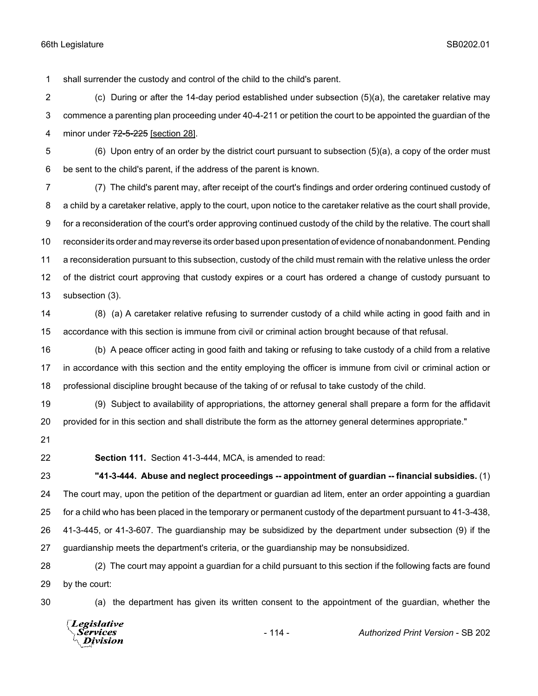shall surrender the custody and control of the child to the child's parent.

 (c) During or after the 14-day period established under subsection (5)(a), the caretaker relative may commence a parenting plan proceeding under 40-4-211 or petition the court to be appointed the guardian of the 4 minor under 72-5-225 [section 28].

 (6) Upon entry of an order by the district court pursuant to subsection (5)(a), a copy of the order must be sent to the child's parent, if the address of the parent is known.

 (7) The child's parent may, after receipt of the court's findings and order ordering continued custody of a child by a caretaker relative, apply to the court, upon notice to the caretaker relative as the court shall provide, for a reconsideration of the court's order approving continued custody of the child by the relative. The court shall reconsider its order and may reverse its order based upon presentation of evidence of nonabandonment. Pending a reconsideration pursuant to this subsection, custody of the child must remain with the relative unless the order of the district court approving that custody expires or a court has ordered a change of custody pursuant to subsection (3).

 (8) (a) A caretaker relative refusing to surrender custody of a child while acting in good faith and in accordance with this section is immune from civil or criminal action brought because of that refusal.

 (b) A peace officer acting in good faith and taking or refusing to take custody of a child from a relative in accordance with this section and the entity employing the officer is immune from civil or criminal action or professional discipline brought because of the taking of or refusal to take custody of the child.

 (9) Subject to availability of appropriations, the attorney general shall prepare a form for the affidavit 20 provided for in this section and shall distribute the form as the attorney general determines appropriate."

- 
- 

**Section 111.** Section 41-3-444, MCA, is amended to read:

 **"41-3-444. Abuse and neglect proceedings -- appointment of guardian -- financial subsidies.** (1) The court may, upon the petition of the department or guardian ad litem, enter an order appointing a guardian for a child who has been placed in the temporary or permanent custody of the department pursuant to 41-3-438, 41-3-445, or 41-3-607. The guardianship may be subsidized by the department under subsection (9) if the guardianship meets the department's criteria, or the guardianship may be nonsubsidized.

 (2) The court may appoint a guardian for a child pursuant to this section if the following facts are found by the court:

(a) the department has given its written consent to the appointment of the guardian, whether the

**Legislative** *Services* **Division**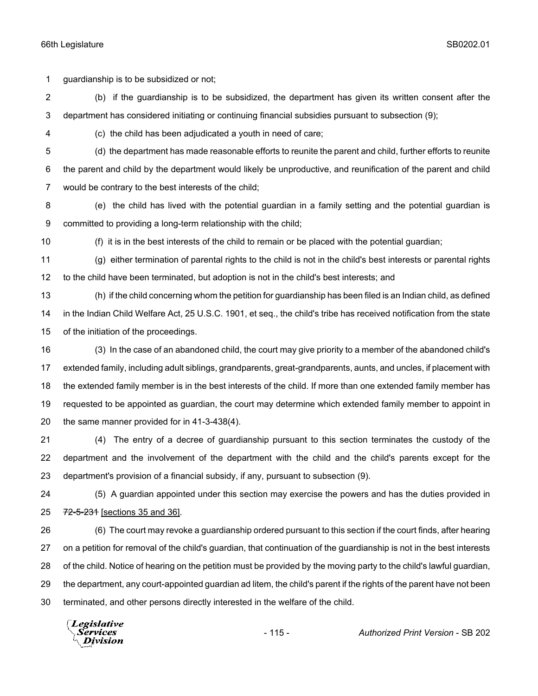guardianship is to be subsidized or not;

 (b) if the guardianship is to be subsidized, the department has given its written consent after the department has considered initiating or continuing financial subsidies pursuant to subsection (9);

(c) the child has been adjudicated a youth in need of care;

 (d) the department has made reasonable efforts to reunite the parent and child, further efforts to reunite the parent and child by the department would likely be unproductive, and reunification of the parent and child would be contrary to the best interests of the child;

 (e) the child has lived with the potential guardian in a family setting and the potential guardian is committed to providing a long-term relationship with the child;

(f) it is in the best interests of the child to remain or be placed with the potential guardian;

 (g) either termination of parental rights to the child is not in the child's best interests or parental rights to the child have been terminated, but adoption is not in the child's best interests; and

 (h) if the child concerning whom the petition for guardianship has been filed is an Indian child, as defined in the Indian Child Welfare Act, 25 U.S.C. 1901, et seq., the child's tribe has received notification from the state of the initiation of the proceedings.

 (3) In the case of an abandoned child, the court may give priority to a member of the abandoned child's extended family, including adult siblings, grandparents, great-grandparents, aunts, and uncles, if placement with the extended family member is in the best interests of the child. If more than one extended family member has requested to be appointed as guardian, the court may determine which extended family member to appoint in the same manner provided for in 41-3-438(4).

 (4) The entry of a decree of guardianship pursuant to this section terminates the custody of the department and the involvement of the department with the child and the child's parents except for the department's provision of a financial subsidy, if any, pursuant to subsection (9).

 (5) A guardian appointed under this section may exercise the powers and has the duties provided in 25 72-5-231 [sections 35 and 36].

 (6) The court may revoke a guardianship ordered pursuant to this section if the court finds, after hearing on a petition for removal of the child's guardian, that continuation of the guardianship is not in the best interests of the child. Notice of hearing on the petition must be provided by the moving party to the child's lawful guardian, the department, any court-appointed guardian ad litem, the child's parent if the rights of the parent have not been terminated, and other persons directly interested in the welfare of the child.

Legislative *Services* **Division**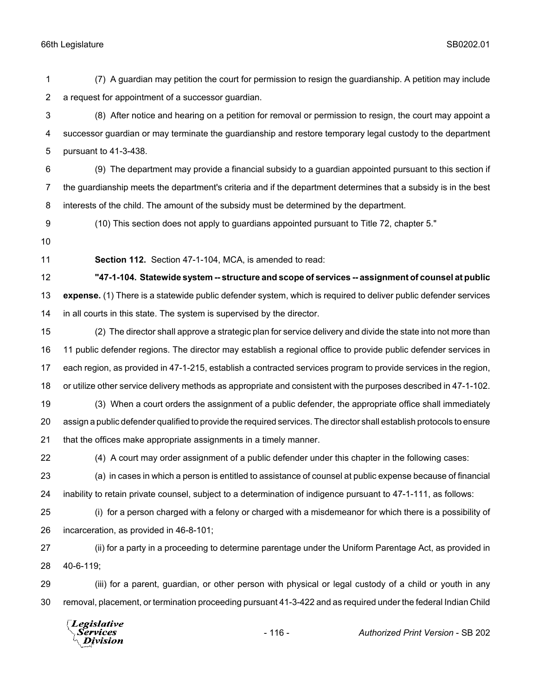(7) A guardian may petition the court for permission to resign the guardianship. A petition may include a request for appointment of a successor guardian. (8) After notice and hearing on a petition for removal or permission to resign, the court may appoint a

 successor guardian or may terminate the guardianship and restore temporary legal custody to the department pursuant to 41-3-438.

 (9) The department may provide a financial subsidy to a guardian appointed pursuant to this section if the guardianship meets the department's criteria and if the department determines that a subsidy is in the best interests of the child. The amount of the subsidy must be determined by the department.

(10) This section does not apply to guardians appointed pursuant to Title 72, chapter 5."

**Section 112.** Section 47-1-104, MCA, is amended to read:

 **"47-1-104. Statewide system -- structure and scope of services -- assignment of counsel at public expense.** (1) There is a statewide public defender system, which is required to deliver public defender services in all courts in this state. The system is supervised by the director.

 (2) The director shall approve a strategic plan for service delivery and divide the state into not more than 11 public defender regions. The director may establish a regional office to provide public defender services in each region, as provided in 47-1-215, establish a contracted services program to provide services in the region, or utilize other service delivery methods as appropriate and consistent with the purposes described in 47-1-102.

 (3) When a court orders the assignment of a public defender, the appropriate office shall immediately assign a public defender qualified to provide the required services. The director shall establish protocols to ensure that the offices make appropriate assignments in a timely manner.

(4) A court may order assignment of a public defender under this chapter in the following cases:

 (a) in cases in which a person is entitled to assistance of counsel at public expense because of financial inability to retain private counsel, subject to a determination of indigence pursuant to 47-1-111, as follows:

 (i) for a person charged with a felony or charged with a misdemeanor for which there is a possibility of incarceration, as provided in 46-8-101;

 (ii) for a party in a proceeding to determine parentage under the Uniform Parentage Act, as provided in 40-6-119;

 (iii) for a parent, guardian, or other person with physical or legal custody of a child or youth in any removal, placement, or termination proceeding pursuant 41-3-422 and as required under the federal Indian Child

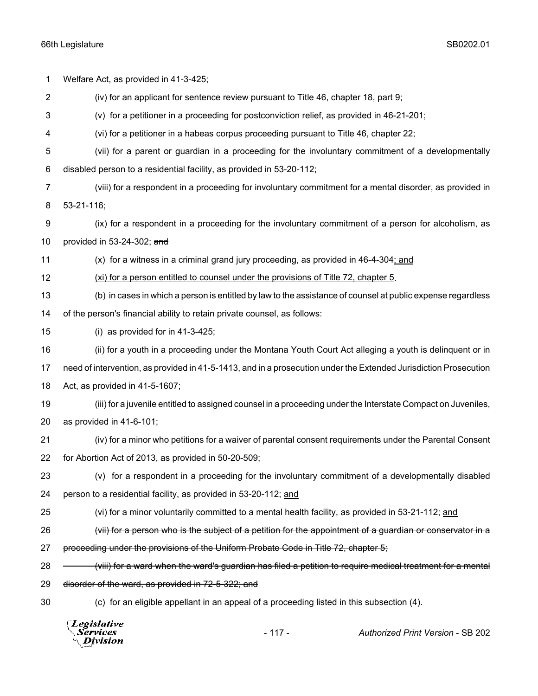| 1              | Welfare Act, as provided in 41-3-425;                                                                            |  |  |
|----------------|------------------------------------------------------------------------------------------------------------------|--|--|
| $\overline{c}$ | (iv) for an applicant for sentence review pursuant to Title 46, chapter 18, part 9;                              |  |  |
| 3              | (v) for a petitioner in a proceeding for postconviction relief, as provided in $46-21-201$ ;                     |  |  |
| 4              | (vi) for a petitioner in a habeas corpus proceeding pursuant to Title 46, chapter 22;                            |  |  |
| 5              | (vii) for a parent or guardian in a proceeding for the involuntary commitment of a developmentally               |  |  |
| 6              | disabled person to a residential facility, as provided in 53-20-112;                                             |  |  |
| $\overline{7}$ | (viii) for a respondent in a proceeding for involuntary commitment for a mental disorder, as provided in         |  |  |
| 8              | $53 - 21 - 116$ ;                                                                                                |  |  |
| 9              | (ix) for a respondent in a proceeding for the involuntary commitment of a person for alcoholism, as              |  |  |
| 10             | provided in 53-24-302; $and$                                                                                     |  |  |
| 11             | $(x)$ for a witness in a criminal grand jury proceeding, as provided in 46-4-304; and                            |  |  |
| 12             | (xi) for a person entitled to counsel under the provisions of Title 72, chapter 5.                               |  |  |
| 13             | (b) in cases in which a person is entitled by law to the assistance of counsel at public expense regardless      |  |  |
| 14             | of the person's financial ability to retain private counsel, as follows:                                         |  |  |
| 15             | (i) as provided for in $41-3-425$ ;                                                                              |  |  |
| 16             | (ii) for a youth in a proceeding under the Montana Youth Court Act alleging a youth is delinquent or in          |  |  |
| 17             | need of intervention, as provided in 41-5-1413, and in a prosecution under the Extended Jurisdiction Prosecution |  |  |
| 18             | Act, as provided in 41-5-1607;                                                                                   |  |  |
| 19             | (iii) for a juvenile entitled to assigned counsel in a proceeding under the Interstate Compact on Juveniles,     |  |  |
| 20             | as provided in 41-6-101;                                                                                         |  |  |
| 21             | (iv) for a minor who petitions for a waiver of parental consent requirements under the Parental Consent          |  |  |
| 22             | for Abortion Act of 2013, as provided in 50-20-509;                                                              |  |  |
| 23             | (v) for a respondent in a proceeding for the involuntary commitment of a developmentally disabled                |  |  |
| 24             | person to a residential facility, as provided in 53-20-112; and                                                  |  |  |
| 25             | (vi) for a minor voluntarily committed to a mental health facility, as provided in 53-21-112; and                |  |  |
| 26             | (vii) for a person who is the subject of a petition for the appointment of a guardian or conservator in a        |  |  |
| 27             | proceeding under the provisions of the Uniform Probate Code in Title 72, chapter 5;                              |  |  |
| 28             | (viii) for a ward when the ward's guardian has filed a petition to require medical treatment for a mental        |  |  |
| 29             | disorder of the ward, as provided in 72-5-322; and                                                               |  |  |
| 30             | (c) for an eligible appellant in an appeal of a proceeding listed in this subsection (4).                        |  |  |
|                | $\Box$ eqislative                                                                                                |  |  |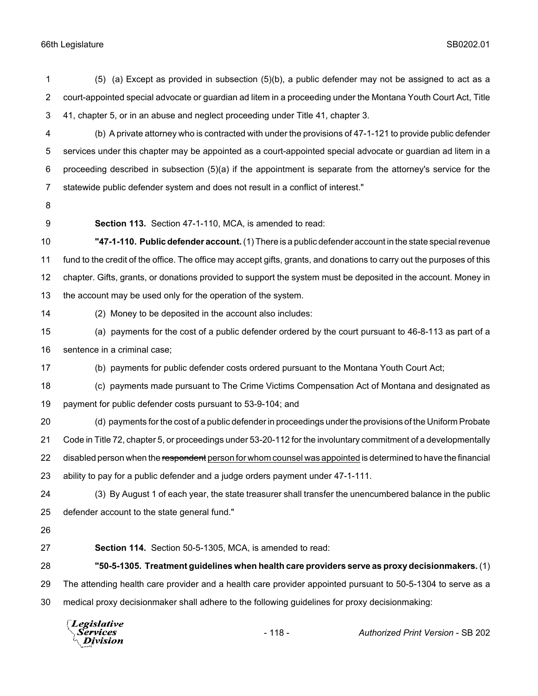|                | Legislative<br>$-118-$<br><b>Authorized Print Version - SB 202</b><br>Services<br>ivision                              |  |  |
|----------------|------------------------------------------------------------------------------------------------------------------------|--|--|
| 30             | medical proxy decisionmaker shall adhere to the following guidelines for proxy decisionmaking:                         |  |  |
| 29             | The attending health care provider and a health care provider appointed pursuant to 50-5-1304 to serve as a            |  |  |
| 28             | "50-5-1305. Treatment guidelines when health care providers serve as proxy decisionmakers. (1)                         |  |  |
| 27             | Section 114. Section 50-5-1305, MCA, is amended to read:                                                               |  |  |
| 26             |                                                                                                                        |  |  |
| 25             | defender account to the state general fund."                                                                           |  |  |
| 24             | (3) By August 1 of each year, the state treasurer shall transfer the unencumbered balance in the public                |  |  |
| 23             | ability to pay for a public defender and a judge orders payment under 47-1-111.                                        |  |  |
| 22             | disabled person when the respondent person for whom counsel was appointed is determined to have the financial          |  |  |
| 21             | Code in Title 72, chapter 5, or proceedings under 53-20-112 for the involuntary commitment of a developmentally        |  |  |
| 20             | (d) payments for the cost of a public defender in proceedings under the provisions of the Uniform Probate              |  |  |
| 19             | payment for public defender costs pursuant to 53-9-104; and                                                            |  |  |
| 18             | (c) payments made pursuant to The Crime Victims Compensation Act of Montana and designated as                          |  |  |
| 17             | (b) payments for public defender costs ordered pursuant to the Montana Youth Court Act;                                |  |  |
| 16             | sentence in a criminal case;                                                                                           |  |  |
| 15             | (a) payments for the cost of a public defender ordered by the court pursuant to 46-8-113 as part of a                  |  |  |
| 14             | (2) Money to be deposited in the account also includes:                                                                |  |  |
| 13             | the account may be used only for the operation of the system.                                                          |  |  |
| 12             | chapter. Gifts, grants, or donations provided to support the system must be deposited in the account. Money in         |  |  |
| 11             | fund to the credit of the office. The office may accept gifts, grants, and donations to carry out the purposes of this |  |  |
| 10             | "47-1-110. Public defender account. (1) There is a public defender account in the state special revenue                |  |  |
| 9              | Section 113. Section 47-1-110, MCA, is amended to read:                                                                |  |  |
| 8              |                                                                                                                        |  |  |
| 7              | statewide public defender system and does not result in a conflict of interest."                                       |  |  |
| 6              | proceeding described in subsection (5)(a) if the appointment is separate from the attorney's service for the           |  |  |
| 5              | services under this chapter may be appointed as a court-appointed special advocate or guardian ad litem in a           |  |  |
| 4              | (b) A private attorney who is contracted with under the provisions of 47-1-121 to provide public defender              |  |  |
| 3              | 41, chapter 5, or in an abuse and neglect proceeding under Title 41, chapter 3.                                        |  |  |
| $\overline{c}$ | court-appointed special advocate or guardian ad litem in a proceeding under the Montana Youth Court Act, Title         |  |  |
| 1              | $(5)$ (a) Except as provided in subsection $(5)(b)$ , a public defender may not be assigned to act as a                |  |  |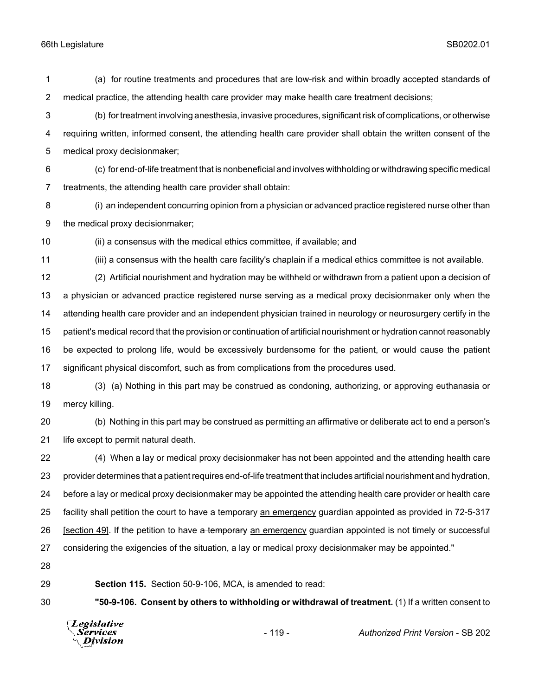(a) for routine treatments and procedures that are low-risk and within broadly accepted standards of medical practice, the attending health care provider may make health care treatment decisions;

 (b) for treatment involving anesthesia, invasive procedures, significant risk of complications, or otherwise requiring written, informed consent, the attending health care provider shall obtain the written consent of the medical proxy decisionmaker;

 (c) for end-of-life treatment that is nonbeneficial and involves withholding or withdrawing specific medical treatments, the attending health care provider shall obtain:

 (i) an independent concurring opinion from a physician or advanced practice registered nurse other than the medical proxy decisionmaker;

(ii) a consensus with the medical ethics committee, if available; and

(iii) a consensus with the health care facility's chaplain if a medical ethics committee is not available.

 (2) Artificial nourishment and hydration may be withheld or withdrawn from a patient upon a decision of a physician or advanced practice registered nurse serving as a medical proxy decisionmaker only when the attending health care provider and an independent physician trained in neurology or neurosurgery certify in the patient's medical record that the provision or continuation of artificial nourishment or hydration cannot reasonably be expected to prolong life, would be excessively burdensome for the patient, or would cause the patient significant physical discomfort, such as from complications from the procedures used.

 (3) (a) Nothing in this part may be construed as condoning, authorizing, or approving euthanasia or mercy killing.

 (b) Nothing in this part may be construed as permitting an affirmative or deliberate act to end a person's life except to permit natural death.

 (4) When a lay or medical proxy decisionmaker has not been appointed and the attending health care provider determines that a patient requires end-of-life treatment that includes artificial nourishment and hydration, before a lay or medical proxy decisionmaker may be appointed the attending health care provider or health care 25 facility shall petition the court to have a temporary an emergency guardian appointed as provided in 72-5-317 26 [section 49]. If the petition to have a temporary an emergency guardian appointed is not timely or successful considering the exigencies of the situation, a lay or medical proxy decisionmaker may be appointed."

**Section 115.** Section 50-9-106, MCA, is amended to read:

**"50-9-106. Consent by others to withholding or withdrawal of treatment.** (1) If a written consent to

**Legislative** Services **Division** 

- 119 - *Authorized Print Version* - SB 202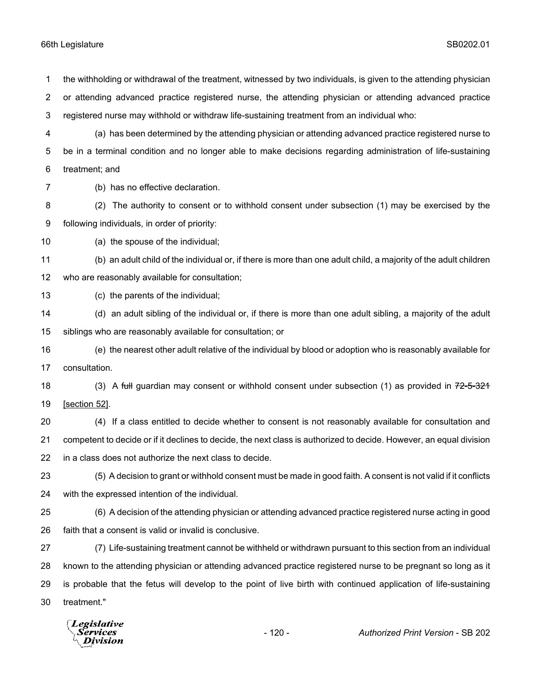the withholding or withdrawal of the treatment, witnessed by two individuals, is given to the attending physician or attending advanced practice registered nurse, the attending physician or attending advanced practice registered nurse may withhold or withdraw life-sustaining treatment from an individual who: (a) has been determined by the attending physician or attending advanced practice registered nurse to be in a terminal condition and no longer able to make decisions regarding administration of life-sustaining treatment; and (b) has no effective declaration. (2) The authority to consent or to withhold consent under subsection (1) may be exercised by the following individuals, in order of priority: (a) the spouse of the individual; (b) an adult child of the individual or, if there is more than one adult child, a majority of the adult children who are reasonably available for consultation; (c) the parents of the individual; (d) an adult sibling of the individual or, if there is more than one adult sibling, a majority of the adult siblings who are reasonably available for consultation; or (e) the nearest other adult relative of the individual by blood or adoption who is reasonably available for consultation. 18 (3) A full guardian may consent or withhold consent under subsection (1) as provided in  $72-5-321$  [section 52]. (4) If a class entitled to decide whether to consent is not reasonably available for consultation and competent to decide or if it declines to decide, the next class is authorized to decide. However, an equal division in a class does not authorize the next class to decide. (5) A decision to grant or withhold consent must be made in good faith. A consent is not valid if it conflicts with the expressed intention of the individual. (6) A decision of the attending physician or attending advanced practice registered nurse acting in good faith that a consent is valid or invalid is conclusive. (7) Life-sustaining treatment cannot be withheld or withdrawn pursuant to this section from an individual known to the attending physician or attending advanced practice registered nurse to be pregnant so long as it is probable that the fetus will develop to the point of live birth with continued application of life-sustaining treatment."

**Legislative** Services **Division**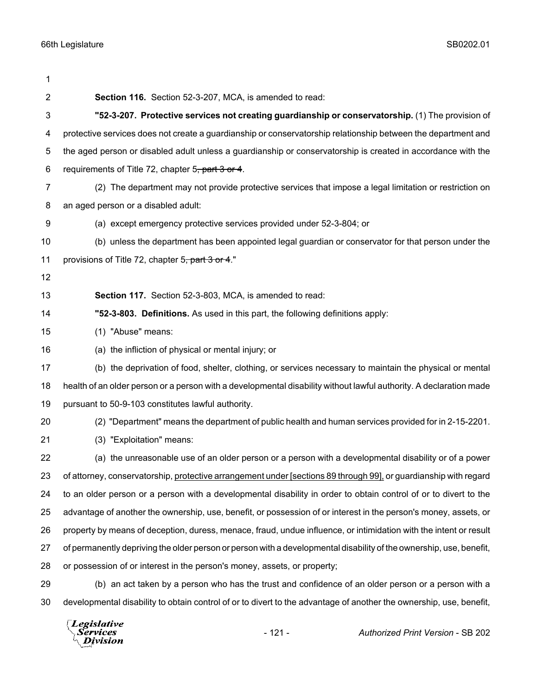| 1              |                                                                                                                     |
|----------------|---------------------------------------------------------------------------------------------------------------------|
| $\overline{c}$ | Section 116. Section 52-3-207, MCA, is amended to read:                                                             |
| 3              | "52-3-207. Protective services not creating guardianship or conservatorship. (1) The provision of                   |
| 4              | protective services does not create a guardianship or conservatorship relationship between the department and       |
| 5              | the aged person or disabled adult unless a guardianship or conservatorship is created in accordance with the        |
| 6              | requirements of Title 72, chapter 5, part 3 or 4.                                                                   |
| 7              | (2) The department may not provide protective services that impose a legal limitation or restriction on             |
| 8              | an aged person or a disabled adult:                                                                                 |
| 9              | (a) except emergency protective services provided under 52-3-804; or                                                |
| 10             | (b) unless the department has been appointed legal guardian or conservator for that person under the                |
| 11             | provisions of Title 72, chapter 5, part 3 or 4."                                                                    |
| 12             |                                                                                                                     |
| 13             | Section 117. Section 52-3-803, MCA, is amended to read:                                                             |
| 14             | "52-3-803. Definitions. As used in this part, the following definitions apply:                                      |
| 15             | (1) "Abuse" means:                                                                                                  |
| 16             | (a) the infliction of physical or mental injury; or                                                                 |
| 17             | (b) the deprivation of food, shelter, clothing, or services necessary to maintain the physical or mental            |
| 18             | health of an older person or a person with a developmental disability without lawful authority. A declaration made  |
| 19             | pursuant to 50-9-103 constitutes lawful authority.                                                                  |
| 20             | (2) "Department" means the department of public health and human services provided for in 2-15-2201.                |
| 21             | (3) "Exploitation" means:                                                                                           |
| 22             | (a) the unreasonable use of an older person or a person with a developmental disability or of a power               |
| 23             | of attorney, conservatorship, protective arrangement under [sections 89 through 99], or guardianship with regard    |
| 24             | to an older person or a person with a developmental disability in order to obtain control of or to divert to the    |
| 25             | advantage of another the ownership, use, benefit, or possession of or interest in the person's money, assets, or    |
| 26             | property by means of deception, duress, menace, fraud, undue influence, or intimidation with the intent or result   |
| 27             | of permanently depriving the older person or person with a developmental disability of the ownership, use, benefit, |
| 28             | or possession of or interest in the person's money, assets, or property;                                            |
| 29             | (b) an act taken by a person who has the trust and confidence of an older person or a person with a                 |
| 30             | developmental disability to obtain control of or to divert to the advantage of another the ownership, use, benefit, |

*Legislative*<br>Services<br>*Division*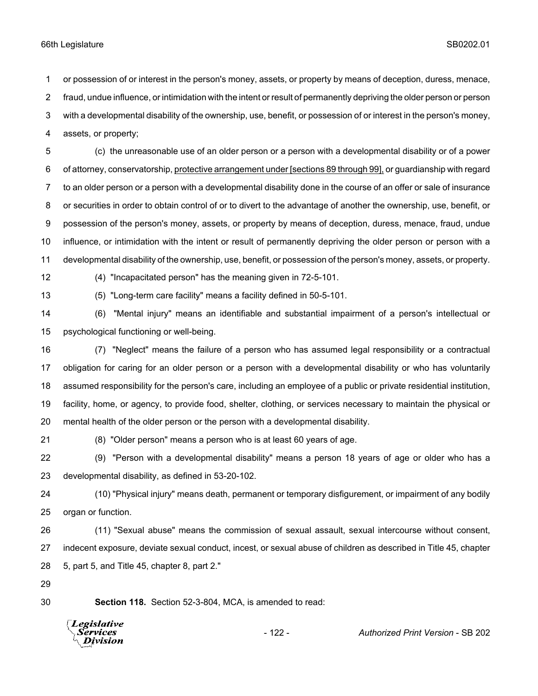or possession of or interest in the person's money, assets, or property by means of deception, duress, menace, fraud, undue influence, or intimidation with the intent or result of permanently depriving the older person or person with a developmental disability of the ownership, use, benefit, or possession of or interest in the person's money, assets, or property;

 (c) the unreasonable use of an older person or a person with a developmental disability or of a power of attorney, conservatorship, protective arrangement under [sections 89 through 99], or guardianship with regard to an older person or a person with a developmental disability done in the course of an offer or sale of insurance or securities in order to obtain control of or to divert to the advantage of another the ownership, use, benefit, or possession of the person's money, assets, or property by means of deception, duress, menace, fraud, undue influence, or intimidation with the intent or result of permanently depriving the older person or person with a developmental disability of the ownership, use, benefit, or possession of the person's money, assets, or property.

(4) "Incapacitated person" has the meaning given in 72-5-101.

(5) "Long-term care facility" means a facility defined in 50-5-101.

 (6) "Mental injury" means an identifiable and substantial impairment of a person's intellectual or psychological functioning or well-being.

 (7) "Neglect" means the failure of a person who has assumed legal responsibility or a contractual obligation for caring for an older person or a person with a developmental disability or who has voluntarily assumed responsibility for the person's care, including an employee of a public or private residential institution, facility, home, or agency, to provide food, shelter, clothing, or services necessary to maintain the physical or mental health of the older person or the person with a developmental disability.

(8) "Older person" means a person who is at least 60 years of age.

 (9) "Person with a developmental disability" means a person 18 years of age or older who has a developmental disability, as defined in 53-20-102.

 (10) "Physical injury" means death, permanent or temporary disfigurement, or impairment of any bodily organ or function.

 (11) "Sexual abuse" means the commission of sexual assault, sexual intercourse without consent, indecent exposure, deviate sexual conduct, incest, or sexual abuse of children as described in Title 45, chapter 5, part 5, and Title 45, chapter 8, part 2."

**Section 118.** Section 52-3-804, MCA, is amended to read:



- 122 - *Authorized Print Version* - SB 202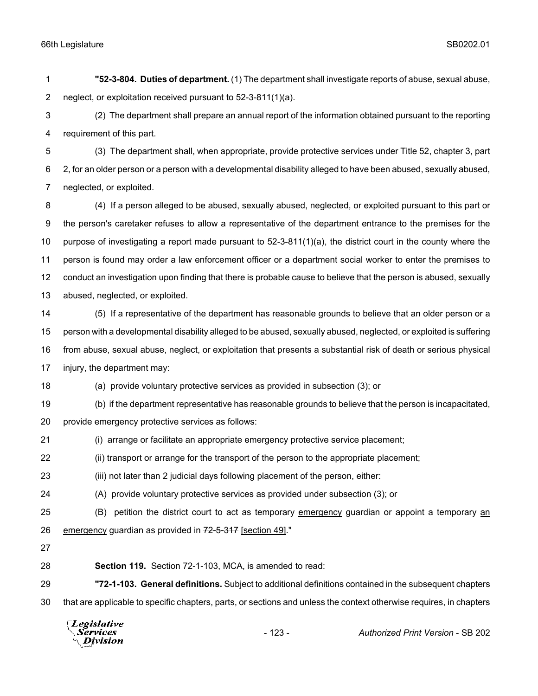**"52-3-804. Duties of department.** (1) The department shall investigate reports of abuse, sexual abuse, neglect, or exploitation received pursuant to 52-3-811(1)(a).

 (2) The department shall prepare an annual report of the information obtained pursuant to the reporting requirement of this part.

 (3) The department shall, when appropriate, provide protective services under Title 52, chapter 3, part 2, for an older person or a person with a developmental disability alleged to have been abused, sexually abused, neglected, or exploited.

 (4) If a person alleged to be abused, sexually abused, neglected, or exploited pursuant to this part or the person's caretaker refuses to allow a representative of the department entrance to the premises for the purpose of investigating a report made pursuant to 52-3-811(1)(a), the district court in the county where the person is found may order a law enforcement officer or a department social worker to enter the premises to conduct an investigation upon finding that there is probable cause to believe that the person is abused, sexually abused, neglected, or exploited.

 (5) If a representative of the department has reasonable grounds to believe that an older person or a person with a developmental disability alleged to be abused, sexually abused, neglected, or exploited is suffering from abuse, sexual abuse, neglect, or exploitation that presents a substantial risk of death or serious physical injury, the department may:

(a) provide voluntary protective services as provided in subsection (3); or

(b) if the department representative has reasonable grounds to believe that the person is incapacitated,

20 provide emergency protective services as follows:

(i) arrange or facilitate an appropriate emergency protective service placement;

(ii) transport or arrange for the transport of the person to the appropriate placement;

(iii) not later than 2 judicial days following placement of the person, either:

(A) provide voluntary protective services as provided under subsection (3); or

25 (B) petition the district court to act as temporary emergency guardian or appoint a temporary an 26 emergency guardian as provided in 72-5-317 [section 49]."

**Section 119.** Section 72-1-103, MCA, is amended to read:

 **"72-1-103. General definitions.** Subject to additional definitions contained in the subsequent chapters that are applicable to specific chapters, parts, or sections and unless the context otherwise requires, in chapters

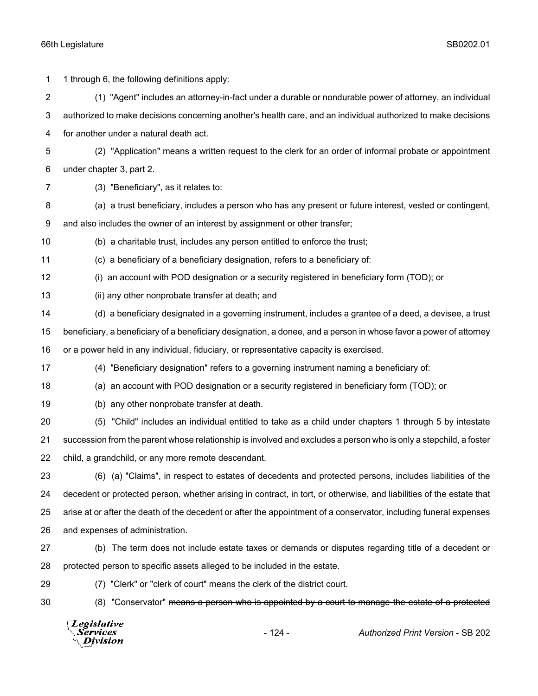| 1                        | 1 through 6, the following definitions apply:                                                                        |  |  |
|--------------------------|----------------------------------------------------------------------------------------------------------------------|--|--|
| $\overline{2}$           | (1) "Agent" includes an attorney-in-fact under a durable or nondurable power of attorney, an individual              |  |  |
| $\sqrt{3}$               | authorized to make decisions concerning another's health care, and an individual authorized to make decisions        |  |  |
| $\overline{\mathcal{A}}$ | for another under a natural death act.                                                                               |  |  |
| 5                        | (2) "Application" means a written request to the clerk for an order of informal probate or appointment               |  |  |
| $\,6$                    | under chapter 3, part 2.                                                                                             |  |  |
| 7                        | (3) "Beneficiary", as it relates to:                                                                                 |  |  |
| 8                        | (a) a trust beneficiary, includes a person who has any present or future interest, vested or contingent,             |  |  |
| 9                        | and also includes the owner of an interest by assignment or other transfer;                                          |  |  |
| 10                       | (b) a charitable trust, includes any person entitled to enforce the trust;                                           |  |  |
| 11                       | (c) a beneficiary of a beneficiary designation, refers to a beneficiary of:                                          |  |  |
| 12                       | (i) an account with POD designation or a security registered in beneficiary form (TOD); or                           |  |  |
| 13                       | (ii) any other nonprobate transfer at death; and                                                                     |  |  |
| 14                       | (d) a beneficiary designated in a governing instrument, includes a grantee of a deed, a devisee, a trust             |  |  |
| 15                       | beneficiary, a beneficiary of a beneficiary designation, a donee, and a person in whose favor a power of attorney    |  |  |
| 16                       | or a power held in any individual, fiduciary, or representative capacity is exercised.                               |  |  |
| 17                       | (4) "Beneficiary designation" refers to a governing instrument naming a beneficiary of:                              |  |  |
| 18                       | (a) an account with POD designation or a security registered in beneficiary form (TOD); or                           |  |  |
| 19                       | (b) any other nonprobate transfer at death.                                                                          |  |  |
| 20                       | "Child" includes an individual entitled to take as a child under chapters 1 through 5 by intestate<br>(5)            |  |  |
| 21                       | succession from the parent whose relationship is involved and excludes a person who is only a stepchild, a foster    |  |  |
| 22                       | child, a grandchild, or any more remote descendant.                                                                  |  |  |
| 23                       | (6) (a) "Claims", in respect to estates of decedents and protected persons, includes liabilities of the              |  |  |
| 24                       | decedent or protected person, whether arising in contract, in tort, or otherwise, and liabilities of the estate that |  |  |
| 25                       | arise at or after the death of the decedent or after the appointment of a conservator, including funeral expenses    |  |  |
| 26                       | and expenses of administration.                                                                                      |  |  |
| 27                       | (b) The term does not include estate taxes or demands or disputes regarding title of a decedent or                   |  |  |
| 28                       | protected person to specific assets alleged to be included in the estate.                                            |  |  |
| 29                       | (7) "Clerk" or "clerk of court" means the clerk of the district court.                                               |  |  |
| 30                       | (8) "Conservator" means a person who is appointed by a court to manage the estate of a protected                     |  |  |
|                          | Legislative<br>$-124-$<br>Services<br><b>Authorized Print Version - SB 202</b><br>Division                           |  |  |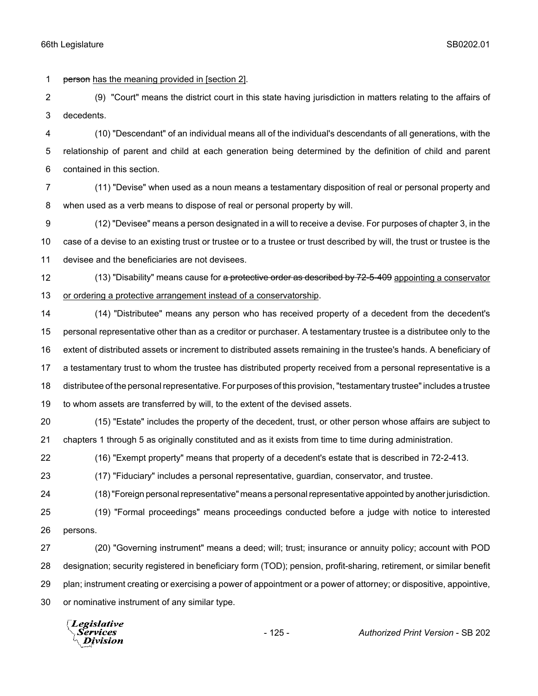1 <del>person</del> has the meaning provided in [section 2].

 (9) "Court" means the district court in this state having jurisdiction in matters relating to the affairs of decedents.

 (10) "Descendant" of an individual means all of the individual's descendants of all generations, with the relationship of parent and child at each generation being determined by the definition of child and parent contained in this section.

 (11) "Devise" when used as a noun means a testamentary disposition of real or personal property and when used as a verb means to dispose of real or personal property by will.

 (12) "Devisee" means a person designated in a will to receive a devise. For purposes of chapter 3, in the case of a devise to an existing trust or trustee or to a trustee or trust described by will, the trust or trustee is the devisee and the beneficiaries are not devisees.

12 (13) "Disability" means cause for a protective order as described by 72-5-409 appointing a conservator or ordering a protective arrangement instead of a conservatorship.

 (14) "Distributee" means any person who has received property of a decedent from the decedent's personal representative other than as a creditor or purchaser. A testamentary trustee is a distributee only to the extent of distributed assets or increment to distributed assets remaining in the trustee's hands. A beneficiary of a testamentary trust to whom the trustee has distributed property received from a personal representative is a distributee of the personal representative. For purposes of this provision, "testamentary trustee" includes a trustee to whom assets are transferred by will, to the extent of the devised assets.

 (15) "Estate" includes the property of the decedent, trust, or other person whose affairs are subject to chapters 1 through 5 as originally constituted and as it exists from time to time during administration.

(16) "Exempt property" means that property of a decedent's estate that is described in 72-2-413.

(17) "Fiduciary" includes a personal representative, guardian, conservator, and trustee.

(18) "Foreign personal representative" means a personal representative appointed by another jurisdiction.

 (19) "Formal proceedings" means proceedings conducted before a judge with notice to interested persons.

 (20) "Governing instrument" means a deed; will; trust; insurance or annuity policy; account with POD designation; security registered in beneficiary form (TOD); pension, profit-sharing, retirement, or similar benefit plan; instrument creating or exercising a power of appointment or a power of attorney; or dispositive, appointive, or nominative instrument of any similar type.

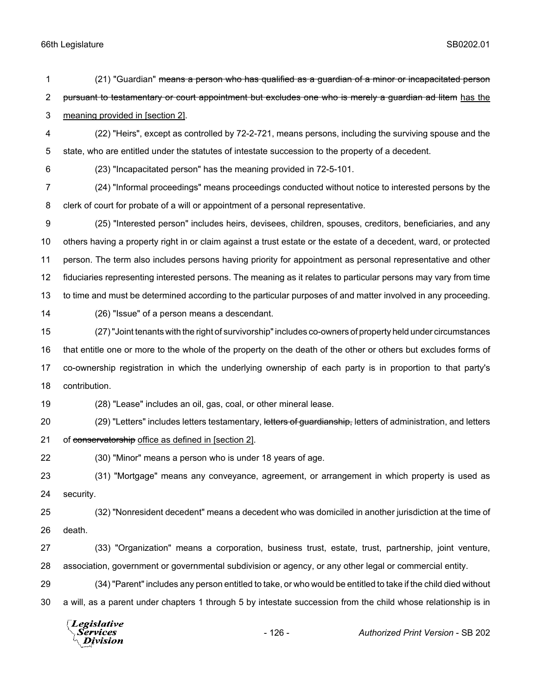1 (21) "Guardian" means a person who has qualified as a guardian of a minor or incapacitated person 2 pursuant to testamentary or court appointment but excludes one who is merely a guardian ad litem has the meaning provided in [section 2].

- (22) "Heirs", except as controlled by 72-2-721, means persons, including the surviving spouse and the state, who are entitled under the statutes of intestate succession to the property of a decedent.
- 

(23) "Incapacitated person" has the meaning provided in 72-5-101.

 (24) "Informal proceedings" means proceedings conducted without notice to interested persons by the clerk of court for probate of a will or appointment of a personal representative.

 (25) "Interested person" includes heirs, devisees, children, spouses, creditors, beneficiaries, and any others having a property right in or claim against a trust estate or the estate of a decedent, ward, or protected person. The term also includes persons having priority for appointment as personal representative and other fiduciaries representing interested persons. The meaning as it relates to particular persons may vary from time to time and must be determined according to the particular purposes of and matter involved in any proceeding.

(26) "Issue" of a person means a descendant.

 (27) "Joint tenants with the right of survivorship" includes co-owners of property held under circumstances that entitle one or more to the whole of the property on the death of the other or others but excludes forms of co-ownership registration in which the underlying ownership of each party is in proportion to that party's contribution.

(28) "Lease" includes an oil, gas, coal, or other mineral lease.

20 (29) "Letters" includes letters testamentary, letters of guardianship, letters of administration, and letters 21 of conservatorship office as defined in [section 2].

(30) "Minor" means a person who is under 18 years of age.

 (31) "Mortgage" means any conveyance, agreement, or arrangement in which property is used as security.

 (32) "Nonresident decedent" means a decedent who was domiciled in another jurisdiction at the time of death.

 (33) "Organization" means a corporation, business trust, estate, trust, partnership, joint venture, association, government or governmental subdivision or agency, or any other legal or commercial entity.

 (34) "Parent" includes any person entitled to take, or who would be entitled to take if the child died without a will, as a parent under chapters 1 through 5 by intestate succession from the child whose relationship is in

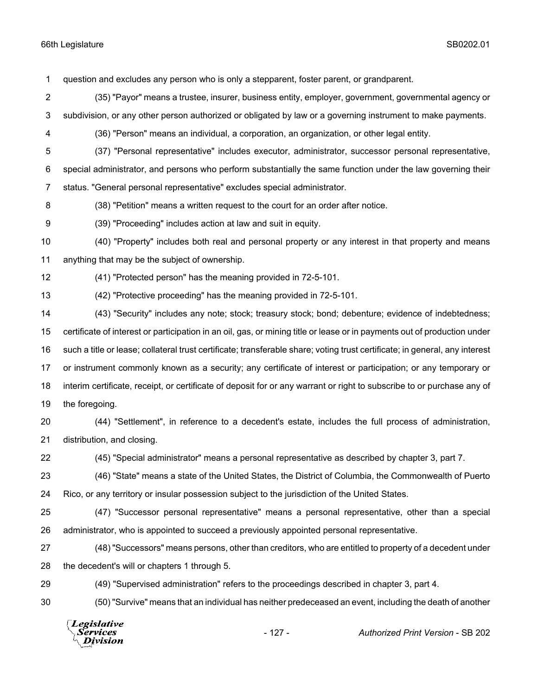question and excludes any person who is only a stepparent, foster parent, or grandparent.

- (35) "Payor" means a trustee, insurer, business entity, employer, government, governmental agency or subdivision, or any other person authorized or obligated by law or a governing instrument to make payments.
- (36) "Person" means an individual, a corporation, an organization, or other legal entity.
- (37) "Personal representative" includes executor, administrator, successor personal representative, special administrator, and persons who perform substantially the same function under the law governing their status. "General personal representative" excludes special administrator.
- (38) "Petition" means a written request to the court for an order after notice.
- (39) "Proceeding" includes action at law and suit in equity.
- (40) "Property" includes both real and personal property or any interest in that property and means anything that may be the subject of ownership.
- (41) "Protected person" has the meaning provided in 72-5-101.
- (42) "Protective proceeding" has the meaning provided in 72-5-101.
- (43) "Security" includes any note; stock; treasury stock; bond; debenture; evidence of indebtedness; certificate of interest or participation in an oil, gas, or mining title or lease or in payments out of production under such a title or lease; collateral trust certificate; transferable share; voting trust certificate; in general, any interest or instrument commonly known as a security; any certificate of interest or participation; or any temporary or interim certificate, receipt, or certificate of deposit for or any warrant or right to subscribe to or purchase any of the foregoing.
- (44) "Settlement", in reference to a decedent's estate, includes the full process of administration, distribution, and closing.
- (45) "Special administrator" means a personal representative as described by chapter 3, part 7.
- (46) "State" means a state of the United States, the District of Columbia, the Commonwealth of Puerto Rico, or any territory or insular possession subject to the jurisdiction of the United States.
- (47) "Successor personal representative" means a personal representative, other than a special administrator, who is appointed to succeed a previously appointed personal representative.
- (48) "Successors" means persons, other than creditors, who are entitled to property of a decedent under the decedent's will or chapters 1 through 5.
- (49) "Supervised administration" refers to the proceedings described in chapter 3, part 4.
- (50) "Survive" means that an individual has neither predeceased an event, including the death of another

Legislative *Services* **Division**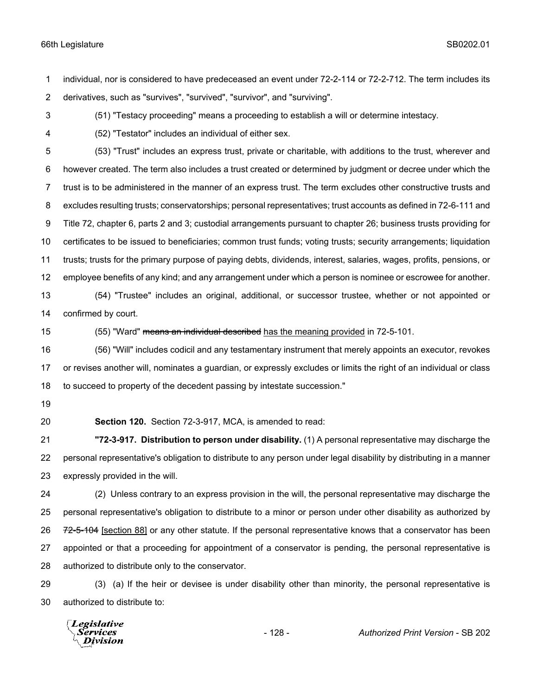individual, nor is considered to have predeceased an event under 72-2-114 or 72-2-712. The term includes its derivatives, such as "survives", "survived", "survivor", and "surviving". (51) "Testacy proceeding" means a proceeding to establish a will or determine intestacy. (52) "Testator" includes an individual of either sex. (53) "Trust" includes an express trust, private or charitable, with additions to the trust, wherever and however created. The term also includes a trust created or determined by judgment or decree under which the trust is to be administered in the manner of an express trust. The term excludes other constructive trusts and excludes resulting trusts; conservatorships; personal representatives; trust accounts as defined in 72-6-111 and Title 72, chapter 6, parts 2 and 3; custodial arrangements pursuant to chapter 26; business trusts providing for certificates to be issued to beneficiaries; common trust funds; voting trusts; security arrangements; liquidation trusts; trusts for the primary purpose of paying debts, dividends, interest, salaries, wages, profits, pensions, or employee benefits of any kind; and any arrangement under which a person is nominee or escrowee for another. (54) "Trustee" includes an original, additional, or successor trustee, whether or not appointed or confirmed by court. 15 (55) "Ward" means an individual described has the meaning provided in 72-5-101. (56) "Will" includes codicil and any testamentary instrument that merely appoints an executor, revokes or revises another will, nominates a guardian, or expressly excludes or limits the right of an individual or class to succeed to property of the decedent passing by intestate succession." **Section 120.** Section 72-3-917, MCA, is amended to read: **"72-3-917. Distribution to person under disability.** (1) A personal representative may discharge the personal representative's obligation to distribute to any person under legal disability by distributing in a manner expressly provided in the will. (2) Unless contrary to an express provision in the will, the personal representative may discharge the personal representative's obligation to distribute to a minor or person under other disability as authorized by 26 72-5-104 [section 88] or any other statute. If the personal representative knows that a conservator has been appointed or that a proceeding for appointment of a conservator is pending, the personal representative is authorized to distribute only to the conservator.

 (3) (a) If the heir or devisee is under disability other than minority, the personal representative is authorized to distribute to:

Legislative Services **Division**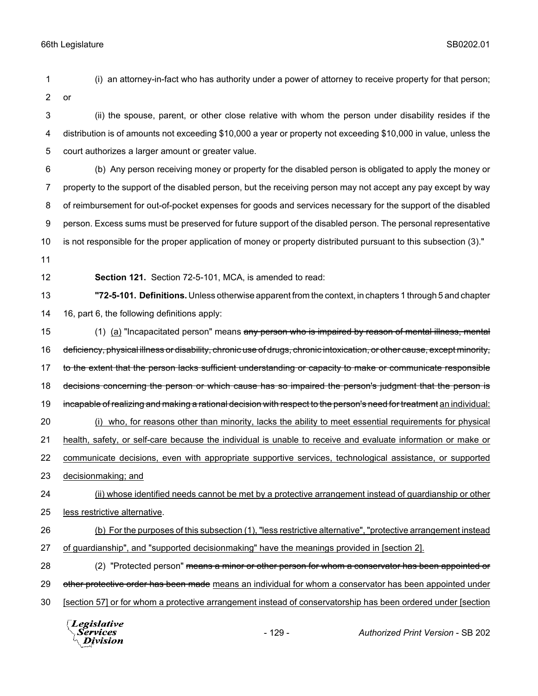or

(i) an attorney-in-fact who has authority under a power of attorney to receive property for that person;

 (ii) the spouse, parent, or other close relative with whom the person under disability resides if the distribution is of amounts not exceeding \$10,000 a year or property not exceeding \$10,000 in value, unless the court authorizes a larger amount or greater value.

 (b) Any person receiving money or property for the disabled person is obligated to apply the money or property to the support of the disabled person, but the receiving person may not accept any pay except by way of reimbursement for out-of-pocket expenses for goods and services necessary for the support of the disabled person. Excess sums must be preserved for future support of the disabled person. The personal representative is not responsible for the proper application of money or property distributed pursuant to this subsection (3)."

**Section 121.** Section 72-5-101, MCA, is amended to read:

 **"72-5-101. Definitions.** Unless otherwise apparent from the context, in chapters 1 through 5 and chapter 16, part 6, the following definitions apply:

15 (1) (a) "Incapacitated person" means any person who is impaired by reason of mental illness, mental 16 deficiency, physical illness or disability, chronic use of drugs, chronic intoxication, or other cause, except minority, 17 to the extent that the person lacks sufficient understanding or capacity to make or communicate responsible 18 decisions concerning the person or which cause has so impaired the person's judgment that the person is 19 incapable of realizing and making a rational decision with respect to the person's need for treatment an individual: (i) who, for reasons other than minority, lacks the ability to meet essential requirements for physical health, safety, or self-care because the individual is unable to receive and evaluate information or make or communicate decisions, even with appropriate supportive services, technological assistance, or supported decisionmaking; and (ii) whose identified needs cannot be met by a protective arrangement instead of guardianship or other less restrictive alternative.

 (b) For the purposes of this subsection (1), "less restrictive alternative", "protective arrangement instead of guardianship", and "supported decisionmaking" have the meanings provided in [section 2].

28 (2) "Protected person" means a minor or other person for whom a conservator has been appointed or 29 other protective order has been made means an individual for whom a conservator has been appointed under [section 57] or for whom a protective arrangement instead of conservatorship has been ordered under [section

Legislative *Services* **Division**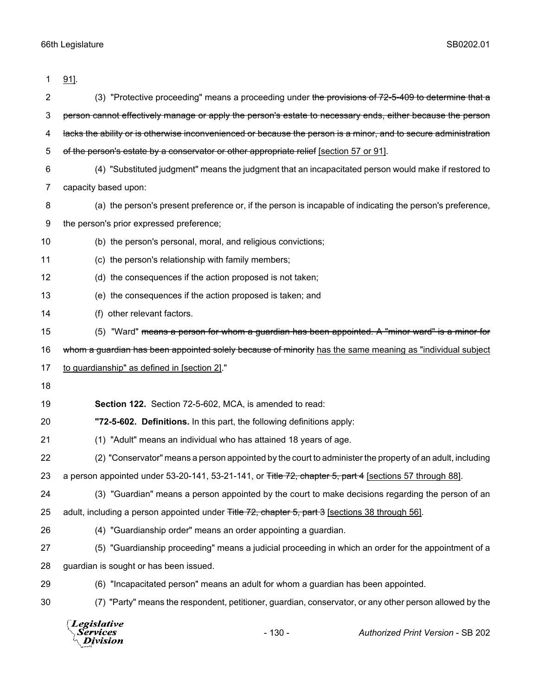| 1              | $91$ .                                                                                                             |  |  |
|----------------|--------------------------------------------------------------------------------------------------------------------|--|--|
| $\overline{2}$ | (3) "Protective proceeding" means a proceeding under the provisions of 72-5-409 to determine that a                |  |  |
| 3              | person cannot effectively manage or apply the person's estate to necessary ends, either because the person         |  |  |
| 4              | lacks the ability or is otherwise inconvenienced or because the person is a minor, and to secure administration    |  |  |
| 5              | of the person's estate by a conservator or other appropriate relief [section 57 or 91].                            |  |  |
| 6              | (4) "Substituted judgment" means the judgment that an incapacitated person would make if restored to               |  |  |
| $\overline{7}$ | capacity based upon:                                                                                               |  |  |
| 8              | (a) the person's present preference or, if the person is incapable of indicating the person's preference,          |  |  |
| 9              | the person's prior expressed preference;                                                                           |  |  |
| 10             | (b) the person's personal, moral, and religious convictions;                                                       |  |  |
| 11             | (c) the person's relationship with family members;                                                                 |  |  |
| 12             | (d) the consequences if the action proposed is not taken;                                                          |  |  |
| 13             | (e) the consequences if the action proposed is taken; and                                                          |  |  |
| 14             | (f) other relevant factors.                                                                                        |  |  |
| 15             | (5) "Ward" means a person for whom a guardian has been appointed. A "minor ward" is a minor for                    |  |  |
| 16             | whom a guardian has been appointed solely because of minority has the same meaning as "individual subject"         |  |  |
| 17             | to guardianship" as defined in [section 2]."                                                                       |  |  |
| 18             |                                                                                                                    |  |  |
| 19             | Section 122. Section 72-5-602, MCA, is amended to read:                                                            |  |  |
| 20             | "72-5-602. Definitions. In this part, the following definitions apply:                                             |  |  |
| 21             | (1) "Adult" means an individual who has attained 18 years of age.                                                  |  |  |
| 22             | (2) "Conservator" means a person appointed by the court to administer the property of an adult, including          |  |  |
| 23             | a person appointed under 53-20-141, 53-21-141, or <del>Title 72, chapter 5, part 4</del> [sections 57 through 88]. |  |  |
| 24             | (3) "Guardian" means a person appointed by the court to make decisions regarding the person of an                  |  |  |
| 25             | adult, including a person appointed under Title 72, chapter 5, part 3 [sections 38 through 56].                    |  |  |
| 26             | (4) "Guardianship order" means an order appointing a guardian.                                                     |  |  |
| 27             | (5) "Guardianship proceeding" means a judicial proceeding in which an order for the appointment of a               |  |  |
| 28             | guardian is sought or has been issued.                                                                             |  |  |
| 29             | (6) "Incapacitated person" means an adult for whom a guardian has been appointed.                                  |  |  |
| 30             | (7) "Party" means the respondent, petitioner, guardian, conservator, or any other person allowed by the            |  |  |
|                | Legislative<br>$-130-$<br><b>Authorized Print Version - SB 202</b><br>Services<br>Division                         |  |  |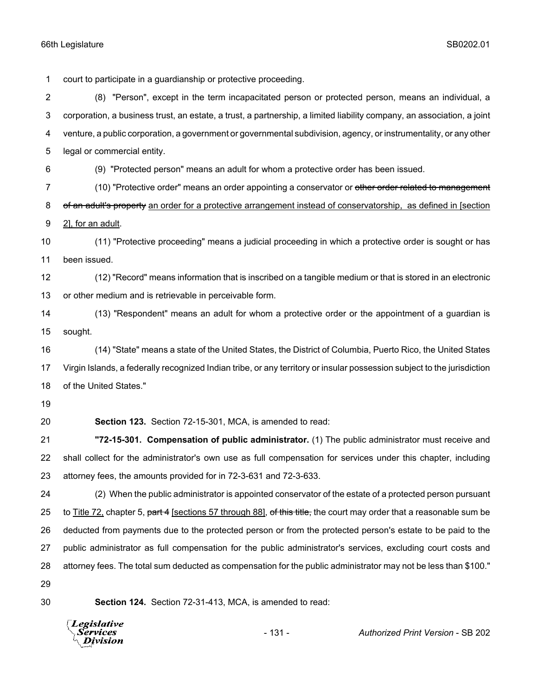court to participate in a guardianship or protective proceeding. (8) "Person", except in the term incapacitated person or protected person, means an individual, a corporation, a business trust, an estate, a trust, a partnership, a limited liability company, an association, a joint venture, a public corporation, a government or governmental subdivision, agency, or instrumentality, or any other legal or commercial entity. (9) "Protected person" means an adult for whom a protective order has been issued. 7 (10) "Protective order" means an order appointing a conservator or other order related to management 8 of an adult's property an order for a protective arrangement instead of conservatorship, as defined in [section 2], for an adult. (11) "Protective proceeding" means a judicial proceeding in which a protective order is sought or has been issued. (12) "Record" means information that is inscribed on a tangible medium or that is stored in an electronic or other medium and is retrievable in perceivable form. (13) "Respondent" means an adult for whom a protective order or the appointment of a guardian is sought. (14) "State" means a state of the United States, the District of Columbia, Puerto Rico, the United States Virgin Islands, a federally recognized Indian tribe, or any territory or insular possession subject to the jurisdiction of the United States." **Section 123.** Section 72-15-301, MCA, is amended to read: **"72-15-301. Compensation of public administrator.** (1) The public administrator must receive and shall collect for the administrator's own use as full compensation for services under this chapter, including attorney fees, the amounts provided for in 72-3-631 and 72-3-633. (2) When the public administrator is appointed conservator of the estate of a protected person pursuant 25 to Title 72, chapter 5, part 4 [sections 57 through 88], of this title, the court may order that a reasonable sum be deducted from payments due to the protected person or from the protected person's estate to be paid to the public administrator as full compensation for the public administrator's services, excluding court costs and attorney fees. The total sum deducted as compensation for the public administrator may not be less than \$100." **Section 124.** Section 72-31-413, MCA, is amended to read:



- 131 - *Authorized Print Version* - SB 202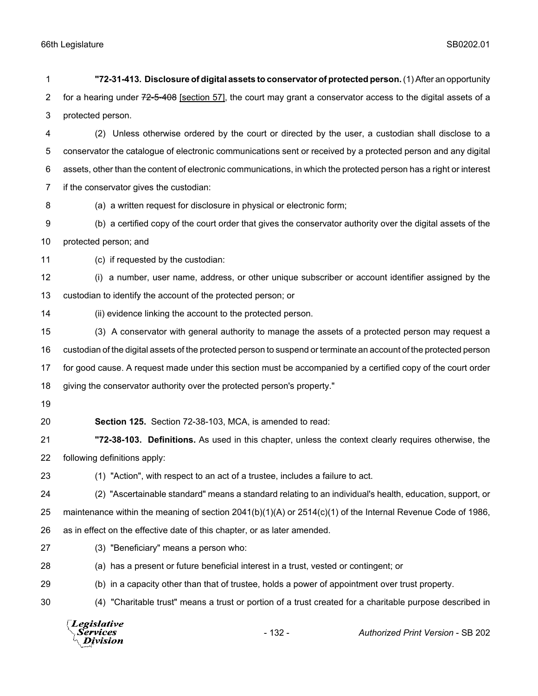Division

 **"72-31-413. Disclosure of digital assets to conservator of protected person.** (1) After an opportunity 2 for a hearing under  $72-5-408$  [section 57], the court may grant a conservator access to the digital assets of a protected person. (2) Unless otherwise ordered by the court or directed by the user, a custodian shall disclose to a conservator the catalogue of electronic communications sent or received by a protected person and any digital assets, other than the content of electronic communications, in which the protected person has a right or interest if the conservator gives the custodian: (a) a written request for disclosure in physical or electronic form; (b) a certified copy of the court order that gives the conservator authority over the digital assets of the protected person; and (c) if requested by the custodian: (i) a number, user name, address, or other unique subscriber or account identifier assigned by the custodian to identify the account of the protected person; or (ii) evidence linking the account to the protected person. (3) A conservator with general authority to manage the assets of a protected person may request a custodian of the digital assets of the protected person to suspend or terminate an account of the protected person for good cause. A request made under this section must be accompanied by a certified copy of the court order giving the conservator authority over the protected person's property." **Section 125.** Section 72-38-103, MCA, is amended to read: **"72-38-103. Definitions.** As used in this chapter, unless the context clearly requires otherwise, the following definitions apply: (1) "Action", with respect to an act of a trustee, includes a failure to act. (2) "Ascertainable standard" means a standard relating to an individual's health, education, support, or maintenance within the meaning of section 2041(b)(1)(A) or 2514(c)(1) of the Internal Revenue Code of 1986, as in effect on the effective date of this chapter, or as later amended. (3) "Beneficiary" means a person who: (a) has a present or future beneficial interest in a trust, vested or contingent; or (b) in a capacity other than that of trustee, holds a power of appointment over trust property. (4) "Charitable trust" means a trust or portion of a trust created for a charitable purpose described in **Legislative** Services - 132 - *Authorized Print Version* - SB 202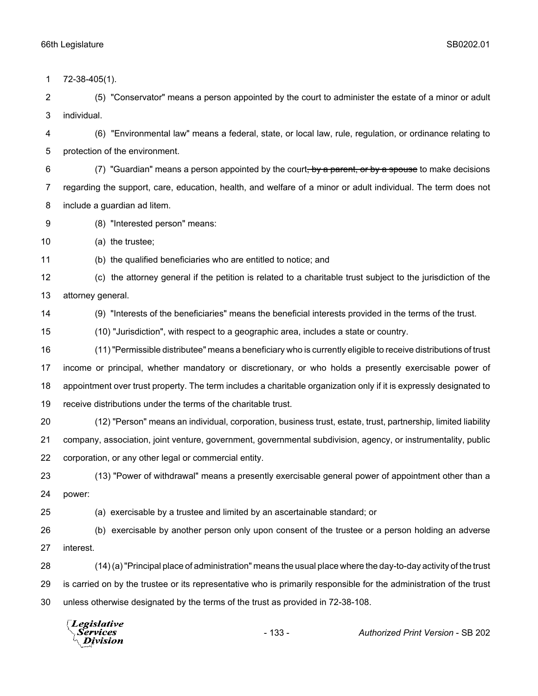72-38-405(1). (5) "Conservator" means a person appointed by the court to administer the estate of a minor or adult individual. (6) "Environmental law" means a federal, state, or local law, rule, regulation, or ordinance relating to protection of the environment. 6 (7) "Guardian" means a person appointed by the court<del>, by a parent, or by a spouse</del> to make decisions regarding the support, care, education, health, and welfare of a minor or adult individual. The term does not include a guardian ad litem. (8) "Interested person" means: (a) the trustee; (b) the qualified beneficiaries who are entitled to notice; and (c) the attorney general if the petition is related to a charitable trust subject to the jurisdiction of the attorney general. (9) "Interests of the beneficiaries" means the beneficial interests provided in the terms of the trust. (10) "Jurisdiction", with respect to a geographic area, includes a state or country. (11) "Permissible distributee" means a beneficiary who is currently eligible to receive distributions of trust income or principal, whether mandatory or discretionary, or who holds a presently exercisable power of appointment over trust property. The term includes a charitable organization only if it is expressly designated to receive distributions under the terms of the charitable trust. (12) "Person" means an individual, corporation, business trust, estate, trust, partnership, limited liability company, association, joint venture, government, governmental subdivision, agency, or instrumentality, public corporation, or any other legal or commercial entity. (13) "Power of withdrawal" means a presently exercisable general power of appointment other than a power: (a) exercisable by a trustee and limited by an ascertainable standard; or (b) exercisable by another person only upon consent of the trustee or a person holding an adverse interest. (14) (a) "Principal place of administration" means the usual place where the day-to-day activity of the trust is carried on by the trustee or its representative who is primarily responsible for the administration of the trust unless otherwise designated by the terms of the trust as provided in 72-38-108. **Legislative** *Services* - 133 - *Authorized Print Version* - SB 202**Division**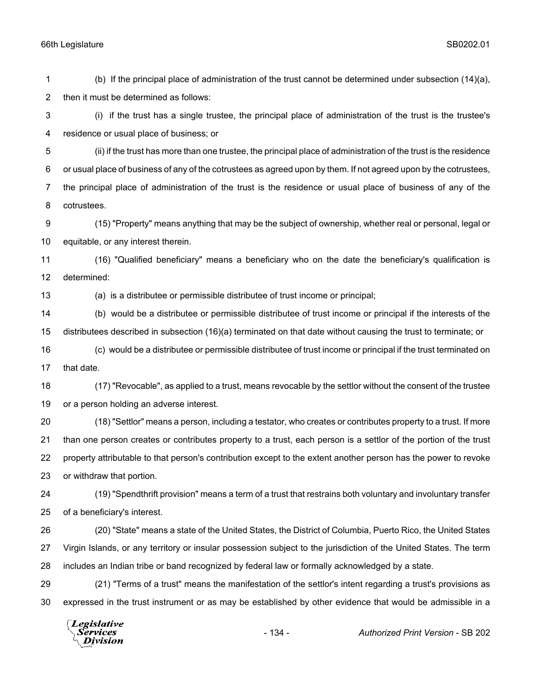(b) If the principal place of administration of the trust cannot be determined under subsection (14)(a), then it must be determined as follows:

 (i) if the trust has a single trustee, the principal place of administration of the trust is the trustee's residence or usual place of business; or

 (ii) if the trust has more than one trustee, the principal place of administration of the trust is the residence or usual place of business of any of the cotrustees as agreed upon by them. If not agreed upon by the cotrustees, the principal place of administration of the trust is the residence or usual place of business of any of the

cotrustees.

 (15) "Property" means anything that may be the subject of ownership, whether real or personal, legal or equitable, or any interest therein.

 (16) "Qualified beneficiary" means a beneficiary who on the date the beneficiary's qualification is determined:

(a) is a distributee or permissible distributee of trust income or principal;

 (b) would be a distributee or permissible distributee of trust income or principal if the interests of the distributees described in subsection (16)(a) terminated on that date without causing the trust to terminate; or

 (c) would be a distributee or permissible distributee of trust income or principal if the trust terminated on that date.

 (17) "Revocable", as applied to a trust, means revocable by the settlor without the consent of the trustee or a person holding an adverse interest.

 (18) "Settlor" means a person, including a testator, who creates or contributes property to a trust. If more than one person creates or contributes property to a trust, each person is a settlor of the portion of the trust property attributable to that person's contribution except to the extent another person has the power to revoke or withdraw that portion.

 (19) "Spendthrift provision" means a term of a trust that restrains both voluntary and involuntary transfer of a beneficiary's interest.

 (20) "State" means a state of the United States, the District of Columbia, Puerto Rico, the United States Virgin Islands, or any territory or insular possession subject to the jurisdiction of the United States. The term includes an Indian tribe or band recognized by federal law or formally acknowledged by a state.

 (21) "Terms of a trust" means the manifestation of the settlor's intent regarding a trust's provisions as expressed in the trust instrument or as may be established by other evidence that would be admissible in a

Legislative Services **Division**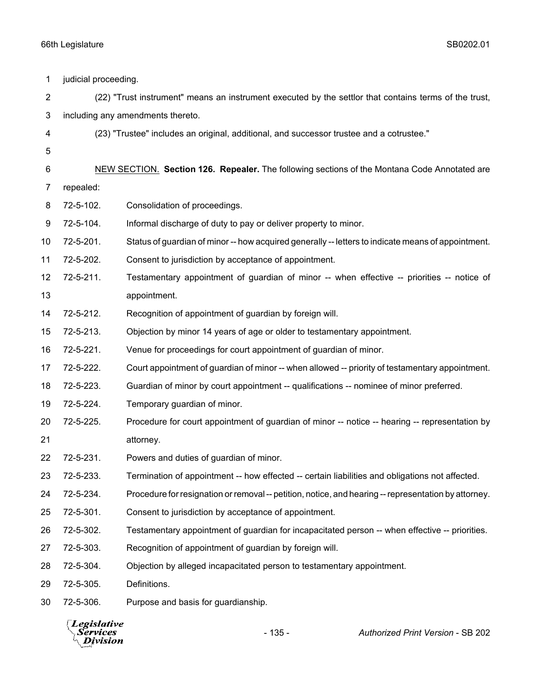| 1              | judicial proceeding.                                                                                  |                                                                                                      |  |
|----------------|-------------------------------------------------------------------------------------------------------|------------------------------------------------------------------------------------------------------|--|
| $\overline{c}$ | (22) "Trust instrument" means an instrument executed by the settlor that contains terms of the trust, |                                                                                                      |  |
| 3              | including any amendments thereto.                                                                     |                                                                                                      |  |
| 4              |                                                                                                       | (23) "Trustee" includes an original, additional, and successor trustee and a cotrustee."             |  |
| 5              |                                                                                                       |                                                                                                      |  |
| 6              |                                                                                                       | NEW SECTION. Section 126. Repealer. The following sections of the Montana Code Annotated are         |  |
| 7              | repealed:                                                                                             |                                                                                                      |  |
| 8              | 72-5-102.                                                                                             | Consolidation of proceedings.                                                                        |  |
| 9              | 72-5-104.                                                                                             | Informal discharge of duty to pay or deliver property to minor.                                      |  |
| 10             | 72-5-201.                                                                                             | Status of guardian of minor -- how acquired generally -- letters to indicate means of appointment.   |  |
| 11             | 72-5-202.                                                                                             | Consent to jurisdiction by acceptance of appointment.                                                |  |
| 12             | 72-5-211.                                                                                             | Testamentary appointment of guardian of minor -- when effective -- priorities -- notice of           |  |
| 13             |                                                                                                       | appointment.                                                                                         |  |
| 14             | 72-5-212.                                                                                             | Recognition of appointment of guardian by foreign will.                                              |  |
| 15             | 72-5-213.                                                                                             | Objection by minor 14 years of age or older to testamentary appointment.                             |  |
| 16             | 72-5-221.                                                                                             | Venue for proceedings for court appointment of guardian of minor.                                    |  |
| 17             | 72-5-222.                                                                                             | Court appointment of guardian of minor -- when allowed -- priority of testamentary appointment.      |  |
| 18             | 72-5-223.                                                                                             | Guardian of minor by court appointment -- qualifications -- nominee of minor preferred.              |  |
| 19             | 72-5-224.                                                                                             | Temporary guardian of minor.                                                                         |  |
| 20             | 72-5-225.                                                                                             | Procedure for court appointment of guardian of minor -- notice -- hearing -- representation by       |  |
| 21             |                                                                                                       | attorney.                                                                                            |  |
| 22             | 72-5-231.                                                                                             | Powers and duties of guardian of minor.                                                              |  |
| 23             | 72-5-233.                                                                                             | Termination of appointment -- how effected -- certain liabilities and obligations not affected.      |  |
| 24             | 72-5-234.                                                                                             | Procedure for resignation or removal -- petition, notice, and hearing -- representation by attorney. |  |
| 25             | 72-5-301.                                                                                             | Consent to jurisdiction by acceptance of appointment.                                                |  |
| 26             | 72-5-302.                                                                                             | Testamentary appointment of guardian for incapacitated person -- when effective -- priorities.       |  |
| 27             | 72-5-303.                                                                                             | Recognition of appointment of guardian by foreign will.                                              |  |
| 28             | 72-5-304.                                                                                             | Objection by alleged incapacitated person to testamentary appointment.                               |  |
| 29             | 72-5-305.                                                                                             | Definitions.                                                                                         |  |
| 30             | 72-5-306.                                                                                             | Purpose and basis for guardianship.                                                                  |  |
|                |                                                                                                       |                                                                                                      |  |



- 135 - *Authorized Print Version* - SB 202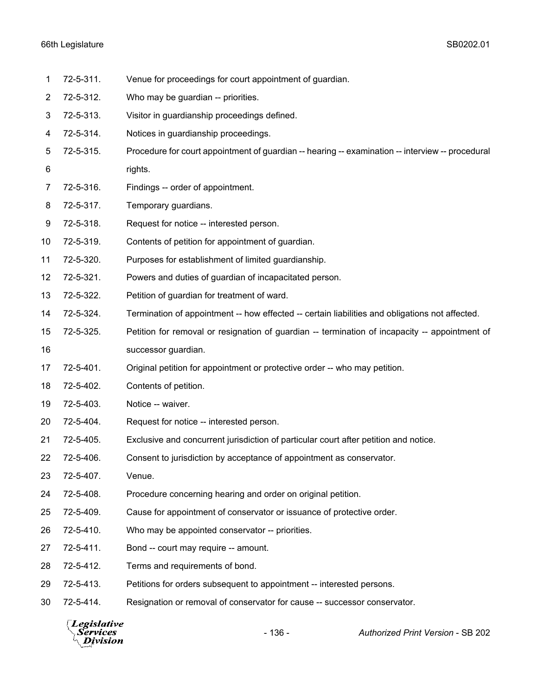| 1  | 72-5-311. | Venue for proceedings for court appointment of guardian.                                         |
|----|-----------|--------------------------------------------------------------------------------------------------|
| 2  | 72-5-312. | Who may be guardian -- priorities.                                                               |
| 3  | 72-5-313. | Visitor in guardianship proceedings defined.                                                     |
| 4  | 72-5-314. | Notices in guardianship proceedings.                                                             |
| 5  | 72-5-315. | Procedure for court appointment of guardian -- hearing -- examination -- interview -- procedural |
| 6  |           | rights.                                                                                          |
| 7  | 72-5-316. | Findings -- order of appointment.                                                                |
| 8  | 72-5-317. | Temporary guardians.                                                                             |
| 9  | 72-5-318. | Request for notice -- interested person.                                                         |
| 10 | 72-5-319. | Contents of petition for appointment of guardian.                                                |
| 11 | 72-5-320. | Purposes for establishment of limited guardianship.                                              |
| 12 | 72-5-321. | Powers and duties of guardian of incapacitated person.                                           |
| 13 | 72-5-322. | Petition of guardian for treatment of ward.                                                      |
| 14 | 72-5-324. | Termination of appointment -- how effected -- certain liabilities and obligations not affected.  |
| 15 | 72-5-325. | Petition for removal or resignation of guardian -- termination of incapacity -- appointment of   |
| 16 |           | successor guardian.                                                                              |
| 17 | 72-5-401. | Original petition for appointment or protective order -- who may petition.                       |
| 18 | 72-5-402. | Contents of petition.                                                                            |
| 19 | 72-5-403. | Notice -- waiver.                                                                                |
| 20 | 72-5-404. | Request for notice -- interested person.                                                         |
| 21 | 72-5-405. | Exclusive and concurrent jurisdiction of particular court after petition and notice.             |
| 22 | 72-5-406. | Consent to jurisdiction by acceptance of appointment as conservator.                             |
| 23 | 72-5-407. | Venue.                                                                                           |
| 24 | 72-5-408. | Procedure concerning hearing and order on original petition.                                     |
| 25 | 72-5-409. | Cause for appointment of conservator or issuance of protective order.                            |
| 26 | 72-5-410. | Who may be appointed conservator -- priorities.                                                  |
| 27 | 72-5-411. | Bond -- court may require -- amount.                                                             |
| 28 | 72-5-412. | Terms and requirements of bond.                                                                  |
| 29 | 72-5-413. | Petitions for orders subsequent to appointment -- interested persons.                            |
| 30 | 72-5-414. | Resignation or removal of conservator for cause -- successor conservator.                        |
|    |           |                                                                                                  |



- 136 - *Authorized Print Version* - SB 202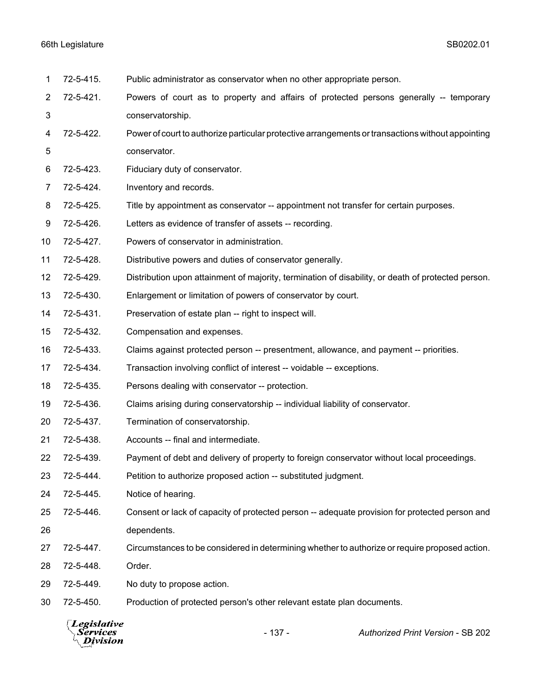| 1  | 72-5-415. | Public administrator as conservator when no other appropriate person.                              |
|----|-----------|----------------------------------------------------------------------------------------------------|
| 2  | 72-5-421. | Powers of court as to property and affairs of protected persons generally -- temporary             |
| 3  |           | conservatorship.                                                                                   |
| 4  | 72-5-422. | Power of court to authorize particular protective arrangements or transactions without appointing  |
| 5  |           | conservator.                                                                                       |
| 6  | 72-5-423. | Fiduciary duty of conservator.                                                                     |
| 7  | 72-5-424. | Inventory and records.                                                                             |
| 8  | 72-5-425. | Title by appointment as conservator -- appointment not transfer for certain purposes.              |
| 9  | 72-5-426. | Letters as evidence of transfer of assets -- recording.                                            |
| 10 | 72-5-427. | Powers of conservator in administration.                                                           |
| 11 | 72-5-428. | Distributive powers and duties of conservator generally.                                           |
| 12 | 72-5-429. | Distribution upon attainment of majority, termination of disability, or death of protected person. |
| 13 | 72-5-430. | Enlargement or limitation of powers of conservator by court.                                       |
| 14 | 72-5-431. | Preservation of estate plan -- right to inspect will.                                              |
| 15 | 72-5-432. | Compensation and expenses.                                                                         |
| 16 | 72-5-433. | Claims against protected person -- presentment, allowance, and payment -- priorities.              |
| 17 | 72-5-434. | Transaction involving conflict of interest -- voidable -- exceptions.                              |
| 18 | 72-5-435. | Persons dealing with conservator -- protection.                                                    |
| 19 | 72-5-436. | Claims arising during conservatorship -- individual liability of conservator.                      |
| 20 | 72-5-437. | Termination of conservatorship.                                                                    |
| 21 | 72-5-438. | Accounts -- final and intermediate.                                                                |
| 22 | 72-5-439. | Payment of debt and delivery of property to foreign conservator without local proceedings.         |
| 23 | 72-5-444. | Petition to authorize proposed action -- substituted judgment.                                     |
| 24 | 72-5-445. | Notice of hearing.                                                                                 |
| 25 | 72-5-446. | Consent or lack of capacity of protected person -- adequate provision for protected person and     |
| 26 |           | dependents.                                                                                        |
| 27 | 72-5-447. | Circumstances to be considered in determining whether to authorize or require proposed action.     |
| 28 | 72-5-448. | Order.                                                                                             |
| 29 | 72-5-449. | No duty to propose action.                                                                         |
| 30 | 72-5-450. | Production of protected person's other relevant estate plan documents.                             |



- 137 - *Authorized Print Version* - SB 202